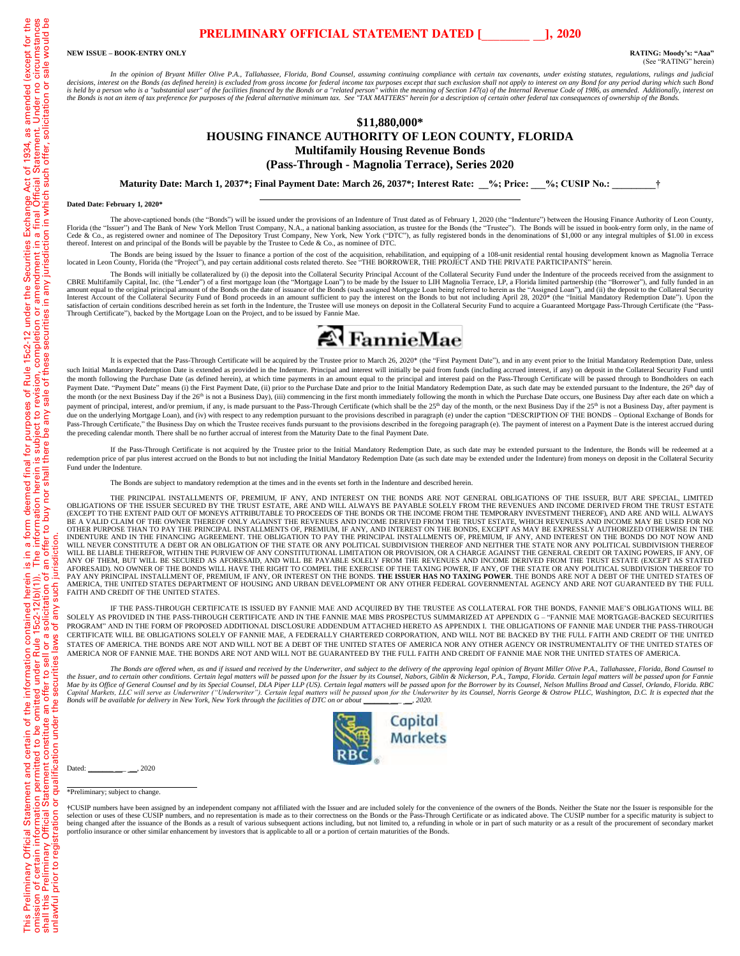## **PRELIMINARY OFFICIAL STATEMENT DATED [\_\_\_\_\_\_\_\_ \_\_], 2020**

**NEW ISSUE – BOOK-ENTRY ONLY RATING: Moody's: "Aaa"**

(See "RATING" herein)

*In the opinion of Bryant Miller Olive P.A., Tallahassee, Florida, Bond Counsel, assuming continuing compliance with certain tax covenants, under existing statutes, regulations, rulings and judicial*  decisions, interest on the Bonds (as defined herein) is excluded from gross income for federal income tax purposes except that such exclusion shall not apply to interest on any Bond for any period during which such Bond<br>is *the Bonds is not an item of tax preference for purposes of the federal alternative minimum tax. See "TAX MATTERS" herein for a description of certain other federal tax consequences of ownership of the Bonds.*

### **\$11,880,000\* HOUSING FINANCE AUTHORITY OF LEON COUNTY, FLORIDA Multifamily Housing Revenue Bonds (Pass-Through - Magnolia Terrace), Series 2020**

**Maturity Date: March 1, 2037\*; Final Payment Date: March 26, 2037\*; Interest Rate: \_\_%; Price: \_\_\_%; CUSIP No.: \_\_\_\_\_\_\_\_\_†**

#### **Dated Date: February 1, 2020\***

The above-captioned bonds (the "Bonds") will be issued under the provisions of an Indenture of Trust dated as of February 1, 2020 (the "Indenture") between the Housing Finance Authority of Leon County,<br>Florida (the "Issuer thereof. Interest on and principal of the Bonds will be payable by the Trustee to Cede & Co., as nominee of DTC.

The Bonds are being issued by the Issuer to finance a portion of the cost of the acquisition, rehabilitation, and equipping of a 108-unit residential rental housing development known as Magnolia Terrace located in Leon County, Florida (the "Project"), and pay certain additional costs related thereto. See "THE BORROWER, THE PROJECT AND THE PRIVATE PARTICIPANTS" herein.

The Bonds will initially be collateralized by (i) the deposit into the Collateral Security Principal Account of the Collateral Security Fund under the Indenture of the proceeds received from the assignment to CBRE Multifamily Capital, Inc. (the "Lender") of a first mortgage loan (the "Mortgage Loan") to be made by the Issuer to LIH Magnolia Terrace, LP, a Florida limited partnership (the "Borrower"), and fully funded in an<br>amou Interest Account of the Collateral Security Fund of Bond proceeds in an amount sufficient to pay the interest on the Bonds to but not including April 28, 2020\* (the "Initial Mandatory Redemption Date"). Upon the Satisfacti Through Certificate"), backed by the Mortgage Loan on the Project, and to be issued by Fannie Mae.



It is expected that the Pass-Through Certificate will be acquired by the Trustee prior to March 26, 2020\* (the "First Payment Date"), and in any event prior to the Initial Mandatory Redemption Date, unless such Initial Mandatory Redemption Date is extended as provided in the Indenture. Principal and interest will initially be paid from funds (including accrued interest, if any) on deposit in the Collateral Security Fund unti the month following the Purchase Date (as defined herein), at which time payments in an amount equal to the principal and interest paid on the Pass-Through Certificate will be passed through to Bondholders on each Payment Date. "Payment Date" means (i) the First Payment Date, (ii) prior to the Purchase Date and prior to the Initial Mandatory Redemption Date, as such date may be extended pursuant to the Indenture, the 26<sup>th</sup> day of the month (or the next Business Day if the 26<sup>th</sup> is not a Business Day), (iii) commencing in the first month immediately following the month in which the Purchase Date occurs, one Business Day after each date on which a t payment of principal, interest, and/or premium, if any, is made pursuant to the Pass-Through Certificate (which shall be the 25<sup>th</sup> day of the month, or the next Business Day if the 25<sup>th</sup> is not a Business Day, after paym due on the underlying Mortgage Loan), and (iv) with respect to any redemption pursuant to the provisions described in paragraph (e) under the caption "DESCRIPTION OF THE BONDS – Optional Exchange of Bonds for Pass-Through Certificate," the Business Day on which the Trustee receives funds pursuant to the provisions described in the foregoing paragraph (e). The payment of interest on a Payment Date is the interest accrued during the preceding calendar month. There shall be no further accrual of interest from the Maturity Date to the final Payment Date.

If the Pass-Through Certificate is not acquired by the Trustee prior to the Initial Mandatory Redemption Date, as such date may be extended pursuant to the Indenture, the Bonds will be redeemed at a redemption price of par plus interest accrued on the Bonds to but not including the Initial Mandatory Redemption Date (as such date may be extended under the Indenture) from moneys on deposit in the Collateral Security Fund under the Indenture.

The Bonds are subject to mandatory redemption at the times and in the events set forth in the Indenture and described herein.

THE PRINCIPAL INSTALLMENTS OF, PREMIUM, IF ANY, AND INTEREST ON THE BONDS ARE NOT GENERAL OBLIGATIONS OF THE ISSUER, BUT ARE SPECIAL, LIMITED OBLIGATIONS OF THE ISSUER SECURED BY THE TRUST ESTATE, ARE AND WILL ALWAYS BE PAYABLE SOLELY FROM THE REVENUES AND INCOME DERIVED FROM THE TRUST ESTATE<br>(EXCEPT TO THE EXTENT PAID OUT OF MONEYS ATTRIBUTABLE TO PROCEEDS OF T BE A VALID CLAIM OF THE OWNER THEREOF ONLY AGAINST THE REVENUES AND INCOME DERIVED FROM THE TRUST ESTATE, WHICH REVENUES AND INCOME MAY BE USED FOR NO<br>OTHER PURPOSE THAN TO PAY THE PRINCIPAL INSTALLMENTS OF, PREMIUM, IF AN WILL NEVER CONSTITUTE A DEBT OR AN OBLIGATION OF THE STATE OR ANY POLITICAL SUBDIVISION THEREOF AND NEITHER THE STATE NOR ANY POLITICAL SUBDIVISION THEREOF WILL BE LIABLE THEREFOR, WITHIN THE PURVIEW OF ANY CONSTITUTIONAL LIMITATION OR PROVISION, OR A CHARGE AGAINST THE GENERAL CREDIT OR TAXING POWERS, IF ANY, OF<br>ANY OF THEM, BUT WILL BE SECURED AS AFORESAID, AND WILL BE PAYA PAY ANY PRINCIPAL INSTALLMENT OF, PREMIUM, IF ANY, OR INTEREST ON THE BONDS. **THE ISSUER HAS NO TAXING POWER**. THE BONDS ARE NOT A DEBT OF THE UNITED STATES OF<br>AMERICA, THE UNITED STATES DEPARTMENT OF HOUSING AND URBAN DEV FAITH AND CREDIT OF THE UNITED STATES.

IF THE PASS-THROUGH CERTIFICATE IS ISSUED BY FANNIE MAE AND ACQUIRED BY THE TRUSTEE AS COLLATERAL FOR THE BONDS, FANNIE MAE'S OBLIGATIONS WILL BE SOLELY AS PROVIDED IN THE PASS-THROUGH CERTIFICATE AND IN THE FANNIE MAE MBS PROSPECTUS SUMMARIZED AT APPENDIX G – "FANNIE MAE MORTGAGE-BACKED SECURITIES PROGRAM" AND IN THE FORM OF PROPOSED ADDITIONAL DISCLOSURE ADDENDUM ATTACHED HERETO AS APPENDIX I. THE OBLIGATIONS OF FANNIE MAE UNDER THE PASS-THROUGH CERTIFICATE WILL BE OBLIGATIONS SOLELY OF FANNIE MAE, A FEDERALLY CHARTERED CORPORATION, AND WILL NOT BE BACKED BY THE FULL FAITH AND CREDIT OF THE UNITED STATES OF AMERICA. THE BONDS ARE NOT AND WILL NOT BE A DEBT OF THE UNITED STATES OF AMERICA NOR ANY OTHER AGENCY OR INSTRUMENTALITY OF THE UNITED STATES OF AMERICA NOR OF FANNIE MAE. THE BONDS ARE NOT AND WILL NOT BE GUARANTEED BY THE FULL FAITH AND CREDIT OF FANNIE MAE NOR THE UNITED STATES OF AMERICA.

The Bonds are offered when, as and if issued and received by the Underwriter, and subject to the delivery of the approving legal opinion of Bryant Miller Olive P.A., Tallahassee, Florida, Bond Counsel to the lefts of the s Capital Markets, LLC will serve as Underwriter ("Underwriter"). Certain legal matters will be passed upon for the Underwriter by its Counsel, Norris George & Ostrow PLLC, Washington, D.C. It is expected that the<br>Bonds will



Dated:  $0.2020$ 

\*Preliminary; subject to change.

†CUSIP numbers have been assigned by an independent company not affiliated with the Issuer and are included solely for the convenience of the owners of the Bonds. Neither the State nor the Issuer is responsible for the selection or uses of these CUSIP numbers, and no representation is made as to their correctness on the Bonds or the Pass-Through Certificate or as indicated above. The CUSIP number for a specific maturity is subject to bei portfolio insurance or other similar enhancement by investors that is applicable to all or a portion of certain maturities of the Bonds.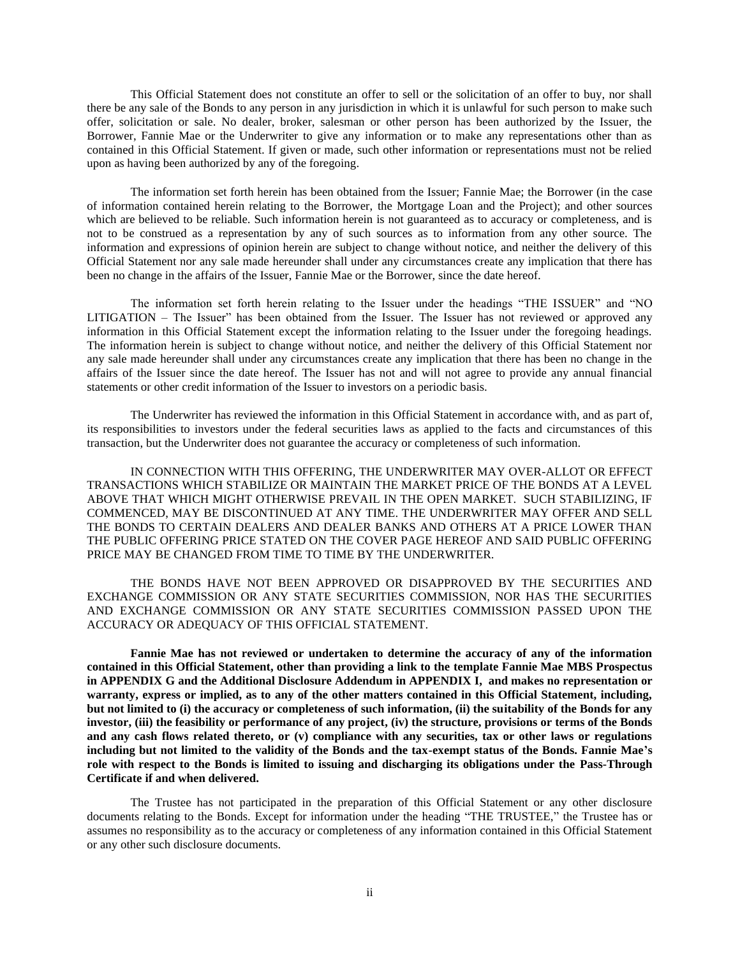This Official Statement does not constitute an offer to sell or the solicitation of an offer to buy, nor shall there be any sale of the Bonds to any person in any jurisdiction in which it is unlawful for such person to make such offer, solicitation or sale. No dealer, broker, salesman or other person has been authorized by the Issuer, the Borrower, Fannie Mae or the Underwriter to give any information or to make any representations other than as contained in this Official Statement. If given or made, such other information or representations must not be relied upon as having been authorized by any of the foregoing.

The information set forth herein has been obtained from the Issuer; Fannie Mae; the Borrower (in the case of information contained herein relating to the Borrower, the Mortgage Loan and the Project); and other sources which are believed to be reliable. Such information herein is not guaranteed as to accuracy or completeness, and is not to be construed as a representation by any of such sources as to information from any other source. The information and expressions of opinion herein are subject to change without notice, and neither the delivery of this Official Statement nor any sale made hereunder shall under any circumstances create any implication that there has been no change in the affairs of the Issuer, Fannie Mae or the Borrower, since the date hereof.

The information set forth herein relating to the Issuer under the headings "THE ISSUER" and "NO LITIGATION – The Issuer" has been obtained from the Issuer. The Issuer has not reviewed or approved any information in this Official Statement except the information relating to the Issuer under the foregoing headings. The information herein is subject to change without notice, and neither the delivery of this Official Statement nor any sale made hereunder shall under any circumstances create any implication that there has been no change in the affairs of the Issuer since the date hereof. The Issuer has not and will not agree to provide any annual financial statements or other credit information of the Issuer to investors on a periodic basis.

The Underwriter has reviewed the information in this Official Statement in accordance with, and as part of, its responsibilities to investors under the federal securities laws as applied to the facts and circumstances of this transaction, but the Underwriter does not guarantee the accuracy or completeness of such information.

IN CONNECTION WITH THIS OFFERING, THE UNDERWRITER MAY OVER-ALLOT OR EFFECT TRANSACTIONS WHICH STABILIZE OR MAINTAIN THE MARKET PRICE OF THE BONDS AT A LEVEL ABOVE THAT WHICH MIGHT OTHERWISE PREVAIL IN THE OPEN MARKET. SUCH STABILIZING, IF COMMENCED, MAY BE DISCONTINUED AT ANY TIME. THE UNDERWRITER MAY OFFER AND SELL THE BONDS TO CERTAIN DEALERS AND DEALER BANKS AND OTHERS AT A PRICE LOWER THAN THE PUBLIC OFFERING PRICE STATED ON THE COVER PAGE HEREOF AND SAID PUBLIC OFFERING PRICE MAY BE CHANGED FROM TIME TO TIME BY THE UNDERWRITER.

THE BONDS HAVE NOT BEEN APPROVED OR DISAPPROVED BY THE SECURITIES AND EXCHANGE COMMISSION OR ANY STATE SECURITIES COMMISSION, NOR HAS THE SECURITIES AND EXCHANGE COMMISSION OR ANY STATE SECURITIES COMMISSION PASSED UPON THE ACCURACY OR ADEQUACY OF THIS OFFICIAL STATEMENT.

**Fannie Mae has not reviewed or undertaken to determine the accuracy of any of the information contained in this Official Statement, other than providing a link to the template Fannie Mae MBS Prospectus in APPENDIX G and the Additional Disclosure Addendum in APPENDIX I, and makes no representation or warranty, express or implied, as to any of the other matters contained in this Official Statement, including, but not limited to (i) the accuracy or completeness of such information, (ii) the suitability of the Bonds for any investor, (iii) the feasibility or performance of any project, (iv) the structure, provisions or terms of the Bonds and any cash flows related thereto, or (v) compliance with any securities, tax or other laws or regulations including but not limited to the validity of the Bonds and the tax-exempt status of the Bonds. Fannie Mae's role with respect to the Bonds is limited to issuing and discharging its obligations under the Pass-Through Certificate if and when delivered.**

The Trustee has not participated in the preparation of this Official Statement or any other disclosure documents relating to the Bonds. Except for information under the heading "THE TRUSTEE," the Trustee has or assumes no responsibility as to the accuracy or completeness of any information contained in this Official Statement or any other such disclosure documents.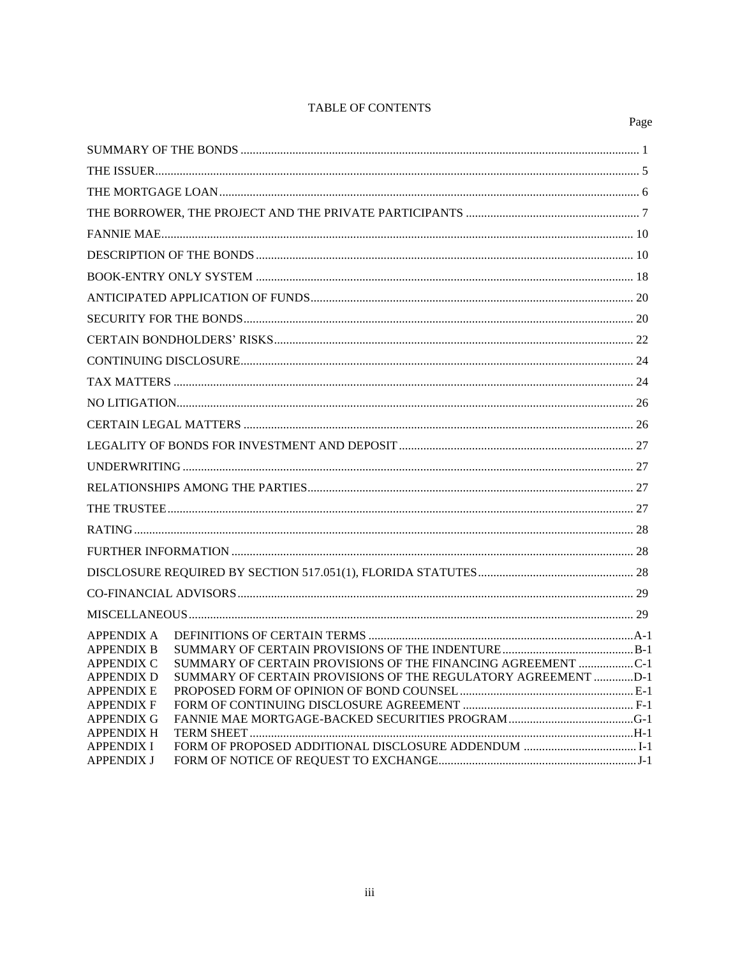## TABLE OF CONTENTS

|                                        |                                                               | Page |
|----------------------------------------|---------------------------------------------------------------|------|
|                                        |                                                               |      |
|                                        |                                                               |      |
|                                        |                                                               |      |
|                                        |                                                               |      |
|                                        |                                                               |      |
|                                        |                                                               |      |
|                                        |                                                               |      |
|                                        |                                                               |      |
|                                        |                                                               |      |
|                                        |                                                               |      |
|                                        |                                                               |      |
|                                        |                                                               |      |
|                                        |                                                               |      |
|                                        |                                                               |      |
|                                        |                                                               |      |
|                                        |                                                               |      |
|                                        |                                                               |      |
|                                        |                                                               |      |
|                                        |                                                               |      |
|                                        |                                                               |      |
|                                        |                                                               |      |
|                                        |                                                               |      |
|                                        |                                                               |      |
| APPENDIX A<br><b>APPENDIX B</b>        |                                                               |      |
| APPENDIX C                             | SUMMARY OF CERTAIN PROVISIONS OF THE FINANCING AGREEMENT C-1  |      |
| <b>APPENDIX D</b><br><b>APPENDIX E</b> | SUMMARY OF CERTAIN PROVISIONS OF THE REGULATORY AGREEMENT D-1 |      |
| <b>APPENDIX F</b>                      |                                                               |      |
| <b>APPENDIX G</b><br><b>APPENDIX H</b> |                                                               |      |
| <b>APPENDIX I</b>                      |                                                               |      |
| <b>APPENDIX J</b>                      |                                                               |      |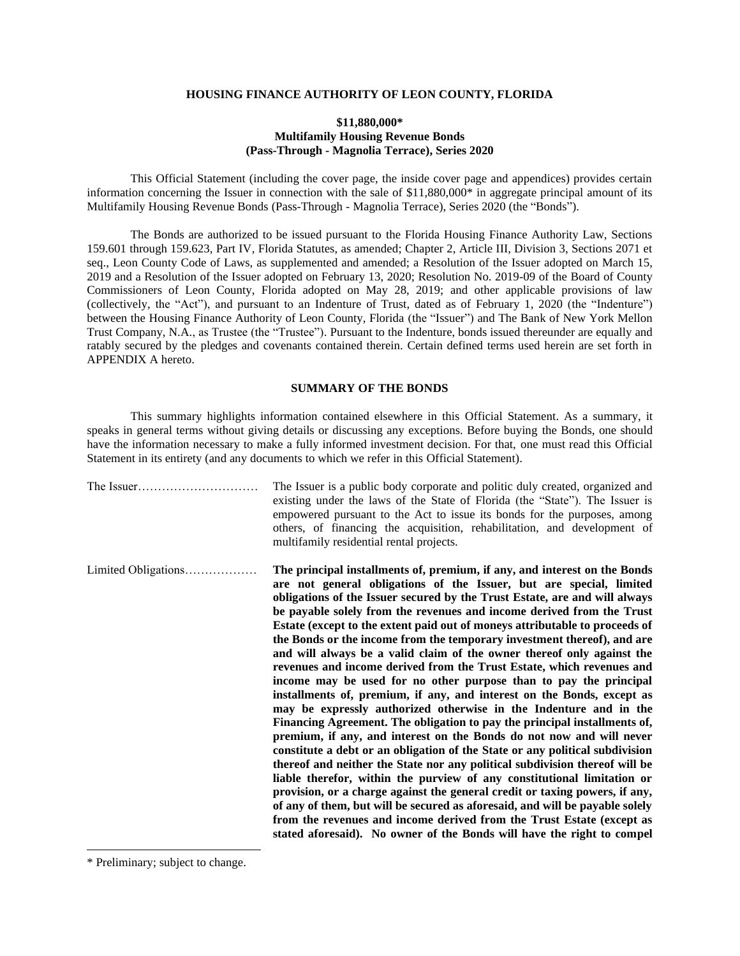## **HOUSING FINANCE AUTHORITY OF LEON COUNTY, FLORIDA**

### **\$11,880,000\* Multifamily Housing Revenue Bonds (Pass-Through - Magnolia Terrace), Series 2020**

This Official Statement (including the cover page, the inside cover page and appendices) provides certain information concerning the Issuer in connection with the sale of \$11,880,000\* in aggregate principal amount of its Multifamily Housing Revenue Bonds (Pass-Through - Magnolia Terrace), Series 2020 (the "Bonds").

The Bonds are authorized to be issued pursuant to the Florida Housing Finance Authority Law, Sections 159.601 through 159.623, Part IV, Florida Statutes, as amended; Chapter 2, Article III, Division 3, Sections 2071 et seq., Leon County Code of Laws, as supplemented and amended; a Resolution of the Issuer adopted on March 15, 2019 and a Resolution of the Issuer adopted on February 13, 2020; Resolution No. 2019-09 of the Board of County Commissioners of Leon County, Florida adopted on May 28, 2019; and other applicable provisions of law (collectively, the "Act"), and pursuant to an Indenture of Trust, dated as of February 1, 2020 (the "Indenture") between the Housing Finance Authority of Leon County, Florida (the "Issuer") and The Bank of New York Mellon Trust Company, N.A., as Trustee (the "Trustee"). Pursuant to the Indenture, bonds issued thereunder are equally and ratably secured by the pledges and covenants contained therein. Certain defined terms used herein are set forth in APPENDIX A hereto.

### **SUMMARY OF THE BONDS**

<span id="page-3-0"></span>This summary highlights information contained elsewhere in this Official Statement. As a summary, it speaks in general terms without giving details or discussing any exceptions. Before buying the Bonds, one should have the information necessary to make a fully informed investment decision. For that, one must read this Official Statement in its entirety (and any documents to which we refer in this Official Statement).

|                     | The Issuer is a public body corporate and politic duly created, organized and<br>existing under the laws of the State of Florida (the "State"). The Issuer is<br>empowered pursuant to the Act to issue its bonds for the purposes, among<br>others, of financing the acquisition, rehabilitation, and development of<br>multifamily residential rental projects.                                                                                                                                                                                                                                                                                                                                                                                                                                                                                                                                                                                                                                                                                                                                                                                                                                                                                                                                                                                                                                                                                                                                                                                         |
|---------------------|-----------------------------------------------------------------------------------------------------------------------------------------------------------------------------------------------------------------------------------------------------------------------------------------------------------------------------------------------------------------------------------------------------------------------------------------------------------------------------------------------------------------------------------------------------------------------------------------------------------------------------------------------------------------------------------------------------------------------------------------------------------------------------------------------------------------------------------------------------------------------------------------------------------------------------------------------------------------------------------------------------------------------------------------------------------------------------------------------------------------------------------------------------------------------------------------------------------------------------------------------------------------------------------------------------------------------------------------------------------------------------------------------------------------------------------------------------------------------------------------------------------------------------------------------------------|
| Limited Obligations | The principal installments of, premium, if any, and interest on the Bonds<br>are not general obligations of the Issuer, but are special, limited<br>obligations of the Issuer secured by the Trust Estate, are and will always<br>be payable solely from the revenues and income derived from the Trust<br>Estate (except to the extent paid out of moneys attributable to proceeds of<br>the Bonds or the income from the temporary investment thereof), and are<br>and will always be a valid claim of the owner thereof only against the<br>revenues and income derived from the Trust Estate, which revenues and<br>income may be used for no other purpose than to pay the principal<br>installments of, premium, if any, and interest on the Bonds, except as<br>may be expressly authorized otherwise in the Indenture and in the<br>Financing Agreement. The obligation to pay the principal installments of,<br>premium, if any, and interest on the Bonds do not now and will never<br>constitute a debt or an obligation of the State or any political subdivision<br>thereof and neither the State nor any political subdivision thereof will be<br>liable therefor, within the purview of any constitutional limitation or<br>provision, or a charge against the general credit or taxing powers, if any,<br>of any of them, but will be secured as aforesaid, and will be payable solely<br>from the revenues and income derived from the Trust Estate (except as<br>stated aforesaid). No owner of the Bonds will have the right to compel |

<sup>\*</sup> Preliminary; subject to change.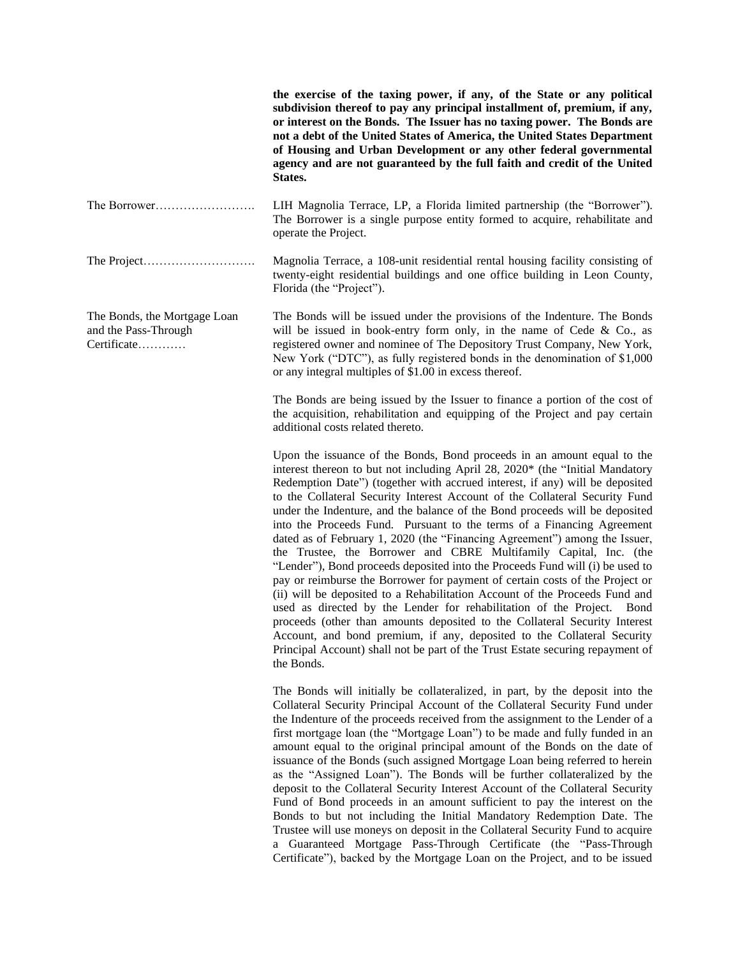|                                                                     | the exercise of the taxing power, if any, of the State or any political<br>subdivision thereof to pay any principal installment of, premium, if any,<br>or interest on the Bonds. The Issuer has no taxing power. The Bonds are<br>not a debt of the United States of America, the United States Department<br>of Housing and Urban Development or any other federal governmental<br>agency and are not guaranteed by the full faith and credit of the United<br>States.                                                                                                                                                                                                                                                                                                                                                                                                                                                                                                                                                                                                                                                                                                                                               |
|---------------------------------------------------------------------|------------------------------------------------------------------------------------------------------------------------------------------------------------------------------------------------------------------------------------------------------------------------------------------------------------------------------------------------------------------------------------------------------------------------------------------------------------------------------------------------------------------------------------------------------------------------------------------------------------------------------------------------------------------------------------------------------------------------------------------------------------------------------------------------------------------------------------------------------------------------------------------------------------------------------------------------------------------------------------------------------------------------------------------------------------------------------------------------------------------------------------------------------------------------------------------------------------------------|
| The Borrower                                                        | LIH Magnolia Terrace, LP, a Florida limited partnership (the "Borrower").<br>The Borrower is a single purpose entity formed to acquire, rehabilitate and<br>operate the Project.                                                                                                                                                                                                                                                                                                                                                                                                                                                                                                                                                                                                                                                                                                                                                                                                                                                                                                                                                                                                                                       |
|                                                                     | Magnolia Terrace, a 108-unit residential rental housing facility consisting of<br>twenty-eight residential buildings and one office building in Leon County,<br>Florida (the "Project").                                                                                                                                                                                                                                                                                                                                                                                                                                                                                                                                                                                                                                                                                                                                                                                                                                                                                                                                                                                                                               |
| The Bonds, the Mortgage Loan<br>and the Pass-Through<br>Certificate | The Bonds will be issued under the provisions of the Indenture. The Bonds<br>will be issued in book-entry form only, in the name of Cede $\&$ Co., as<br>registered owner and nominee of The Depository Trust Company, New York,<br>New York ("DTC"), as fully registered bonds in the denomination of \$1,000<br>or any integral multiples of \$1.00 in excess thereof.                                                                                                                                                                                                                                                                                                                                                                                                                                                                                                                                                                                                                                                                                                                                                                                                                                               |
|                                                                     | The Bonds are being issued by the Issuer to finance a portion of the cost of<br>the acquisition, rehabilitation and equipping of the Project and pay certain<br>additional costs related thereto.                                                                                                                                                                                                                                                                                                                                                                                                                                                                                                                                                                                                                                                                                                                                                                                                                                                                                                                                                                                                                      |
|                                                                     | Upon the issuance of the Bonds, Bond proceeds in an amount equal to the<br>interest thereon to but not including April 28, 2020* (the "Initial Mandatory<br>Redemption Date") (together with accrued interest, if any) will be deposited<br>to the Collateral Security Interest Account of the Collateral Security Fund<br>under the Indenture, and the balance of the Bond proceeds will be deposited<br>into the Proceeds Fund. Pursuant to the terms of a Financing Agreement<br>dated as of February 1, 2020 (the "Financing Agreement") among the Issuer,<br>the Trustee, the Borrower and CBRE Multifamily Capital, Inc. (the<br>"Lender"), Bond proceeds deposited into the Proceeds Fund will (i) be used to<br>pay or reimburse the Borrower for payment of certain costs of the Project or<br>(ii) will be deposited to a Rehabilitation Account of the Proceeds Fund and<br>used as directed by the Lender for rehabilitation of the Project. Bond<br>proceeds (other than amounts deposited to the Collateral Security Interest<br>Account, and bond premium, if any, deposited to the Collateral Security<br>Principal Account) shall not be part of the Trust Estate securing repayment of<br>the Bonds. |
|                                                                     | The Bonds will initially be collateralized, in part, by the deposit into the<br>Collateral Security Principal Account of the Collateral Security Fund under<br>the Indenture of the proceeds received from the assignment to the Lender of a<br>first mortgage loan (the "Mortgage Loan") to be made and fully funded in an<br>amount equal to the original principal amount of the Bonds on the date of<br>issuance of the Bonds (such assigned Mortgage Loan being referred to herein<br>as the "Assigned Loan"). The Bonds will be further collateralized by the<br>deposit to the Collateral Security Interest Account of the Collateral Security<br>Fund of Bond proceeds in an amount sufficient to pay the interest on the                                                                                                                                                                                                                                                                                                                                                                                                                                                                                      |

Bonds to but not including the Initial Mandatory Redemption Date. The Trustee will use moneys on deposit in the Collateral Security Fund to acquire a Guaranteed Mortgage Pass-Through Certificate (the "Pass-Through Certificate"), backed by the Mortgage Loan on the Project, and to be issued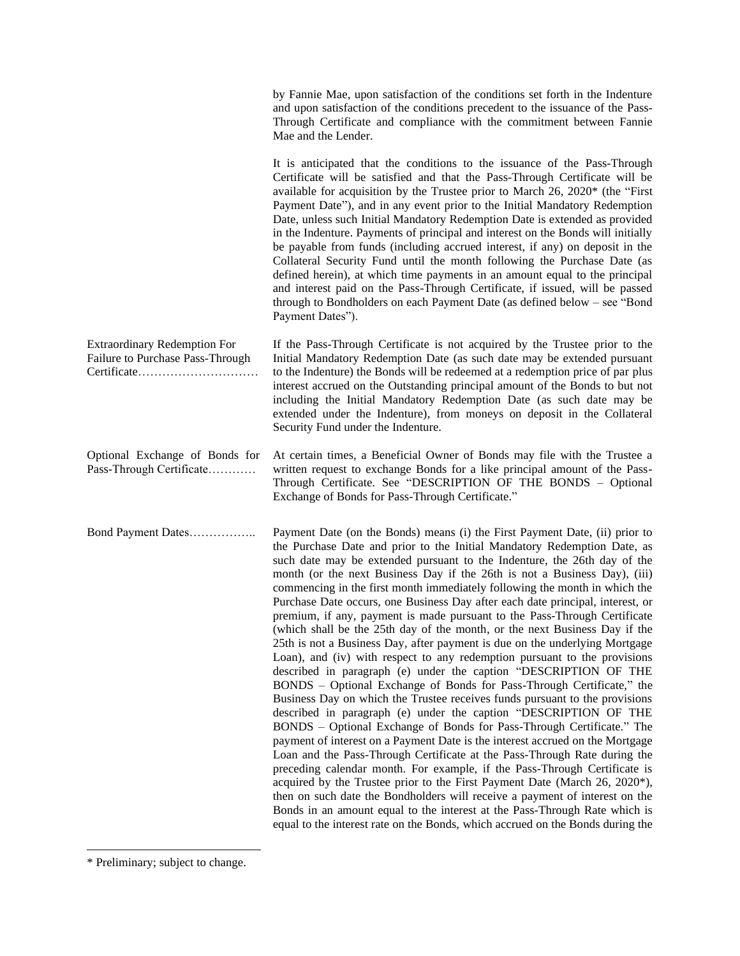| by Fannie Mae, upon satisfaction of the conditions set forth in the Indenture  |
|--------------------------------------------------------------------------------|
| and upon satisfaction of the conditions precedent to the issuance of the Pass- |
| Through Certificate and compliance with the commitment between Fannie          |
| Mae and the Lender.                                                            |

It is anticipated that the conditions to the issuance of the Pass-Through Certificate will be satisfied and that the Pass-Through Certificate will be available for acquisition by the Trustee prior to March 26, 2020\* (the "First Payment Date"), and in any event prior to the Initial Mandatory Redemption Date, unless such Initial Mandatory Redemption Date is extended as provided in the Indenture. Payments of principal and interest on the Bonds will initially be payable from funds (including accrued interest, if any) on deposit in the Collateral Security Fund until the month following the Purchase Date (as defined herein), at which time payments in an amount equal to the principal and interest paid on the Pass-Through Certificate, if issued, will be passed through to Bondholders on each Payment Date (as defined below – see "Bond Payment Dates").

| <b>Extraordinary Redemption For</b> | If the Pass-Through Certificate is not acquired by the Trustee prior to the    |
|-------------------------------------|--------------------------------------------------------------------------------|
| Failure to Purchase Pass-Through    | Initial Mandatory Redemption Date (as such date may be extended pursuant       |
|                                     | to the Indenture) the Bonds will be redeemed at a redemption price of par plus |
|                                     | interest accrued on the Outstanding principal amount of the Bonds to but not   |
|                                     | including the Initial Mandatory Redemption Date (as such date may be           |
|                                     | extended under the Indenture), from moneys on deposit in the Collateral        |
|                                     | Security Fund under the Indenture.                                             |
|                                     |                                                                                |

Optional Exchange of Bonds for Pass-Through Certificate………… At certain times, a Beneficial Owner of Bonds may file with the Trustee a written request to exchange Bonds for a like principal amount of the Pass-Through Certificate. See "DESCRIPTION OF THE BONDS – Optional Exchange of Bonds for Pass-Through Certificate."

Bond Payment Dates…………….. Payment Date (on the Bonds) means (i) the First Payment Date, (ii) prior to the Purchase Date and prior to the Initial Mandatory Redemption Date, as such date may be extended pursuant to the Indenture, the 26th day of the month (or the next Business Day if the 26th is not a Business Day), (iii) commencing in the first month immediately following the month in which the Purchase Date occurs, one Business Day after each date principal, interest, or premium, if any, payment is made pursuant to the Pass-Through Certificate (which shall be the 25th day of the month, or the next Business Day if the 25th is not a Business Day, after payment is due on the underlying Mortgage Loan), and (iv) with respect to any redemption pursuant to the provisions described in paragraph (e) under the caption "DESCRIPTION OF THE BONDS – Optional Exchange of Bonds for Pass-Through Certificate," the Business Day on which the Trustee receives funds pursuant to the provisions described in paragraph (e) under the caption "DESCRIPTION OF THE BONDS – Optional Exchange of Bonds for Pass-Through Certificate." The payment of interest on a Payment Date is the interest accrued on the Mortgage Loan and the Pass-Through Certificate at the Pass-Through Rate during the preceding calendar month. For example, if the Pass-Through Certificate is acquired by the Trustee prior to the First Payment Date (March 26, 2020\*), then on such date the Bondholders will receive a payment of interest on the Bonds in an amount equal to the interest at the Pass-Through Rate which is equal to the interest rate on the Bonds, which accrued on the Bonds during the

<sup>\*</sup> Preliminary; subject to change.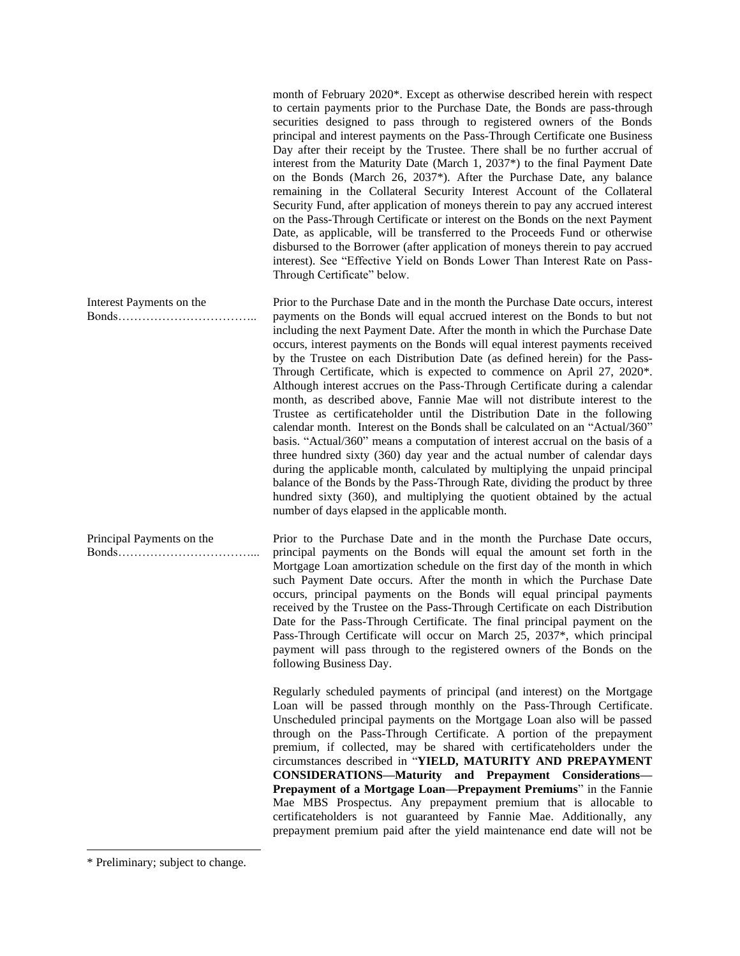month of February 2020\*. Except as otherwise described herein with respect to certain payments prior to the Purchase Date, the Bonds are pass-through securities designed to pass through to registered owners of the Bonds principal and interest payments on the Pass-Through Certificate one Business Day after their receipt by the Trustee. There shall be no further accrual of interest from the Maturity Date (March 1, 2037\*) to the final Payment Date on the Bonds (March 26, 2037\*). After the Purchase Date, any balance remaining in the Collateral Security Interest Account of the Collateral Security Fund, after application of moneys therein to pay any accrued interest on the Pass-Through Certificate or interest on the Bonds on the next Payment Date, as applicable, will be transferred to the Proceeds Fund or otherwise disbursed to the Borrower (after application of moneys therein to pay accrued interest). See "Effective Yield on Bonds Lower Than Interest Rate on Pass-Through Certificate" below.

Bonds…………………………….. Prior to the Purchase Date and in the month the Purchase Date occurs, interest payments on the Bonds will equal accrued interest on the Bonds to but not including the next Payment Date. After the month in which the Purchase Date occurs, interest payments on the Bonds will equal interest payments received by the Trustee on each Distribution Date (as defined herein) for the Pass-Through Certificate, which is expected to commence on April 27, 2020\*. Although interest accrues on the Pass-Through Certificate during a calendar month, as described above, Fannie Mae will not distribute interest to the Trustee as certificateholder until the Distribution Date in the following calendar month. Interest on the Bonds shall be calculated on an "Actual/360" basis. "Actual/360" means a computation of interest accrual on the basis of a three hundred sixty (360) day year and the actual number of calendar days during the applicable month, calculated by multiplying the unpaid principal balance of the Bonds by the Pass-Through Rate, dividing the product by three hundred sixty (360), and multiplying the quotient obtained by the actual number of days elapsed in the applicable month.

> Prior to the Purchase Date and in the month the Purchase Date occurs, principal payments on the Bonds will equal the amount set forth in the Mortgage Loan amortization schedule on the first day of the month in which such Payment Date occurs. After the month in which the Purchase Date occurs, principal payments on the Bonds will equal principal payments received by the Trustee on the Pass-Through Certificate on each Distribution Date for the Pass-Through Certificate. The final principal payment on the Pass-Through Certificate will occur on March 25, 2037\*, which principal payment will pass through to the registered owners of the Bonds on the following Business Day.

> > Regularly scheduled payments of principal (and interest) on the Mortgage Loan will be passed through monthly on the Pass-Through Certificate. Unscheduled principal payments on the Mortgage Loan also will be passed through on the Pass-Through Certificate. A portion of the prepayment premium, if collected, may be shared with certificateholders under the circumstances described in "**YIELD, MATURITY AND PREPAYMENT CONSIDERATIONS—Maturity and Prepayment Considerations— Prepayment of a Mortgage Loan—Prepayment Premiums**" in the Fannie Mae MBS Prospectus. Any prepayment premium that is allocable to certificateholders is not guaranteed by Fannie Mae. Additionally, any prepayment premium paid after the yield maintenance end date will not be

Interest Payments on the

Principal Payments on the Bonds……………………………...

<sup>\*</sup> Preliminary; subject to change.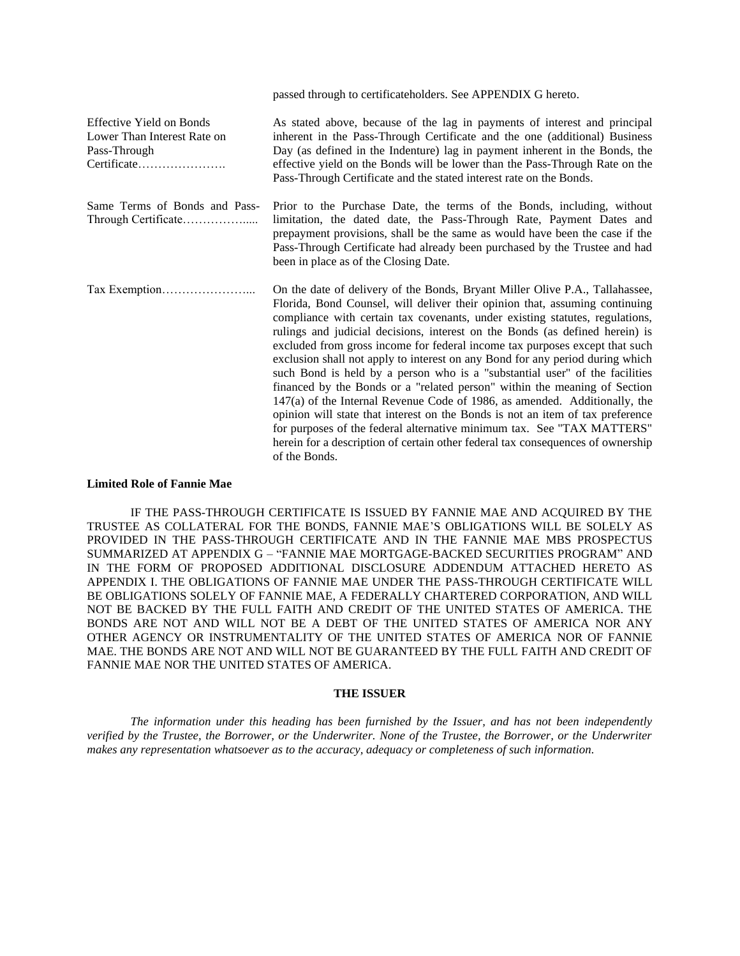|                                                                                               | passed through to certificate holders. See APPENDIX G hereto.                                                                                                                                                                                                                                                                                                                                                                                                                                                                                                                                                                                                                                                                                                                                                                                                                                                                                                                                           |
|-----------------------------------------------------------------------------------------------|---------------------------------------------------------------------------------------------------------------------------------------------------------------------------------------------------------------------------------------------------------------------------------------------------------------------------------------------------------------------------------------------------------------------------------------------------------------------------------------------------------------------------------------------------------------------------------------------------------------------------------------------------------------------------------------------------------------------------------------------------------------------------------------------------------------------------------------------------------------------------------------------------------------------------------------------------------------------------------------------------------|
| <b>Effective Yield on Bonds</b><br>Lower Than Interest Rate on<br>Pass-Through<br>Certificate | As stated above, because of the lag in payments of interest and principal<br>inherent in the Pass-Through Certificate and the one (additional) Business<br>Day (as defined in the Indenture) lag in payment inherent in the Bonds, the<br>effective yield on the Bonds will be lower than the Pass-Through Rate on the<br>Pass-Through Certificate and the stated interest rate on the Bonds.                                                                                                                                                                                                                                                                                                                                                                                                                                                                                                                                                                                                           |
| Same Terms of Bonds and Pass-                                                                 | Prior to the Purchase Date, the terms of the Bonds, including, without<br>limitation, the dated date, the Pass-Through Rate, Payment Dates and<br>prepayment provisions, shall be the same as would have been the case if the<br>Pass-Through Certificate had already been purchased by the Trustee and had<br>been in place as of the Closing Date.                                                                                                                                                                                                                                                                                                                                                                                                                                                                                                                                                                                                                                                    |
|                                                                                               | On the date of delivery of the Bonds, Bryant Miller Olive P.A., Tallahassee,<br>Florida, Bond Counsel, will deliver their opinion that, assuming continuing<br>compliance with certain tax covenants, under existing statutes, regulations,<br>rulings and judicial decisions, interest on the Bonds (as defined herein) is<br>excluded from gross income for federal income tax purposes except that such<br>exclusion shall not apply to interest on any Bond for any period during which<br>such Bond is held by a person who is a "substantial user" of the facilities<br>financed by the Bonds or a "related person" within the meaning of Section<br>$147(a)$ of the Internal Revenue Code of 1986, as amended. Additionally, the<br>opinion will state that interest on the Bonds is not an item of tax preference<br>for purposes of the federal alternative minimum tax. See "TAX MATTERS"<br>herein for a description of certain other federal tax consequences of ownership<br>of the Bonds. |

### **Limited Role of Fannie Mae**

IF THE PASS-THROUGH CERTIFICATE IS ISSUED BY FANNIE MAE AND ACQUIRED BY THE TRUSTEE AS COLLATERAL FOR THE BONDS, FANNIE MAE'S OBLIGATIONS WILL BE SOLELY AS PROVIDED IN THE PASS-THROUGH CERTIFICATE AND IN THE FANNIE MAE MBS PROSPECTUS SUMMARIZED AT APPENDIX G – "FANNIE MAE MORTGAGE-BACKED SECURITIES PROGRAM" AND IN THE FORM OF PROPOSED ADDITIONAL DISCLOSURE ADDENDUM ATTACHED HERETO AS APPENDIX I. THE OBLIGATIONS OF FANNIE MAE UNDER THE PASS-THROUGH CERTIFICATE WILL BE OBLIGATIONS SOLELY OF FANNIE MAE, A FEDERALLY CHARTERED CORPORATION, AND WILL NOT BE BACKED BY THE FULL FAITH AND CREDIT OF THE UNITED STATES OF AMERICA. THE BONDS ARE NOT AND WILL NOT BE A DEBT OF THE UNITED STATES OF AMERICA NOR ANY OTHER AGENCY OR INSTRUMENTALITY OF THE UNITED STATES OF AMERICA NOR OF FANNIE MAE. THE BONDS ARE NOT AND WILL NOT BE GUARANTEED BY THE FULL FAITH AND CREDIT OF FANNIE MAE NOR THE UNITED STATES OF AMERICA.

#### **THE ISSUER**

<span id="page-7-0"></span>*The information under this heading has been furnished by the Issuer, and has not been independently verified by the Trustee, the Borrower, or the Underwriter. None of the Trustee, the Borrower, or the Underwriter makes any representation whatsoever as to the accuracy, adequacy or completeness of such information.*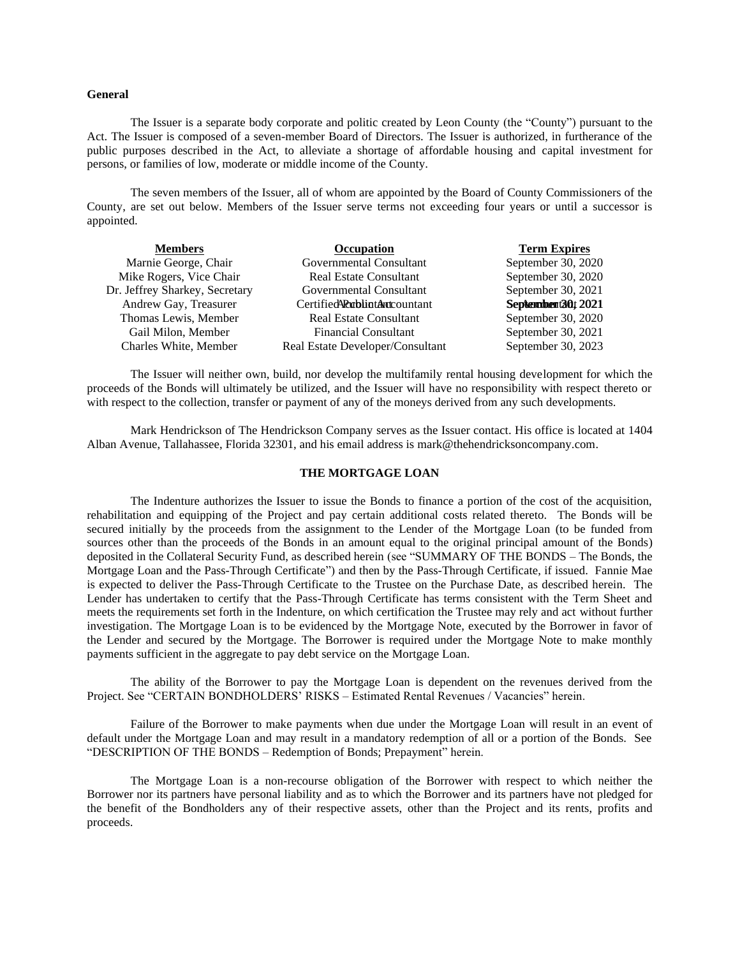#### <span id="page-8-0"></span>**General**

The Issuer is a separate body corporate and politic created by Leon County (the "County") pursuant to the Act. The Issuer is composed of a seven-member Board of Directors. The Issuer is authorized, in furtherance of the public purposes described in the Act, to alleviate a shortage of affordable housing and capital investment for persons, or families of low, moderate or middle income of the County.

The seven members of the Issuer, all of whom are appointed by the Board of County Commissioners of the County, are set out below. Members of the Issuer serve terms not exceeding four years or until a successor is appointed.

| <b>Members</b>                 | <b>Occupation</b>                     | <b>Term Expires</b> |  |
|--------------------------------|---------------------------------------|---------------------|--|
| Marnie George, Chair           | Governmental Consultant               | September 30, 2020  |  |
| Mike Rogers, Vice Chair        | Real Estate Consultant                | September 30, 2020  |  |
| Dr. Jeffrey Sharkey, Secretary | Governmental Consultant               | September 30, 2021  |  |
| Andrew Gay, Treasurer          | Certified <b>Rublint Ant</b> countant | September 13012021  |  |
| Thomas Lewis, Member           | <b>Real Estate Consultant</b>         | September 30, 2020  |  |
| Gail Milon, Member             | <b>Financial Consultant</b>           | September 30, 2021  |  |
| Charles White, Member          | Real Estate Developer/Consultant      | September 30, 2023  |  |

The Issuer will neither own, build, nor develop the multifamily rental housing development for which the proceeds of the Bonds will ultimately be utilized, and the Issuer will have no responsibility with respect thereto or with respect to the collection, transfer or payment of any of the moneys derived from any such developments.

Mark Hendrickson of The Hendrickson Company serves as the Issuer contact. His office is located at 1404 Alban Avenue, Tallahassee, Florida 32301, and his email address is mark@thehendricksoncompany.com.

### **THE MORTGAGE LOAN**

The Indenture authorizes the Issuer to issue the Bonds to finance a portion of the cost of the acquisition, rehabilitation and equipping of the Project and pay certain additional costs related thereto. The Bonds will be secured initially by the proceeds from the assignment to the Lender of the Mortgage Loan (to be funded from sources other than the proceeds of the Bonds in an amount equal to the original principal amount of the Bonds) deposited in the Collateral Security Fund, as described herein (see "SUMMARY OF THE BONDS – The Bonds, the Mortgage Loan and the Pass-Through Certificate") and then by the Pass-Through Certificate, if issued. Fannie Mae is expected to deliver the Pass-Through Certificate to the Trustee on the Purchase Date, as described herein. The Lender has undertaken to certify that the Pass-Through Certificate has terms consistent with the Term Sheet and meets the requirements set forth in the Indenture, on which certification the Trustee may rely and act without further investigation. The Mortgage Loan is to be evidenced by the Mortgage Note, executed by the Borrower in favor of the Lender and secured by the Mortgage. The Borrower is required under the Mortgage Note to make monthly payments sufficient in the aggregate to pay debt service on the Mortgage Loan.

The ability of the Borrower to pay the Mortgage Loan is dependent on the revenues derived from the Project. See "CERTAIN BONDHOLDERS' RISKS – Estimated Rental Revenues / Vacancies" herein.

Failure of the Borrower to make payments when due under the Mortgage Loan will result in an event of default under the Mortgage Loan and may result in a mandatory redemption of all or a portion of the Bonds. See "DESCRIPTION OF THE BONDS – Redemption of Bonds; Prepayment" herein.

The Mortgage Loan is a non-recourse obligation of the Borrower with respect to which neither the Borrower nor its partners have personal liability and as to which the Borrower and its partners have not pledged for the benefit of the Bondholders any of their respective assets, other than the Project and its rents, profits and proceeds.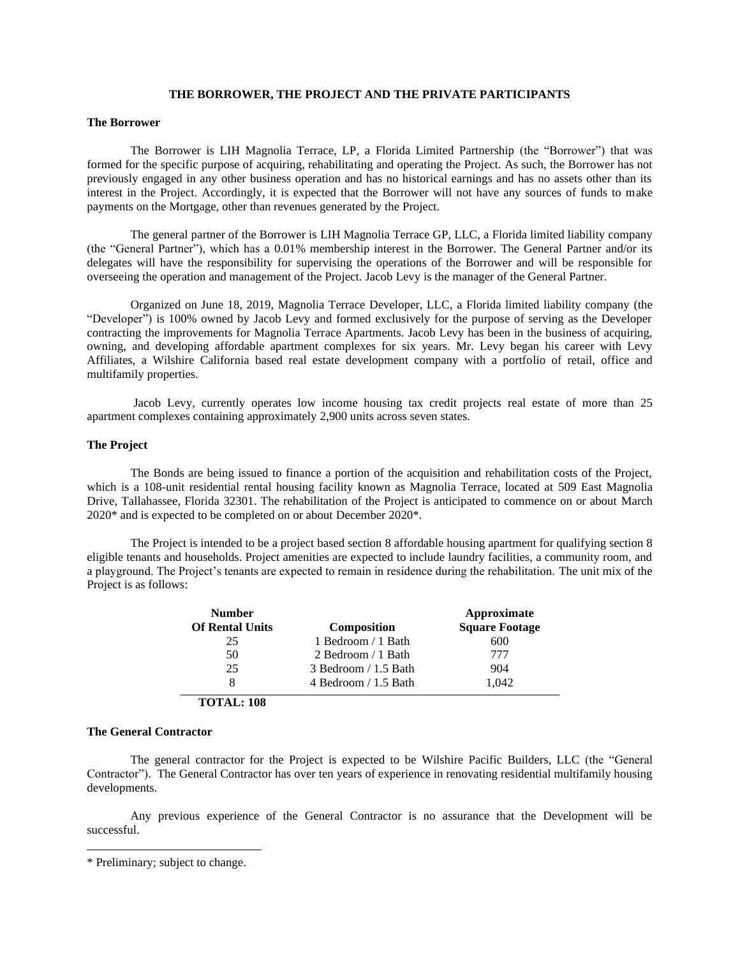### **THE BORROWER, THE PROJECT AND THE PRIVATE PARTICIPANTS**

#### <span id="page-9-0"></span>**The Borrower**

The Borrower is LIH Magnolia Terrace, LP, a Florida Limited Partnership (the "Borrower") that was formed for the specific purpose of acquiring, rehabilitating and operating the Project. As such, the Borrower has not previously engaged in any other business operation and has no historical earnings and has no assets other than its interest in the Project. Accordingly, it is expected that the Borrower will not have any sources of funds to make payments on the Mortgage, other than revenues generated by the Project.

The general partner of the Borrower is LIH Magnolia Terrace GP, LLC, a Florida limited liability company (the "General Partner"), which has a 0.01% membership interest in the Borrower. The General Partner and/or its delegates will have the responsibility for supervising the operations of the Borrower and will be responsible for overseeing the operation and management of the Project. Jacob Levy is the manager of the General Partner.

Organized on June 18, 2019, Magnolia Terrace Developer, LLC, a Florida limited liability company (the "Developer") is 100% owned by Jacob Levy and formed exclusively for the purpose of serving as the Developer contracting the improvements for Magnolia Terrace Apartments. Jacob Levy has been in the business of acquiring, owning, and developing affordable apartment complexes for six years. Mr. Levy began his career with Levy Affiliates, a Wilshire California based real estate development company with a portfolio of retail, office and multifamily properties.

Jacob Levy, currently operates low income housing tax credit projects real estate of more than 25 apartment complexes containing approximately 2,900 units across seven states.

### **The Project**

The Bonds are being issued to finance a portion of the acquisition and rehabilitation costs of the Project, which is a 108-unit residential rental housing facility known as Magnolia Terrace, located at 509 East Magnolia Drive, Tallahassee, Florida 32301. The rehabilitation of the Project is anticipated to commence on or about March 2020\* and is expected to be completed on or about December 2020\*.

The Project is intended to be a project based section 8 affordable housing apartment for qualifying section 8 eligible tenants and households. Project amenities are expected to include laundry facilities, a community room, and a playground. The Project's tenants are expected to remain in residence during the rehabilitation. The unit mix of the Project is as follows:

| <b>Number</b>          |                        | Approximate           |  |
|------------------------|------------------------|-----------------------|--|
| <b>Of Rental Units</b> | Composition            | <b>Square Footage</b> |  |
| 25                     | 1 Bedroom / 1 Bath     | 600                   |  |
| 50                     | 2 Bedroom / 1 Bath     | 777                   |  |
| 25                     | 3 Bedroom / 1.5 Bath   | 904                   |  |
| 8                      | 4 Bedroom $/ 1.5$ Bath | 1.042                 |  |

**TOTAL: 108**

### **The General Contractor**

The general contractor for the Project is expected to be Wilshire Pacific Builders, LLC (the "General Contractor"). The General Contractor has over ten years of experience in renovating residential multifamily housing developments.

Any previous experience of the General Contractor is no assurance that the Development will be successful.

<sup>\*</sup> Preliminary; subject to change.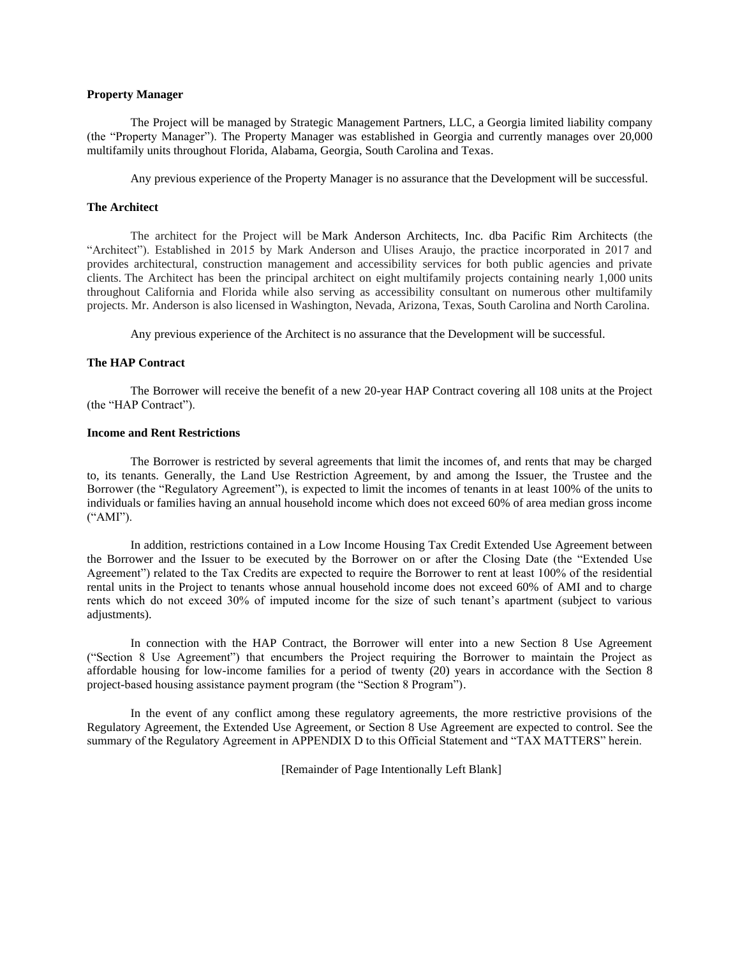## **Property Manager**

The Project will be managed by Strategic Management Partners, LLC, a Georgia limited liability company (the "Property Manager"). The Property Manager was established in Georgia and currently manages over 20,000 multifamily units throughout Florida, Alabama, Georgia, South Carolina and Texas.

Any previous experience of the Property Manager is no assurance that the Development will be successful.

### **The Architect**

The architect for the Project will be Mark Anderson Architects, Inc. dba Pacific Rim Architects (the "Architect"). Established in 2015 by Mark Anderson and Ulises Araujo, the practice incorporated in 2017 and provides architectural, construction management and accessibility services for both public agencies and private clients. The Architect has been the principal architect on eight multifamily projects containing nearly 1,000 units throughout California and Florida while also serving as accessibility consultant on numerous other multifamily projects. Mr. Anderson is also licensed in Washington, Nevada, Arizona, Texas, South Carolina and North Carolina.

Any previous experience of the Architect is no assurance that the Development will be successful.

#### **The HAP Contract**

The Borrower will receive the benefit of a new 20-year HAP Contract covering all 108 units at the Project (the "HAP Contract").

#### **Income and Rent Restrictions**

The Borrower is restricted by several agreements that limit the incomes of, and rents that may be charged to, its tenants. Generally, the Land Use Restriction Agreement, by and among the Issuer, the Trustee and the Borrower (the "Regulatory Agreement"), is expected to limit the incomes of tenants in at least 100% of the units to individuals or families having an annual household income which does not exceed 60% of area median gross income ("AMI").

In addition, restrictions contained in a Low Income Housing Tax Credit Extended Use Agreement between the Borrower and the Issuer to be executed by the Borrower on or after the Closing Date (the "Extended Use Agreement") related to the Tax Credits are expected to require the Borrower to rent at least 100% of the residential rental units in the Project to tenants whose annual household income does not exceed 60% of AMI and to charge rents which do not exceed 30% of imputed income for the size of such tenant's apartment (subject to various adjustments).

In connection with the HAP Contract, the Borrower will enter into a new Section 8 Use Agreement ("Section 8 Use Agreement") that encumbers the Project requiring the Borrower to maintain the Project as affordable housing for low-income families for a period of twenty (20) years in accordance with the Section 8 project-based housing assistance payment program (the "Section 8 Program").

In the event of any conflict among these regulatory agreements, the more restrictive provisions of the Regulatory Agreement, the Extended Use Agreement, or Section 8 Use Agreement are expected to control. See the summary of the Regulatory Agreement in APPENDIX D to this Official Statement and "TAX MATTERS" herein.

[Remainder of Page Intentionally Left Blank]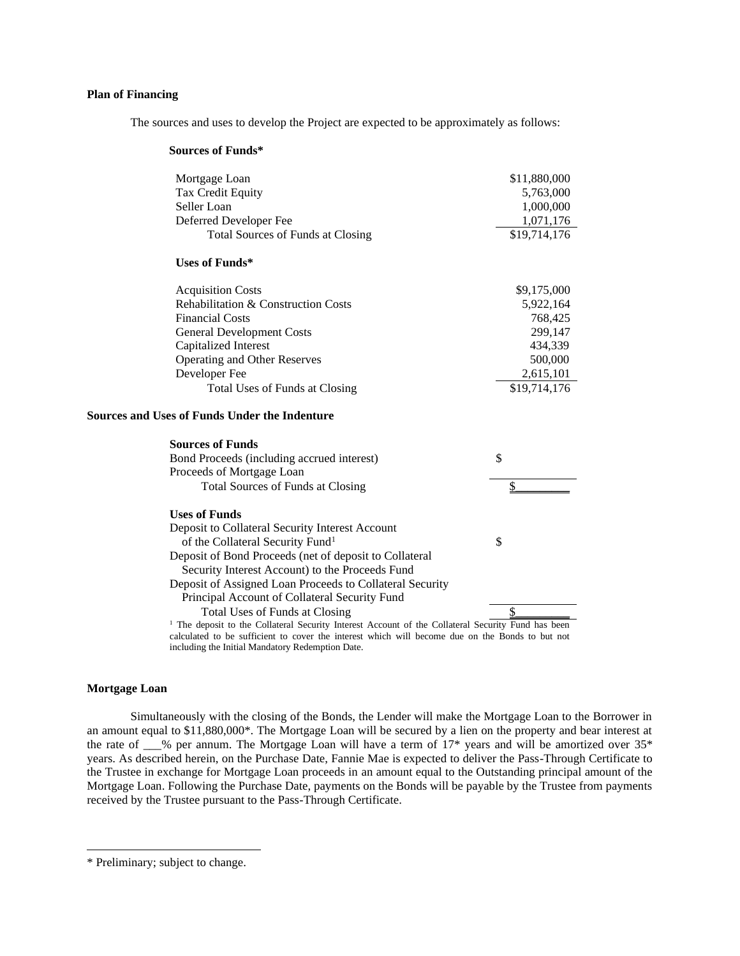## **Plan of Financing**

The sources and uses to develop the Project are expected to be approximately as follows:

#### **Sources of Funds\***

| Mortgage Loan                                 | \$11,880,000 |
|-----------------------------------------------|--------------|
| Tax Credit Equity                             | 5,763,000    |
| Seller Loan                                   | 1,000,000    |
| Deferred Developer Fee                        | 1,071,176    |
| Total Sources of Funds at Closing             | \$19,714,176 |
| Uses of Funds*                                |              |
| <b>Acquisition Costs</b>                      | \$9,175,000  |
| Rehabilitation & Construction Costs           | 5,922,164    |
| <b>Financial Costs</b>                        | 768,425      |
| <b>General Development Costs</b>              | 299,147      |
| Capitalized Interest                          | 434,339      |
| <b>Operating and Other Reserves</b>           | 500,000      |
| Developer Fee                                 | 2,615,101    |
| Total Uses of Funds at Closing                | \$19,714,176 |
| Sources and Uses of Funds Under the Indenture |              |
| Sources of Funds                              |              |

#### rces of Fund Bond Proceeds (including accrued interest) Proceeds of Mortgage Loan \$ Total Sources of Funds at Closing \$\_\_\_\_\_\_\_\_\_ **Uses of Funds** Deposit to Collateral Security Interest Account of the Collateral Security Fund<sup>1</sup> Deposit of Bond Proceeds (net of deposit to Collateral Security Interest Account) to the Proceeds Fund Deposit of Assigned Loan Proceeds to Collateral Security Principal Account of Collateral Security Fund \$ Total Uses of Funds at Closing \$\_\_\_\_\_\_\_\_\_ <sup>1</sup> The deposit to the Collateral Security Interest Account of the Collateral Security Fund has been calculated to be sufficient to cover the interest which will become due on the Bonds to but not including the Initial Mandatory Redemption Date.

#### **Mortgage Loan**

Simultaneously with the closing of the Bonds, the Lender will make the Mortgage Loan to the Borrower in an amount equal to \$11,880,000\*. The Mortgage Loan will be secured by a lien on the property and bear interest at the rate of \_\_\_% per annum. The Mortgage Loan will have a term of 17\* years and will be amortized over 35\* years. As described herein, on the Purchase Date, Fannie Mae is expected to deliver the Pass-Through Certificate to the Trustee in exchange for Mortgage Loan proceeds in an amount equal to the Outstanding principal amount of the Mortgage Loan. Following the Purchase Date, payments on the Bonds will be payable by the Trustee from payments received by the Trustee pursuant to the Pass-Through Certificate.

<sup>\*</sup> Preliminary; subject to change.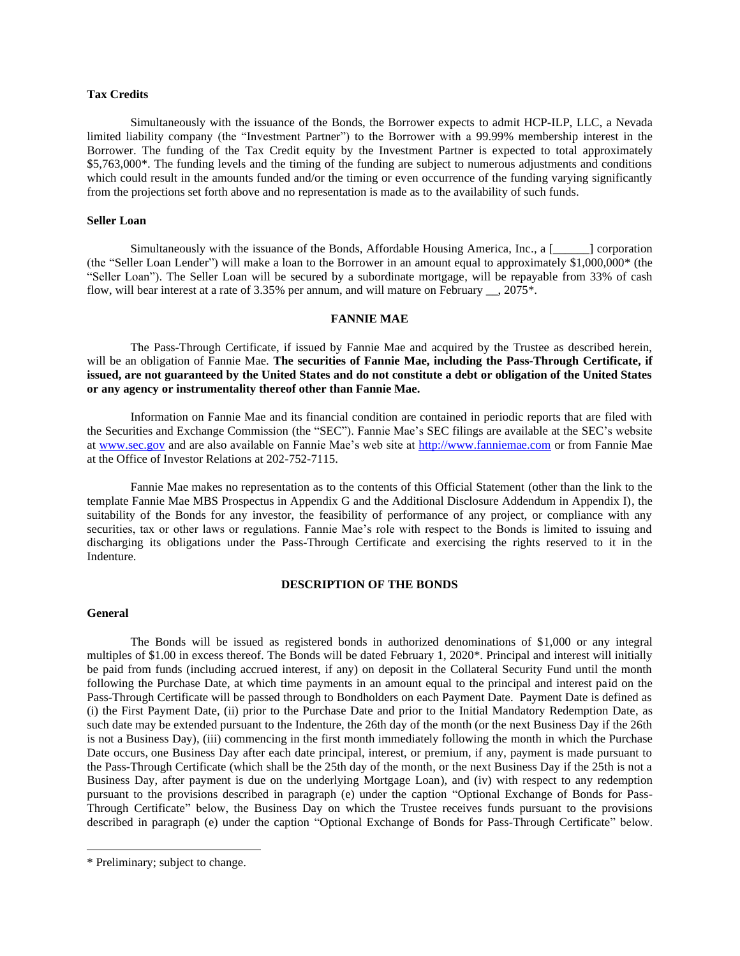## **Tax Credits**

Simultaneously with the issuance of the Bonds, the Borrower expects to admit HCP-ILP, LLC, a Nevada limited liability company (the "Investment Partner") to the Borrower with a 99.99% membership interest in the Borrower. The funding of the Tax Credit equity by the Investment Partner is expected to total approximately \$5,763,000\*. The funding levels and the timing of the funding are subject to numerous adjustments and conditions which could result in the amounts funded and/or the timing or even occurrence of the funding varying significantly from the projections set forth above and no representation is made as to the availability of such funds.

#### **Seller Loan**

Simultaneously with the issuance of the Bonds, Affordable Housing America, Inc., a [\_\_\_\_\_\_] corporation (the "Seller Loan Lender") will make a loan to the Borrower in an amount equal to approximately \$1,000,000\* (the "Seller Loan"). The Seller Loan will be secured by a subordinate mortgage, will be repayable from 33% of cash flow, will bear interest at a rate of 3.35% per annum, and will mature on February . 2075\*.

## **FANNIE MAE**

<span id="page-12-0"></span>The Pass-Through Certificate, if issued by Fannie Mae and acquired by the Trustee as described herein, will be an obligation of Fannie Mae. **The securities of Fannie Mae, including the Pass-Through Certificate, if issued, are not guaranteed by the United States and do not constitute a debt or obligation of the United States or any agency or instrumentality thereof other than Fannie Mae.**

Information on Fannie Mae and its financial condition are contained in periodic reports that are filed with the Securities and Exchange Commission (the "SEC"). Fannie Mae's SEC filings are available at the SEC's website at [www.sec.gov](http://www.sec.gov/) and are also available on Fannie Mae's web site at [http://www.fanniemae.com](http://www.fanniemae.com/) or from Fannie Mae at the Office of Investor Relations at 202-752-7115.

Fannie Mae makes no representation as to the contents of this Official Statement (other than the link to the template Fannie Mae MBS Prospectus in Appendix G and the Additional Disclosure Addendum in Appendix I), the suitability of the Bonds for any investor, the feasibility of performance of any project, or compliance with any securities, tax or other laws or regulations. Fannie Mae's role with respect to the Bonds is limited to issuing and discharging its obligations under the Pass-Through Certificate and exercising the rights reserved to it in the Indenture.

### **DESCRIPTION OF THE BONDS**

### <span id="page-12-1"></span>**General**

The Bonds will be issued as registered bonds in authorized denominations of \$1,000 or any integral multiples of \$1.00 in excess thereof. The Bonds will be dated February 1, 2020\*. Principal and interest will initially be paid from funds (including accrued interest, if any) on deposit in the Collateral Security Fund until the month following the Purchase Date, at which time payments in an amount equal to the principal and interest paid on the Pass-Through Certificate will be passed through to Bondholders on each Payment Date. Payment Date is defined as (i) the First Payment Date, (ii) prior to the Purchase Date and prior to the Initial Mandatory Redemption Date, as such date may be extended pursuant to the Indenture, the 26th day of the month (or the next Business Day if the 26th is not a Business Day), (iii) commencing in the first month immediately following the month in which the Purchase Date occurs, one Business Day after each date principal, interest, or premium, if any, payment is made pursuant to the Pass-Through Certificate (which shall be the 25th day of the month, or the next Business Day if the 25th is not a Business Day, after payment is due on the underlying Mortgage Loan), and (iv) with respect to any redemption pursuant to the provisions described in paragraph (e) under the caption "Optional Exchange of Bonds for Pass-Through Certificate" below, the Business Day on which the Trustee receives funds pursuant to the provisions described in paragraph (e) under the caption "Optional Exchange of Bonds for Pass-Through Certificate" below.

<sup>\*</sup> Preliminary; subject to change.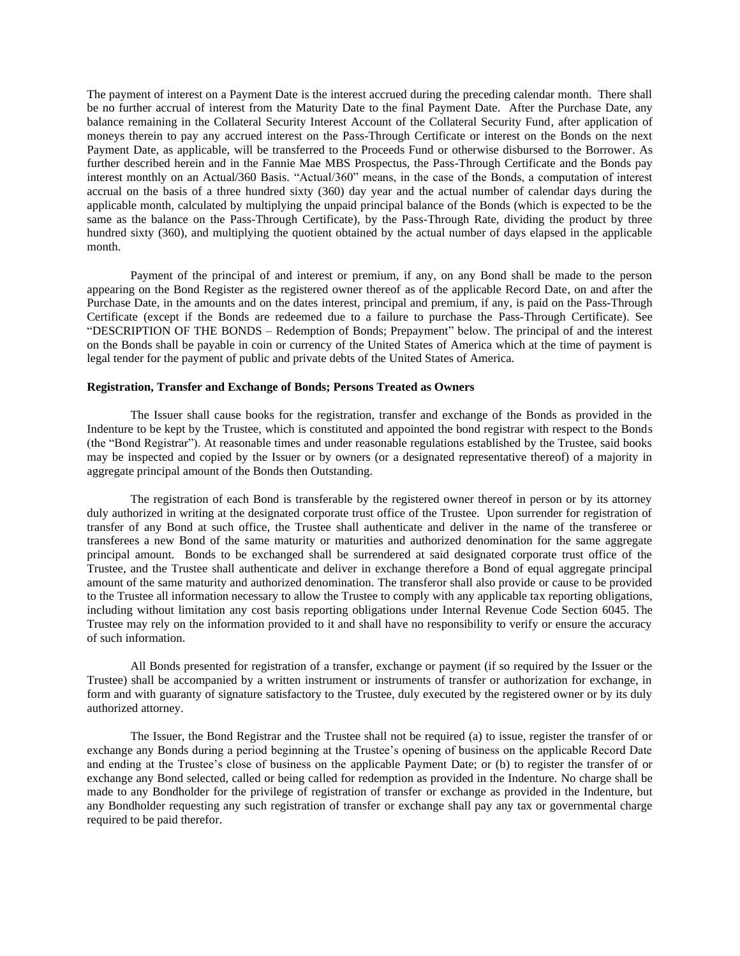The payment of interest on a Payment Date is the interest accrued during the preceding calendar month. There shall be no further accrual of interest from the Maturity Date to the final Payment Date. After the Purchase Date, any balance remaining in the Collateral Security Interest Account of the Collateral Security Fund, after application of moneys therein to pay any accrued interest on the Pass-Through Certificate or interest on the Bonds on the next Payment Date, as applicable, will be transferred to the Proceeds Fund or otherwise disbursed to the Borrower. As further described herein and in the Fannie Mae MBS Prospectus, the Pass-Through Certificate and the Bonds pay interest monthly on an Actual/360 Basis. "Actual/360" means, in the case of the Bonds, a computation of interest accrual on the basis of a three hundred sixty (360) day year and the actual number of calendar days during the applicable month, calculated by multiplying the unpaid principal balance of the Bonds (which is expected to be the same as the balance on the Pass-Through Certificate), by the Pass-Through Rate, dividing the product by three hundred sixty (360), and multiplying the quotient obtained by the actual number of days elapsed in the applicable month.

Payment of the principal of and interest or premium, if any, on any Bond shall be made to the person appearing on the Bond Register as the registered owner thereof as of the applicable Record Date, on and after the Purchase Date, in the amounts and on the dates interest, principal and premium, if any, is paid on the Pass-Through Certificate (except if the Bonds are redeemed due to a failure to purchase the Pass-Through Certificate). See "DESCRIPTION OF THE BONDS – Redemption of Bonds; Prepayment" below. The principal of and the interest on the Bonds shall be payable in coin or currency of the United States of America which at the time of payment is legal tender for the payment of public and private debts of the United States of America.

### **Registration, Transfer and Exchange of Bonds; Persons Treated as Owners**

The Issuer shall cause books for the registration, transfer and exchange of the Bonds as provided in the Indenture to be kept by the Trustee, which is constituted and appointed the bond registrar with respect to the Bonds (the "Bond Registrar"). At reasonable times and under reasonable regulations established by the Trustee, said books may be inspected and copied by the Issuer or by owners (or a designated representative thereof) of a majority in aggregate principal amount of the Bonds then Outstanding.

The registration of each Bond is transferable by the registered owner thereof in person or by its attorney duly authorized in writing at the designated corporate trust office of the Trustee. Upon surrender for registration of transfer of any Bond at such office, the Trustee shall authenticate and deliver in the name of the transferee or transferees a new Bond of the same maturity or maturities and authorized denomination for the same aggregate principal amount. Bonds to be exchanged shall be surrendered at said designated corporate trust office of the Trustee, and the Trustee shall authenticate and deliver in exchange therefore a Bond of equal aggregate principal amount of the same maturity and authorized denomination. The transferor shall also provide or cause to be provided to the Trustee all information necessary to allow the Trustee to comply with any applicable tax reporting obligations, including without limitation any cost basis reporting obligations under Internal Revenue Code Section 6045. The Trustee may rely on the information provided to it and shall have no responsibility to verify or ensure the accuracy of such information.

All Bonds presented for registration of a transfer, exchange or payment (if so required by the Issuer or the Trustee) shall be accompanied by a written instrument or instruments of transfer or authorization for exchange, in form and with guaranty of signature satisfactory to the Trustee, duly executed by the registered owner or by its duly authorized attorney.

The Issuer, the Bond Registrar and the Trustee shall not be required (a) to issue, register the transfer of or exchange any Bonds during a period beginning at the Trustee's opening of business on the applicable Record Date and ending at the Trustee's close of business on the applicable Payment Date; or (b) to register the transfer of or exchange any Bond selected, called or being called for redemption as provided in the Indenture. No charge shall be made to any Bondholder for the privilege of registration of transfer or exchange as provided in the Indenture, but any Bondholder requesting any such registration of transfer or exchange shall pay any tax or governmental charge required to be paid therefor.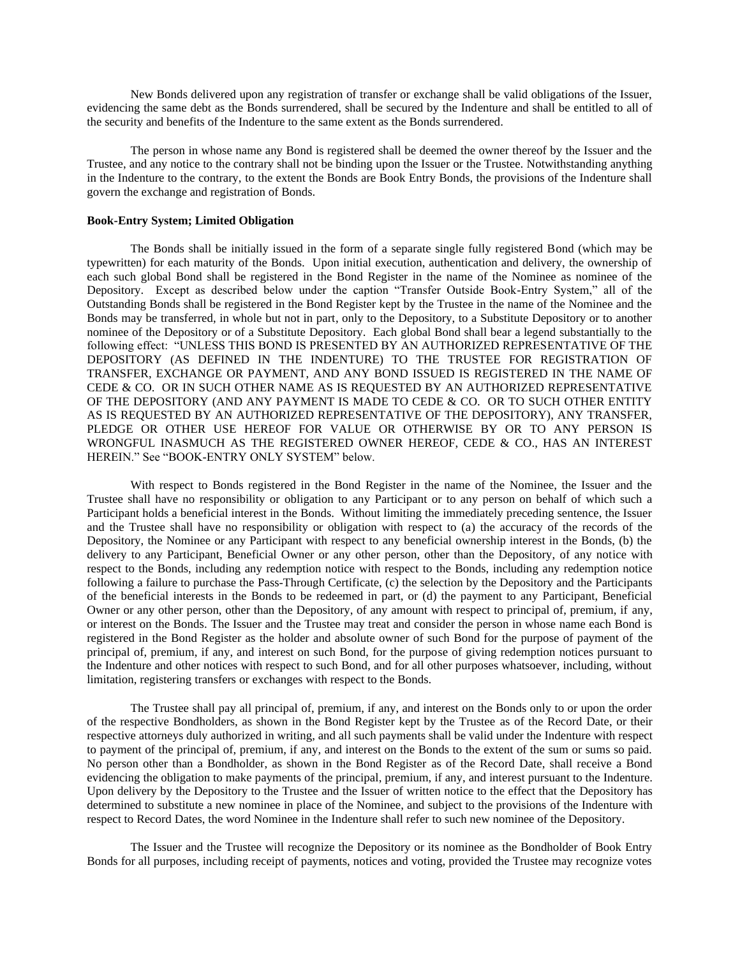New Bonds delivered upon any registration of transfer or exchange shall be valid obligations of the Issuer, evidencing the same debt as the Bonds surrendered, shall be secured by the Indenture and shall be entitled to all of the security and benefits of the Indenture to the same extent as the Bonds surrendered.

The person in whose name any Bond is registered shall be deemed the owner thereof by the Issuer and the Trustee, and any notice to the contrary shall not be binding upon the Issuer or the Trustee. Notwithstanding anything in the Indenture to the contrary, to the extent the Bonds are Book Entry Bonds, the provisions of the Indenture shall govern the exchange and registration of Bonds.

### **Book-Entry System; Limited Obligation**

The Bonds shall be initially issued in the form of a separate single fully registered Bond (which may be typewritten) for each maturity of the Bonds. Upon initial execution, authentication and delivery, the ownership of each such global Bond shall be registered in the Bond Register in the name of the Nominee as nominee of the Depository. Except as described below under the caption "Transfer Outside Book-Entry System," all of the Outstanding Bonds shall be registered in the Bond Register kept by the Trustee in the name of the Nominee and the Bonds may be transferred, in whole but not in part, only to the Depository, to a Substitute Depository or to another nominee of the Depository or of a Substitute Depository. Each global Bond shall bear a legend substantially to the following effect: "UNLESS THIS BOND IS PRESENTED BY AN AUTHORIZED REPRESENTATIVE OF THE DEPOSITORY (AS DEFINED IN THE INDENTURE) TO THE TRUSTEE FOR REGISTRATION OF TRANSFER, EXCHANGE OR PAYMENT, AND ANY BOND ISSUED IS REGISTERED IN THE NAME OF CEDE & CO. OR IN SUCH OTHER NAME AS IS REQUESTED BY AN AUTHORIZED REPRESENTATIVE OF THE DEPOSITORY (AND ANY PAYMENT IS MADE TO CEDE & CO. OR TO SUCH OTHER ENTITY AS IS REQUESTED BY AN AUTHORIZED REPRESENTATIVE OF THE DEPOSITORY), ANY TRANSFER, PLEDGE OR OTHER USE HEREOF FOR VALUE OR OTHERWISE BY OR TO ANY PERSON IS WRONGFUL INASMUCH AS THE REGISTERED OWNER HEREOF, CEDE & CO., HAS AN INTEREST HEREIN." See "BOOK-ENTRY ONLY SYSTEM" below.

With respect to Bonds registered in the Bond Register in the name of the Nominee, the Issuer and the Trustee shall have no responsibility or obligation to any Participant or to any person on behalf of which such a Participant holds a beneficial interest in the Bonds. Without limiting the immediately preceding sentence, the Issuer and the Trustee shall have no responsibility or obligation with respect to (a) the accuracy of the records of the Depository, the Nominee or any Participant with respect to any beneficial ownership interest in the Bonds, (b) the delivery to any Participant, Beneficial Owner or any other person, other than the Depository, of any notice with respect to the Bonds, including any redemption notice with respect to the Bonds, including any redemption notice following a failure to purchase the Pass-Through Certificate, (c) the selection by the Depository and the Participants of the beneficial interests in the Bonds to be redeemed in part, or (d) the payment to any Participant, Beneficial Owner or any other person, other than the Depository, of any amount with respect to principal of, premium, if any, or interest on the Bonds. The Issuer and the Trustee may treat and consider the person in whose name each Bond is registered in the Bond Register as the holder and absolute owner of such Bond for the purpose of payment of the principal of, premium, if any, and interest on such Bond, for the purpose of giving redemption notices pursuant to the Indenture and other notices with respect to such Bond, and for all other purposes whatsoever, including, without limitation, registering transfers or exchanges with respect to the Bonds.

The Trustee shall pay all principal of, premium, if any, and interest on the Bonds only to or upon the order of the respective Bondholders, as shown in the Bond Register kept by the Trustee as of the Record Date, or their respective attorneys duly authorized in writing, and all such payments shall be valid under the Indenture with respect to payment of the principal of, premium, if any, and interest on the Bonds to the extent of the sum or sums so paid. No person other than a Bondholder, as shown in the Bond Register as of the Record Date, shall receive a Bond evidencing the obligation to make payments of the principal, premium, if any, and interest pursuant to the Indenture. Upon delivery by the Depository to the Trustee and the Issuer of written notice to the effect that the Depository has determined to substitute a new nominee in place of the Nominee, and subject to the provisions of the Indenture with respect to Record Dates, the word Nominee in the Indenture shall refer to such new nominee of the Depository.

The Issuer and the Trustee will recognize the Depository or its nominee as the Bondholder of Book Entry Bonds for all purposes, including receipt of payments, notices and voting, provided the Trustee may recognize votes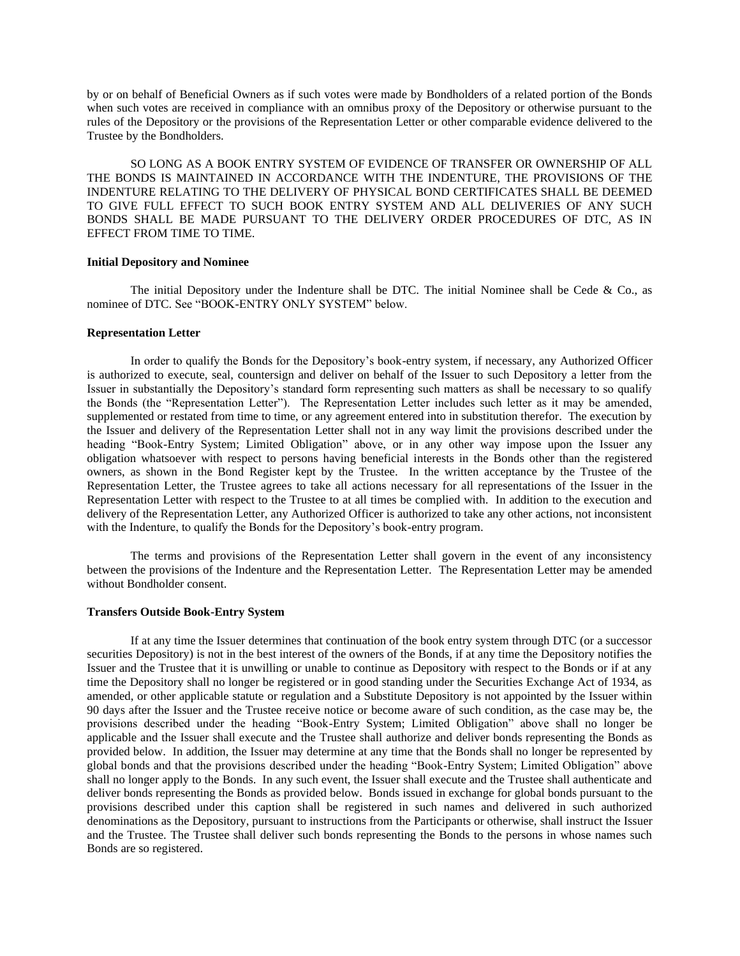by or on behalf of Beneficial Owners as if such votes were made by Bondholders of a related portion of the Bonds when such votes are received in compliance with an omnibus proxy of the Depository or otherwise pursuant to the rules of the Depository or the provisions of the Representation Letter or other comparable evidence delivered to the Trustee by the Bondholders.

SO LONG AS A BOOK ENTRY SYSTEM OF EVIDENCE OF TRANSFER OR OWNERSHIP OF ALL THE BONDS IS MAINTAINED IN ACCORDANCE WITH THE INDENTURE, THE PROVISIONS OF THE INDENTURE RELATING TO THE DELIVERY OF PHYSICAL BOND CERTIFICATES SHALL BE DEEMED TO GIVE FULL EFFECT TO SUCH BOOK ENTRY SYSTEM AND ALL DELIVERIES OF ANY SUCH BONDS SHALL BE MADE PURSUANT TO THE DELIVERY ORDER PROCEDURES OF DTC, AS IN EFFECT FROM TIME TO TIME.

#### **Initial Depository and Nominee**

The initial Depository under the Indenture shall be DTC. The initial Nominee shall be Cede  $\&$  Co., as nominee of DTC. See "BOOK-ENTRY ONLY SYSTEM" below.

#### **Representation Letter**

In order to qualify the Bonds for the Depository's book-entry system, if necessary, any Authorized Officer is authorized to execute, seal, countersign and deliver on behalf of the Issuer to such Depository a letter from the Issuer in substantially the Depository's standard form representing such matters as shall be necessary to so qualify the Bonds (the "Representation Letter"). The Representation Letter includes such letter as it may be amended, supplemented or restated from time to time, or any agreement entered into in substitution therefor. The execution by the Issuer and delivery of the Representation Letter shall not in any way limit the provisions described under the heading "Book-Entry System; Limited Obligation" above, or in any other way impose upon the Issuer any obligation whatsoever with respect to persons having beneficial interests in the Bonds other than the registered owners, as shown in the Bond Register kept by the Trustee. In the written acceptance by the Trustee of the Representation Letter, the Trustee agrees to take all actions necessary for all representations of the Issuer in the Representation Letter with respect to the Trustee to at all times be complied with. In addition to the execution and delivery of the Representation Letter, any Authorized Officer is authorized to take any other actions, not inconsistent with the Indenture, to qualify the Bonds for the Depository's book-entry program.

The terms and provisions of the Representation Letter shall govern in the event of any inconsistency between the provisions of the Indenture and the Representation Letter. The Representation Letter may be amended without Bondholder consent.

### **Transfers Outside Book-Entry System**

If at any time the Issuer determines that continuation of the book entry system through DTC (or a successor securities Depository) is not in the best interest of the owners of the Bonds, if at any time the Depository notifies the Issuer and the Trustee that it is unwilling or unable to continue as Depository with respect to the Bonds or if at any time the Depository shall no longer be registered or in good standing under the Securities Exchange Act of 1934, as amended, or other applicable statute or regulation and a Substitute Depository is not appointed by the Issuer within 90 days after the Issuer and the Trustee receive notice or become aware of such condition, as the case may be, the provisions described under the heading "Book-Entry System; Limited Obligation" above shall no longer be applicable and the Issuer shall execute and the Trustee shall authorize and deliver bonds representing the Bonds as provided below. In addition, the Issuer may determine at any time that the Bonds shall no longer be represented by global bonds and that the provisions described under the heading "Book-Entry System; Limited Obligation" above shall no longer apply to the Bonds. In any such event, the Issuer shall execute and the Trustee shall authenticate and deliver bonds representing the Bonds as provided below. Bonds issued in exchange for global bonds pursuant to the provisions described under this caption shall be registered in such names and delivered in such authorized denominations as the Depository, pursuant to instructions from the Participants or otherwise, shall instruct the Issuer and the Trustee. The Trustee shall deliver such bonds representing the Bonds to the persons in whose names such Bonds are so registered.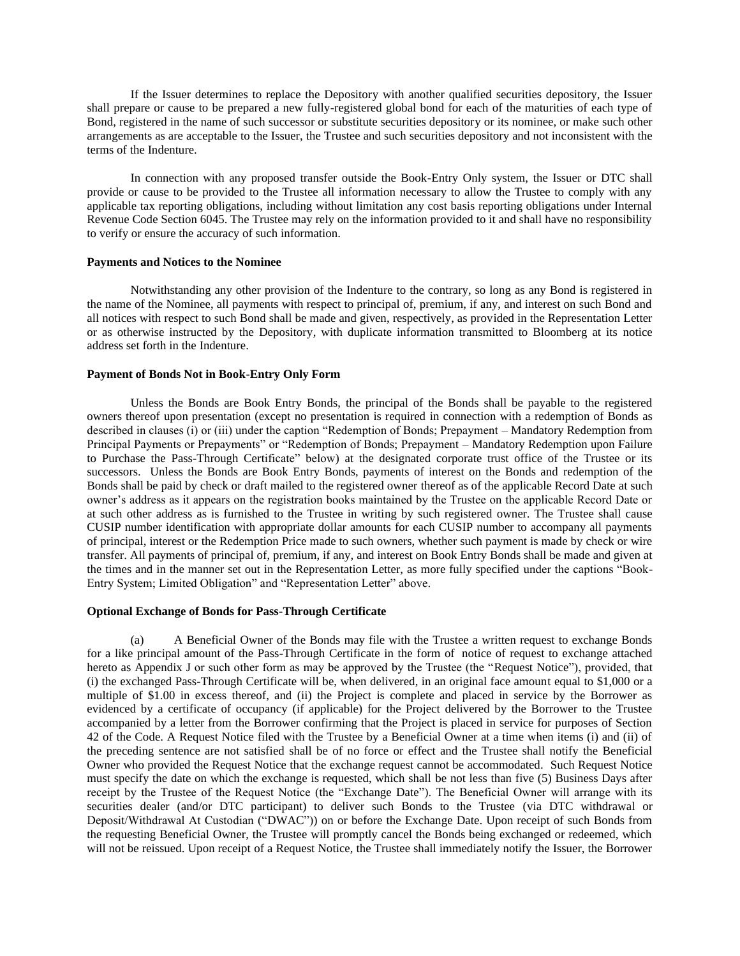If the Issuer determines to replace the Depository with another qualified securities depository, the Issuer shall prepare or cause to be prepared a new fully-registered global bond for each of the maturities of each type of Bond, registered in the name of such successor or substitute securities depository or its nominee, or make such other arrangements as are acceptable to the Issuer, the Trustee and such securities depository and not inconsistent with the terms of the Indenture.

In connection with any proposed transfer outside the Book-Entry Only system, the Issuer or DTC shall provide or cause to be provided to the Trustee all information necessary to allow the Trustee to comply with any applicable tax reporting obligations, including without limitation any cost basis reporting obligations under Internal Revenue Code Section 6045. The Trustee may rely on the information provided to it and shall have no responsibility to verify or ensure the accuracy of such information.

#### **Payments and Notices to the Nominee**

Notwithstanding any other provision of the Indenture to the contrary, so long as any Bond is registered in the name of the Nominee, all payments with respect to principal of, premium, if any, and interest on such Bond and all notices with respect to such Bond shall be made and given, respectively, as provided in the Representation Letter or as otherwise instructed by the Depository, with duplicate information transmitted to Bloomberg at its notice address set forth in the Indenture.

#### **Payment of Bonds Not in Book-Entry Only Form**

Unless the Bonds are Book Entry Bonds, the principal of the Bonds shall be payable to the registered owners thereof upon presentation (except no presentation is required in connection with a redemption of Bonds as described in clauses (i) or (iii) under the caption "Redemption of Bonds; Prepayment – Mandatory Redemption from Principal Payments or Prepayments" or "Redemption of Bonds; Prepayment – Mandatory Redemption upon Failure to Purchase the Pass-Through Certificate" below) at the designated corporate trust office of the Trustee or its successors. Unless the Bonds are Book Entry Bonds, payments of interest on the Bonds and redemption of the Bonds shall be paid by check or draft mailed to the registered owner thereof as of the applicable Record Date at such owner's address as it appears on the registration books maintained by the Trustee on the applicable Record Date or at such other address as is furnished to the Trustee in writing by such registered owner. The Trustee shall cause CUSIP number identification with appropriate dollar amounts for each CUSIP number to accompany all payments of principal, interest or the Redemption Price made to such owners, whether such payment is made by check or wire transfer. All payments of principal of, premium, if any, and interest on Book Entry Bonds shall be made and given at the times and in the manner set out in the Representation Letter, as more fully specified under the captions "Book-Entry System; Limited Obligation" and "Representation Letter" above.

#### **Optional Exchange of Bonds for Pass-Through Certificate**

(a) A Beneficial Owner of the Bonds may file with the Trustee a written request to exchange Bonds for a like principal amount of the Pass-Through Certificate in the form of notice of request to exchange attached hereto as Appendix J or such other form as may be approved by the Trustee (the "Request Notice"), provided, that (i) the exchanged Pass-Through Certificate will be, when delivered, in an original face amount equal to \$1,000 or a multiple of \$1.00 in excess thereof, and (ii) the Project is complete and placed in service by the Borrower as evidenced by a certificate of occupancy (if applicable) for the Project delivered by the Borrower to the Trustee accompanied by a letter from the Borrower confirming that the Project is placed in service for purposes of Section 42 of the Code. A Request Notice filed with the Trustee by a Beneficial Owner at a time when items (i) and (ii) of the preceding sentence are not satisfied shall be of no force or effect and the Trustee shall notify the Beneficial Owner who provided the Request Notice that the exchange request cannot be accommodated. Such Request Notice must specify the date on which the exchange is requested, which shall be not less than five (5) Business Days after receipt by the Trustee of the Request Notice (the "Exchange Date"). The Beneficial Owner will arrange with its securities dealer (and/or DTC participant) to deliver such Bonds to the Trustee (via DTC withdrawal or Deposit/Withdrawal At Custodian ("DWAC")) on or before the Exchange Date. Upon receipt of such Bonds from the requesting Beneficial Owner, the Trustee will promptly cancel the Bonds being exchanged or redeemed, which will not be reissued. Upon receipt of a Request Notice, the Trustee shall immediately notify the Issuer, the Borrower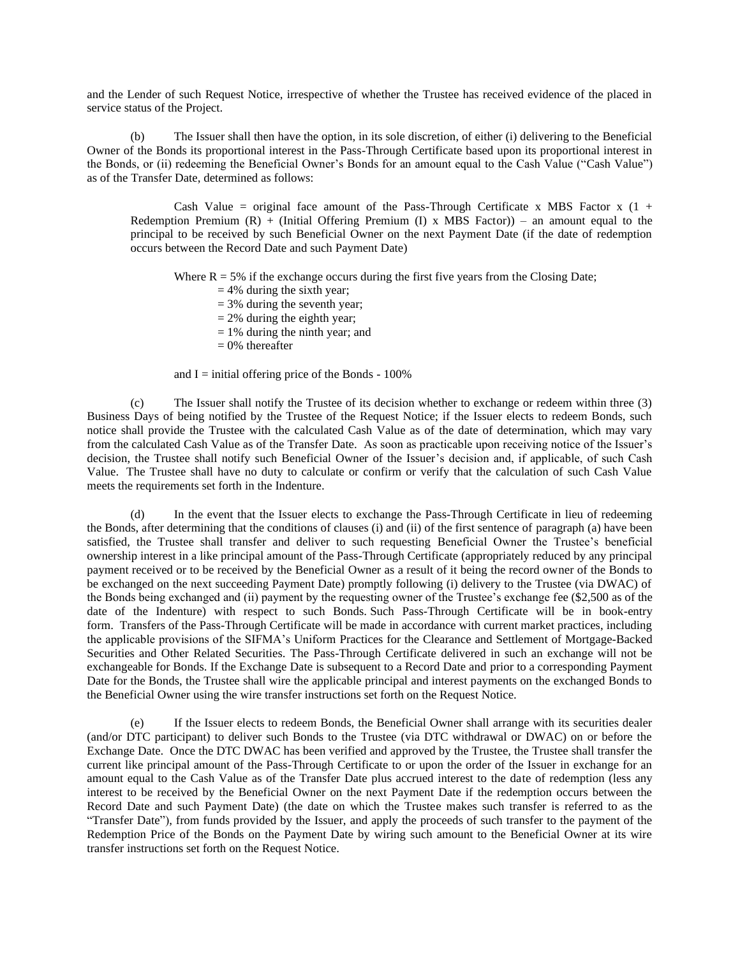and the Lender of such Request Notice, irrespective of whether the Trustee has received evidence of the placed in service status of the Project.

(b) The Issuer shall then have the option, in its sole discretion, of either (i) delivering to the Beneficial Owner of the Bonds its proportional interest in the Pass-Through Certificate based upon its proportional interest in the Bonds, or (ii) redeeming the Beneficial Owner's Bonds for an amount equal to the Cash Value ("Cash Value") as of the Transfer Date, determined as follows:

Cash Value = original face amount of the Pass-Through Certificate x MBS Factor x  $(1 +$ Redemption Premium  $(R)$  + (Initial Offering Premium (I) x MBS Factor)) – an amount equal to the principal to be received by such Beneficial Owner on the next Payment Date (if the date of redemption occurs between the Record Date and such Payment Date)

Where  $R = 5\%$  if the exchange occurs during the first five years from the Closing Date;

- $= 4\%$  during the sixth year;
- $= 3\%$  during the seventh year;
- $= 2\%$  during the eighth year;
- $= 1\%$  during the ninth year; and
- $= 0\%$  thereafter

and  $I =$  initial offering price of the Bonds - 100%

(c) The Issuer shall notify the Trustee of its decision whether to exchange or redeem within three (3) Business Days of being notified by the Trustee of the Request Notice; if the Issuer elects to redeem Bonds, such notice shall provide the Trustee with the calculated Cash Value as of the date of determination, which may vary from the calculated Cash Value as of the Transfer Date. As soon as practicable upon receiving notice of the Issuer's decision, the Trustee shall notify such Beneficial Owner of the Issuer's decision and, if applicable, of such Cash Value. The Trustee shall have no duty to calculate or confirm or verify that the calculation of such Cash Value meets the requirements set forth in the Indenture.

(d) In the event that the Issuer elects to exchange the Pass-Through Certificate in lieu of redeeming the Bonds, after determining that the conditions of clauses (i) and (ii) of the first sentence of paragraph (a) have been satisfied, the Trustee shall transfer and deliver to such requesting Beneficial Owner the Trustee's beneficial ownership interest in a like principal amount of the Pass-Through Certificate (appropriately reduced by any principal payment received or to be received by the Beneficial Owner as a result of it being the record owner of the Bonds to be exchanged on the next succeeding Payment Date) promptly following (i) delivery to the Trustee (via DWAC) of the Bonds being exchanged and (ii) payment by the requesting owner of the Trustee's exchange fee (\$2,500 as of the date of the Indenture) with respect to such Bonds. Such Pass-Through Certificate will be in book-entry form. Transfers of the Pass-Through Certificate will be made in accordance with current market practices, including the applicable provisions of the SIFMA's Uniform Practices for the Clearance and Settlement of Mortgage-Backed Securities and Other Related Securities. The Pass-Through Certificate delivered in such an exchange will not be exchangeable for Bonds. If the Exchange Date is subsequent to a Record Date and prior to a corresponding Payment Date for the Bonds, the Trustee shall wire the applicable principal and interest payments on the exchanged Bonds to the Beneficial Owner using the wire transfer instructions set forth on the Request Notice.

(e) If the Issuer elects to redeem Bonds, the Beneficial Owner shall arrange with its securities dealer (and/or DTC participant) to deliver such Bonds to the Trustee (via DTC withdrawal or DWAC) on or before the Exchange Date. Once the DTC DWAC has been verified and approved by the Trustee, the Trustee shall transfer the current like principal amount of the Pass-Through Certificate to or upon the order of the Issuer in exchange for an amount equal to the Cash Value as of the Transfer Date plus accrued interest to the date of redemption (less any interest to be received by the Beneficial Owner on the next Payment Date if the redemption occurs between the Record Date and such Payment Date) (the date on which the Trustee makes such transfer is referred to as the "Transfer Date"), from funds provided by the Issuer, and apply the proceeds of such transfer to the payment of the Redemption Price of the Bonds on the Payment Date by wiring such amount to the Beneficial Owner at its wire transfer instructions set forth on the Request Notice.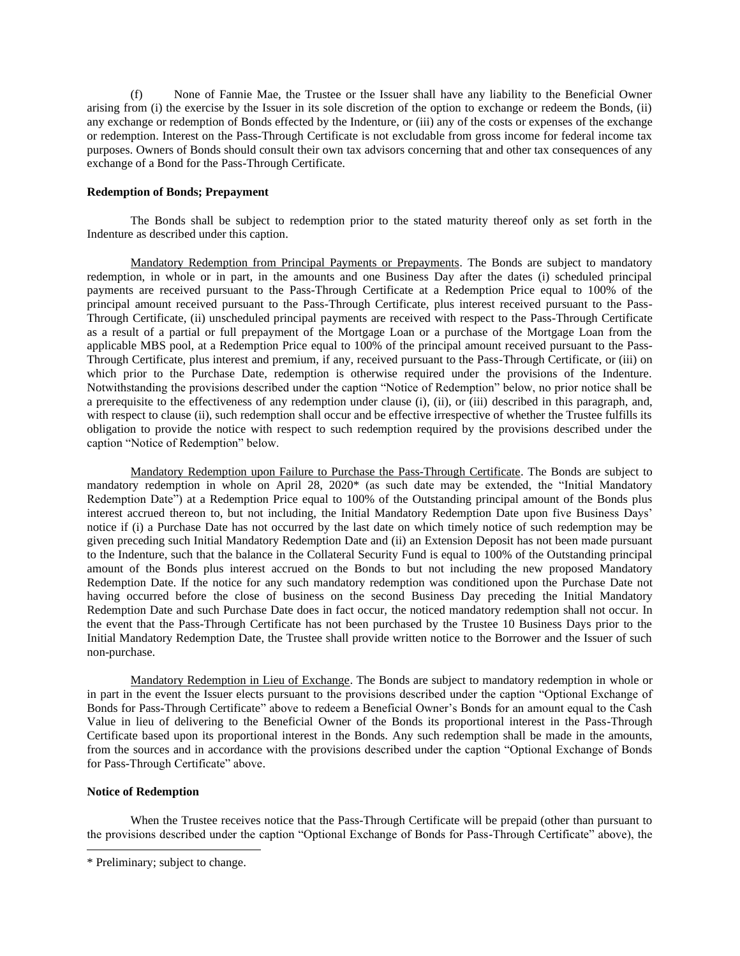(f) None of Fannie Mae, the Trustee or the Issuer shall have any liability to the Beneficial Owner arising from (i) the exercise by the Issuer in its sole discretion of the option to exchange or redeem the Bonds, (ii) any exchange or redemption of Bonds effected by the Indenture, or (iii) any of the costs or expenses of the exchange or redemption. Interest on the Pass-Through Certificate is not excludable from gross income for federal income tax purposes. Owners of Bonds should consult their own tax advisors concerning that and other tax consequences of any exchange of a Bond for the Pass-Through Certificate.

### **Redemption of Bonds; Prepayment**

The Bonds shall be subject to redemption prior to the stated maturity thereof only as set forth in the Indenture as described under this caption.

Mandatory Redemption from Principal Payments or Prepayments. The Bonds are subject to mandatory redemption, in whole or in part, in the amounts and one Business Day after the dates (i) scheduled principal payments are received pursuant to the Pass-Through Certificate at a Redemption Price equal to 100% of the principal amount received pursuant to the Pass-Through Certificate, plus interest received pursuant to the Pass-Through Certificate, (ii) unscheduled principal payments are received with respect to the Pass-Through Certificate as a result of a partial or full prepayment of the Mortgage Loan or a purchase of the Mortgage Loan from the applicable MBS pool, at a Redemption Price equal to 100% of the principal amount received pursuant to the Pass-Through Certificate, plus interest and premium, if any, received pursuant to the Pass-Through Certificate, or (iii) on which prior to the Purchase Date, redemption is otherwise required under the provisions of the Indenture. Notwithstanding the provisions described under the caption "Notice of Redemption" below, no prior notice shall be a prerequisite to the effectiveness of any redemption under clause (i), (ii), or (iii) described in this paragraph, and, with respect to clause (ii), such redemption shall occur and be effective irrespective of whether the Trustee fulfills its obligation to provide the notice with respect to such redemption required by the provisions described under the caption "Notice of Redemption" below.

Mandatory Redemption upon Failure to Purchase the Pass-Through Certificate. The Bonds are subject to mandatory redemption in whole on April 28, 2020\* (as such date may be extended, the "Initial Mandatory Redemption Date") at a Redemption Price equal to 100% of the Outstanding principal amount of the Bonds plus interest accrued thereon to, but not including, the Initial Mandatory Redemption Date upon five Business Days' notice if (i) a Purchase Date has not occurred by the last date on which timely notice of such redemption may be given preceding such Initial Mandatory Redemption Date and (ii) an Extension Deposit has not been made pursuant to the Indenture, such that the balance in the Collateral Security Fund is equal to 100% of the Outstanding principal amount of the Bonds plus interest accrued on the Bonds to but not including the new proposed Mandatory Redemption Date. If the notice for any such mandatory redemption was conditioned upon the Purchase Date not having occurred before the close of business on the second Business Day preceding the Initial Mandatory Redemption Date and such Purchase Date does in fact occur, the noticed mandatory redemption shall not occur. In the event that the Pass-Through Certificate has not been purchased by the Trustee 10 Business Days prior to the Initial Mandatory Redemption Date, the Trustee shall provide written notice to the Borrower and the Issuer of such non-purchase.

Mandatory Redemption in Lieu of Exchange. The Bonds are subject to mandatory redemption in whole or in part in the event the Issuer elects pursuant to the provisions described under the caption "Optional Exchange of Bonds for Pass-Through Certificate" above to redeem a Beneficial Owner's Bonds for an amount equal to the Cash Value in lieu of delivering to the Beneficial Owner of the Bonds its proportional interest in the Pass-Through Certificate based upon its proportional interest in the Bonds. Any such redemption shall be made in the amounts, from the sources and in accordance with the provisions described under the caption "Optional Exchange of Bonds for Pass-Through Certificate" above.

### **Notice of Redemption**

When the Trustee receives notice that the Pass-Through Certificate will be prepaid (other than pursuant to the provisions described under the caption "Optional Exchange of Bonds for Pass-Through Certificate" above), the

<sup>\*</sup> Preliminary; subject to change.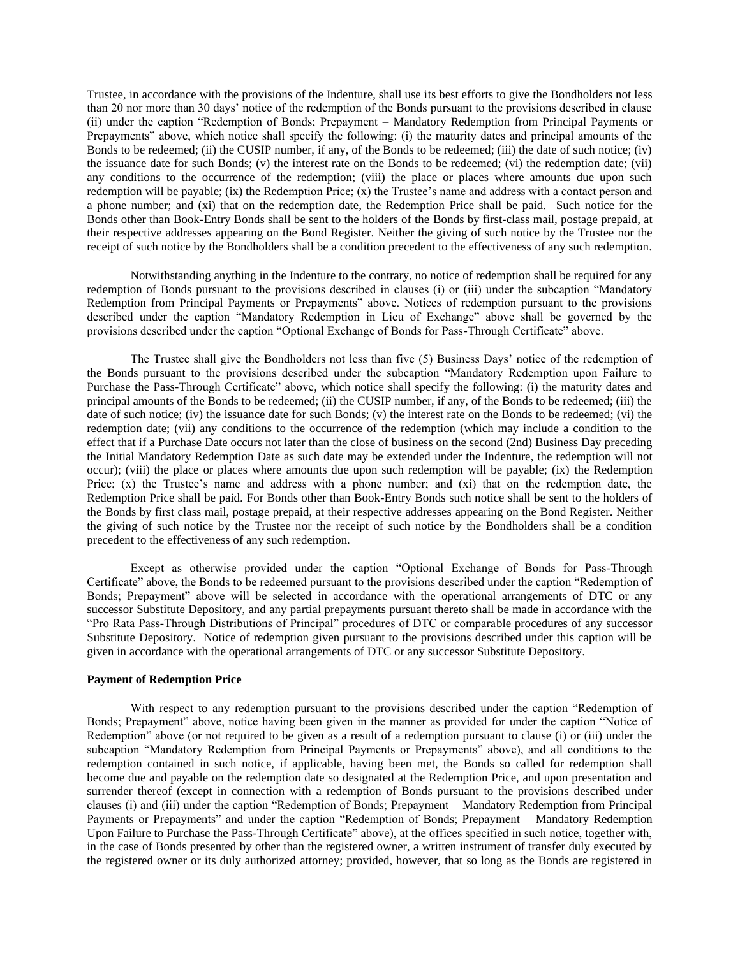Trustee, in accordance with the provisions of the Indenture, shall use its best efforts to give the Bondholders not less than 20 nor more than 30 days' notice of the redemption of the Bonds pursuant to the provisions described in clause (ii) under the caption "Redemption of Bonds; Prepayment – Mandatory Redemption from Principal Payments or Prepayments" above, which notice shall specify the following: (i) the maturity dates and principal amounts of the Bonds to be redeemed; (ii) the CUSIP number, if any, of the Bonds to be redeemed; (iii) the date of such notice; (iv) the issuance date for such Bonds; (v) the interest rate on the Bonds to be redeemed; (vi) the redemption date; (vii) any conditions to the occurrence of the redemption; (viii) the place or places where amounts due upon such redemption will be payable; (ix) the Redemption Price; (x) the Trustee's name and address with a contact person and a phone number; and (xi) that on the redemption date, the Redemption Price shall be paid. Such notice for the Bonds other than Book-Entry Bonds shall be sent to the holders of the Bonds by first-class mail, postage prepaid, at their respective addresses appearing on the Bond Register. Neither the giving of such notice by the Trustee nor the receipt of such notice by the Bondholders shall be a condition precedent to the effectiveness of any such redemption.

Notwithstanding anything in the Indenture to the contrary, no notice of redemption shall be required for any redemption of Bonds pursuant to the provisions described in clauses (i) or (iii) under the subcaption "Mandatory Redemption from Principal Payments or Prepayments" above. Notices of redemption pursuant to the provisions described under the caption "Mandatory Redemption in Lieu of Exchange" above shall be governed by the provisions described under the caption "Optional Exchange of Bonds for Pass-Through Certificate" above.

The Trustee shall give the Bondholders not less than five (5) Business Days' notice of the redemption of the Bonds pursuant to the provisions described under the subcaption "Mandatory Redemption upon Failure to Purchase the Pass-Through Certificate" above, which notice shall specify the following: (i) the maturity dates and principal amounts of the Bonds to be redeemed; (ii) the CUSIP number, if any, of the Bonds to be redeemed; (iii) the date of such notice; (iv) the issuance date for such Bonds; (v) the interest rate on the Bonds to be redeemed; (vi) the redemption date; (vii) any conditions to the occurrence of the redemption (which may include a condition to the effect that if a Purchase Date occurs not later than the close of business on the second (2nd) Business Day preceding the Initial Mandatory Redemption Date as such date may be extended under the Indenture, the redemption will not occur); (viii) the place or places where amounts due upon such redemption will be payable; (ix) the Redemption Price; (x) the Trustee's name and address with a phone number; and (xi) that on the redemption date, the Redemption Price shall be paid. For Bonds other than Book-Entry Bonds such notice shall be sent to the holders of the Bonds by first class mail, postage prepaid, at their respective addresses appearing on the Bond Register. Neither the giving of such notice by the Trustee nor the receipt of such notice by the Bondholders shall be a condition precedent to the effectiveness of any such redemption.

Except as otherwise provided under the caption "Optional Exchange of Bonds for Pass-Through Certificate" above, the Bonds to be redeemed pursuant to the provisions described under the caption "Redemption of Bonds; Prepayment" above will be selected in accordance with the operational arrangements of DTC or any successor Substitute Depository, and any partial prepayments pursuant thereto shall be made in accordance with the "Pro Rata Pass-Through Distributions of Principal" procedures of DTC or comparable procedures of any successor Substitute Depository. Notice of redemption given pursuant to the provisions described under this caption will be given in accordance with the operational arrangements of DTC or any successor Substitute Depository.

#### **Payment of Redemption Price**

With respect to any redemption pursuant to the provisions described under the caption "Redemption of Bonds; Prepayment" above, notice having been given in the manner as provided for under the caption "Notice of Redemption" above (or not required to be given as a result of a redemption pursuant to clause (i) or (iii) under the subcaption "Mandatory Redemption from Principal Payments or Prepayments" above), and all conditions to the redemption contained in such notice, if applicable, having been met, the Bonds so called for redemption shall become due and payable on the redemption date so designated at the Redemption Price, and upon presentation and surrender thereof (except in connection with a redemption of Bonds pursuant to the provisions described under clauses (i) and (iii) under the caption "Redemption of Bonds; Prepayment – Mandatory Redemption from Principal Payments or Prepayments" and under the caption "Redemption of Bonds; Prepayment – Mandatory Redemption Upon Failure to Purchase the Pass-Through Certificate" above), at the offices specified in such notice, together with, in the case of Bonds presented by other than the registered owner, a written instrument of transfer duly executed by the registered owner or its duly authorized attorney; provided, however, that so long as the Bonds are registered in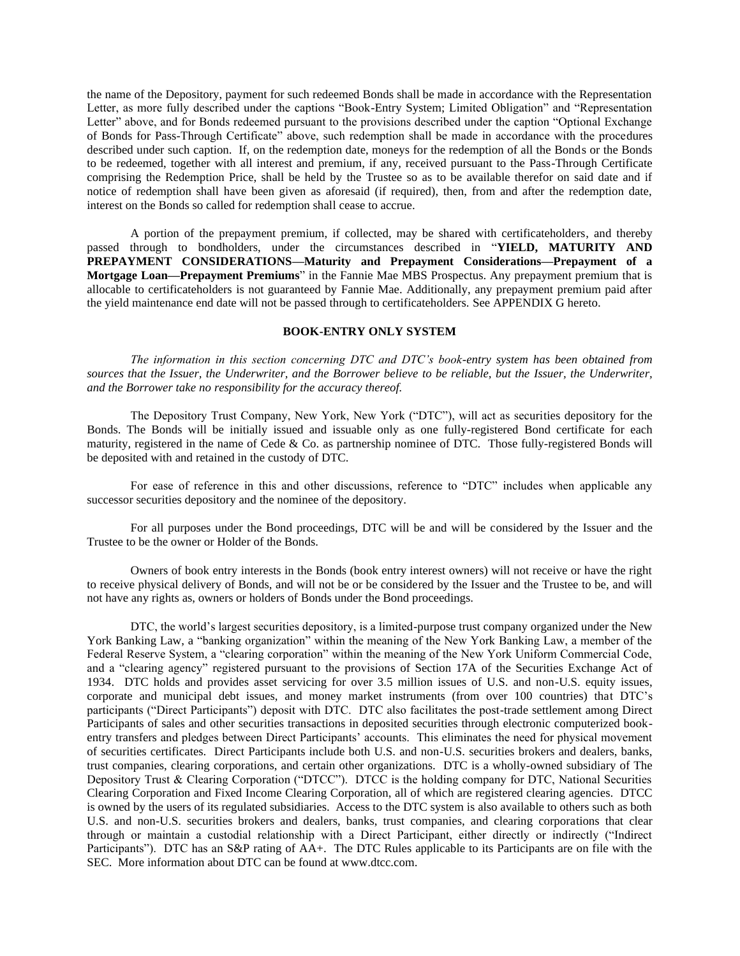the name of the Depository, payment for such redeemed Bonds shall be made in accordance with the Representation Letter, as more fully described under the captions "Book-Entry System; Limited Obligation" and "Representation Letter" above, and for Bonds redeemed pursuant to the provisions described under the caption "Optional Exchange of Bonds for Pass-Through Certificate" above, such redemption shall be made in accordance with the procedures described under such caption. If, on the redemption date, moneys for the redemption of all the Bonds or the Bonds to be redeemed, together with all interest and premium, if any, received pursuant to the Pass-Through Certificate comprising the Redemption Price, shall be held by the Trustee so as to be available therefor on said date and if notice of redemption shall have been given as aforesaid (if required), then, from and after the redemption date, interest on the Bonds so called for redemption shall cease to accrue.

A portion of the prepayment premium, if collected, may be shared with certificateholders, and thereby passed through to bondholders, under the circumstances described in "**YIELD, MATURITY AND PREPAYMENT CONSIDERATIONS—Maturity and Prepayment Considerations—Prepayment of a Mortgage Loan—Prepayment Premiums**" in the Fannie Mae MBS Prospectus. Any prepayment premium that is allocable to certificateholders is not guaranteed by Fannie Mae. Additionally, any prepayment premium paid after the yield maintenance end date will not be passed through to certificateholders. See APPENDIX G hereto.

#### **BOOK-ENTRY ONLY SYSTEM**

<span id="page-20-0"></span>*The information in this section concerning DTC and DTC's book-entry system has been obtained from sources that the Issuer, the Underwriter, and the Borrower believe to be reliable, but the Issuer, the Underwriter, and the Borrower take no responsibility for the accuracy thereof.*

The Depository Trust Company, New York, New York ("DTC"), will act as securities depository for the Bonds. The Bonds will be initially issued and issuable only as one fully-registered Bond certificate for each maturity, registered in the name of Cede & Co. as partnership nominee of DTC. Those fully-registered Bonds will be deposited with and retained in the custody of DTC.

For ease of reference in this and other discussions, reference to "DTC" includes when applicable any successor securities depository and the nominee of the depository.

For all purposes under the Bond proceedings, DTC will be and will be considered by the Issuer and the Trustee to be the owner or Holder of the Bonds.

Owners of book entry interests in the Bonds (book entry interest owners) will not receive or have the right to receive physical delivery of Bonds, and will not be or be considered by the Issuer and the Trustee to be, and will not have any rights as, owners or holders of Bonds under the Bond proceedings.

DTC, the world's largest securities depository, is a limited-purpose trust company organized under the New York Banking Law, a "banking organization" within the meaning of the New York Banking Law, a member of the Federal Reserve System, a "clearing corporation" within the meaning of the New York Uniform Commercial Code, and a "clearing agency" registered pursuant to the provisions of Section 17A of the Securities Exchange Act of 1934. DTC holds and provides asset servicing for over 3.5 million issues of U.S. and non-U.S. equity issues, corporate and municipal debt issues, and money market instruments (from over 100 countries) that DTC's participants ("Direct Participants") deposit with DTC. DTC also facilitates the post-trade settlement among Direct Participants of sales and other securities transactions in deposited securities through electronic computerized bookentry transfers and pledges between Direct Participants' accounts. This eliminates the need for physical movement of securities certificates. Direct Participants include both U.S. and non-U.S. securities brokers and dealers, banks, trust companies, clearing corporations, and certain other organizations. DTC is a wholly-owned subsidiary of The Depository Trust & Clearing Corporation ("DTCC"). DTCC is the holding company for DTC, National Securities Clearing Corporation and Fixed Income Clearing Corporation, all of which are registered clearing agencies. DTCC is owned by the users of its regulated subsidiaries. Access to the DTC system is also available to others such as both U.S. and non-U.S. securities brokers and dealers, banks, trust companies, and clearing corporations that clear through or maintain a custodial relationship with a Direct Participant, either directly or indirectly ("Indirect Participants"). DTC has an S&P rating of AA+. The DTC Rules applicable to its Participants are on file with the SEC. More information about DTC can be found at www.dtcc.com.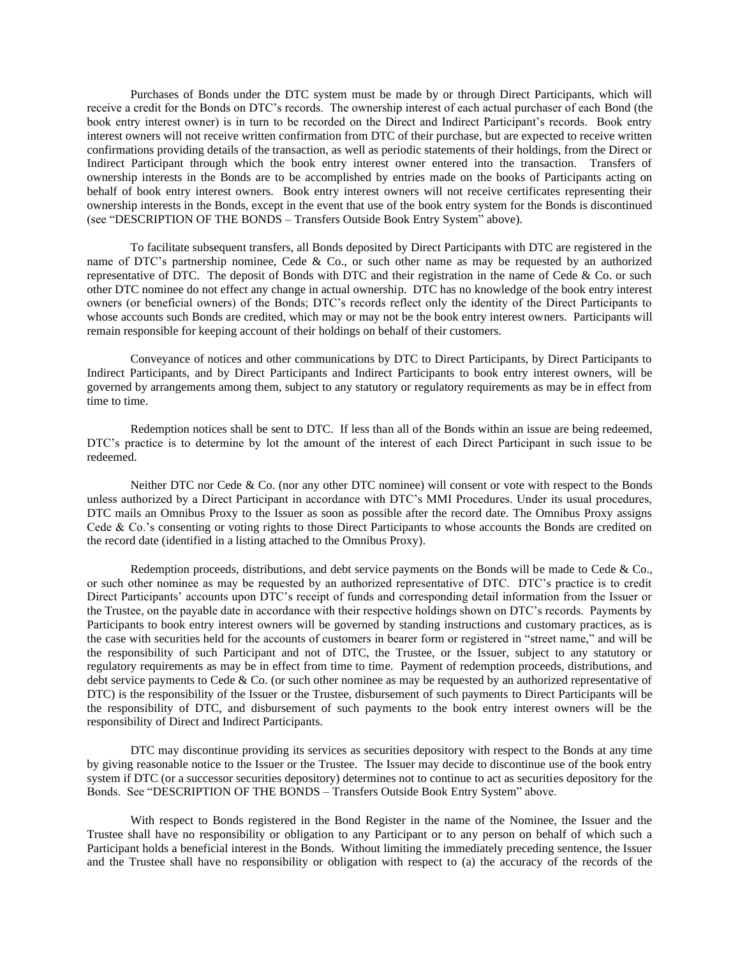Purchases of Bonds under the DTC system must be made by or through Direct Participants, which will receive a credit for the Bonds on DTC's records. The ownership interest of each actual purchaser of each Bond (the book entry interest owner) is in turn to be recorded on the Direct and Indirect Participant's records. Book entry interest owners will not receive written confirmation from DTC of their purchase, but are expected to receive written confirmations providing details of the transaction, as well as periodic statements of their holdings, from the Direct or Indirect Participant through which the book entry interest owner entered into the transaction. Transfers of ownership interests in the Bonds are to be accomplished by entries made on the books of Participants acting on behalf of book entry interest owners. Book entry interest owners will not receive certificates representing their ownership interests in the Bonds, except in the event that use of the book entry system for the Bonds is discontinued (see "DESCRIPTION OF THE BONDS – Transfers Outside Book Entry System" above).

To facilitate subsequent transfers, all Bonds deposited by Direct Participants with DTC are registered in the name of DTC's partnership nominee, Cede & Co., or such other name as may be requested by an authorized representative of DTC. The deposit of Bonds with DTC and their registration in the name of Cede & Co. or such other DTC nominee do not effect any change in actual ownership. DTC has no knowledge of the book entry interest owners (or beneficial owners) of the Bonds; DTC's records reflect only the identity of the Direct Participants to whose accounts such Bonds are credited, which may or may not be the book entry interest owners. Participants will remain responsible for keeping account of their holdings on behalf of their customers.

Conveyance of notices and other communications by DTC to Direct Participants, by Direct Participants to Indirect Participants, and by Direct Participants and Indirect Participants to book entry interest owners, will be governed by arrangements among them, subject to any statutory or regulatory requirements as may be in effect from time to time.

Redemption notices shall be sent to DTC. If less than all of the Bonds within an issue are being redeemed, DTC's practice is to determine by lot the amount of the interest of each Direct Participant in such issue to be redeemed.

Neither DTC nor Cede & Co. (nor any other DTC nominee) will consent or vote with respect to the Bonds unless authorized by a Direct Participant in accordance with DTC's MMI Procedures. Under its usual procedures, DTC mails an Omnibus Proxy to the Issuer as soon as possible after the record date. The Omnibus Proxy assigns Cede & Co.'s consenting or voting rights to those Direct Participants to whose accounts the Bonds are credited on the record date (identified in a listing attached to the Omnibus Proxy).

Redemption proceeds, distributions, and debt service payments on the Bonds will be made to Cede & Co., or such other nominee as may be requested by an authorized representative of DTC. DTC's practice is to credit Direct Participants' accounts upon DTC's receipt of funds and corresponding detail information from the Issuer or the Trustee, on the payable date in accordance with their respective holdings shown on DTC's records. Payments by Participants to book entry interest owners will be governed by standing instructions and customary practices, as is the case with securities held for the accounts of customers in bearer form or registered in "street name," and will be the responsibility of such Participant and not of DTC, the Trustee, or the Issuer, subject to any statutory or regulatory requirements as may be in effect from time to time. Payment of redemption proceeds, distributions, and debt service payments to Cede & Co. (or such other nominee as may be requested by an authorized representative of DTC) is the responsibility of the Issuer or the Trustee, disbursement of such payments to Direct Participants will be the responsibility of DTC, and disbursement of such payments to the book entry interest owners will be the responsibility of Direct and Indirect Participants.

DTC may discontinue providing its services as securities depository with respect to the Bonds at any time by giving reasonable notice to the Issuer or the Trustee. The Issuer may decide to discontinue use of the book entry system if DTC (or a successor securities depository) determines not to continue to act as securities depository for the Bonds. See "DESCRIPTION OF THE BONDS – Transfers Outside Book Entry System" above.

With respect to Bonds registered in the Bond Register in the name of the Nominee, the Issuer and the Trustee shall have no responsibility or obligation to any Participant or to any person on behalf of which such a Participant holds a beneficial interest in the Bonds. Without limiting the immediately preceding sentence, the Issuer and the Trustee shall have no responsibility or obligation with respect to (a) the accuracy of the records of the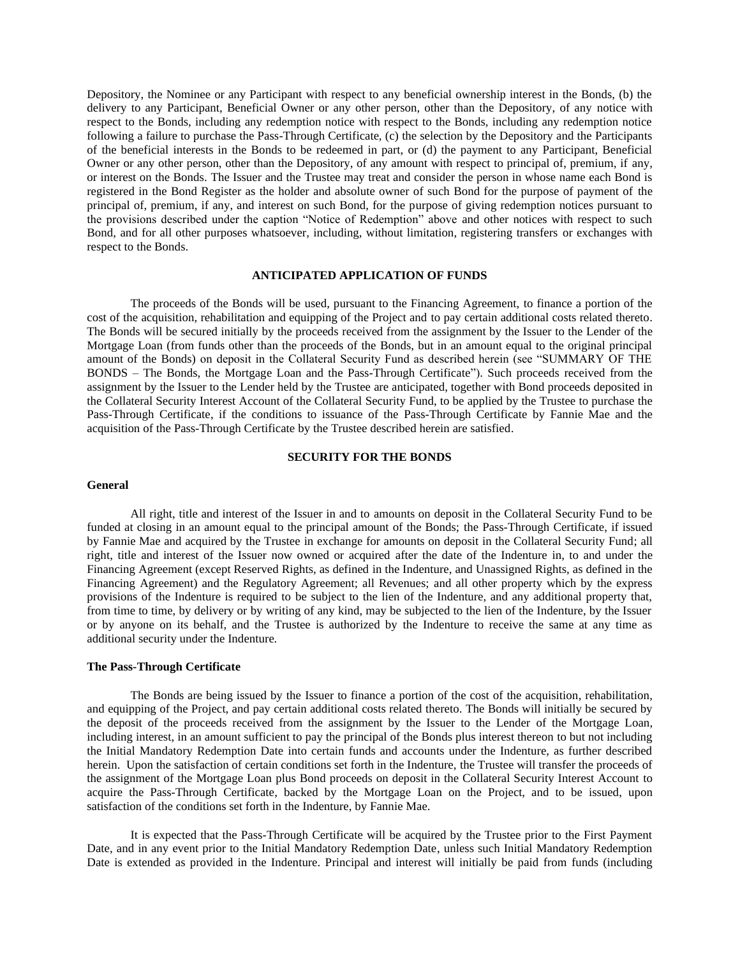Depository, the Nominee or any Participant with respect to any beneficial ownership interest in the Bonds, (b) the delivery to any Participant, Beneficial Owner or any other person, other than the Depository, of any notice with respect to the Bonds, including any redemption notice with respect to the Bonds, including any redemption notice following a failure to purchase the Pass-Through Certificate, (c) the selection by the Depository and the Participants of the beneficial interests in the Bonds to be redeemed in part, or (d) the payment to any Participant, Beneficial Owner or any other person, other than the Depository, of any amount with respect to principal of, premium, if any, or interest on the Bonds. The Issuer and the Trustee may treat and consider the person in whose name each Bond is registered in the Bond Register as the holder and absolute owner of such Bond for the purpose of payment of the principal of, premium, if any, and interest on such Bond, for the purpose of giving redemption notices pursuant to the provisions described under the caption "Notice of Redemption" above and other notices with respect to such Bond, and for all other purposes whatsoever, including, without limitation, registering transfers or exchanges with respect to the Bonds.

### **ANTICIPATED APPLICATION OF FUNDS**

<span id="page-22-0"></span>The proceeds of the Bonds will be used, pursuant to the Financing Agreement, to finance a portion of the cost of the acquisition, rehabilitation and equipping of the Project and to pay certain additional costs related thereto. The Bonds will be secured initially by the proceeds received from the assignment by the Issuer to the Lender of the Mortgage Loan (from funds other than the proceeds of the Bonds, but in an amount equal to the original principal amount of the Bonds) on deposit in the Collateral Security Fund as described herein (see "SUMMARY OF THE BONDS – The Bonds, the Mortgage Loan and the Pass-Through Certificate"). Such proceeds received from the assignment by the Issuer to the Lender held by the Trustee are anticipated, together with Bond proceeds deposited in the Collateral Security Interest Account of the Collateral Security Fund, to be applied by the Trustee to purchase the Pass-Through Certificate, if the conditions to issuance of the Pass-Through Certificate by Fannie Mae and the acquisition of the Pass-Through Certificate by the Trustee described herein are satisfied.

### **SECURITY FOR THE BONDS**

### <span id="page-22-1"></span>**General**

All right, title and interest of the Issuer in and to amounts on deposit in the Collateral Security Fund to be funded at closing in an amount equal to the principal amount of the Bonds; the Pass-Through Certificate, if issued by Fannie Mae and acquired by the Trustee in exchange for amounts on deposit in the Collateral Security Fund; all right, title and interest of the Issuer now owned or acquired after the date of the Indenture in, to and under the Financing Agreement (except Reserved Rights, as defined in the Indenture, and Unassigned Rights, as defined in the Financing Agreement) and the Regulatory Agreement; all Revenues; and all other property which by the express provisions of the Indenture is required to be subject to the lien of the Indenture, and any additional property that, from time to time, by delivery or by writing of any kind, may be subjected to the lien of the Indenture, by the Issuer or by anyone on its behalf, and the Trustee is authorized by the Indenture to receive the same at any time as additional security under the Indenture.

#### **The Pass-Through Certificate**

The Bonds are being issued by the Issuer to finance a portion of the cost of the acquisition, rehabilitation, and equipping of the Project, and pay certain additional costs related thereto. The Bonds will initially be secured by the deposit of the proceeds received from the assignment by the Issuer to the Lender of the Mortgage Loan, including interest, in an amount sufficient to pay the principal of the Bonds plus interest thereon to but not including the Initial Mandatory Redemption Date into certain funds and accounts under the Indenture, as further described herein. Upon the satisfaction of certain conditions set forth in the Indenture, the Trustee will transfer the proceeds of the assignment of the Mortgage Loan plus Bond proceeds on deposit in the Collateral Security Interest Account to acquire the Pass-Through Certificate, backed by the Mortgage Loan on the Project, and to be issued, upon satisfaction of the conditions set forth in the Indenture, by Fannie Mae.

It is expected that the Pass-Through Certificate will be acquired by the Trustee prior to the First Payment Date, and in any event prior to the Initial Mandatory Redemption Date, unless such Initial Mandatory Redemption Date is extended as provided in the Indenture. Principal and interest will initially be paid from funds (including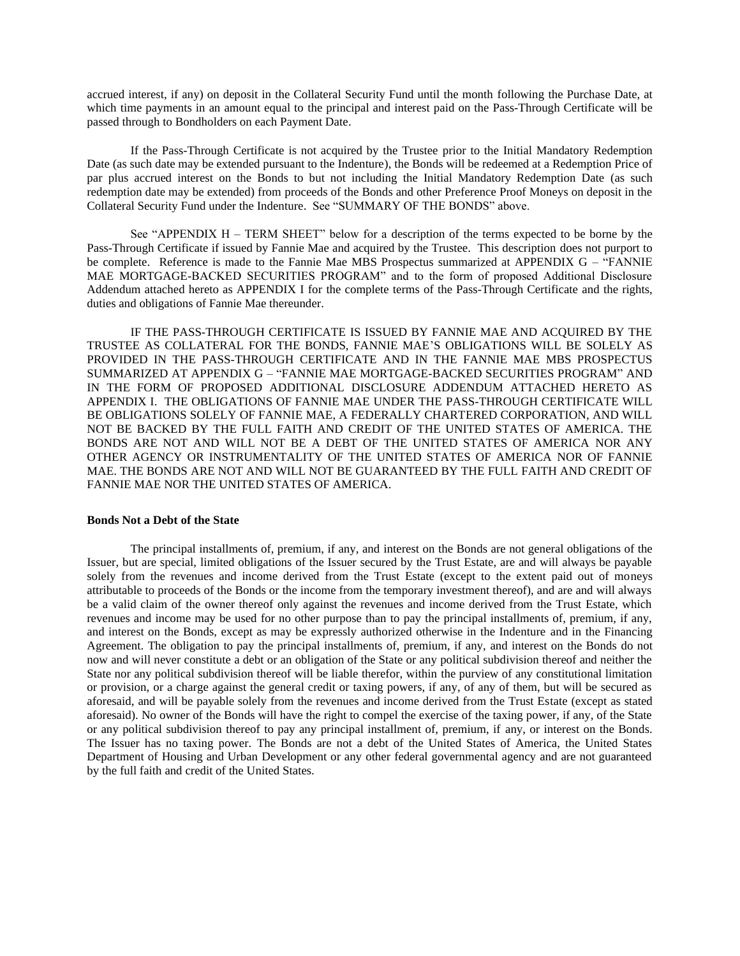accrued interest, if any) on deposit in the Collateral Security Fund until the month following the Purchase Date, at which time payments in an amount equal to the principal and interest paid on the Pass-Through Certificate will be passed through to Bondholders on each Payment Date.

If the Pass-Through Certificate is not acquired by the Trustee prior to the Initial Mandatory Redemption Date (as such date may be extended pursuant to the Indenture), the Bonds will be redeemed at a Redemption Price of par plus accrued interest on the Bonds to but not including the Initial Mandatory Redemption Date (as such redemption date may be extended) from proceeds of the Bonds and other Preference Proof Moneys on deposit in the Collateral Security Fund under the Indenture. See "SUMMARY OF THE BONDS" above.

See "APPENDIX H – TERM SHEET" below for a description of the terms expected to be borne by the Pass-Through Certificate if issued by Fannie Mae and acquired by the Trustee. This description does not purport to be complete. Reference is made to the Fannie Mae MBS Prospectus summarized at APPENDIX G – "FANNIE" MAE MORTGAGE-BACKED SECURITIES PROGRAM" and to the form of proposed Additional Disclosure Addendum attached hereto as APPENDIX I for the complete terms of the Pass-Through Certificate and the rights, duties and obligations of Fannie Mae thereunder.

IF THE PASS-THROUGH CERTIFICATE IS ISSUED BY FANNIE MAE AND ACQUIRED BY THE TRUSTEE AS COLLATERAL FOR THE BONDS, FANNIE MAE'S OBLIGATIONS WILL BE SOLELY AS PROVIDED IN THE PASS-THROUGH CERTIFICATE AND IN THE FANNIE MAE MBS PROSPECTUS SUMMARIZED AT APPENDIX G – "FANNIE MAE MORTGAGE-BACKED SECURITIES PROGRAM" AND IN THE FORM OF PROPOSED ADDITIONAL DISCLOSURE ADDENDUM ATTACHED HERETO AS APPENDIX I. THE OBLIGATIONS OF FANNIE MAE UNDER THE PASS-THROUGH CERTIFICATE WILL BE OBLIGATIONS SOLELY OF FANNIE MAE, A FEDERALLY CHARTERED CORPORATION, AND WILL NOT BE BACKED BY THE FULL FAITH AND CREDIT OF THE UNITED STATES OF AMERICA. THE BONDS ARE NOT AND WILL NOT BE A DEBT OF THE UNITED STATES OF AMERICA NOR ANY OTHER AGENCY OR INSTRUMENTALITY OF THE UNITED STATES OF AMERICA NOR OF FANNIE MAE. THE BONDS ARE NOT AND WILL NOT BE GUARANTEED BY THE FULL FAITH AND CREDIT OF FANNIE MAE NOR THE UNITED STATES OF AMERICA.

#### **Bonds Not a Debt of the State**

The principal installments of, premium, if any, and interest on the Bonds are not general obligations of the Issuer, but are special, limited obligations of the Issuer secured by the Trust Estate, are and will always be payable solely from the revenues and income derived from the Trust Estate (except to the extent paid out of moneys attributable to proceeds of the Bonds or the income from the temporary investment thereof), and are and will always be a valid claim of the owner thereof only against the revenues and income derived from the Trust Estate, which revenues and income may be used for no other purpose than to pay the principal installments of, premium, if any, and interest on the Bonds, except as may be expressly authorized otherwise in the Indenture and in the Financing Agreement. The obligation to pay the principal installments of, premium, if any, and interest on the Bonds do not now and will never constitute a debt or an obligation of the State or any political subdivision thereof and neither the State nor any political subdivision thereof will be liable therefor, within the purview of any constitutional limitation or provision, or a charge against the general credit or taxing powers, if any, of any of them, but will be secured as aforesaid, and will be payable solely from the revenues and income derived from the Trust Estate (except as stated aforesaid). No owner of the Bonds will have the right to compel the exercise of the taxing power, if any, of the State or any political subdivision thereof to pay any principal installment of, premium, if any, or interest on the Bonds. The Issuer has no taxing power. The Bonds are not a debt of the United States of America, the United States Department of Housing and Urban Development or any other federal governmental agency and are not guaranteed by the full faith and credit of the United States.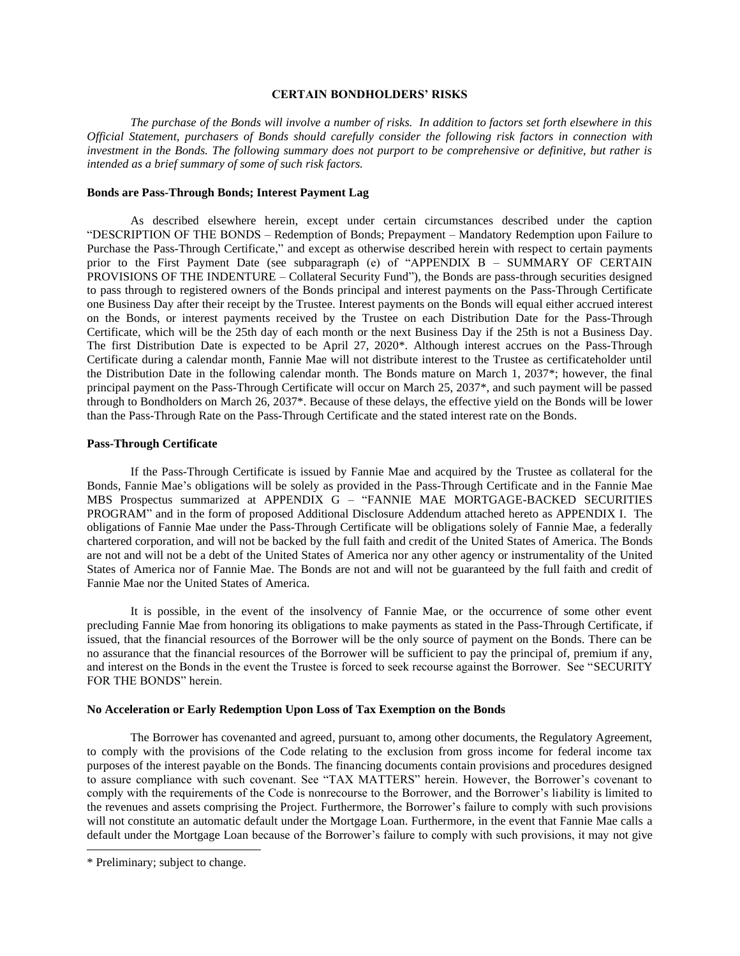### **CERTAIN BONDHOLDERS' RISKS**

<span id="page-24-0"></span>*The purchase of the Bonds will involve a number of risks. In addition to factors set forth elsewhere in this Official Statement, purchasers of Bonds should carefully consider the following risk factors in connection with investment in the Bonds. The following summary does not purport to be comprehensive or definitive, but rather is intended as a brief summary of some of such risk factors.*

### **Bonds are Pass-Through Bonds; Interest Payment Lag**

As described elsewhere herein, except under certain circumstances described under the caption "DESCRIPTION OF THE BONDS – Redemption of Bonds; Prepayment – Mandatory Redemption upon Failure to Purchase the Pass-Through Certificate," and except as otherwise described herein with respect to certain payments prior to the First Payment Date (see subparagraph (e) of "APPENDIX B – SUMMARY OF CERTAIN PROVISIONS OF THE INDENTURE – Collateral Security Fund"), the Bonds are pass-through securities designed to pass through to registered owners of the Bonds principal and interest payments on the Pass-Through Certificate one Business Day after their receipt by the Trustee. Interest payments on the Bonds will equal either accrued interest on the Bonds, or interest payments received by the Trustee on each Distribution Date for the Pass-Through Certificate, which will be the 25th day of each month or the next Business Day if the 25th is not a Business Day. The first Distribution Date is expected to be April 27, 2020\*. Although interest accrues on the Pass-Through Certificate during a calendar month, Fannie Mae will not distribute interest to the Trustee as certificateholder until the Distribution Date in the following calendar month. The Bonds mature on March 1, 2037\*; however, the final principal payment on the Pass-Through Certificate will occur on March 25, 2037\*, and such payment will be passed through to Bondholders on March 26, 2037\*. Because of these delays, the effective yield on the Bonds will be lower than the Pass-Through Rate on the Pass-Through Certificate and the stated interest rate on the Bonds.

#### **Pass-Through Certificate**

If the Pass-Through Certificate is issued by Fannie Mae and acquired by the Trustee as collateral for the Bonds, Fannie Mae's obligations will be solely as provided in the Pass-Through Certificate and in the Fannie Mae MBS Prospectus summarized at APPENDIX G – "FANNIE MAE MORTGAGE-BACKED SECURITIES PROGRAM" and in the form of proposed Additional Disclosure Addendum attached hereto as APPENDIX I. The obligations of Fannie Mae under the Pass-Through Certificate will be obligations solely of Fannie Mae, a federally chartered corporation, and will not be backed by the full faith and credit of the United States of America. The Bonds are not and will not be a debt of the United States of America nor any other agency or instrumentality of the United States of America nor of Fannie Mae. The Bonds are not and will not be guaranteed by the full faith and credit of Fannie Mae nor the United States of America.

It is possible, in the event of the insolvency of Fannie Mae, or the occurrence of some other event precluding Fannie Mae from honoring its obligations to make payments as stated in the Pass-Through Certificate, if issued, that the financial resources of the Borrower will be the only source of payment on the Bonds. There can be no assurance that the financial resources of the Borrower will be sufficient to pay the principal of, premium if any, and interest on the Bonds in the event the Trustee is forced to seek recourse against the Borrower. See "SECURITY FOR THE BONDS" herein.

### **No Acceleration or Early Redemption Upon Loss of Tax Exemption on the Bonds**

The Borrower has covenanted and agreed, pursuant to, among other documents, the Regulatory Agreement, to comply with the provisions of the Code relating to the exclusion from gross income for federal income tax purposes of the interest payable on the Bonds. The financing documents contain provisions and procedures designed to assure compliance with such covenant. See "TAX MATTERS" herein. However, the Borrower's covenant to comply with the requirements of the Code is nonrecourse to the Borrower, and the Borrower's liability is limited to the revenues and assets comprising the Project. Furthermore, the Borrower's failure to comply with such provisions will not constitute an automatic default under the Mortgage Loan. Furthermore, in the event that Fannie Mae calls a default under the Mortgage Loan because of the Borrower's failure to comply with such provisions, it may not give

<sup>\*</sup> Preliminary; subject to change.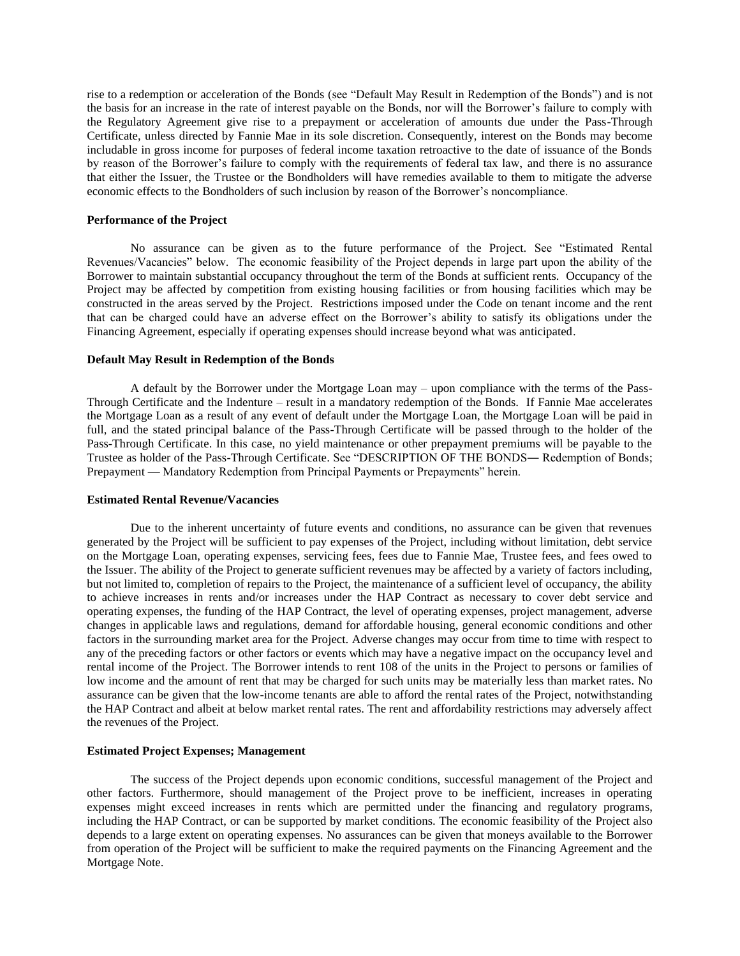rise to a redemption or acceleration of the Bonds (see "Default May Result in Redemption of the Bonds") and is not the basis for an increase in the rate of interest payable on the Bonds, nor will the Borrower's failure to comply with the Regulatory Agreement give rise to a prepayment or acceleration of amounts due under the Pass-Through Certificate, unless directed by Fannie Mae in its sole discretion. Consequently, interest on the Bonds may become includable in gross income for purposes of federal income taxation retroactive to the date of issuance of the Bonds by reason of the Borrower's failure to comply with the requirements of federal tax law, and there is no assurance that either the Issuer, the Trustee or the Bondholders will have remedies available to them to mitigate the adverse economic effects to the Bondholders of such inclusion by reason of the Borrower's noncompliance.

#### **Performance of the Project**

No assurance can be given as to the future performance of the Project. See "Estimated Rental Revenues/Vacancies" below. The economic feasibility of the Project depends in large part upon the ability of the Borrower to maintain substantial occupancy throughout the term of the Bonds at sufficient rents. Occupancy of the Project may be affected by competition from existing housing facilities or from housing facilities which may be constructed in the areas served by the Project. Restrictions imposed under the Code on tenant income and the rent that can be charged could have an adverse effect on the Borrower's ability to satisfy its obligations under the Financing Agreement, especially if operating expenses should increase beyond what was anticipated.

### **Default May Result in Redemption of the Bonds**

A default by the Borrower under the Mortgage Loan may – upon compliance with the terms of the Pass-Through Certificate and the Indenture – result in a mandatory redemption of the Bonds. If Fannie Mae accelerates the Mortgage Loan as a result of any event of default under the Mortgage Loan, the Mortgage Loan will be paid in full, and the stated principal balance of the Pass-Through Certificate will be passed through to the holder of the Pass-Through Certificate. In this case, no yield maintenance or other prepayment premiums will be payable to the Trustee as holder of the Pass-Through Certificate. See "DESCRIPTION OF THE BONDS― Redemption of Bonds; Prepayment — Mandatory Redemption from Principal Payments or Prepayments" herein.

#### **Estimated Rental Revenue/Vacancies**

Due to the inherent uncertainty of future events and conditions, no assurance can be given that revenues generated by the Project will be sufficient to pay expenses of the Project, including without limitation, debt service on the Mortgage Loan, operating expenses, servicing fees, fees due to Fannie Mae, Trustee fees, and fees owed to the Issuer. The ability of the Project to generate sufficient revenues may be affected by a variety of factors including, but not limited to, completion of repairs to the Project, the maintenance of a sufficient level of occupancy, the ability to achieve increases in rents and/or increases under the HAP Contract as necessary to cover debt service and operating expenses, the funding of the HAP Contract, the level of operating expenses, project management, adverse changes in applicable laws and regulations, demand for affordable housing, general economic conditions and other factors in the surrounding market area for the Project. Adverse changes may occur from time to time with respect to any of the preceding factors or other factors or events which may have a negative impact on the occupancy level and rental income of the Project. The Borrower intends to rent 108 of the units in the Project to persons or families of low income and the amount of rent that may be charged for such units may be materially less than market rates. No assurance can be given that the low-income tenants are able to afford the rental rates of the Project, notwithstanding the HAP Contract and albeit at below market rental rates. The rent and affordability restrictions may adversely affect the revenues of the Project.

#### **Estimated Project Expenses; Management**

The success of the Project depends upon economic conditions, successful management of the Project and other factors. Furthermore, should management of the Project prove to be inefficient, increases in operating expenses might exceed increases in rents which are permitted under the financing and regulatory programs, including the HAP Contract, or can be supported by market conditions. The economic feasibility of the Project also depends to a large extent on operating expenses. No assurances can be given that moneys available to the Borrower from operation of the Project will be sufficient to make the required payments on the Financing Agreement and the Mortgage Note.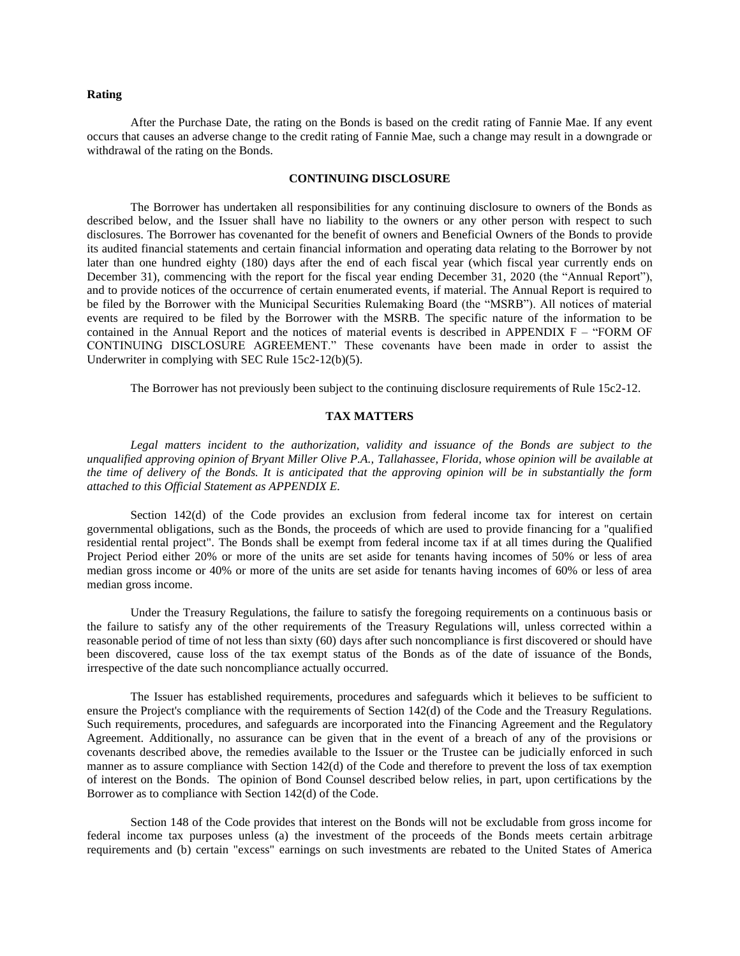#### **Rating**

After the Purchase Date, the rating on the Bonds is based on the credit rating of Fannie Mae. If any event occurs that causes an adverse change to the credit rating of Fannie Mae, such a change may result in a downgrade or withdrawal of the rating on the Bonds.

### **CONTINUING DISCLOSURE**

<span id="page-26-0"></span>The Borrower has undertaken all responsibilities for any continuing disclosure to owners of the Bonds as described below, and the Issuer shall have no liability to the owners or any other person with respect to such disclosures. The Borrower has covenanted for the benefit of owners and Beneficial Owners of the Bonds to provide its audited financial statements and certain financial information and operating data relating to the Borrower by not later than one hundred eighty (180) days after the end of each fiscal year (which fiscal year currently ends on December 31), commencing with the report for the fiscal year ending December 31, 2020 (the "Annual Report"), and to provide notices of the occurrence of certain enumerated events, if material. The Annual Report is required to be filed by the Borrower with the Municipal Securities Rulemaking Board (the "MSRB"). All notices of material events are required to be filed by the Borrower with the MSRB. The specific nature of the information to be contained in the Annual Report and the notices of material events is described in APPENDIX F – "FORM OF CONTINUING DISCLOSURE AGREEMENT." These covenants have been made in order to assist the Underwriter in complying with SEC Rule 15c2-12(b)(5).

The Borrower has not previously been subject to the continuing disclosure requirements of Rule 15c2-12.

#### **TAX MATTERS**

<span id="page-26-1"></span>Legal matters incident to the authorization, validity and issuance of the Bonds are subject to the *unqualified approving opinion of Bryant Miller Olive P.A., Tallahassee, Florida, whose opinion will be available at the time of delivery of the Bonds. It is anticipated that the approving opinion will be in substantially the form attached to this Official Statement as APPENDIX E.*

Section 142(d) of the Code provides an exclusion from federal income tax for interest on certain governmental obligations, such as the Bonds, the proceeds of which are used to provide financing for a "qualified residential rental project". The Bonds shall be exempt from federal income tax if at all times during the Qualified Project Period either 20% or more of the units are set aside for tenants having incomes of 50% or less of area median gross income or 40% or more of the units are set aside for tenants having incomes of 60% or less of area median gross income.

Under the Treasury Regulations, the failure to satisfy the foregoing requirements on a continuous basis or the failure to satisfy any of the other requirements of the Treasury Regulations will, unless corrected within a reasonable period of time of not less than sixty (60) days after such noncompliance is first discovered or should have been discovered, cause loss of the tax exempt status of the Bonds as of the date of issuance of the Bonds, irrespective of the date such noncompliance actually occurred.

The Issuer has established requirements, procedures and safeguards which it believes to be sufficient to ensure the Project's compliance with the requirements of Section 142(d) of the Code and the Treasury Regulations. Such requirements, procedures, and safeguards are incorporated into the Financing Agreement and the Regulatory Agreement. Additionally, no assurance can be given that in the event of a breach of any of the provisions or covenants described above, the remedies available to the Issuer or the Trustee can be judicially enforced in such manner as to assure compliance with Section 142(d) of the Code and therefore to prevent the loss of tax exemption of interest on the Bonds. The opinion of Bond Counsel described below relies, in part, upon certifications by the Borrower as to compliance with Section 142(d) of the Code.

Section 148 of the Code provides that interest on the Bonds will not be excludable from gross income for federal income tax purposes unless (a) the investment of the proceeds of the Bonds meets certain arbitrage requirements and (b) certain "excess" earnings on such investments are rebated to the United States of America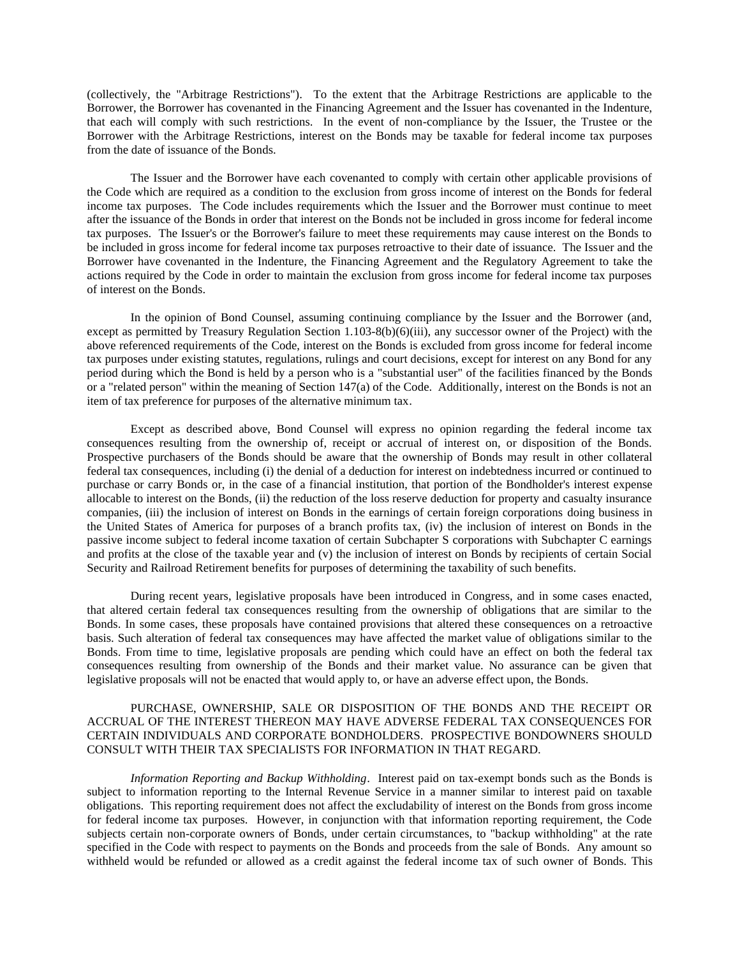(collectively, the "Arbitrage Restrictions"). To the extent that the Arbitrage Restrictions are applicable to the Borrower, the Borrower has covenanted in the Financing Agreement and the Issuer has covenanted in the Indenture, that each will comply with such restrictions. In the event of non-compliance by the Issuer, the Trustee or the Borrower with the Arbitrage Restrictions, interest on the Bonds may be taxable for federal income tax purposes from the date of issuance of the Bonds.

The Issuer and the Borrower have each covenanted to comply with certain other applicable provisions of the Code which are required as a condition to the exclusion from gross income of interest on the Bonds for federal income tax purposes. The Code includes requirements which the Issuer and the Borrower must continue to meet after the issuance of the Bonds in order that interest on the Bonds not be included in gross income for federal income tax purposes. The Issuer's or the Borrower's failure to meet these requirements may cause interest on the Bonds to be included in gross income for federal income tax purposes retroactive to their date of issuance. The Issuer and the Borrower have covenanted in the Indenture, the Financing Agreement and the Regulatory Agreement to take the actions required by the Code in order to maintain the exclusion from gross income for federal income tax purposes of interest on the Bonds.

In the opinion of Bond Counsel, assuming continuing compliance by the Issuer and the Borrower (and, except as permitted by Treasury Regulation Section 1.103-8(b)(6)(iii), any successor owner of the Project) with the above referenced requirements of the Code, interest on the Bonds is excluded from gross income for federal income tax purposes under existing statutes, regulations, rulings and court decisions, except for interest on any Bond for any period during which the Bond is held by a person who is a "substantial user" of the facilities financed by the Bonds or a "related person" within the meaning of Section 147(a) of the Code. Additionally, interest on the Bonds is not an item of tax preference for purposes of the alternative minimum tax.

Except as described above, Bond Counsel will express no opinion regarding the federal income tax consequences resulting from the ownership of, receipt or accrual of interest on, or disposition of the Bonds. Prospective purchasers of the Bonds should be aware that the ownership of Bonds may result in other collateral federal tax consequences, including (i) the denial of a deduction for interest on indebtedness incurred or continued to purchase or carry Bonds or, in the case of a financial institution, that portion of the Bondholder's interest expense allocable to interest on the Bonds, (ii) the reduction of the loss reserve deduction for property and casualty insurance companies, (iii) the inclusion of interest on Bonds in the earnings of certain foreign corporations doing business in the United States of America for purposes of a branch profits tax, (iv) the inclusion of interest on Bonds in the passive income subject to federal income taxation of certain Subchapter S corporations with Subchapter C earnings and profits at the close of the taxable year and (v) the inclusion of interest on Bonds by recipients of certain Social Security and Railroad Retirement benefits for purposes of determining the taxability of such benefits.

During recent years, legislative proposals have been introduced in Congress, and in some cases enacted, that altered certain federal tax consequences resulting from the ownership of obligations that are similar to the Bonds. In some cases, these proposals have contained provisions that altered these consequences on a retroactive basis. Such alteration of federal tax consequences may have affected the market value of obligations similar to the Bonds. From time to time, legislative proposals are pending which could have an effect on both the federal tax consequences resulting from ownership of the Bonds and their market value. No assurance can be given that legislative proposals will not be enacted that would apply to, or have an adverse effect upon, the Bonds.

## PURCHASE, OWNERSHIP, SALE OR DISPOSITION OF THE BONDS AND THE RECEIPT OR ACCRUAL OF THE INTEREST THEREON MAY HAVE ADVERSE FEDERAL TAX CONSEQUENCES FOR CERTAIN INDIVIDUALS AND CORPORATE BONDHOLDERS. PROSPECTIVE BONDOWNERS SHOULD CONSULT WITH THEIR TAX SPECIALISTS FOR INFORMATION IN THAT REGARD.

*Information Reporting and Backup Withholding*. Interest paid on tax-exempt bonds such as the Bonds is subject to information reporting to the Internal Revenue Service in a manner similar to interest paid on taxable obligations. This reporting requirement does not affect the excludability of interest on the Bonds from gross income for federal income tax purposes. However, in conjunction with that information reporting requirement, the Code subjects certain non-corporate owners of Bonds, under certain circumstances, to "backup withholding" at the rate specified in the Code with respect to payments on the Bonds and proceeds from the sale of Bonds. Any amount so withheld would be refunded or allowed as a credit against the federal income tax of such owner of Bonds. This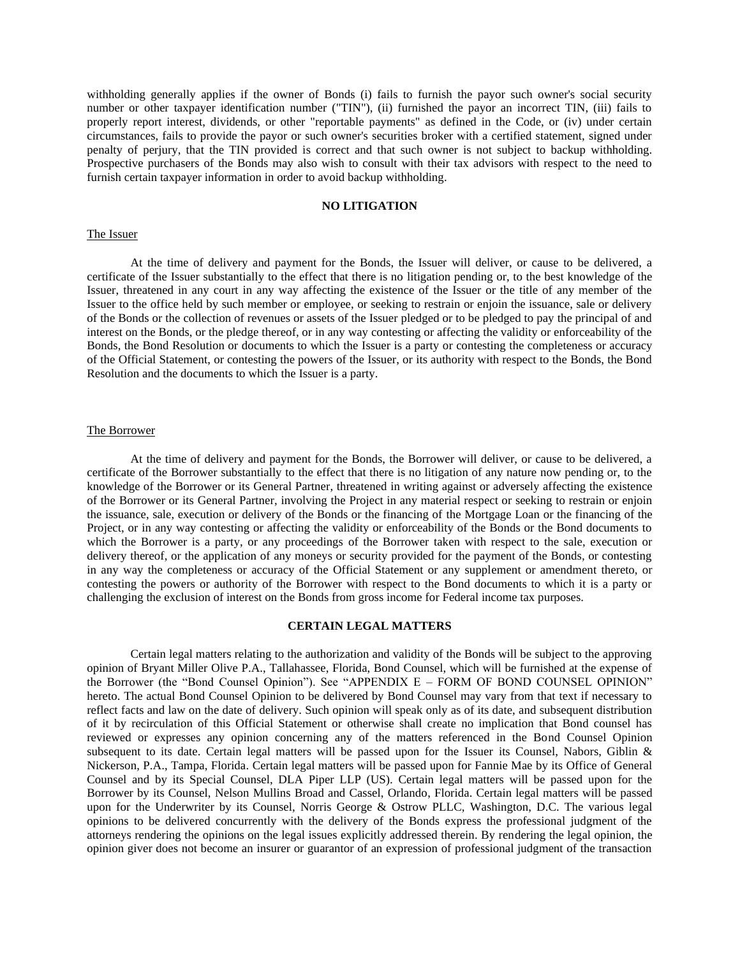withholding generally applies if the owner of Bonds (i) fails to furnish the payor such owner's social security number or other taxpayer identification number ("TIN"), (ii) furnished the payor an incorrect TIN, (iii) fails to properly report interest, dividends, or other "reportable payments" as defined in the Code, or (iv) under certain circumstances, fails to provide the payor or such owner's securities broker with a certified statement, signed under penalty of perjury, that the TIN provided is correct and that such owner is not subject to backup withholding. Prospective purchasers of the Bonds may also wish to consult with their tax advisors with respect to the need to furnish certain taxpayer information in order to avoid backup withholding.

### **NO LITIGATION**

#### <span id="page-28-0"></span>The Issuer

At the time of delivery and payment for the Bonds, the Issuer will deliver, or cause to be delivered, a certificate of the Issuer substantially to the effect that there is no litigation pending or, to the best knowledge of the Issuer, threatened in any court in any way affecting the existence of the Issuer or the title of any member of the Issuer to the office held by such member or employee, or seeking to restrain or enjoin the issuance, sale or delivery of the Bonds or the collection of revenues or assets of the Issuer pledged or to be pledged to pay the principal of and interest on the Bonds, or the pledge thereof, or in any way contesting or affecting the validity or enforceability of the Bonds, the Bond Resolution or documents to which the Issuer is a party or contesting the completeness or accuracy of the Official Statement, or contesting the powers of the Issuer, or its authority with respect to the Bonds, the Bond Resolution and the documents to which the Issuer is a party.

#### The Borrower

At the time of delivery and payment for the Bonds, the Borrower will deliver, or cause to be delivered, a certificate of the Borrower substantially to the effect that there is no litigation of any nature now pending or, to the knowledge of the Borrower or its General Partner, threatened in writing against or adversely affecting the existence of the Borrower or its General Partner, involving the Project in any material respect or seeking to restrain or enjoin the issuance, sale, execution or delivery of the Bonds or the financing of the Mortgage Loan or the financing of the Project, or in any way contesting or affecting the validity or enforceability of the Bonds or the Bond documents to which the Borrower is a party, or any proceedings of the Borrower taken with respect to the sale, execution or delivery thereof, or the application of any moneys or security provided for the payment of the Bonds, or contesting in any way the completeness or accuracy of the Official Statement or any supplement or amendment thereto, or contesting the powers or authority of the Borrower with respect to the Bond documents to which it is a party or challenging the exclusion of interest on the Bonds from gross income for Federal income tax purposes.

### **CERTAIN LEGAL MATTERS**

<span id="page-28-1"></span>Certain legal matters relating to the authorization and validity of the Bonds will be subject to the approving opinion of Bryant Miller Olive P.A., Tallahassee, Florida, Bond Counsel, which will be furnished at the expense of the Borrower (the "Bond Counsel Opinion"). See "APPENDIX E – FORM OF BOND COUNSEL OPINION" hereto. The actual Bond Counsel Opinion to be delivered by Bond Counsel may vary from that text if necessary to reflect facts and law on the date of delivery. Such opinion will speak only as of its date, and subsequent distribution of it by recirculation of this Official Statement or otherwise shall create no implication that Bond counsel has reviewed or expresses any opinion concerning any of the matters referenced in the Bond Counsel Opinion subsequent to its date. Certain legal matters will be passed upon for the Issuer its Counsel, Nabors, Giblin & Nickerson, P.A., Tampa, Florida. Certain legal matters will be passed upon for Fannie Mae by its Office of General Counsel and by its Special Counsel, DLA Piper LLP (US). Certain legal matters will be passed upon for the Borrower by its Counsel, Nelson Mullins Broad and Cassel, Orlando, Florida. Certain legal matters will be passed upon for the Underwriter by its Counsel, Norris George & Ostrow PLLC, Washington, D.C. The various legal opinions to be delivered concurrently with the delivery of the Bonds express the professional judgment of the attorneys rendering the opinions on the legal issues explicitly addressed therein. By rendering the legal opinion, the opinion giver does not become an insurer or guarantor of an expression of professional judgment of the transaction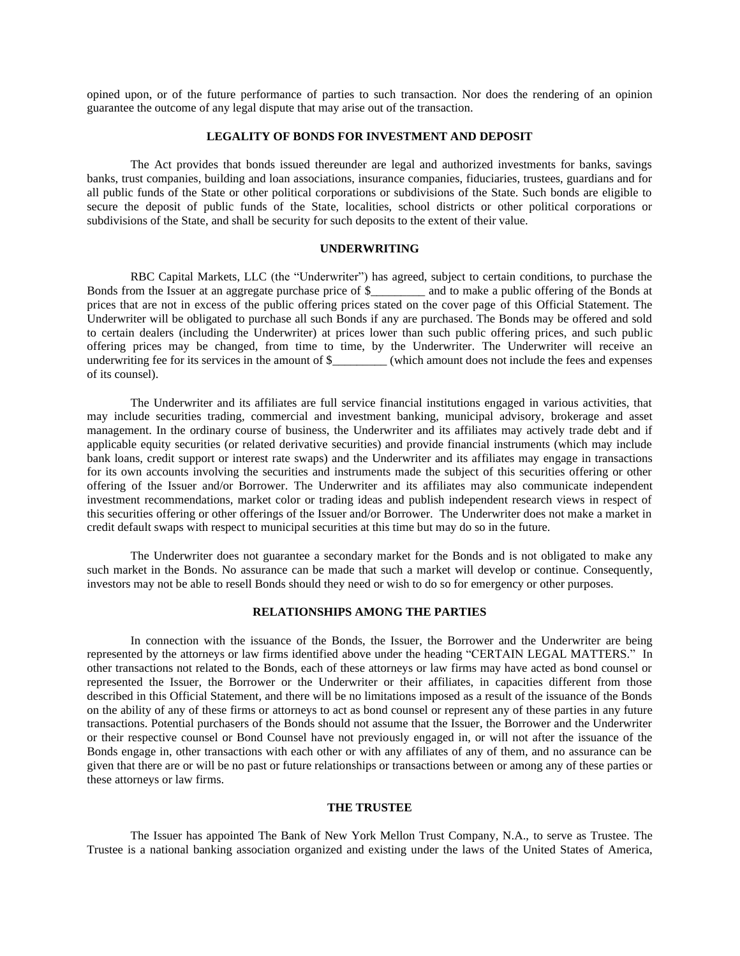opined upon, or of the future performance of parties to such transaction. Nor does the rendering of an opinion guarantee the outcome of any legal dispute that may arise out of the transaction.

#### **LEGALITY OF BONDS FOR INVESTMENT AND DEPOSIT**

<span id="page-29-0"></span>The Act provides that bonds issued thereunder are legal and authorized investments for banks, savings banks, trust companies, building and loan associations, insurance companies, fiduciaries, trustees, guardians and for all public funds of the State or other political corporations or subdivisions of the State. Such bonds are eligible to secure the deposit of public funds of the State, localities, school districts or other political corporations or subdivisions of the State, and shall be security for such deposits to the extent of their value.

### **UNDERWRITING**

<span id="page-29-1"></span>RBC Capital Markets, LLC (the "Underwriter") has agreed, subject to certain conditions, to purchase the Bonds from the Issuer at an aggregate purchase price of \$\_\_\_\_\_\_\_\_\_ and to make a public offering of the Bonds at prices that are not in excess of the public offering prices stated on the cover page of this Official Statement. The Underwriter will be obligated to purchase all such Bonds if any are purchased. The Bonds may be offered and sold to certain dealers (including the Underwriter) at prices lower than such public offering prices, and such public offering prices may be changed, from time to time, by the Underwriter. The Underwriter will receive an underwriting fee for its services in the amount of \$\_\_\_\_\_\_\_\_\_ (which amount does not include the fees and expenses of its counsel).

The Underwriter and its affiliates are full service financial institutions engaged in various activities, that may include securities trading, commercial and investment banking, municipal advisory, brokerage and asset management. In the ordinary course of business, the Underwriter and its affiliates may actively trade debt and if applicable equity securities (or related derivative securities) and provide financial instruments (which may include bank loans, credit support or interest rate swaps) and the Underwriter and its affiliates may engage in transactions for its own accounts involving the securities and instruments made the subject of this securities offering or other offering of the Issuer and/or Borrower. The Underwriter and its affiliates may also communicate independent investment recommendations, market color or trading ideas and publish independent research views in respect of this securities offering or other offerings of the Issuer and/or Borrower. The Underwriter does not make a market in credit default swaps with respect to municipal securities at this time but may do so in the future.

The Underwriter does not guarantee a secondary market for the Bonds and is not obligated to make any such market in the Bonds. No assurance can be made that such a market will develop or continue. Consequently, investors may not be able to resell Bonds should they need or wish to do so for emergency or other purposes.

### **RELATIONSHIPS AMONG THE PARTIES**

<span id="page-29-2"></span>In connection with the issuance of the Bonds, the Issuer, the Borrower and the Underwriter are being represented by the attorneys or law firms identified above under the heading "CERTAIN LEGAL MATTERS." In other transactions not related to the Bonds, each of these attorneys or law firms may have acted as bond counsel or represented the Issuer, the Borrower or the Underwriter or their affiliates, in capacities different from those described in this Official Statement, and there will be no limitations imposed as a result of the issuance of the Bonds on the ability of any of these firms or attorneys to act as bond counsel or represent any of these parties in any future transactions. Potential purchasers of the Bonds should not assume that the Issuer, the Borrower and the Underwriter or their respective counsel or Bond Counsel have not previously engaged in, or will not after the issuance of the Bonds engage in, other transactions with each other or with any affiliates of any of them, and no assurance can be given that there are or will be no past or future relationships or transactions between or among any of these parties or these attorneys or law firms.

### **THE TRUSTEE**

<span id="page-29-3"></span>The Issuer has appointed The Bank of New York Mellon Trust Company, N.A., to serve as Trustee. The Trustee is a national banking association organized and existing under the laws of the United States of America,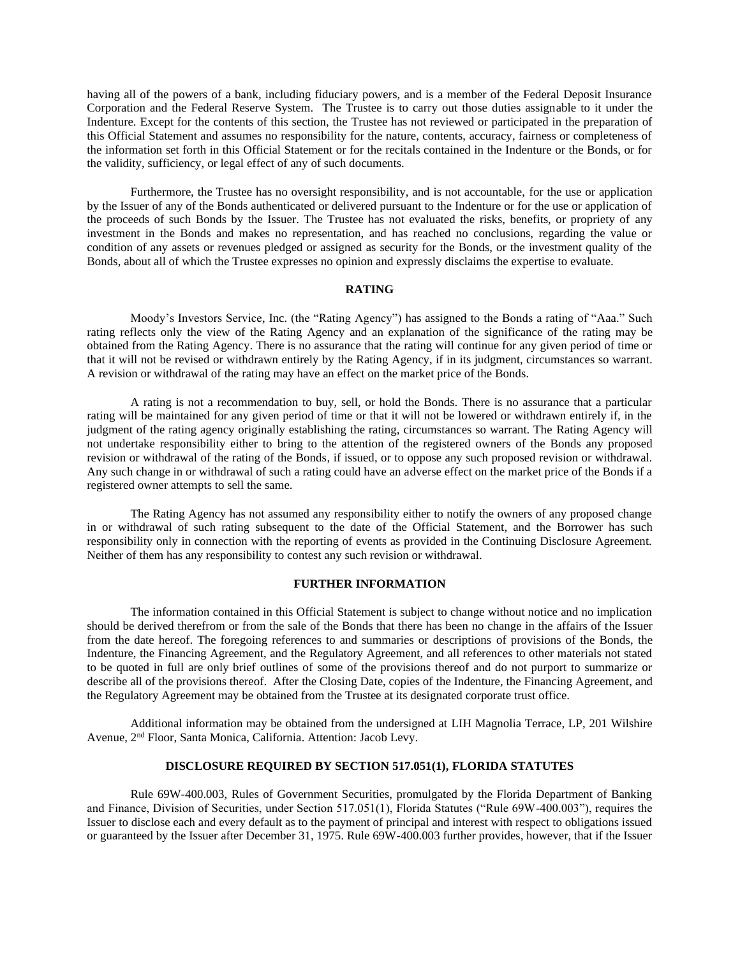having all of the powers of a bank, including fiduciary powers, and is a member of the Federal Deposit Insurance Corporation and the Federal Reserve System. The Trustee is to carry out those duties assignable to it under the Indenture. Except for the contents of this section, the Trustee has not reviewed or participated in the preparation of this Official Statement and assumes no responsibility for the nature, contents, accuracy, fairness or completeness of the information set forth in this Official Statement or for the recitals contained in the Indenture or the Bonds, or for the validity, sufficiency, or legal effect of any of such documents.

Furthermore, the Trustee has no oversight responsibility, and is not accountable, for the use or application by the Issuer of any of the Bonds authenticated or delivered pursuant to the Indenture or for the use or application of the proceeds of such Bonds by the Issuer. The Trustee has not evaluated the risks, benefits, or propriety of any investment in the Bonds and makes no representation, and has reached no conclusions, regarding the value or condition of any assets or revenues pledged or assigned as security for the Bonds, or the investment quality of the Bonds, about all of which the Trustee expresses no opinion and expressly disclaims the expertise to evaluate.

#### **RATING**

<span id="page-30-0"></span>Moody's Investors Service, Inc. (the "Rating Agency") has assigned to the Bonds a rating of "Aaa." Such rating reflects only the view of the Rating Agency and an explanation of the significance of the rating may be obtained from the Rating Agency. There is no assurance that the rating will continue for any given period of time or that it will not be revised or withdrawn entirely by the Rating Agency, if in its judgment, circumstances so warrant. A revision or withdrawal of the rating may have an effect on the market price of the Bonds.

A rating is not a recommendation to buy, sell, or hold the Bonds. There is no assurance that a particular rating will be maintained for any given period of time or that it will not be lowered or withdrawn entirely if, in the judgment of the rating agency originally establishing the rating, circumstances so warrant. The Rating Agency will not undertake responsibility either to bring to the attention of the registered owners of the Bonds any proposed revision or withdrawal of the rating of the Bonds, if issued, or to oppose any such proposed revision or withdrawal. Any such change in or withdrawal of such a rating could have an adverse effect on the market price of the Bonds if a registered owner attempts to sell the same.

The Rating Agency has not assumed any responsibility either to notify the owners of any proposed change in or withdrawal of such rating subsequent to the date of the Official Statement, and the Borrower has such responsibility only in connection with the reporting of events as provided in the Continuing Disclosure Agreement. Neither of them has any responsibility to contest any such revision or withdrawal.

### **FURTHER INFORMATION**

<span id="page-30-1"></span>The information contained in this Official Statement is subject to change without notice and no implication should be derived therefrom or from the sale of the Bonds that there has been no change in the affairs of the Issuer from the date hereof. The foregoing references to and summaries or descriptions of provisions of the Bonds, the Indenture, the Financing Agreement, and the Regulatory Agreement, and all references to other materials not stated to be quoted in full are only brief outlines of some of the provisions thereof and do not purport to summarize or describe all of the provisions thereof. After the Closing Date, copies of the Indenture, the Financing Agreement, and the Regulatory Agreement may be obtained from the Trustee at its designated corporate trust office.

Additional information may be obtained from the undersigned at LIH Magnolia Terrace, LP, 201 Wilshire Avenue, 2nd Floor, Santa Monica, California. Attention: Jacob Levy.

### **DISCLOSURE REQUIRED BY SECTION 517.051(1), FLORIDA STATUTES**

<span id="page-30-2"></span>Rule 69W-400.003, Rules of Government Securities, promulgated by the Florida Department of Banking and Finance, Division of Securities, under Section 517.051(1), Florida Statutes ("Rule 69W-400.003"), requires the Issuer to disclose each and every default as to the payment of principal and interest with respect to obligations issued or guaranteed by the Issuer after December 31, 1975. Rule 69W-400.003 further provides, however, that if the Issuer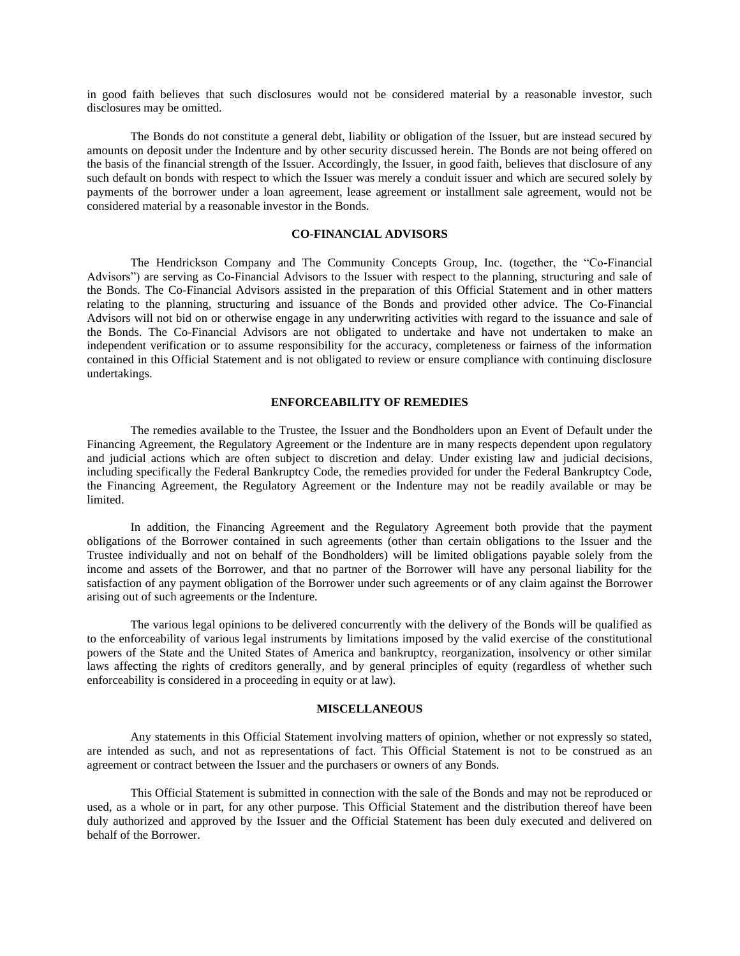in good faith believes that such disclosures would not be considered material by a reasonable investor, such disclosures may be omitted.

The Bonds do not constitute a general debt, liability or obligation of the Issuer, but are instead secured by amounts on deposit under the Indenture and by other security discussed herein. The Bonds are not being offered on the basis of the financial strength of the Issuer. Accordingly, the Issuer, in good faith, believes that disclosure of any such default on bonds with respect to which the Issuer was merely a conduit issuer and which are secured solely by payments of the borrower under a loan agreement, lease agreement or installment sale agreement, would not be considered material by a reasonable investor in the Bonds.

### **CO-FINANCIAL ADVISORS**

<span id="page-31-0"></span>The Hendrickson Company and The Community Concepts Group, Inc. (together, the "Co-Financial Advisors") are serving as Co-Financial Advisors to the Issuer with respect to the planning, structuring and sale of the Bonds. The Co-Financial Advisors assisted in the preparation of this Official Statement and in other matters relating to the planning, structuring and issuance of the Bonds and provided other advice. The Co-Financial Advisors will not bid on or otherwise engage in any underwriting activities with regard to the issuance and sale of the Bonds. The Co-Financial Advisors are not obligated to undertake and have not undertaken to make an independent verification or to assume responsibility for the accuracy, completeness or fairness of the information contained in this Official Statement and is not obligated to review or ensure compliance with continuing disclosure undertakings.

#### **ENFORCEABILITY OF REMEDIES**

The remedies available to the Trustee, the Issuer and the Bondholders upon an Event of Default under the Financing Agreement, the Regulatory Agreement or the Indenture are in many respects dependent upon regulatory and judicial actions which are often subject to discretion and delay. Under existing law and judicial decisions, including specifically the Federal Bankruptcy Code, the remedies provided for under the Federal Bankruptcy Code, the Financing Agreement, the Regulatory Agreement or the Indenture may not be readily available or may be limited.

In addition, the Financing Agreement and the Regulatory Agreement both provide that the payment obligations of the Borrower contained in such agreements (other than certain obligations to the Issuer and the Trustee individually and not on behalf of the Bondholders) will be limited obligations payable solely from the income and assets of the Borrower, and that no partner of the Borrower will have any personal liability for the satisfaction of any payment obligation of the Borrower under such agreements or of any claim against the Borrower arising out of such agreements or the Indenture.

The various legal opinions to be delivered concurrently with the delivery of the Bonds will be qualified as to the enforceability of various legal instruments by limitations imposed by the valid exercise of the constitutional powers of the State and the United States of America and bankruptcy, reorganization, insolvency or other similar laws affecting the rights of creditors generally, and by general principles of equity (regardless of whether such enforceability is considered in a proceeding in equity or at law).

#### **MISCELLANEOUS**

<span id="page-31-1"></span>Any statements in this Official Statement involving matters of opinion, whether or not expressly so stated, are intended as such, and not as representations of fact. This Official Statement is not to be construed as an agreement or contract between the Issuer and the purchasers or owners of any Bonds.

This Official Statement is submitted in connection with the sale of the Bonds and may not be reproduced or used, as a whole or in part, for any other purpose. This Official Statement and the distribution thereof have been duly authorized and approved by the Issuer and the Official Statement has been duly executed and delivered on behalf of the Borrower.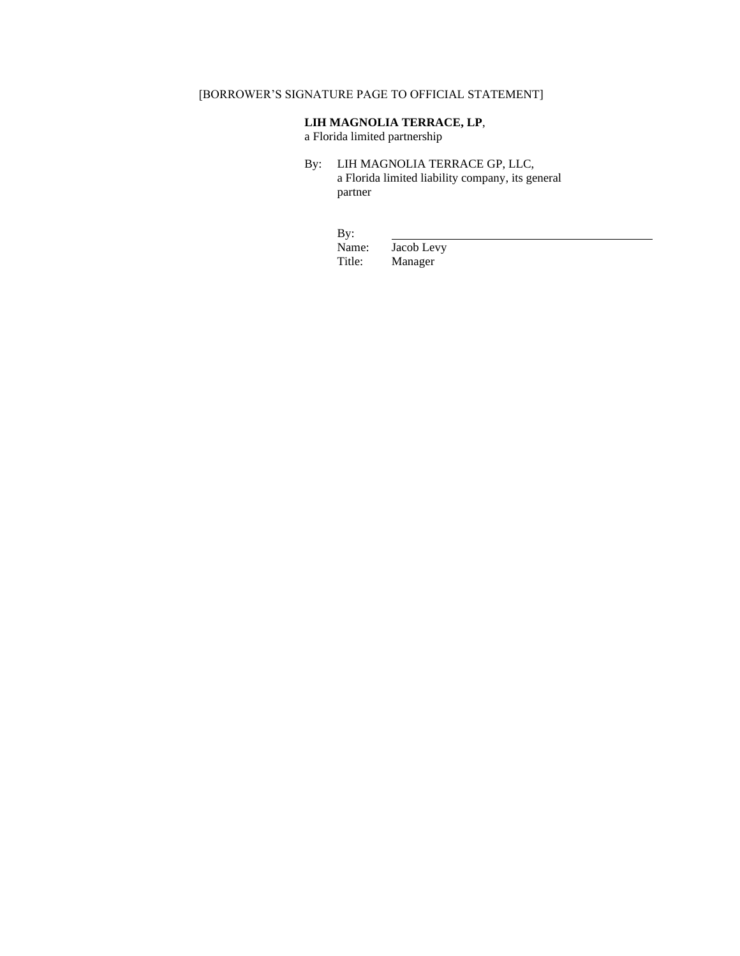# [BORROWER'S SIGNATURE PAGE TO OFFICIAL STATEMENT]

## **LIH MAGNOLIA TERRACE, LP**,

a Florida limited partnership

- By: LIH MAGNOLIA TERRACE GP, LLC, a Florida limited liability company, its general partner
	- By:<br>Name:

Name: Jacob Levy<br>Title: Manager Manager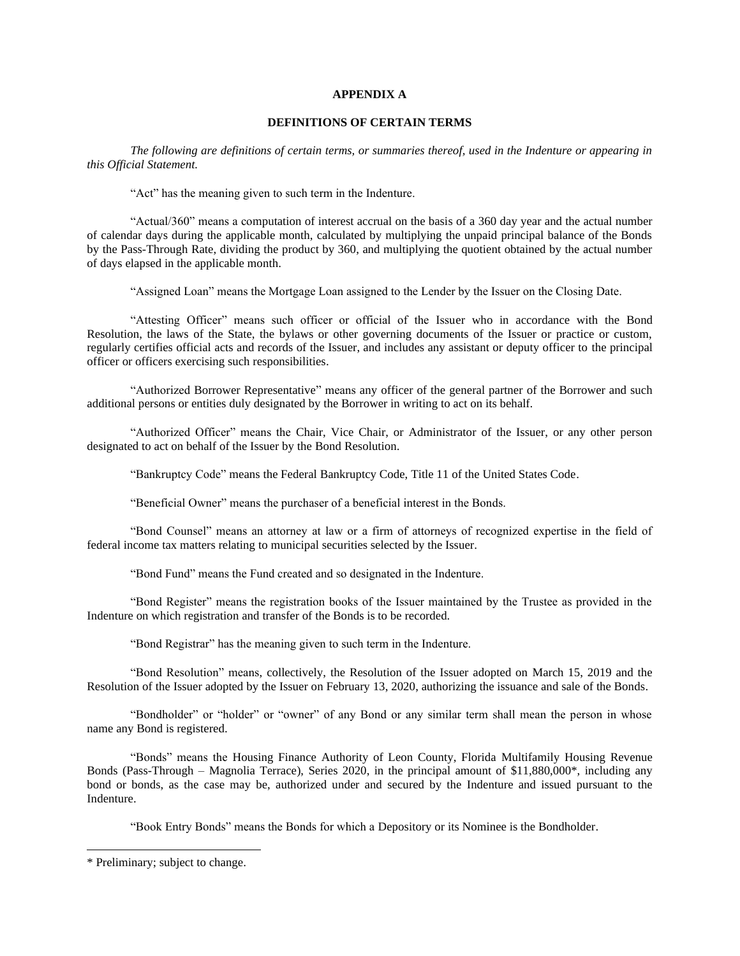### **APPENDIX A**

### **DEFINITIONS OF CERTAIN TERMS**

*The following are definitions of certain terms, or summaries thereof, used in the Indenture or appearing in this Official Statement.*

"Act" has the meaning given to such term in the Indenture.

"Actual/360" means a computation of interest accrual on the basis of a 360 day year and the actual number of calendar days during the applicable month, calculated by multiplying the unpaid principal balance of the Bonds by the Pass-Through Rate, dividing the product by 360, and multiplying the quotient obtained by the actual number of days elapsed in the applicable month.

"Assigned Loan" means the Mortgage Loan assigned to the Lender by the Issuer on the Closing Date.

"Attesting Officer" means such officer or official of the Issuer who in accordance with the Bond Resolution, the laws of the State, the bylaws or other governing documents of the Issuer or practice or custom, regularly certifies official acts and records of the Issuer, and includes any assistant or deputy officer to the principal officer or officers exercising such responsibilities.

"Authorized Borrower Representative" means any officer of the general partner of the Borrower and such additional persons or entities duly designated by the Borrower in writing to act on its behalf.

"Authorized Officer" means the Chair, Vice Chair, or Administrator of the Issuer, or any other person designated to act on behalf of the Issuer by the Bond Resolution.

"Bankruptcy Code" means the Federal Bankruptcy Code, Title 11 of the United States Code.

"Beneficial Owner" means the purchaser of a beneficial interest in the Bonds.

"Bond Counsel" means an attorney at law or a firm of attorneys of recognized expertise in the field of federal income tax matters relating to municipal securities selected by the Issuer.

"Bond Fund" means the Fund created and so designated in the Indenture.

"Bond Register" means the registration books of the Issuer maintained by the Trustee as provided in the Indenture on which registration and transfer of the Bonds is to be recorded.

"Bond Registrar" has the meaning given to such term in the Indenture.

"Bond Resolution" means, collectively, the Resolution of the Issuer adopted on March 15, 2019 and the Resolution of the Issuer adopted by the Issuer on February 13, 2020, authorizing the issuance and sale of the Bonds.

"Bondholder" or "holder" or "owner" of any Bond or any similar term shall mean the person in whose name any Bond is registered.

"Bonds" means the Housing Finance Authority of Leon County, Florida Multifamily Housing Revenue Bonds (Pass-Through – Magnolia Terrace), Series 2020, in the principal amount of \$11,880,000\*, including any bond or bonds, as the case may be, authorized under and secured by the Indenture and issued pursuant to the Indenture.

"Book Entry Bonds" means the Bonds for which a Depository or its Nominee is the Bondholder.

<sup>\*</sup> Preliminary; subject to change.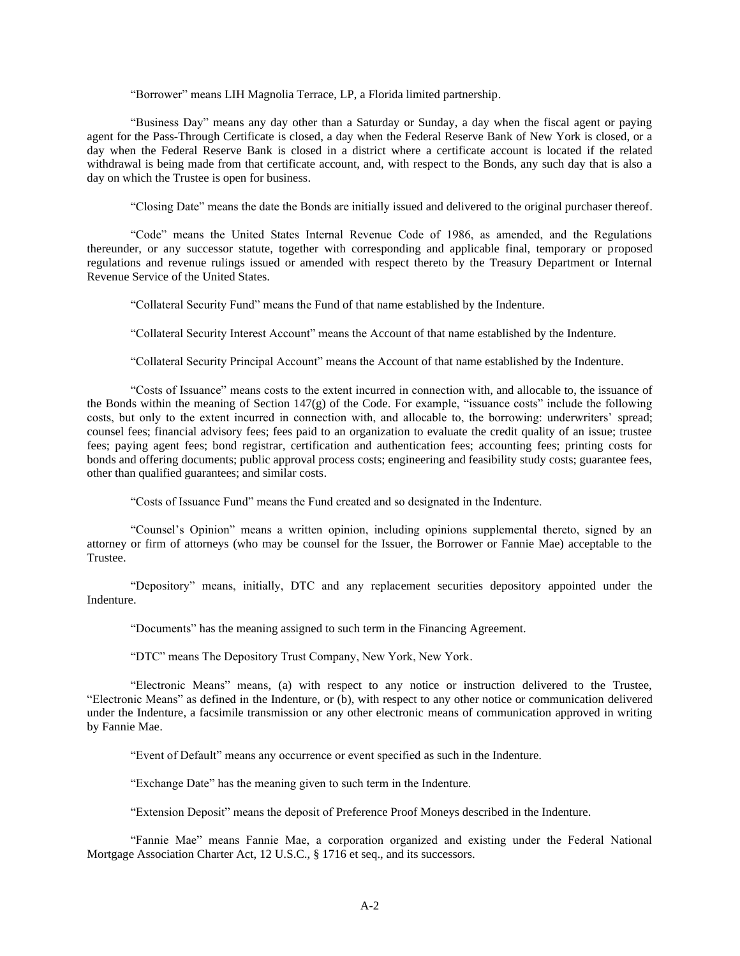"Borrower" means LIH Magnolia Terrace, LP, a Florida limited partnership.

"Business Day" means any day other than a Saturday or Sunday, a day when the fiscal agent or paying agent for the Pass-Through Certificate is closed, a day when the Federal Reserve Bank of New York is closed, or a day when the Federal Reserve Bank is closed in a district where a certificate account is located if the related withdrawal is being made from that certificate account, and, with respect to the Bonds, any such day that is also a day on which the Trustee is open for business.

"Closing Date" means the date the Bonds are initially issued and delivered to the original purchaser thereof.

"Code" means the United States Internal Revenue Code of 1986, as amended, and the Regulations thereunder, or any successor statute, together with corresponding and applicable final, temporary or proposed regulations and revenue rulings issued or amended with respect thereto by the Treasury Department or Internal Revenue Service of the United States.

"Collateral Security Fund" means the Fund of that name established by the Indenture.

"Collateral Security Interest Account" means the Account of that name established by the Indenture.

"Collateral Security Principal Account" means the Account of that name established by the Indenture.

"Costs of Issuance" means costs to the extent incurred in connection with, and allocable to, the issuance of the Bonds within the meaning of Section  $147(g)$  of the Code. For example, "issuance costs" include the following costs, but only to the extent incurred in connection with, and allocable to, the borrowing: underwriters' spread; counsel fees; financial advisory fees; fees paid to an organization to evaluate the credit quality of an issue; trustee fees; paying agent fees; bond registrar, certification and authentication fees; accounting fees; printing costs for bonds and offering documents; public approval process costs; engineering and feasibility study costs; guarantee fees, other than qualified guarantees; and similar costs.

"Costs of Issuance Fund" means the Fund created and so designated in the Indenture.

"Counsel's Opinion" means a written opinion, including opinions supplemental thereto, signed by an attorney or firm of attorneys (who may be counsel for the Issuer, the Borrower or Fannie Mae) acceptable to the Trustee.

"Depository" means, initially, DTC and any replacement securities depository appointed under the Indenture.

"Documents" has the meaning assigned to such term in the Financing Agreement.

"DTC" means The Depository Trust Company, New York, New York.

"Electronic Means" means, (a) with respect to any notice or instruction delivered to the Trustee, "Electronic Means" as defined in the Indenture, or (b), with respect to any other notice or communication delivered under the Indenture, a facsimile transmission or any other electronic means of communication approved in writing by Fannie Mae.

"Event of Default" means any occurrence or event specified as such in the Indenture.

"Exchange Date" has the meaning given to such term in the Indenture.

"Extension Deposit" means the deposit of Preference Proof Moneys described in the Indenture.

"Fannie Mae" means Fannie Mae, a corporation organized and existing under the Federal National Mortgage Association Charter Act, 12 U.S.C., § 1716 et seq., and its successors.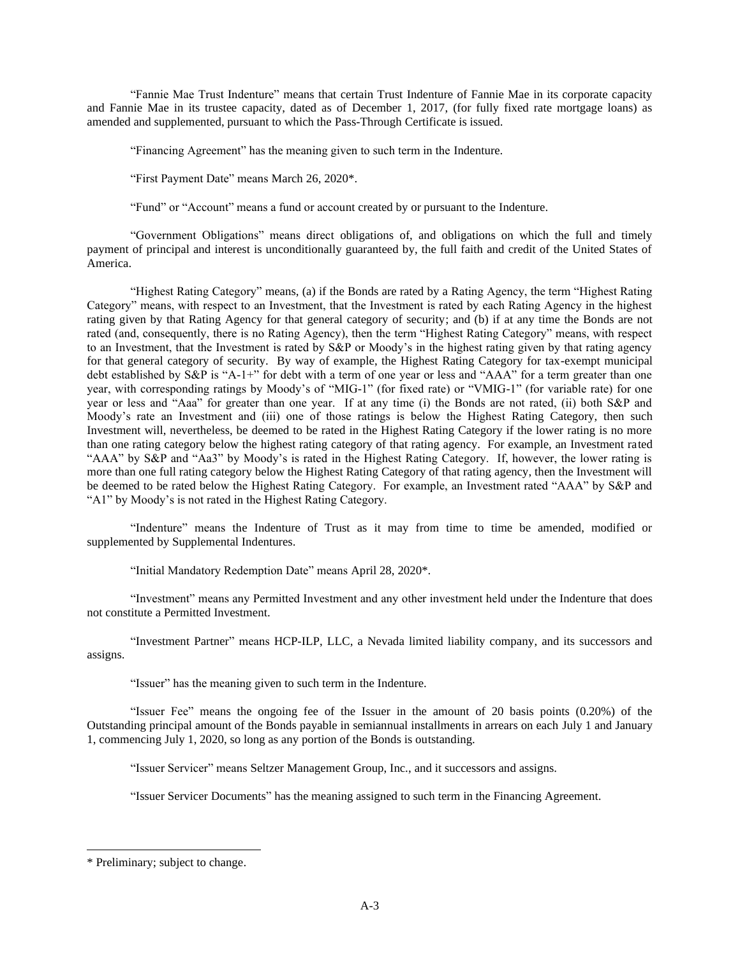"Fannie Mae Trust Indenture" means that certain Trust Indenture of Fannie Mae in its corporate capacity and Fannie Mae in its trustee capacity, dated as of December 1, 2017, (for fully fixed rate mortgage loans) as amended and supplemented, pursuant to which the Pass-Through Certificate is issued.

"Financing Agreement" has the meaning given to such term in the Indenture.

"First Payment Date" means March 26, 2020\*.

"Fund" or "Account" means a fund or account created by or pursuant to the Indenture.

"Government Obligations" means direct obligations of, and obligations on which the full and timely payment of principal and interest is unconditionally guaranteed by, the full faith and credit of the United States of America.

"Highest Rating Category" means, (a) if the Bonds are rated by a Rating Agency, the term "Highest Rating Category" means, with respect to an Investment, that the Investment is rated by each Rating Agency in the highest rating given by that Rating Agency for that general category of security; and (b) if at any time the Bonds are not rated (and, consequently, there is no Rating Agency), then the term "Highest Rating Category" means, with respect to an Investment, that the Investment is rated by S&P or Moody's in the highest rating given by that rating agency for that general category of security. By way of example, the Highest Rating Category for tax-exempt municipal debt established by S&P is "A-1+" for debt with a term of one year or less and "AAA" for a term greater than one year, with corresponding ratings by Moody's of "MIG-1" (for fixed rate) or "VMIG-1" (for variable rate) for one year or less and "Aaa" for greater than one year. If at any time (i) the Bonds are not rated, (ii) both S&P and Moody's rate an Investment and (iii) one of those ratings is below the Highest Rating Category, then such Investment will, nevertheless, be deemed to be rated in the Highest Rating Category if the lower rating is no more than one rating category below the highest rating category of that rating agency. For example, an Investment rated "AAA" by S&P and "Aa3" by Moody's is rated in the Highest Rating Category. If, however, the lower rating is more than one full rating category below the Highest Rating Category of that rating agency, then the Investment will be deemed to be rated below the Highest Rating Category. For example, an Investment rated "AAA" by S&P and "A1" by Moody's is not rated in the Highest Rating Category.

"Indenture" means the Indenture of Trust as it may from time to time be amended, modified or supplemented by Supplemental Indentures.

"Initial Mandatory Redemption Date" means April 28, 2020\*.

"Investment" means any Permitted Investment and any other investment held under the Indenture that does not constitute a Permitted Investment.

"Investment Partner" means HCP-ILP, LLC, a Nevada limited liability company, and its successors and assigns.

"Issuer" has the meaning given to such term in the Indenture.

"Issuer Fee" means the ongoing fee of the Issuer in the amount of 20 basis points (0.20%) of the Outstanding principal amount of the Bonds payable in semiannual installments in arrears on each July 1 and January 1, commencing July 1, 2020, so long as any portion of the Bonds is outstanding.

"Issuer Servicer" means Seltzer Management Group, Inc., and it successors and assigns.

"Issuer Servicer Documents" has the meaning assigned to such term in the Financing Agreement.

<sup>\*</sup> Preliminary; subject to change.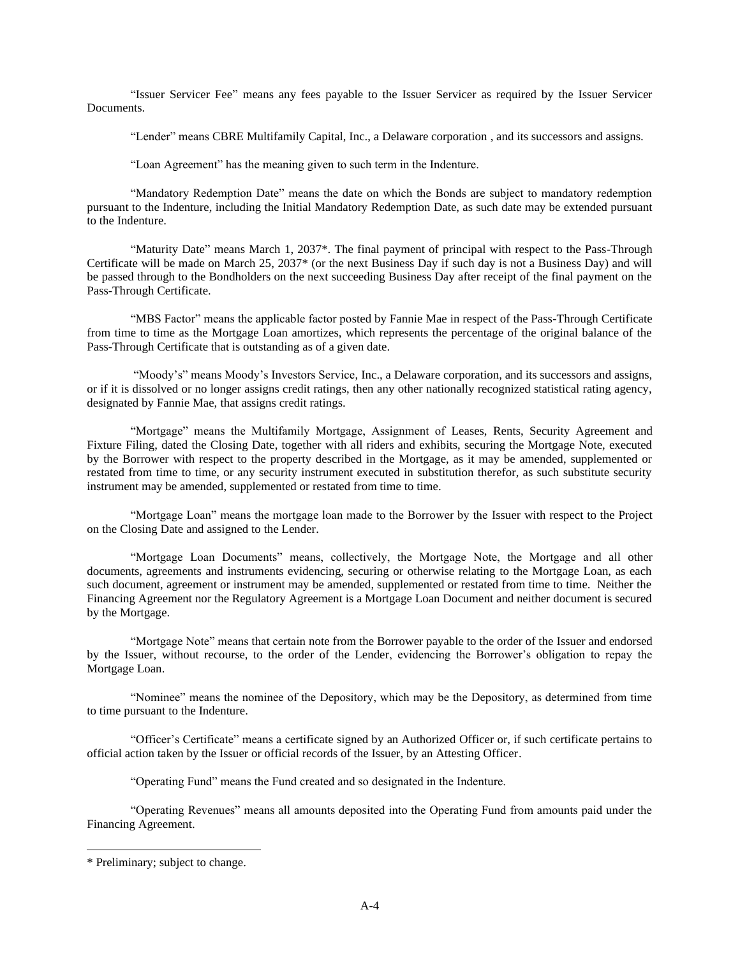"Issuer Servicer Fee" means any fees payable to the Issuer Servicer as required by the Issuer Servicer Documents.

"Lender" means CBRE Multifamily Capital, Inc., a Delaware corporation , and its successors and assigns.

"Loan Agreement" has the meaning given to such term in the Indenture.

"Mandatory Redemption Date" means the date on which the Bonds are subject to mandatory redemption pursuant to the Indenture, including the Initial Mandatory Redemption Date, as such date may be extended pursuant to the Indenture.

"Maturity Date" means March 1, 2037\*. The final payment of principal with respect to the Pass-Through Certificate will be made on March 25, 2037\* (or the next Business Day if such day is not a Business Day) and will be passed through to the Bondholders on the next succeeding Business Day after receipt of the final payment on the Pass-Through Certificate.

"MBS Factor" means the applicable factor posted by Fannie Mae in respect of the Pass-Through Certificate from time to time as the Mortgage Loan amortizes, which represents the percentage of the original balance of the Pass-Through Certificate that is outstanding as of a given date.

"Moody's" means Moody's Investors Service, Inc., a Delaware corporation, and its successors and assigns, or if it is dissolved or no longer assigns credit ratings, then any other nationally recognized statistical rating agency, designated by Fannie Mae, that assigns credit ratings.

"Mortgage" means the Multifamily Mortgage, Assignment of Leases, Rents, Security Agreement and Fixture Filing, dated the Closing Date, together with all riders and exhibits, securing the Mortgage Note, executed by the Borrower with respect to the property described in the Mortgage, as it may be amended, supplemented or restated from time to time, or any security instrument executed in substitution therefor, as such substitute security instrument may be amended, supplemented or restated from time to time.

"Mortgage Loan" means the mortgage loan made to the Borrower by the Issuer with respect to the Project on the Closing Date and assigned to the Lender.

"Mortgage Loan Documents" means, collectively, the Mortgage Note, the Mortgage and all other documents, agreements and instruments evidencing, securing or otherwise relating to the Mortgage Loan, as each such document, agreement or instrument may be amended, supplemented or restated from time to time. Neither the Financing Agreement nor the Regulatory Agreement is a Mortgage Loan Document and neither document is secured by the Mortgage.

"Mortgage Note" means that certain note from the Borrower payable to the order of the Issuer and endorsed by the Issuer, without recourse, to the order of the Lender, evidencing the Borrower's obligation to repay the Mortgage Loan.

"Nominee" means the nominee of the Depository, which may be the Depository, as determined from time to time pursuant to the Indenture.

"Officer's Certificate" means a certificate signed by an Authorized Officer or, if such certificate pertains to official action taken by the Issuer or official records of the Issuer, by an Attesting Officer.

"Operating Fund" means the Fund created and so designated in the Indenture.

"Operating Revenues" means all amounts deposited into the Operating Fund from amounts paid under the Financing Agreement.

<sup>\*</sup> Preliminary; subject to change.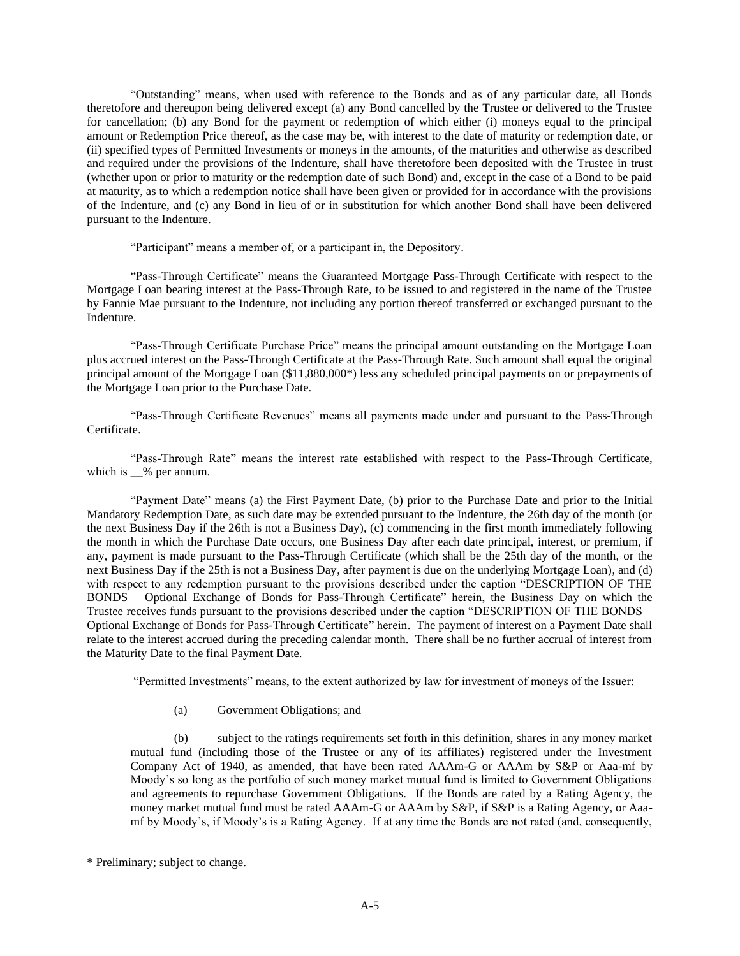"Outstanding" means, when used with reference to the Bonds and as of any particular date, all Bonds theretofore and thereupon being delivered except (a) any Bond cancelled by the Trustee or delivered to the Trustee for cancellation; (b) any Bond for the payment or redemption of which either (i) moneys equal to the principal amount or Redemption Price thereof, as the case may be, with interest to the date of maturity or redemption date, or (ii) specified types of Permitted Investments or moneys in the amounts, of the maturities and otherwise as described and required under the provisions of the Indenture, shall have theretofore been deposited with the Trustee in trust (whether upon or prior to maturity or the redemption date of such Bond) and, except in the case of a Bond to be paid at maturity, as to which a redemption notice shall have been given or provided for in accordance with the provisions of the Indenture, and (c) any Bond in lieu of or in substitution for which another Bond shall have been delivered pursuant to the Indenture.

"Participant" means a member of, or a participant in, the Depository.

"Pass-Through Certificate" means the Guaranteed Mortgage Pass-Through Certificate with respect to the Mortgage Loan bearing interest at the Pass-Through Rate, to be issued to and registered in the name of the Trustee by Fannie Mae pursuant to the Indenture, not including any portion thereof transferred or exchanged pursuant to the Indenture.

"Pass-Through Certificate Purchase Price" means the principal amount outstanding on the Mortgage Loan plus accrued interest on the Pass-Through Certificate at the Pass-Through Rate. Such amount shall equal the original principal amount of the Mortgage Loan (\$11,880,000\*) less any scheduled principal payments on or prepayments of the Mortgage Loan prior to the Purchase Date.

"Pass-Through Certificate Revenues" means all payments made under and pursuant to the Pass-Through Certificate.

"Pass-Through Rate" means the interest rate established with respect to the Pass-Through Certificate, which is  $\_\%$  per annum.

"Payment Date" means (a) the First Payment Date, (b) prior to the Purchase Date and prior to the Initial Mandatory Redemption Date, as such date may be extended pursuant to the Indenture, the 26th day of the month (or the next Business Day if the 26th is not a Business Day), (c) commencing in the first month immediately following the month in which the Purchase Date occurs, one Business Day after each date principal, interest, or premium, if any, payment is made pursuant to the Pass-Through Certificate (which shall be the 25th day of the month, or the next Business Day if the 25th is not a Business Day, after payment is due on the underlying Mortgage Loan), and (d) with respect to any redemption pursuant to the provisions described under the caption "DESCRIPTION OF THE BONDS – Optional Exchange of Bonds for Pass-Through Certificate" herein, the Business Day on which the Trustee receives funds pursuant to the provisions described under the caption "DESCRIPTION OF THE BONDS – Optional Exchange of Bonds for Pass-Through Certificate" herein. The payment of interest on a Payment Date shall relate to the interest accrued during the preceding calendar month. There shall be no further accrual of interest from the Maturity Date to the final Payment Date.

"Permitted Investments" means, to the extent authorized by law for investment of moneys of the Issuer:

(a) Government Obligations; and

(b) subject to the ratings requirements set forth in this definition, shares in any money market mutual fund (including those of the Trustee or any of its affiliates) registered under the Investment Company Act of 1940, as amended, that have been rated AAAm-G or AAAm by S&P or Aaa-mf by Moody's so long as the portfolio of such money market mutual fund is limited to Government Obligations and agreements to repurchase Government Obligations. If the Bonds are rated by a Rating Agency, the money market mutual fund must be rated AAAm-G or AAAm by S&P, if S&P is a Rating Agency, or Aaamf by Moody's, if Moody's is a Rating Agency. If at any time the Bonds are not rated (and, consequently,

<sup>\*</sup> Preliminary; subject to change.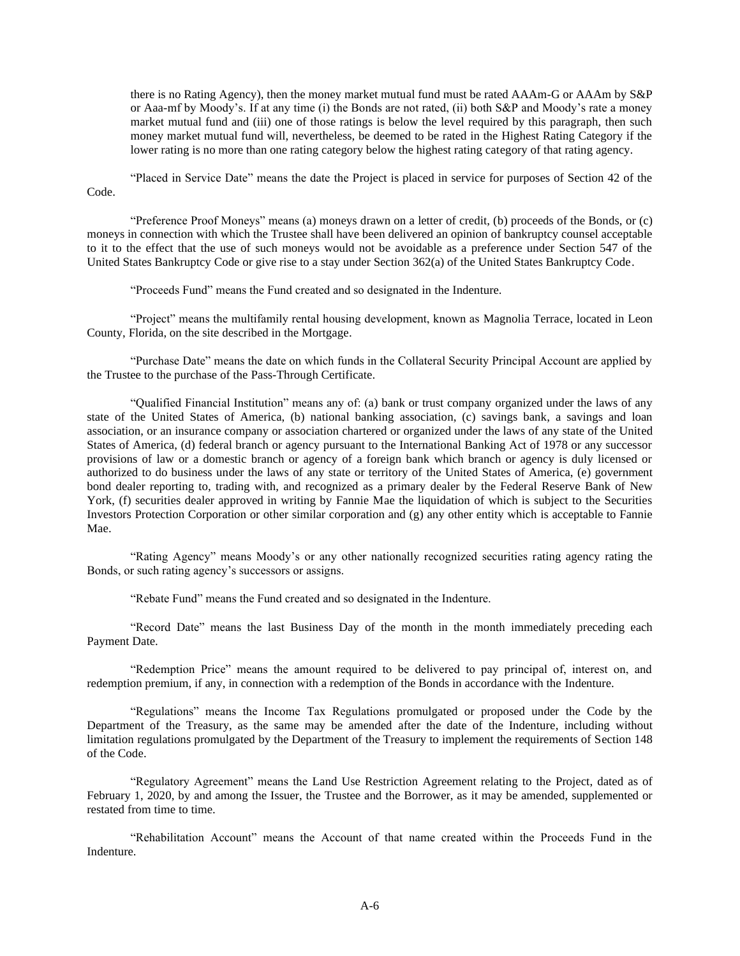there is no Rating Agency), then the money market mutual fund must be rated AAAm-G or AAAm by S&P or Aaa-mf by Moody's. If at any time (i) the Bonds are not rated, (ii) both S&P and Moody's rate a money market mutual fund and (iii) one of those ratings is below the level required by this paragraph, then such money market mutual fund will, nevertheless, be deemed to be rated in the Highest Rating Category if the lower rating is no more than one rating category below the highest rating category of that rating agency.

"Placed in Service Date" means the date the Project is placed in service for purposes of Section 42 of the Code.

"Preference Proof Moneys" means (a) moneys drawn on a letter of credit, (b) proceeds of the Bonds, or (c) moneys in connection with which the Trustee shall have been delivered an opinion of bankruptcy counsel acceptable to it to the effect that the use of such moneys would not be avoidable as a preference under Section 547 of the United States Bankruptcy Code or give rise to a stay under Section 362(a) of the United States Bankruptcy Code.

"Proceeds Fund" means the Fund created and so designated in the Indenture.

"Project" means the multifamily rental housing development, known as Magnolia Terrace, located in Leon County, Florida, on the site described in the Mortgage.

"Purchase Date" means the date on which funds in the Collateral Security Principal Account are applied by the Trustee to the purchase of the Pass-Through Certificate.

"Qualified Financial Institution" means any of: (a) bank or trust company organized under the laws of any state of the United States of America, (b) national banking association, (c) savings bank, a savings and loan association, or an insurance company or association chartered or organized under the laws of any state of the United States of America, (d) federal branch or agency pursuant to the International Banking Act of 1978 or any successor provisions of law or a domestic branch or agency of a foreign bank which branch or agency is duly licensed or authorized to do business under the laws of any state or territory of the United States of America, (e) government bond dealer reporting to, trading with, and recognized as a primary dealer by the Federal Reserve Bank of New York, (f) securities dealer approved in writing by Fannie Mae the liquidation of which is subject to the Securities Investors Protection Corporation or other similar corporation and (g) any other entity which is acceptable to Fannie Mae.

"Rating Agency" means Moody's or any other nationally recognized securities rating agency rating the Bonds, or such rating agency's successors or assigns.

"Rebate Fund" means the Fund created and so designated in the Indenture.

"Record Date" means the last Business Day of the month in the month immediately preceding each Payment Date.

"Redemption Price" means the amount required to be delivered to pay principal of, interest on, and redemption premium, if any, in connection with a redemption of the Bonds in accordance with the Indenture.

"Regulations" means the Income Tax Regulations promulgated or proposed under the Code by the Department of the Treasury, as the same may be amended after the date of the Indenture, including without limitation regulations promulgated by the Department of the Treasury to implement the requirements of Section 148 of the Code.

"Regulatory Agreement" means the Land Use Restriction Agreement relating to the Project, dated as of February 1, 2020, by and among the Issuer, the Trustee and the Borrower, as it may be amended, supplemented or restated from time to time.

"Rehabilitation Account" means the Account of that name created within the Proceeds Fund in the Indenture.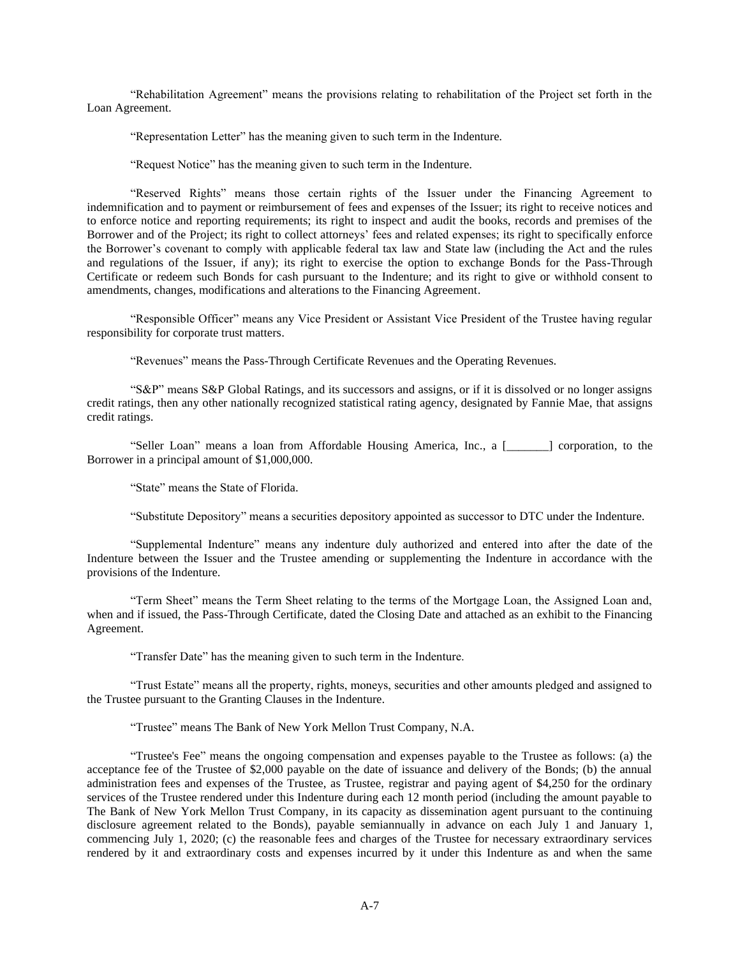"Rehabilitation Agreement" means the provisions relating to rehabilitation of the Project set forth in the Loan Agreement.

"Representation Letter" has the meaning given to such term in the Indenture.

"Request Notice" has the meaning given to such term in the Indenture.

"Reserved Rights" means those certain rights of the Issuer under the Financing Agreement to indemnification and to payment or reimbursement of fees and expenses of the Issuer; its right to receive notices and to enforce notice and reporting requirements; its right to inspect and audit the books, records and premises of the Borrower and of the Project; its right to collect attorneys' fees and related expenses; its right to specifically enforce the Borrower's covenant to comply with applicable federal tax law and State law (including the Act and the rules and regulations of the Issuer, if any); its right to exercise the option to exchange Bonds for the Pass-Through Certificate or redeem such Bonds for cash pursuant to the Indenture; and its right to give or withhold consent to amendments, changes, modifications and alterations to the Financing Agreement.

"Responsible Officer" means any Vice President or Assistant Vice President of the Trustee having regular responsibility for corporate trust matters.

"Revenues" means the Pass-Through Certificate Revenues and the Operating Revenues.

"S&P" means S&P Global Ratings, and its successors and assigns, or if it is dissolved or no longer assigns credit ratings, then any other nationally recognized statistical rating agency, designated by Fannie Mae, that assigns credit ratings.

"Seller Loan" means a loan from Affordable Housing America, Inc., a [\_\_\_\_\_\_\_] corporation, to the Borrower in a principal amount of \$1,000,000.

"State" means the State of Florida.

"Substitute Depository" means a securities depository appointed as successor to DTC under the Indenture.

"Supplemental Indenture" means any indenture duly authorized and entered into after the date of the Indenture between the Issuer and the Trustee amending or supplementing the Indenture in accordance with the provisions of the Indenture.

"Term Sheet" means the Term Sheet relating to the terms of the Mortgage Loan, the Assigned Loan and, when and if issued, the Pass-Through Certificate, dated the Closing Date and attached as an exhibit to the Financing Agreement.

"Transfer Date" has the meaning given to such term in the Indenture.

"Trust Estate" means all the property, rights, moneys, securities and other amounts pledged and assigned to the Trustee pursuant to the Granting Clauses in the Indenture.

"Trustee" means The Bank of New York Mellon Trust Company, N.A.

"Trustee's Fee" means the ongoing compensation and expenses payable to the Trustee as follows: (a) the acceptance fee of the Trustee of \$2,000 payable on the date of issuance and delivery of the Bonds; (b) the annual administration fees and expenses of the Trustee, as Trustee, registrar and paying agent of \$4,250 for the ordinary services of the Trustee rendered under this Indenture during each 12 month period (including the amount payable to The Bank of New York Mellon Trust Company, in its capacity as dissemination agent pursuant to the continuing disclosure agreement related to the Bonds), payable semiannually in advance on each July 1 and January 1, commencing July 1, 2020; (c) the reasonable fees and charges of the Trustee for necessary extraordinary services rendered by it and extraordinary costs and expenses incurred by it under this Indenture as and when the same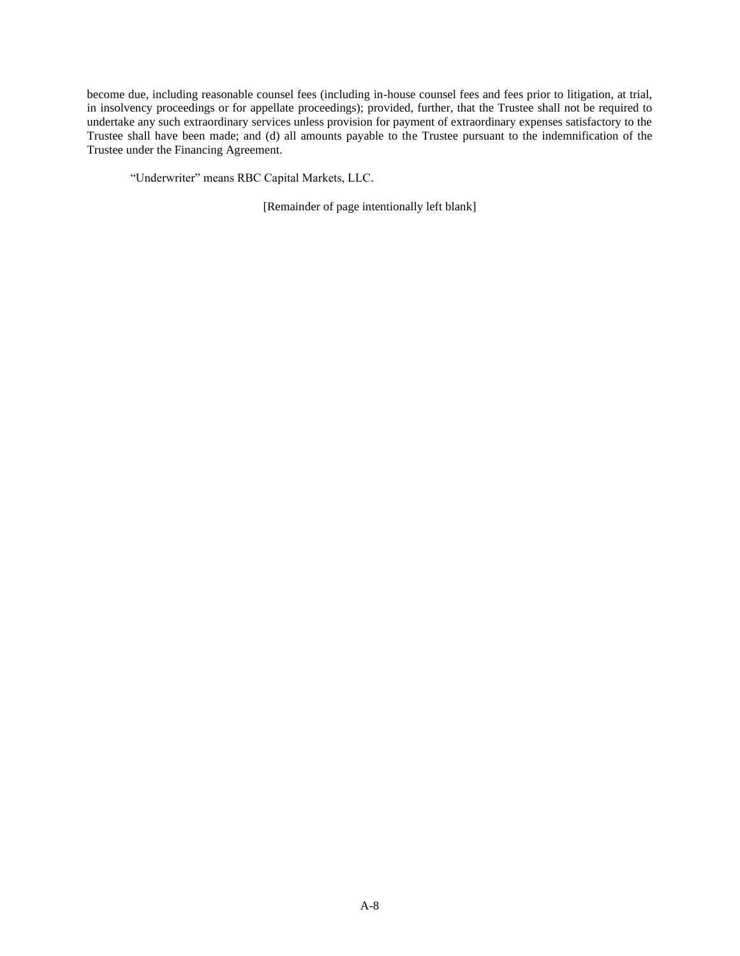become due, including reasonable counsel fees (including in-house counsel fees and fees prior to litigation, at trial, in insolvency proceedings or for appellate proceedings); provided, further, that the Trustee shall not be required to undertake any such extraordinary services unless provision for payment of extraordinary expenses satisfactory to the Trustee shall have been made; and (d) all amounts payable to the Trustee pursuant to the indemnification of the Trustee under the Financing Agreement.

"Underwriter" means RBC Capital Markets, LLC.

[Remainder of page intentionally left blank]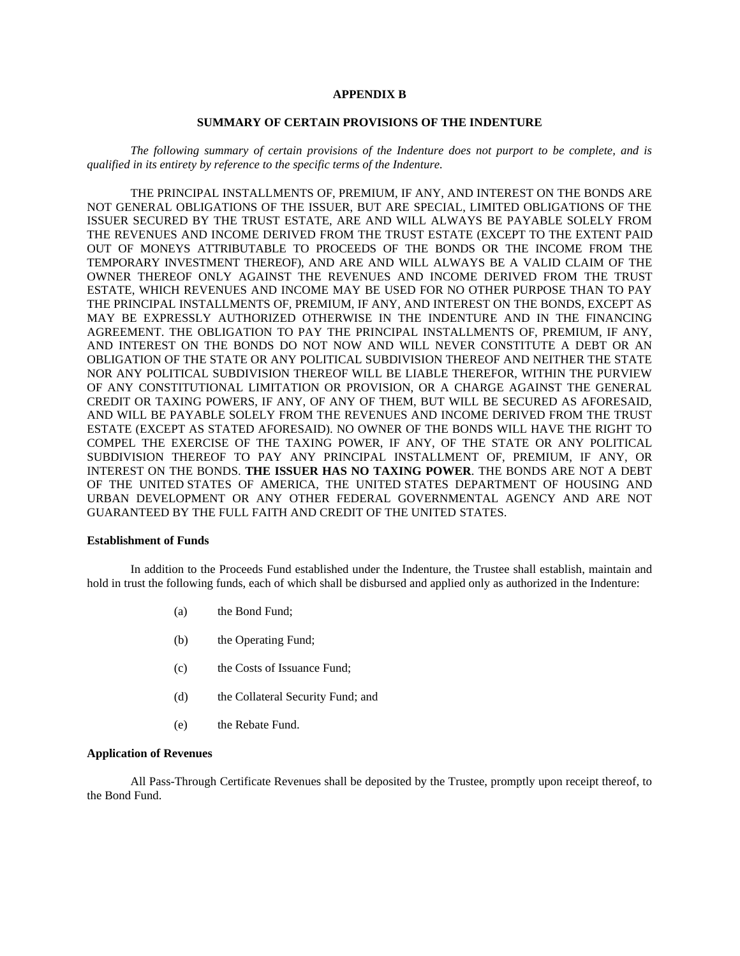## **APPENDIX B**

## **SUMMARY OF CERTAIN PROVISIONS OF THE INDENTURE**

*The following summary of certain provisions of the Indenture does not purport to be complete, and is qualified in its entirety by reference to the specific terms of the Indenture.* 

THE PRINCIPAL INSTALLMENTS OF, PREMIUM, IF ANY, AND INTEREST ON THE BONDS ARE NOT GENERAL OBLIGATIONS OF THE ISSUER, BUT ARE SPECIAL, LIMITED OBLIGATIONS OF THE ISSUER SECURED BY THE TRUST ESTATE, ARE AND WILL ALWAYS BE PAYABLE SOLELY FROM THE REVENUES AND INCOME DERIVED FROM THE TRUST ESTATE (EXCEPT TO THE EXTENT PAID OUT OF MONEYS ATTRIBUTABLE TO PROCEEDS OF THE BONDS OR THE INCOME FROM THE TEMPORARY INVESTMENT THEREOF), AND ARE AND WILL ALWAYS BE A VALID CLAIM OF THE OWNER THEREOF ONLY AGAINST THE REVENUES AND INCOME DERIVED FROM THE TRUST ESTATE, WHICH REVENUES AND INCOME MAY BE USED FOR NO OTHER PURPOSE THAN TO PAY THE PRINCIPAL INSTALLMENTS OF, PREMIUM, IF ANY, AND INTEREST ON THE BONDS, EXCEPT AS MAY BE EXPRESSLY AUTHORIZED OTHERWISE IN THE INDENTURE AND IN THE FINANCING AGREEMENT. THE OBLIGATION TO PAY THE PRINCIPAL INSTALLMENTS OF, PREMIUM, IF ANY, AND INTEREST ON THE BONDS DO NOT NOW AND WILL NEVER CONSTITUTE A DEBT OR AN OBLIGATION OF THE STATE OR ANY POLITICAL SUBDIVISION THEREOF AND NEITHER THE STATE NOR ANY POLITICAL SUBDIVISION THEREOF WILL BE LIABLE THEREFOR, WITHIN THE PURVIEW OF ANY CONSTITUTIONAL LIMITATION OR PROVISION, OR A CHARGE AGAINST THE GENERAL CREDIT OR TAXING POWERS, IF ANY, OF ANY OF THEM, BUT WILL BE SECURED AS AFORESAID, AND WILL BE PAYABLE SOLELY FROM THE REVENUES AND INCOME DERIVED FROM THE TRUST ESTATE (EXCEPT AS STATED AFORESAID). NO OWNER OF THE BONDS WILL HAVE THE RIGHT TO COMPEL THE EXERCISE OF THE TAXING POWER, IF ANY, OF THE STATE OR ANY POLITICAL SUBDIVISION THEREOF TO PAY ANY PRINCIPAL INSTALLMENT OF, PREMIUM, IF ANY, OR INTEREST ON THE BONDS. **THE ISSUER HAS NO TAXING POWER**. THE BONDS ARE NOT A DEBT OF THE UNITED STATES OF AMERICA, THE UNITED STATES DEPARTMENT OF HOUSING AND URBAN DEVELOPMENT OR ANY OTHER FEDERAL GOVERNMENTAL AGENCY AND ARE NOT GUARANTEED BY THE FULL FAITH AND CREDIT OF THE UNITED STATES.

### **Establishment of Funds**

In addition to the Proceeds Fund established under the Indenture, the Trustee shall establish, maintain and hold in trust the following funds, each of which shall be disbursed and applied only as authorized in the Indenture:

- (a) the Bond Fund;
- (b) the Operating Fund;
- (c) the Costs of Issuance Fund;
- (d) the Collateral Security Fund; and
- (e) the Rebate Fund.

### **Application of Revenues**

All Pass-Through Certificate Revenues shall be deposited by the Trustee, promptly upon receipt thereof, to the Bond Fund.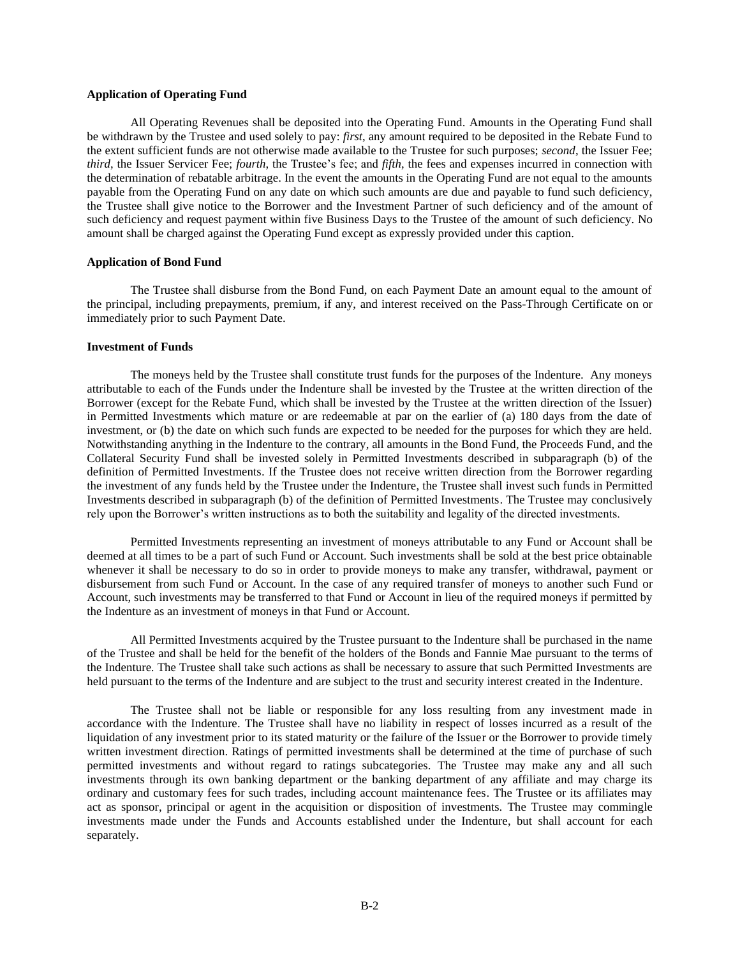## **Application of Operating Fund**

All Operating Revenues shall be deposited into the Operating Fund. Amounts in the Operating Fund shall be withdrawn by the Trustee and used solely to pay: *first*, any amount required to be deposited in the Rebate Fund to the extent sufficient funds are not otherwise made available to the Trustee for such purposes; *second*, the Issuer Fee; *third*, the Issuer Servicer Fee; *fourth*, the Trustee's fee; and *fifth*, the fees and expenses incurred in connection with the determination of rebatable arbitrage. In the event the amounts in the Operating Fund are not equal to the amounts payable from the Operating Fund on any date on which such amounts are due and payable to fund such deficiency, the Trustee shall give notice to the Borrower and the Investment Partner of such deficiency and of the amount of such deficiency and request payment within five Business Days to the Trustee of the amount of such deficiency. No amount shall be charged against the Operating Fund except as expressly provided under this caption.

### **Application of Bond Fund**

The Trustee shall disburse from the Bond Fund, on each Payment Date an amount equal to the amount of the principal, including prepayments, premium, if any, and interest received on the Pass-Through Certificate on or immediately prior to such Payment Date.

#### **Investment of Funds**

The moneys held by the Trustee shall constitute trust funds for the purposes of the Indenture. Any moneys attributable to each of the Funds under the Indenture shall be invested by the Trustee at the written direction of the Borrower (except for the Rebate Fund, which shall be invested by the Trustee at the written direction of the Issuer) in Permitted Investments which mature or are redeemable at par on the earlier of (a) 180 days from the date of investment, or (b) the date on which such funds are expected to be needed for the purposes for which they are held. Notwithstanding anything in the Indenture to the contrary, all amounts in the Bond Fund, the Proceeds Fund, and the Collateral Security Fund shall be invested solely in Permitted Investments described in subparagraph (b) of the definition of Permitted Investments. If the Trustee does not receive written direction from the Borrower regarding the investment of any funds held by the Trustee under the Indenture, the Trustee shall invest such funds in Permitted Investments described in subparagraph (b) of the definition of Permitted Investments. The Trustee may conclusively rely upon the Borrower's written instructions as to both the suitability and legality of the directed investments.

Permitted Investments representing an investment of moneys attributable to any Fund or Account shall be deemed at all times to be a part of such Fund or Account. Such investments shall be sold at the best price obtainable whenever it shall be necessary to do so in order to provide moneys to make any transfer, withdrawal, payment or disbursement from such Fund or Account. In the case of any required transfer of moneys to another such Fund or Account, such investments may be transferred to that Fund or Account in lieu of the required moneys if permitted by the Indenture as an investment of moneys in that Fund or Account.

All Permitted Investments acquired by the Trustee pursuant to the Indenture shall be purchased in the name of the Trustee and shall be held for the benefit of the holders of the Bonds and Fannie Mae pursuant to the terms of the Indenture. The Trustee shall take such actions as shall be necessary to assure that such Permitted Investments are held pursuant to the terms of the Indenture and are subject to the trust and security interest created in the Indenture.

The Trustee shall not be liable or responsible for any loss resulting from any investment made in accordance with the Indenture. The Trustee shall have no liability in respect of losses incurred as a result of the liquidation of any investment prior to its stated maturity or the failure of the Issuer or the Borrower to provide timely written investment direction. Ratings of permitted investments shall be determined at the time of purchase of such permitted investments and without regard to ratings subcategories. The Trustee may make any and all such investments through its own banking department or the banking department of any affiliate and may charge its ordinary and customary fees for such trades, including account maintenance fees. The Trustee or its affiliates may act as sponsor, principal or agent in the acquisition or disposition of investments. The Trustee may commingle investments made under the Funds and Accounts established under the Indenture, but shall account for each separately.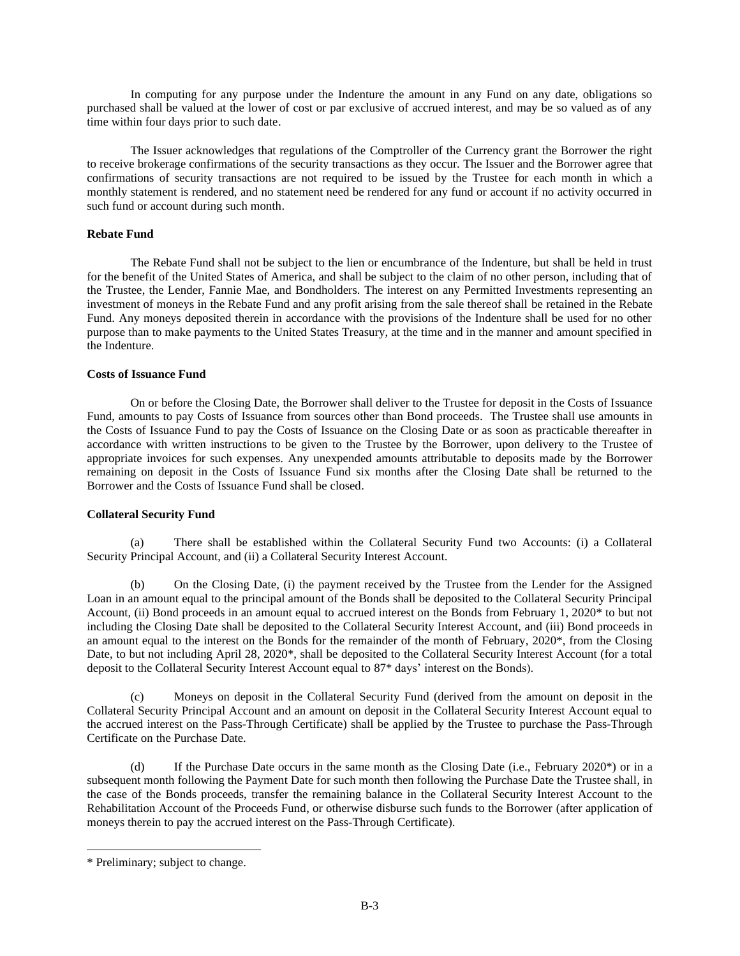In computing for any purpose under the Indenture the amount in any Fund on any date, obligations so purchased shall be valued at the lower of cost or par exclusive of accrued interest, and may be so valued as of any time within four days prior to such date.

The Issuer acknowledges that regulations of the Comptroller of the Currency grant the Borrower the right to receive brokerage confirmations of the security transactions as they occur. The Issuer and the Borrower agree that confirmations of security transactions are not required to be issued by the Trustee for each month in which a monthly statement is rendered, and no statement need be rendered for any fund or account if no activity occurred in such fund or account during such month.

# **Rebate Fund**

The Rebate Fund shall not be subject to the lien or encumbrance of the Indenture, but shall be held in trust for the benefit of the United States of America, and shall be subject to the claim of no other person, including that of the Trustee, the Lender, Fannie Mae, and Bondholders. The interest on any Permitted Investments representing an investment of moneys in the Rebate Fund and any profit arising from the sale thereof shall be retained in the Rebate Fund. Any moneys deposited therein in accordance with the provisions of the Indenture shall be used for no other purpose than to make payments to the United States Treasury, at the time and in the manner and amount specified in the Indenture.

# **Costs of Issuance Fund**

On or before the Closing Date, the Borrower shall deliver to the Trustee for deposit in the Costs of Issuance Fund, amounts to pay Costs of Issuance from sources other than Bond proceeds. The Trustee shall use amounts in the Costs of Issuance Fund to pay the Costs of Issuance on the Closing Date or as soon as practicable thereafter in accordance with written instructions to be given to the Trustee by the Borrower, upon delivery to the Trustee of appropriate invoices for such expenses. Any unexpended amounts attributable to deposits made by the Borrower remaining on deposit in the Costs of Issuance Fund six months after the Closing Date shall be returned to the Borrower and the Costs of Issuance Fund shall be closed.

# **Collateral Security Fund**

(a) There shall be established within the Collateral Security Fund two Accounts: (i) a Collateral Security Principal Account, and (ii) a Collateral Security Interest Account.

(b) On the Closing Date, (i) the payment received by the Trustee from the Lender for the Assigned Loan in an amount equal to the principal amount of the Bonds shall be deposited to the Collateral Security Principal Account, (ii) Bond proceeds in an amount equal to accrued interest on the Bonds from February 1, 2020\* to but not including the Closing Date shall be deposited to the Collateral Security Interest Account, and (iii) Bond proceeds in an amount equal to the interest on the Bonds for the remainder of the month of February, 2020\*, from the Closing Date, to but not including April 28, 2020\*, shall be deposited to the Collateral Security Interest Account (for a total deposit to the Collateral Security Interest Account equal to 87\* days' interest on the Bonds).

(c) Moneys on deposit in the Collateral Security Fund (derived from the amount on deposit in the Collateral Security Principal Account and an amount on deposit in the Collateral Security Interest Account equal to the accrued interest on the Pass-Through Certificate) shall be applied by the Trustee to purchase the Pass-Through Certificate on the Purchase Date.

(d) If the Purchase Date occurs in the same month as the Closing Date (i.e., February 2020\*) or in a subsequent month following the Payment Date for such month then following the Purchase Date the Trustee shall, in the case of the Bonds proceeds, transfer the remaining balance in the Collateral Security Interest Account to the Rehabilitation Account of the Proceeds Fund, or otherwise disburse such funds to the Borrower (after application of moneys therein to pay the accrued interest on the Pass-Through Certificate).

<sup>\*</sup> Preliminary; subject to change.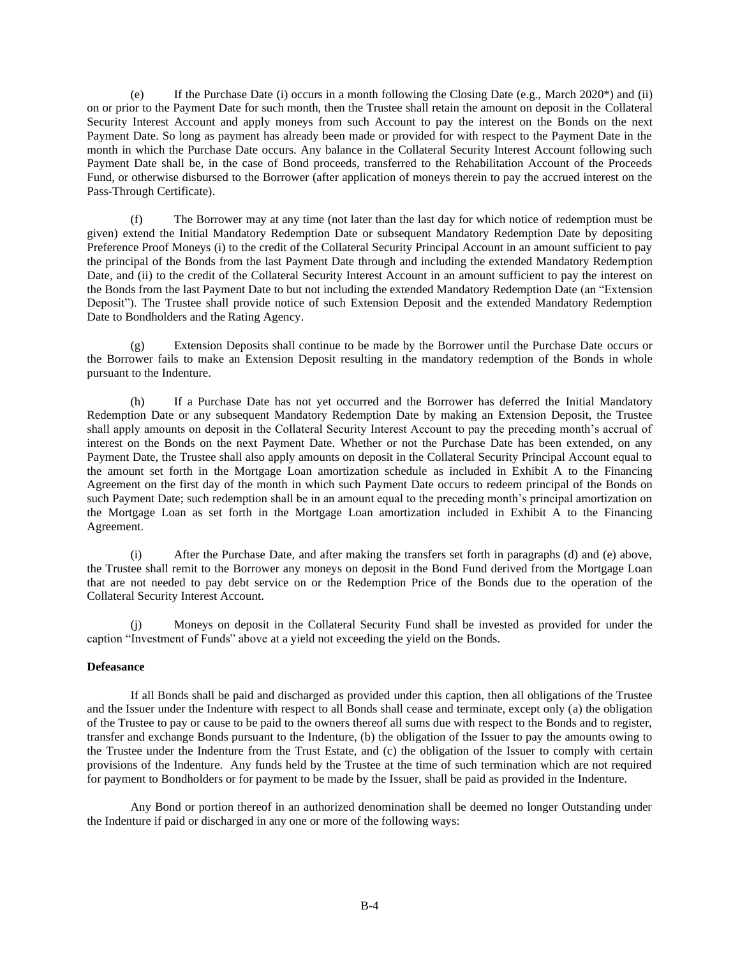(e) If the Purchase Date (i) occurs in a month following the Closing Date (e.g., March 2020\*) and (ii) on or prior to the Payment Date for such month, then the Trustee shall retain the amount on deposit in the Collateral Security Interest Account and apply moneys from such Account to pay the interest on the Bonds on the next Payment Date. So long as payment has already been made or provided for with respect to the Payment Date in the month in which the Purchase Date occurs. Any balance in the Collateral Security Interest Account following such Payment Date shall be, in the case of Bond proceeds, transferred to the Rehabilitation Account of the Proceeds Fund, or otherwise disbursed to the Borrower (after application of moneys therein to pay the accrued interest on the Pass-Through Certificate).

(f) The Borrower may at any time (not later than the last day for which notice of redemption must be given) extend the Initial Mandatory Redemption Date or subsequent Mandatory Redemption Date by depositing Preference Proof Moneys (i) to the credit of the Collateral Security Principal Account in an amount sufficient to pay the principal of the Bonds from the last Payment Date through and including the extended Mandatory Redemption Date, and (ii) to the credit of the Collateral Security Interest Account in an amount sufficient to pay the interest on the Bonds from the last Payment Date to but not including the extended Mandatory Redemption Date (an "Extension Deposit"). The Trustee shall provide notice of such Extension Deposit and the extended Mandatory Redemption Date to Bondholders and the Rating Agency.

(g) Extension Deposits shall continue to be made by the Borrower until the Purchase Date occurs or the Borrower fails to make an Extension Deposit resulting in the mandatory redemption of the Bonds in whole pursuant to the Indenture.

(h) If a Purchase Date has not yet occurred and the Borrower has deferred the Initial Mandatory Redemption Date or any subsequent Mandatory Redemption Date by making an Extension Deposit, the Trustee shall apply amounts on deposit in the Collateral Security Interest Account to pay the preceding month's accrual of interest on the Bonds on the next Payment Date. Whether or not the Purchase Date has been extended, on any Payment Date, the Trustee shall also apply amounts on deposit in the Collateral Security Principal Account equal to the amount set forth in the Mortgage Loan amortization schedule as included in Exhibit A to the Financing Agreement on the first day of the month in which such Payment Date occurs to redeem principal of the Bonds on such Payment Date; such redemption shall be in an amount equal to the preceding month's principal amortization on the Mortgage Loan as set forth in the Mortgage Loan amortization included in Exhibit A to the Financing Agreement.

(i) After the Purchase Date, and after making the transfers set forth in paragraphs (d) and (e) above, the Trustee shall remit to the Borrower any moneys on deposit in the Bond Fund derived from the Mortgage Loan that are not needed to pay debt service on or the Redemption Price of the Bonds due to the operation of the Collateral Security Interest Account.

(j) Moneys on deposit in the Collateral Security Fund shall be invested as provided for under the caption "Investment of Funds" above at a yield not exceeding the yield on the Bonds.

# **Defeasance**

If all Bonds shall be paid and discharged as provided under this caption, then all obligations of the Trustee and the Issuer under the Indenture with respect to all Bonds shall cease and terminate, except only (a) the obligation of the Trustee to pay or cause to be paid to the owners thereof all sums due with respect to the Bonds and to register, transfer and exchange Bonds pursuant to the Indenture, (b) the obligation of the Issuer to pay the amounts owing to the Trustee under the Indenture from the Trust Estate, and (c) the obligation of the Issuer to comply with certain provisions of the Indenture. Any funds held by the Trustee at the time of such termination which are not required for payment to Bondholders or for payment to be made by the Issuer, shall be paid as provided in the Indenture.

Any Bond or portion thereof in an authorized denomination shall be deemed no longer Outstanding under the Indenture if paid or discharged in any one or more of the following ways: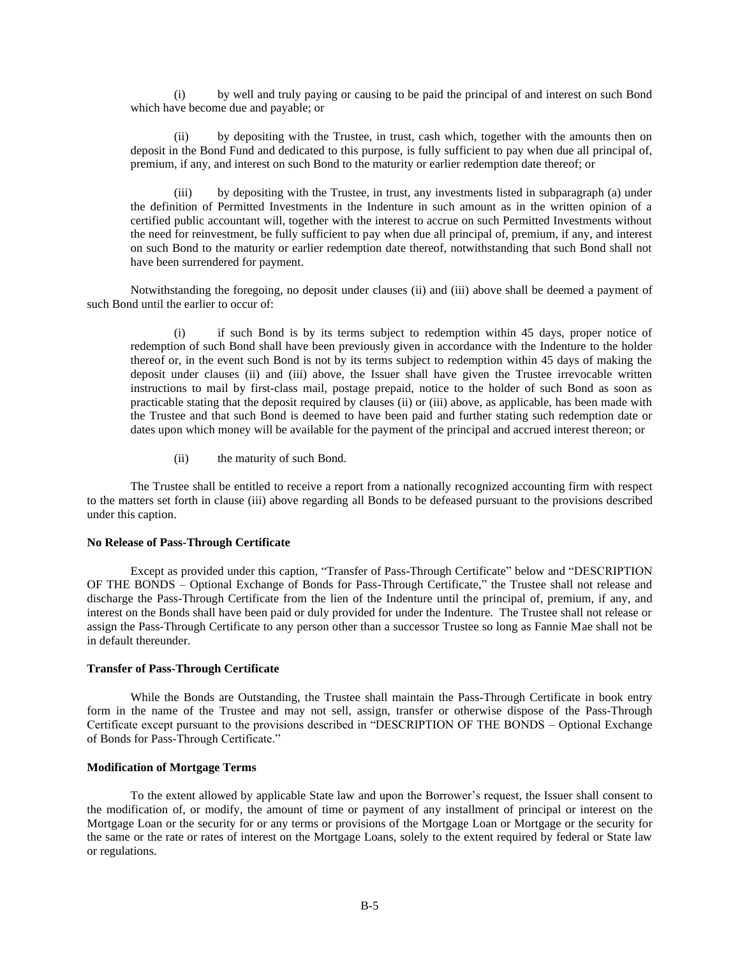(i) by well and truly paying or causing to be paid the principal of and interest on such Bond which have become due and payable; or

(ii) by depositing with the Trustee, in trust, cash which, together with the amounts then on deposit in the Bond Fund and dedicated to this purpose, is fully sufficient to pay when due all principal of, premium, if any, and interest on such Bond to the maturity or earlier redemption date thereof; or

(iii) by depositing with the Trustee, in trust, any investments listed in subparagraph (a) under the definition of Permitted Investments in the Indenture in such amount as in the written opinion of a certified public accountant will, together with the interest to accrue on such Permitted Investments without the need for reinvestment, be fully sufficient to pay when due all principal of, premium, if any, and interest on such Bond to the maturity or earlier redemption date thereof, notwithstanding that such Bond shall not have been surrendered for payment.

Notwithstanding the foregoing, no deposit under clauses (ii) and (iii) above shall be deemed a payment of such Bond until the earlier to occur of:

(i) if such Bond is by its terms subject to redemption within 45 days, proper notice of redemption of such Bond shall have been previously given in accordance with the Indenture to the holder thereof or, in the event such Bond is not by its terms subject to redemption within 45 days of making the deposit under clauses (ii) and (iii) above, the Issuer shall have given the Trustee irrevocable written instructions to mail by first-class mail, postage prepaid, notice to the holder of such Bond as soon as practicable stating that the deposit required by clauses (ii) or (iii) above, as applicable, has been made with the Trustee and that such Bond is deemed to have been paid and further stating such redemption date or dates upon which money will be available for the payment of the principal and accrued interest thereon; or

(ii) the maturity of such Bond.

The Trustee shall be entitled to receive a report from a nationally recognized accounting firm with respect to the matters set forth in clause (iii) above regarding all Bonds to be defeased pursuant to the provisions described under this caption.

#### **No Release of Pass-Through Certificate**

Except as provided under this caption, "Transfer of Pass-Through Certificate" below and "DESCRIPTION OF THE BONDS – Optional Exchange of Bonds for Pass-Through Certificate," the Trustee shall not release and discharge the Pass-Through Certificate from the lien of the Indenture until the principal of, premium, if any, and interest on the Bonds shall have been paid or duly provided for under the Indenture. The Trustee shall not release or assign the Pass-Through Certificate to any person other than a successor Trustee so long as Fannie Mae shall not be in default thereunder.

### **Transfer of Pass-Through Certificate**

While the Bonds are Outstanding, the Trustee shall maintain the Pass-Through Certificate in book entry form in the name of the Trustee and may not sell, assign, transfer or otherwise dispose of the Pass-Through Certificate except pursuant to the provisions described in "DESCRIPTION OF THE BONDS – Optional Exchange of Bonds for Pass-Through Certificate."

### **Modification of Mortgage Terms**

To the extent allowed by applicable State law and upon the Borrower's request, the Issuer shall consent to the modification of, or modify, the amount of time or payment of any installment of principal or interest on the Mortgage Loan or the security for or any terms or provisions of the Mortgage Loan or Mortgage or the security for the same or the rate or rates of interest on the Mortgage Loans, solely to the extent required by federal or State law or regulations.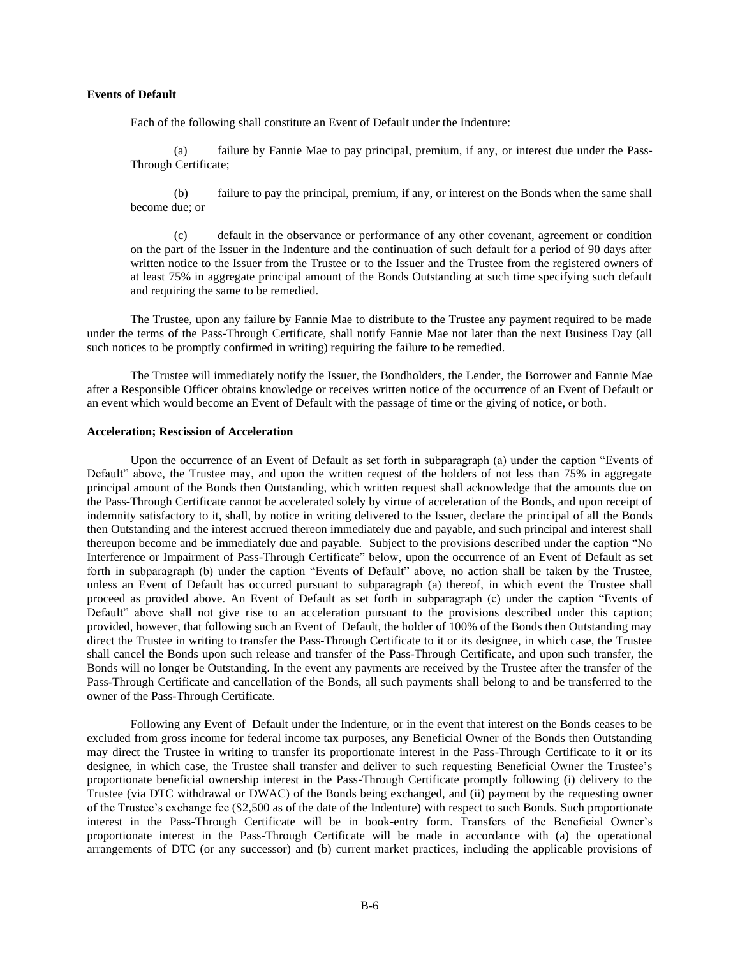## **Events of Default**

Each of the following shall constitute an Event of Default under the Indenture:

(a) failure by Fannie Mae to pay principal, premium, if any, or interest due under the Pass-Through Certificate;

(b) failure to pay the principal, premium, if any, or interest on the Bonds when the same shall become due; or

(c) default in the observance or performance of any other covenant, agreement or condition on the part of the Issuer in the Indenture and the continuation of such default for a period of 90 days after written notice to the Issuer from the Trustee or to the Issuer and the Trustee from the registered owners of at least 75% in aggregate principal amount of the Bonds Outstanding at such time specifying such default and requiring the same to be remedied.

The Trustee, upon any failure by Fannie Mae to distribute to the Trustee any payment required to be made under the terms of the Pass-Through Certificate, shall notify Fannie Mae not later than the next Business Day (all such notices to be promptly confirmed in writing) requiring the failure to be remedied.

The Trustee will immediately notify the Issuer, the Bondholders, the Lender, the Borrower and Fannie Mae after a Responsible Officer obtains knowledge or receives written notice of the occurrence of an Event of Default or an event which would become an Event of Default with the passage of time or the giving of notice, or both.

### **Acceleration; Rescission of Acceleration**

Upon the occurrence of an Event of Default as set forth in subparagraph (a) under the caption "Events of Default" above, the Trustee may, and upon the written request of the holders of not less than 75% in aggregate principal amount of the Bonds then Outstanding, which written request shall acknowledge that the amounts due on the Pass-Through Certificate cannot be accelerated solely by virtue of acceleration of the Bonds, and upon receipt of indemnity satisfactory to it, shall, by notice in writing delivered to the Issuer, declare the principal of all the Bonds then Outstanding and the interest accrued thereon immediately due and payable, and such principal and interest shall thereupon become and be immediately due and payable. Subject to the provisions described under the caption "No Interference or Impairment of Pass-Through Certificate" below, upon the occurrence of an Event of Default as set forth in subparagraph (b) under the caption "Events of Default" above, no action shall be taken by the Trustee, unless an Event of Default has occurred pursuant to subparagraph (a) thereof, in which event the Trustee shall proceed as provided above. An Event of Default as set forth in subparagraph (c) under the caption "Events of Default" above shall not give rise to an acceleration pursuant to the provisions described under this caption; provided, however, that following such an Event of Default, the holder of 100% of the Bonds then Outstanding may direct the Trustee in writing to transfer the Pass-Through Certificate to it or its designee, in which case, the Trustee shall cancel the Bonds upon such release and transfer of the Pass-Through Certificate, and upon such transfer, the Bonds will no longer be Outstanding. In the event any payments are received by the Trustee after the transfer of the Pass-Through Certificate and cancellation of the Bonds, all such payments shall belong to and be transferred to the owner of the Pass-Through Certificate.

Following any Event of Default under the Indenture, or in the event that interest on the Bonds ceases to be excluded from gross income for federal income tax purposes, any Beneficial Owner of the Bonds then Outstanding may direct the Trustee in writing to transfer its proportionate interest in the Pass-Through Certificate to it or its designee, in which case, the Trustee shall transfer and deliver to such requesting Beneficial Owner the Trustee's proportionate beneficial ownership interest in the Pass-Through Certificate promptly following (i) delivery to the Trustee (via DTC withdrawal or DWAC) of the Bonds being exchanged, and (ii) payment by the requesting owner of the Trustee's exchange fee (\$2,500 as of the date of the Indenture) with respect to such Bonds. Such proportionate interest in the Pass-Through Certificate will be in book-entry form. Transfers of the Beneficial Owner's proportionate interest in the Pass-Through Certificate will be made in accordance with (a) the operational arrangements of DTC (or any successor) and (b) current market practices, including the applicable provisions of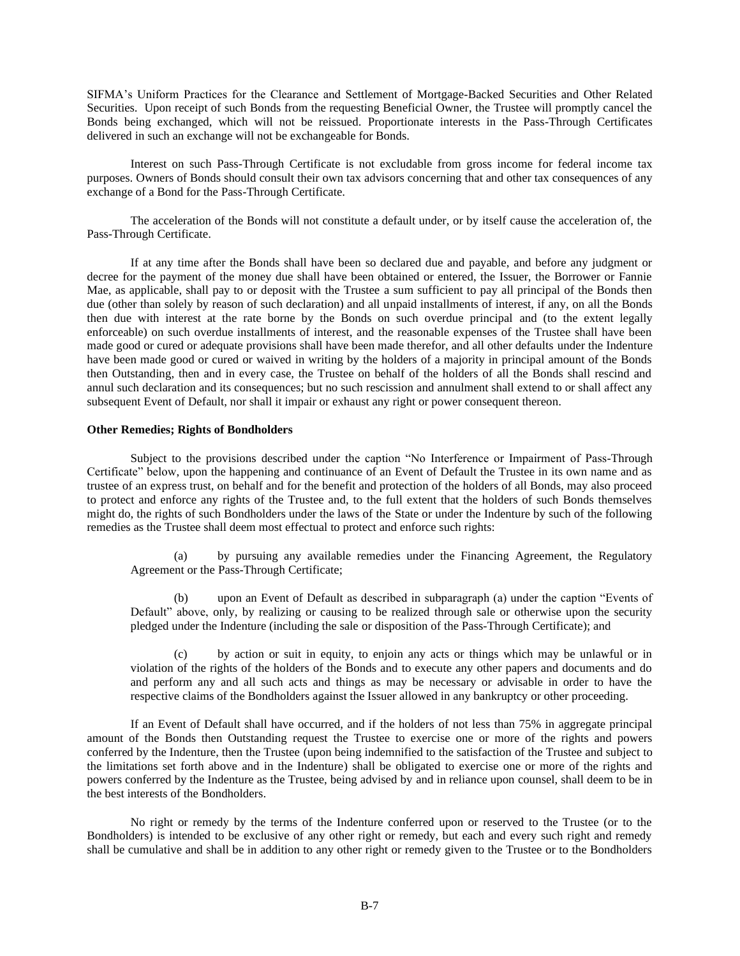SIFMA's Uniform Practices for the Clearance and Settlement of Mortgage-Backed Securities and Other Related Securities. Upon receipt of such Bonds from the requesting Beneficial Owner, the Trustee will promptly cancel the Bonds being exchanged, which will not be reissued. Proportionate interests in the Pass-Through Certificates delivered in such an exchange will not be exchangeable for Bonds.

Interest on such Pass-Through Certificate is not excludable from gross income for federal income tax purposes. Owners of Bonds should consult their own tax advisors concerning that and other tax consequences of any exchange of a Bond for the Pass-Through Certificate.

The acceleration of the Bonds will not constitute a default under, or by itself cause the acceleration of, the Pass-Through Certificate.

If at any time after the Bonds shall have been so declared due and payable, and before any judgment or decree for the payment of the money due shall have been obtained or entered, the Issuer, the Borrower or Fannie Mae, as applicable, shall pay to or deposit with the Trustee a sum sufficient to pay all principal of the Bonds then due (other than solely by reason of such declaration) and all unpaid installments of interest, if any, on all the Bonds then due with interest at the rate borne by the Bonds on such overdue principal and (to the extent legally enforceable) on such overdue installments of interest, and the reasonable expenses of the Trustee shall have been made good or cured or adequate provisions shall have been made therefor, and all other defaults under the Indenture have been made good or cured or waived in writing by the holders of a majority in principal amount of the Bonds then Outstanding, then and in every case, the Trustee on behalf of the holders of all the Bonds shall rescind and annul such declaration and its consequences; but no such rescission and annulment shall extend to or shall affect any subsequent Event of Default, nor shall it impair or exhaust any right or power consequent thereon.

#### **Other Remedies; Rights of Bondholders**

Subject to the provisions described under the caption "No Interference or Impairment of Pass-Through Certificate" below, upon the happening and continuance of an Event of Default the Trustee in its own name and as trustee of an express trust, on behalf and for the benefit and protection of the holders of all Bonds, may also proceed to protect and enforce any rights of the Trustee and, to the full extent that the holders of such Bonds themselves might do, the rights of such Bondholders under the laws of the State or under the Indenture by such of the following remedies as the Trustee shall deem most effectual to protect and enforce such rights:

(a) by pursuing any available remedies under the Financing Agreement, the Regulatory Agreement or the Pass-Through Certificate;

(b) upon an Event of Default as described in subparagraph (a) under the caption "Events of Default" above, only, by realizing or causing to be realized through sale or otherwise upon the security pledged under the Indenture (including the sale or disposition of the Pass-Through Certificate); and

(c) by action or suit in equity, to enjoin any acts or things which may be unlawful or in violation of the rights of the holders of the Bonds and to execute any other papers and documents and do and perform any and all such acts and things as may be necessary or advisable in order to have the respective claims of the Bondholders against the Issuer allowed in any bankruptcy or other proceeding.

If an Event of Default shall have occurred, and if the holders of not less than 75% in aggregate principal amount of the Bonds then Outstanding request the Trustee to exercise one or more of the rights and powers conferred by the Indenture, then the Trustee (upon being indemnified to the satisfaction of the Trustee and subject to the limitations set forth above and in the Indenture) shall be obligated to exercise one or more of the rights and powers conferred by the Indenture as the Trustee, being advised by and in reliance upon counsel, shall deem to be in the best interests of the Bondholders.

No right or remedy by the terms of the Indenture conferred upon or reserved to the Trustee (or to the Bondholders) is intended to be exclusive of any other right or remedy, but each and every such right and remedy shall be cumulative and shall be in addition to any other right or remedy given to the Trustee or to the Bondholders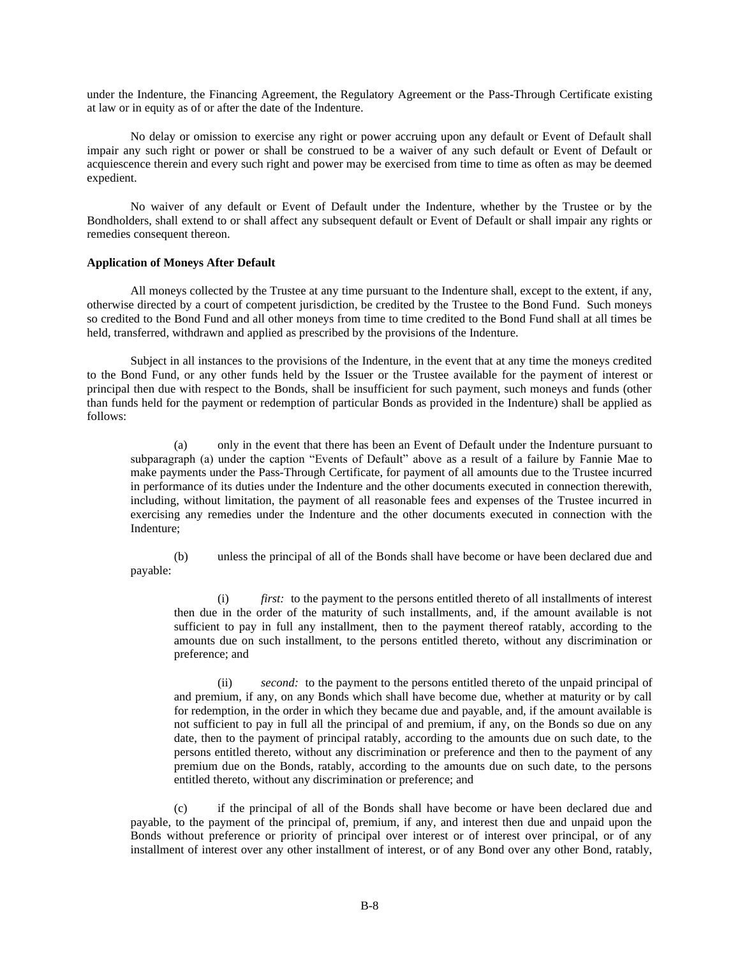under the Indenture, the Financing Agreement, the Regulatory Agreement or the Pass-Through Certificate existing at law or in equity as of or after the date of the Indenture.

No delay or omission to exercise any right or power accruing upon any default or Event of Default shall impair any such right or power or shall be construed to be a waiver of any such default or Event of Default or acquiescence therein and every such right and power may be exercised from time to time as often as may be deemed expedient.

No waiver of any default or Event of Default under the Indenture, whether by the Trustee or by the Bondholders, shall extend to or shall affect any subsequent default or Event of Default or shall impair any rights or remedies consequent thereon.

## **Application of Moneys After Default**

All moneys collected by the Trustee at any time pursuant to the Indenture shall, except to the extent, if any, otherwise directed by a court of competent jurisdiction, be credited by the Trustee to the Bond Fund. Such moneys so credited to the Bond Fund and all other moneys from time to time credited to the Bond Fund shall at all times be held, transferred, withdrawn and applied as prescribed by the provisions of the Indenture.

Subject in all instances to the provisions of the Indenture, in the event that at any time the moneys credited to the Bond Fund, or any other funds held by the Issuer or the Trustee available for the payment of interest or principal then due with respect to the Bonds, shall be insufficient for such payment, such moneys and funds (other than funds held for the payment or redemption of particular Bonds as provided in the Indenture) shall be applied as follows:

(a) only in the event that there has been an Event of Default under the Indenture pursuant to subparagraph (a) under the caption "Events of Default" above as a result of a failure by Fannie Mae to make payments under the Pass-Through Certificate, for payment of all amounts due to the Trustee incurred in performance of its duties under the Indenture and the other documents executed in connection therewith, including, without limitation, the payment of all reasonable fees and expenses of the Trustee incurred in exercising any remedies under the Indenture and the other documents executed in connection with the Indenture;

(b) unless the principal of all of the Bonds shall have become or have been declared due and payable:

(i) *first:* to the payment to the persons entitled thereto of all installments of interest then due in the order of the maturity of such installments, and, if the amount available is not sufficient to pay in full any installment, then to the payment thereof ratably, according to the amounts due on such installment, to the persons entitled thereto, without any discrimination or preference; and

(ii) *second:* to the payment to the persons entitled thereto of the unpaid principal of and premium, if any, on any Bonds which shall have become due, whether at maturity or by call for redemption, in the order in which they became due and payable, and, if the amount available is not sufficient to pay in full all the principal of and premium, if any, on the Bonds so due on any date, then to the payment of principal ratably, according to the amounts due on such date, to the persons entitled thereto, without any discrimination or preference and then to the payment of any premium due on the Bonds, ratably, according to the amounts due on such date, to the persons entitled thereto, without any discrimination or preference; and

(c) if the principal of all of the Bonds shall have become or have been declared due and payable, to the payment of the principal of, premium, if any, and interest then due and unpaid upon the Bonds without preference or priority of principal over interest or of interest over principal, or of any installment of interest over any other installment of interest, or of any Bond over any other Bond, ratably,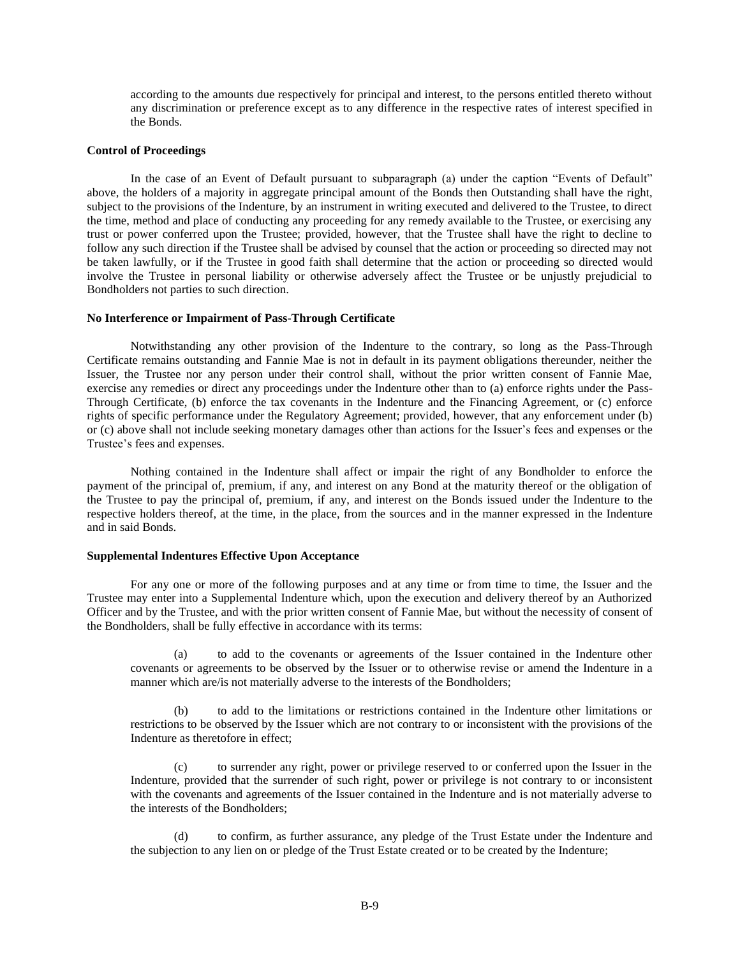according to the amounts due respectively for principal and interest, to the persons entitled thereto without any discrimination or preference except as to any difference in the respective rates of interest specified in the Bonds.

### **Control of Proceedings**

In the case of an Event of Default pursuant to subparagraph (a) under the caption "Events of Default" above, the holders of a majority in aggregate principal amount of the Bonds then Outstanding shall have the right, subject to the provisions of the Indenture, by an instrument in writing executed and delivered to the Trustee, to direct the time, method and place of conducting any proceeding for any remedy available to the Trustee, or exercising any trust or power conferred upon the Trustee; provided, however, that the Trustee shall have the right to decline to follow any such direction if the Trustee shall be advised by counsel that the action or proceeding so directed may not be taken lawfully, or if the Trustee in good faith shall determine that the action or proceeding so directed would involve the Trustee in personal liability or otherwise adversely affect the Trustee or be unjustly prejudicial to Bondholders not parties to such direction.

#### **No Interference or Impairment of Pass-Through Certificate**

Notwithstanding any other provision of the Indenture to the contrary, so long as the Pass-Through Certificate remains outstanding and Fannie Mae is not in default in its payment obligations thereunder, neither the Issuer, the Trustee nor any person under their control shall, without the prior written consent of Fannie Mae, exercise any remedies or direct any proceedings under the Indenture other than to (a) enforce rights under the Pass-Through Certificate, (b) enforce the tax covenants in the Indenture and the Financing Agreement, or (c) enforce rights of specific performance under the Regulatory Agreement; provided, however, that any enforcement under (b) or (c) above shall not include seeking monetary damages other than actions for the Issuer's fees and expenses or the Trustee's fees and expenses.

Nothing contained in the Indenture shall affect or impair the right of any Bondholder to enforce the payment of the principal of, premium, if any, and interest on any Bond at the maturity thereof or the obligation of the Trustee to pay the principal of, premium, if any, and interest on the Bonds issued under the Indenture to the respective holders thereof, at the time, in the place, from the sources and in the manner expressed in the Indenture and in said Bonds.

### **Supplemental Indentures Effective Upon Acceptance**

For any one or more of the following purposes and at any time or from time to time, the Issuer and the Trustee may enter into a Supplemental Indenture which, upon the execution and delivery thereof by an Authorized Officer and by the Trustee, and with the prior written consent of Fannie Mae, but without the necessity of consent of the Bondholders, shall be fully effective in accordance with its terms:

(a) to add to the covenants or agreements of the Issuer contained in the Indenture other covenants or agreements to be observed by the Issuer or to otherwise revise or amend the Indenture in a manner which are/is not materially adverse to the interests of the Bondholders;

(b) to add to the limitations or restrictions contained in the Indenture other limitations or restrictions to be observed by the Issuer which are not contrary to or inconsistent with the provisions of the Indenture as theretofore in effect;

(c) to surrender any right, power or privilege reserved to or conferred upon the Issuer in the Indenture, provided that the surrender of such right, power or privilege is not contrary to or inconsistent with the covenants and agreements of the Issuer contained in the Indenture and is not materially adverse to the interests of the Bondholders;

(d) to confirm, as further assurance, any pledge of the Trust Estate under the Indenture and the subjection to any lien on or pledge of the Trust Estate created or to be created by the Indenture;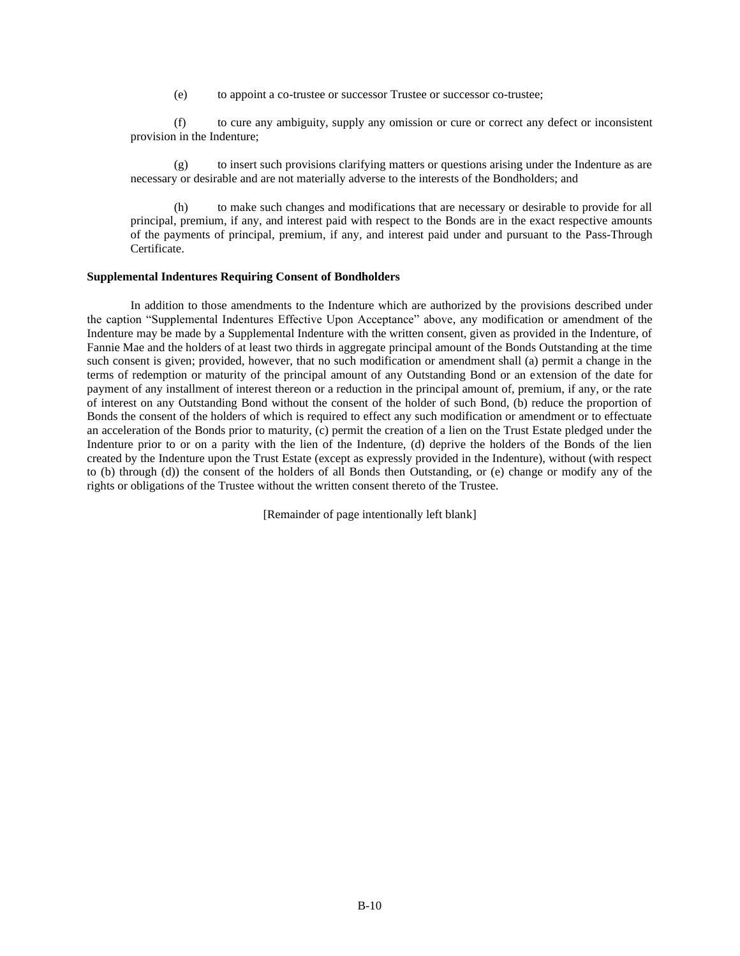(e) to appoint a co-trustee or successor Trustee or successor co-trustee;

(f) to cure any ambiguity, supply any omission or cure or correct any defect or inconsistent provision in the Indenture;

(g) to insert such provisions clarifying matters or questions arising under the Indenture as are necessary or desirable and are not materially adverse to the interests of the Bondholders; and

(h) to make such changes and modifications that are necessary or desirable to provide for all principal, premium, if any, and interest paid with respect to the Bonds are in the exact respective amounts of the payments of principal, premium, if any, and interest paid under and pursuant to the Pass-Through Certificate.

#### **Supplemental Indentures Requiring Consent of Bondholders**

In addition to those amendments to the Indenture which are authorized by the provisions described under the caption "Supplemental Indentures Effective Upon Acceptance" above, any modification or amendment of the Indenture may be made by a Supplemental Indenture with the written consent, given as provided in the Indenture, of Fannie Mae and the holders of at least two thirds in aggregate principal amount of the Bonds Outstanding at the time such consent is given; provided, however, that no such modification or amendment shall (a) permit a change in the terms of redemption or maturity of the principal amount of any Outstanding Bond or an extension of the date for payment of any installment of interest thereon or a reduction in the principal amount of, premium, if any, or the rate of interest on any Outstanding Bond without the consent of the holder of such Bond, (b) reduce the proportion of Bonds the consent of the holders of which is required to effect any such modification or amendment or to effectuate an acceleration of the Bonds prior to maturity, (c) permit the creation of a lien on the Trust Estate pledged under the Indenture prior to or on a parity with the lien of the Indenture, (d) deprive the holders of the Bonds of the lien created by the Indenture upon the Trust Estate (except as expressly provided in the Indenture), without (with respect to (b) through (d)) the consent of the holders of all Bonds then Outstanding, or (e) change or modify any of the rights or obligations of the Trustee without the written consent thereto of the Trustee.

[Remainder of page intentionally left blank]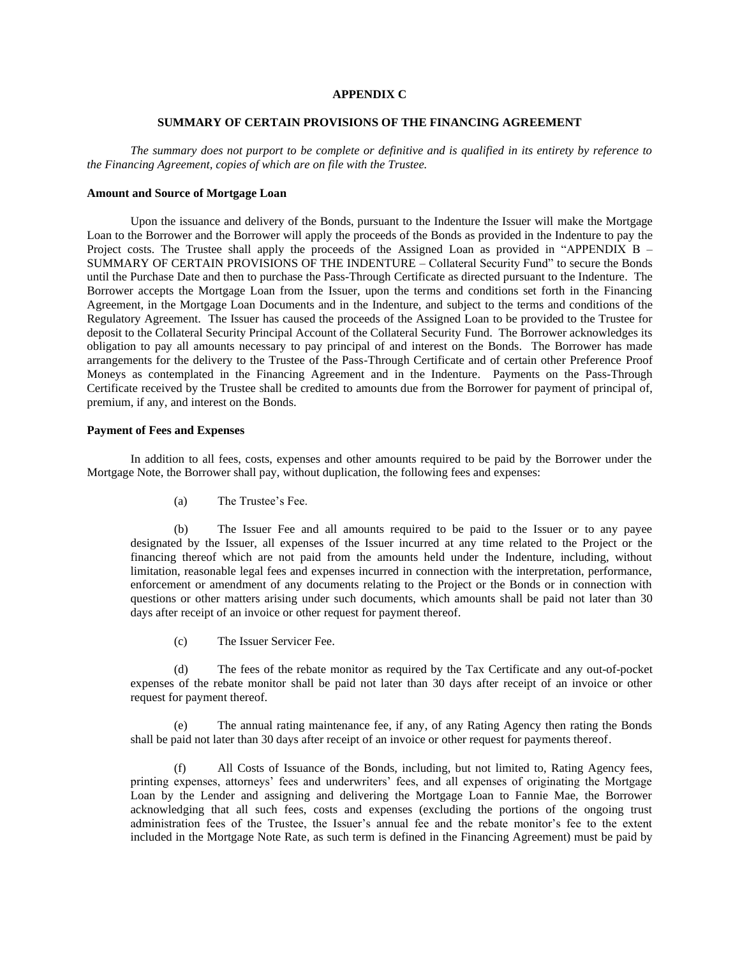## **APPENDIX C**

## **SUMMARY OF CERTAIN PROVISIONS OF THE FINANCING AGREEMENT**

*The summary does not purport to be complete or definitive and is qualified in its entirety by reference to the Financing Agreement, copies of which are on file with the Trustee.*

#### **Amount and Source of Mortgage Loan**

Upon the issuance and delivery of the Bonds, pursuant to the Indenture the Issuer will make the Mortgage Loan to the Borrower and the Borrower will apply the proceeds of the Bonds as provided in the Indenture to pay the Project costs. The Trustee shall apply the proceeds of the Assigned Loan as provided in "APPENDIX B – SUMMARY OF CERTAIN PROVISIONS OF THE INDENTURE – Collateral Security Fund" to secure the Bonds until the Purchase Date and then to purchase the Pass-Through Certificate as directed pursuant to the Indenture. The Borrower accepts the Mortgage Loan from the Issuer, upon the terms and conditions set forth in the Financing Agreement, in the Mortgage Loan Documents and in the Indenture, and subject to the terms and conditions of the Regulatory Agreement. The Issuer has caused the proceeds of the Assigned Loan to be provided to the Trustee for deposit to the Collateral Security Principal Account of the Collateral Security Fund. The Borrower acknowledges its obligation to pay all amounts necessary to pay principal of and interest on the Bonds. The Borrower has made arrangements for the delivery to the Trustee of the Pass-Through Certificate and of certain other Preference Proof Moneys as contemplated in the Financing Agreement and in the Indenture. Payments on the Pass-Through Certificate received by the Trustee shall be credited to amounts due from the Borrower for payment of principal of, premium, if any, and interest on the Bonds.

## **Payment of Fees and Expenses**

In addition to all fees, costs, expenses and other amounts required to be paid by the Borrower under the Mortgage Note, the Borrower shall pay, without duplication, the following fees and expenses:

(a) The Trustee's Fee.

(b) The Issuer Fee and all amounts required to be paid to the Issuer or to any payee designated by the Issuer, all expenses of the Issuer incurred at any time related to the Project or the financing thereof which are not paid from the amounts held under the Indenture, including, without limitation, reasonable legal fees and expenses incurred in connection with the interpretation, performance, enforcement or amendment of any documents relating to the Project or the Bonds or in connection with questions or other matters arising under such documents, which amounts shall be paid not later than 30 days after receipt of an invoice or other request for payment thereof.

(c) The Issuer Servicer Fee.

(d) The fees of the rebate monitor as required by the Tax Certificate and any out-of-pocket expenses of the rebate monitor shall be paid not later than 30 days after receipt of an invoice or other request for payment thereof.

(e) The annual rating maintenance fee, if any, of any Rating Agency then rating the Bonds shall be paid not later than 30 days after receipt of an invoice or other request for payments thereof.

(f) All Costs of Issuance of the Bonds, including, but not limited to, Rating Agency fees, printing expenses, attorneys' fees and underwriters' fees, and all expenses of originating the Mortgage Loan by the Lender and assigning and delivering the Mortgage Loan to Fannie Mae, the Borrower acknowledging that all such fees, costs and expenses (excluding the portions of the ongoing trust administration fees of the Trustee, the Issuer's annual fee and the rebate monitor's fee to the extent included in the Mortgage Note Rate, as such term is defined in the Financing Agreement) must be paid by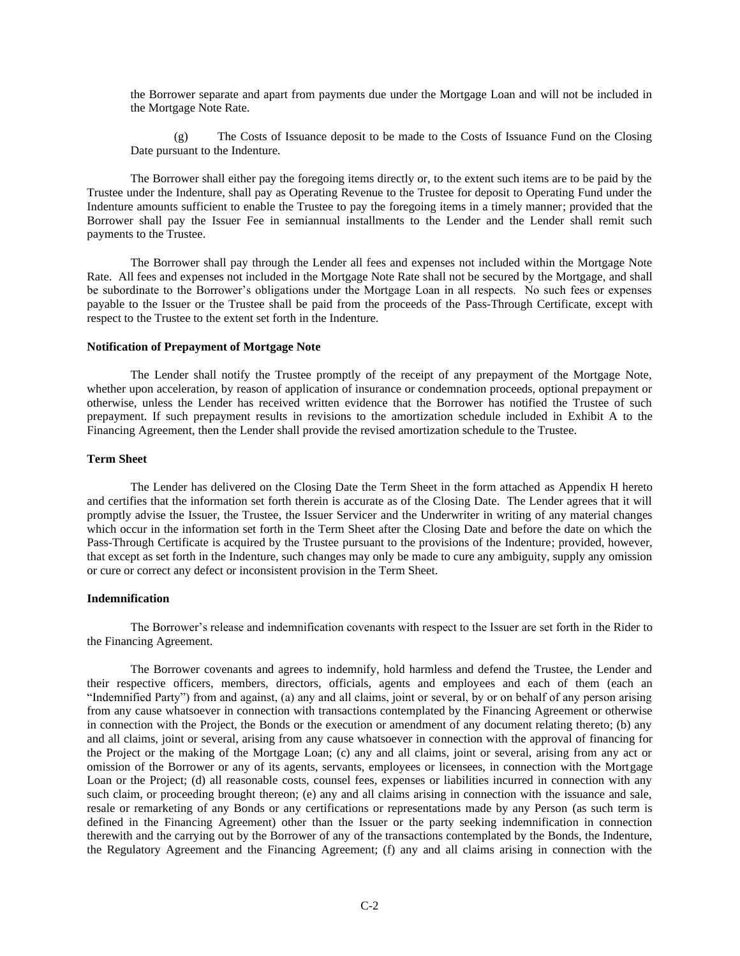the Borrower separate and apart from payments due under the Mortgage Loan and will not be included in the Mortgage Note Rate.

(g) The Costs of Issuance deposit to be made to the Costs of Issuance Fund on the Closing Date pursuant to the Indenture.

The Borrower shall either pay the foregoing items directly or, to the extent such items are to be paid by the Trustee under the Indenture, shall pay as Operating Revenue to the Trustee for deposit to Operating Fund under the Indenture amounts sufficient to enable the Trustee to pay the foregoing items in a timely manner; provided that the Borrower shall pay the Issuer Fee in semiannual installments to the Lender and the Lender shall remit such payments to the Trustee.

The Borrower shall pay through the Lender all fees and expenses not included within the Mortgage Note Rate. All fees and expenses not included in the Mortgage Note Rate shall not be secured by the Mortgage, and shall be subordinate to the Borrower's obligations under the Mortgage Loan in all respects. No such fees or expenses payable to the Issuer or the Trustee shall be paid from the proceeds of the Pass-Through Certificate, except with respect to the Trustee to the extent set forth in the Indenture.

### **Notification of Prepayment of Mortgage Note**

The Lender shall notify the Trustee promptly of the receipt of any prepayment of the Mortgage Note, whether upon acceleration, by reason of application of insurance or condemnation proceeds, optional prepayment or otherwise, unless the Lender has received written evidence that the Borrower has notified the Trustee of such prepayment. If such prepayment results in revisions to the amortization schedule included in Exhibit A to the Financing Agreement, then the Lender shall provide the revised amortization schedule to the Trustee.

## **Term Sheet**

The Lender has delivered on the Closing Date the Term Sheet in the form attached as Appendix H hereto and certifies that the information set forth therein is accurate as of the Closing Date. The Lender agrees that it will promptly advise the Issuer, the Trustee, the Issuer Servicer and the Underwriter in writing of any material changes which occur in the information set forth in the Term Sheet after the Closing Date and before the date on which the Pass-Through Certificate is acquired by the Trustee pursuant to the provisions of the Indenture; provided, however, that except as set forth in the Indenture, such changes may only be made to cure any ambiguity, supply any omission or cure or correct any defect or inconsistent provision in the Term Sheet.

#### **Indemnification**

The Borrower's release and indemnification covenants with respect to the Issuer are set forth in the Rider to the Financing Agreement.

The Borrower covenants and agrees to indemnify, hold harmless and defend the Trustee, the Lender and their respective officers, members, directors, officials, agents and employees and each of them (each an "Indemnified Party") from and against, (a) any and all claims, joint or several, by or on behalf of any person arising from any cause whatsoever in connection with transactions contemplated by the Financing Agreement or otherwise in connection with the Project, the Bonds or the execution or amendment of any document relating thereto; (b) any and all claims, joint or several, arising from any cause whatsoever in connection with the approval of financing for the Project or the making of the Mortgage Loan; (c) any and all claims, joint or several, arising from any act or omission of the Borrower or any of its agents, servants, employees or licensees, in connection with the Mortgage Loan or the Project; (d) all reasonable costs, counsel fees, expenses or liabilities incurred in connection with any such claim, or proceeding brought thereon; (e) any and all claims arising in connection with the issuance and sale, resale or remarketing of any Bonds or any certifications or representations made by any Person (as such term is defined in the Financing Agreement) other than the Issuer or the party seeking indemnification in connection therewith and the carrying out by the Borrower of any of the transactions contemplated by the Bonds, the Indenture, the Regulatory Agreement and the Financing Agreement; (f) any and all claims arising in connection with the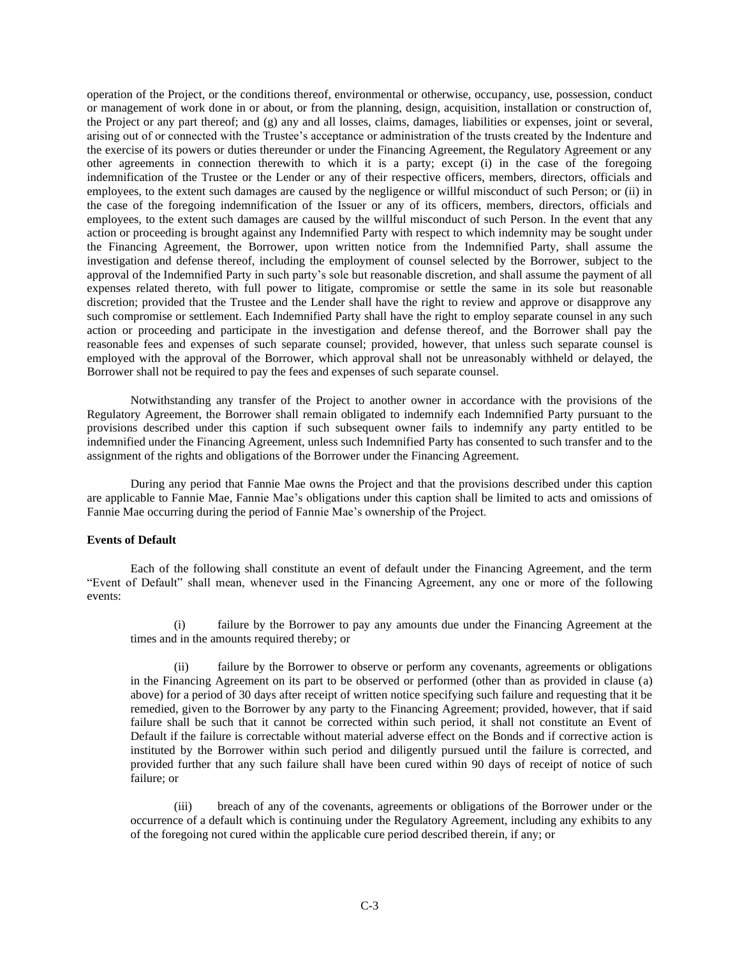operation of the Project, or the conditions thereof, environmental or otherwise, occupancy, use, possession, conduct or management of work done in or about, or from the planning, design, acquisition, installation or construction of, the Project or any part thereof; and (g) any and all losses, claims, damages, liabilities or expenses, joint or several, arising out of or connected with the Trustee's acceptance or administration of the trusts created by the Indenture and the exercise of its powers or duties thereunder or under the Financing Agreement, the Regulatory Agreement or any other agreements in connection therewith to which it is a party; except (i) in the case of the foregoing indemnification of the Trustee or the Lender or any of their respective officers, members, directors, officials and employees, to the extent such damages are caused by the negligence or willful misconduct of such Person; or (ii) in the case of the foregoing indemnification of the Issuer or any of its officers, members, directors, officials and employees, to the extent such damages are caused by the willful misconduct of such Person. In the event that any action or proceeding is brought against any Indemnified Party with respect to which indemnity may be sought under the Financing Agreement, the Borrower, upon written notice from the Indemnified Party, shall assume the investigation and defense thereof, including the employment of counsel selected by the Borrower, subject to the approval of the Indemnified Party in such party's sole but reasonable discretion, and shall assume the payment of all expenses related thereto, with full power to litigate, compromise or settle the same in its sole but reasonable discretion; provided that the Trustee and the Lender shall have the right to review and approve or disapprove any such compromise or settlement. Each Indemnified Party shall have the right to employ separate counsel in any such action or proceeding and participate in the investigation and defense thereof, and the Borrower shall pay the reasonable fees and expenses of such separate counsel; provided, however, that unless such separate counsel is employed with the approval of the Borrower, which approval shall not be unreasonably withheld or delayed, the Borrower shall not be required to pay the fees and expenses of such separate counsel.

Notwithstanding any transfer of the Project to another owner in accordance with the provisions of the Regulatory Agreement, the Borrower shall remain obligated to indemnify each Indemnified Party pursuant to the provisions described under this caption if such subsequent owner fails to indemnify any party entitled to be indemnified under the Financing Agreement, unless such Indemnified Party has consented to such transfer and to the assignment of the rights and obligations of the Borrower under the Financing Agreement.

During any period that Fannie Mae owns the Project and that the provisions described under this caption are applicable to Fannie Mae, Fannie Mae's obligations under this caption shall be limited to acts and omissions of Fannie Mae occurring during the period of Fannie Mae's ownership of the Project.

## **Events of Default**

Each of the following shall constitute an event of default under the Financing Agreement, and the term "Event of Default" shall mean, whenever used in the Financing Agreement, any one or more of the following events:

(i) failure by the Borrower to pay any amounts due under the Financing Agreement at the times and in the amounts required thereby; or

(ii) failure by the Borrower to observe or perform any covenants, agreements or obligations in the Financing Agreement on its part to be observed or performed (other than as provided in clause (a) above) for a period of 30 days after receipt of written notice specifying such failure and requesting that it be remedied, given to the Borrower by any party to the Financing Agreement; provided, however, that if said failure shall be such that it cannot be corrected within such period, it shall not constitute an Event of Default if the failure is correctable without material adverse effect on the Bonds and if corrective action is instituted by the Borrower within such period and diligently pursued until the failure is corrected, and provided further that any such failure shall have been cured within 90 days of receipt of notice of such failure; or

(iii) breach of any of the covenants, agreements or obligations of the Borrower under or the occurrence of a default which is continuing under the Regulatory Agreement, including any exhibits to any of the foregoing not cured within the applicable cure period described therein, if any; or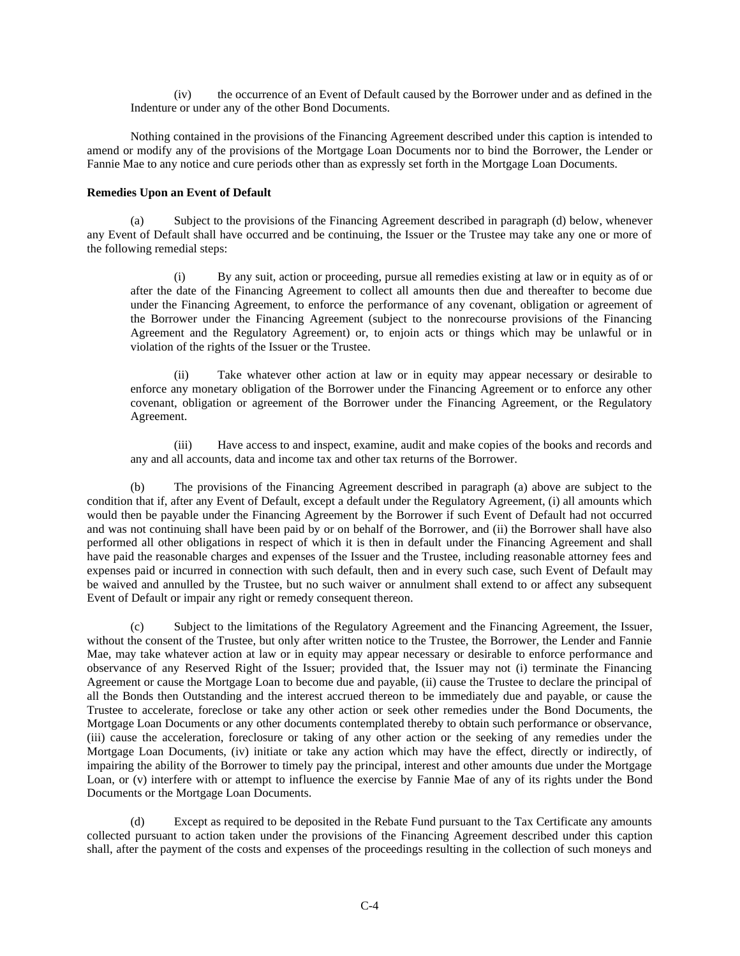(iv) the occurrence of an Event of Default caused by the Borrower under and as defined in the Indenture or under any of the other Bond Documents.

Nothing contained in the provisions of the Financing Agreement described under this caption is intended to amend or modify any of the provisions of the Mortgage Loan Documents nor to bind the Borrower, the Lender or Fannie Mae to any notice and cure periods other than as expressly set forth in the Mortgage Loan Documents.

# **Remedies Upon an Event of Default**

(a) Subject to the provisions of the Financing Agreement described in paragraph (d) below, whenever any Event of Default shall have occurred and be continuing, the Issuer or the Trustee may take any one or more of the following remedial steps:

(i) By any suit, action or proceeding, pursue all remedies existing at law or in equity as of or after the date of the Financing Agreement to collect all amounts then due and thereafter to become due under the Financing Agreement, to enforce the performance of any covenant, obligation or agreement of the Borrower under the Financing Agreement (subject to the nonrecourse provisions of the Financing Agreement and the Regulatory Agreement) or, to enjoin acts or things which may be unlawful or in violation of the rights of the Issuer or the Trustee.

(ii) Take whatever other action at law or in equity may appear necessary or desirable to enforce any monetary obligation of the Borrower under the Financing Agreement or to enforce any other covenant, obligation or agreement of the Borrower under the Financing Agreement, or the Regulatory Agreement.

(iii) Have access to and inspect, examine, audit and make copies of the books and records and any and all accounts, data and income tax and other tax returns of the Borrower.

(b) The provisions of the Financing Agreement described in paragraph (a) above are subject to the condition that if, after any Event of Default, except a default under the Regulatory Agreement, (i) all amounts which would then be payable under the Financing Agreement by the Borrower if such Event of Default had not occurred and was not continuing shall have been paid by or on behalf of the Borrower, and (ii) the Borrower shall have also performed all other obligations in respect of which it is then in default under the Financing Agreement and shall have paid the reasonable charges and expenses of the Issuer and the Trustee, including reasonable attorney fees and expenses paid or incurred in connection with such default, then and in every such case, such Event of Default may be waived and annulled by the Trustee, but no such waiver or annulment shall extend to or affect any subsequent Event of Default or impair any right or remedy consequent thereon.

(c) Subject to the limitations of the Regulatory Agreement and the Financing Agreement, the Issuer, without the consent of the Trustee, but only after written notice to the Trustee, the Borrower, the Lender and Fannie Mae, may take whatever action at law or in equity may appear necessary or desirable to enforce performance and observance of any Reserved Right of the Issuer; provided that, the Issuer may not (i) terminate the Financing Agreement or cause the Mortgage Loan to become due and payable, (ii) cause the Trustee to declare the principal of all the Bonds then Outstanding and the interest accrued thereon to be immediately due and payable, or cause the Trustee to accelerate, foreclose or take any other action or seek other remedies under the Bond Documents, the Mortgage Loan Documents or any other documents contemplated thereby to obtain such performance or observance, (iii) cause the acceleration, foreclosure or taking of any other action or the seeking of any remedies under the Mortgage Loan Documents, (iv) initiate or take any action which may have the effect, directly or indirectly, of impairing the ability of the Borrower to timely pay the principal, interest and other amounts due under the Mortgage Loan, or (v) interfere with or attempt to influence the exercise by Fannie Mae of any of its rights under the Bond Documents or the Mortgage Loan Documents.

(d) Except as required to be deposited in the Rebate Fund pursuant to the Tax Certificate any amounts collected pursuant to action taken under the provisions of the Financing Agreement described under this caption shall, after the payment of the costs and expenses of the proceedings resulting in the collection of such moneys and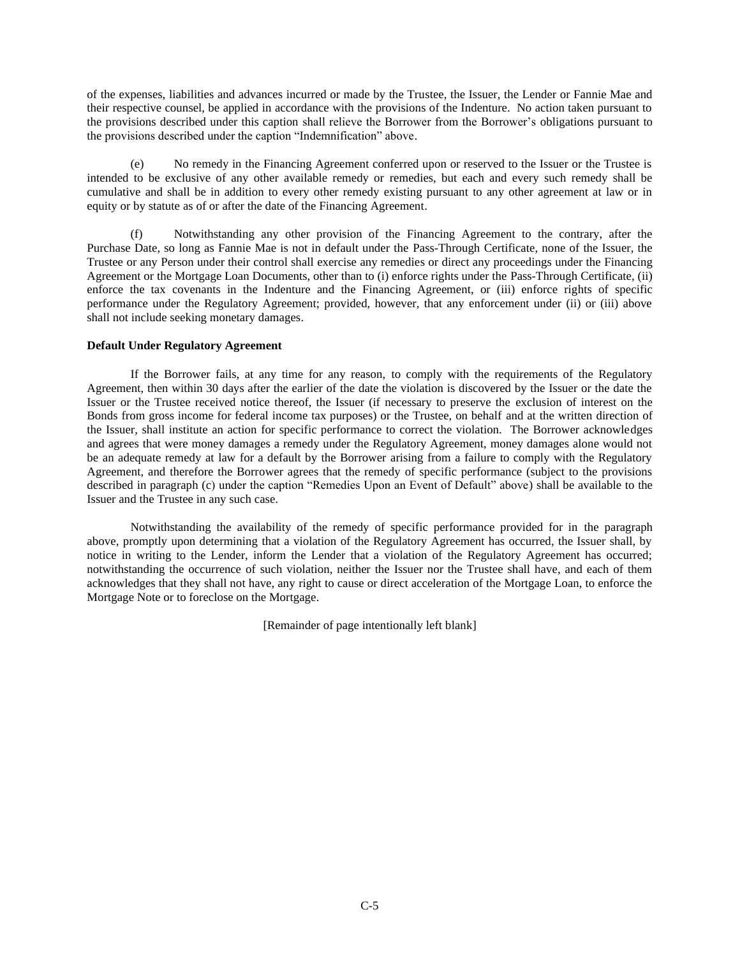of the expenses, liabilities and advances incurred or made by the Trustee, the Issuer, the Lender or Fannie Mae and their respective counsel, be applied in accordance with the provisions of the Indenture. No action taken pursuant to the provisions described under this caption shall relieve the Borrower from the Borrower's obligations pursuant to the provisions described under the caption "Indemnification" above.

(e) No remedy in the Financing Agreement conferred upon or reserved to the Issuer or the Trustee is intended to be exclusive of any other available remedy or remedies, but each and every such remedy shall be cumulative and shall be in addition to every other remedy existing pursuant to any other agreement at law or in equity or by statute as of or after the date of the Financing Agreement.

(f) Notwithstanding any other provision of the Financing Agreement to the contrary, after the Purchase Date, so long as Fannie Mae is not in default under the Pass-Through Certificate, none of the Issuer, the Trustee or any Person under their control shall exercise any remedies or direct any proceedings under the Financing Agreement or the Mortgage Loan Documents, other than to (i) enforce rights under the Pass-Through Certificate, (ii) enforce the tax covenants in the Indenture and the Financing Agreement, or (iii) enforce rights of specific performance under the Regulatory Agreement; provided, however, that any enforcement under (ii) or (iii) above shall not include seeking monetary damages.

# **Default Under Regulatory Agreement**

If the Borrower fails, at any time for any reason, to comply with the requirements of the Regulatory Agreement, then within 30 days after the earlier of the date the violation is discovered by the Issuer or the date the Issuer or the Trustee received notice thereof, the Issuer (if necessary to preserve the exclusion of interest on the Bonds from gross income for federal income tax purposes) or the Trustee, on behalf and at the written direction of the Issuer, shall institute an action for specific performance to correct the violation. The Borrower acknowledges and agrees that were money damages a remedy under the Regulatory Agreement, money damages alone would not be an adequate remedy at law for a default by the Borrower arising from a failure to comply with the Regulatory Agreement, and therefore the Borrower agrees that the remedy of specific performance (subject to the provisions described in paragraph (c) under the caption "Remedies Upon an Event of Default" above) shall be available to the Issuer and the Trustee in any such case.

Notwithstanding the availability of the remedy of specific performance provided for in the paragraph above, promptly upon determining that a violation of the Regulatory Agreement has occurred, the Issuer shall, by notice in writing to the Lender, inform the Lender that a violation of the Regulatory Agreement has occurred; notwithstanding the occurrence of such violation, neither the Issuer nor the Trustee shall have, and each of them acknowledges that they shall not have, any right to cause or direct acceleration of the Mortgage Loan, to enforce the Mortgage Note or to foreclose on the Mortgage.

[Remainder of page intentionally left blank]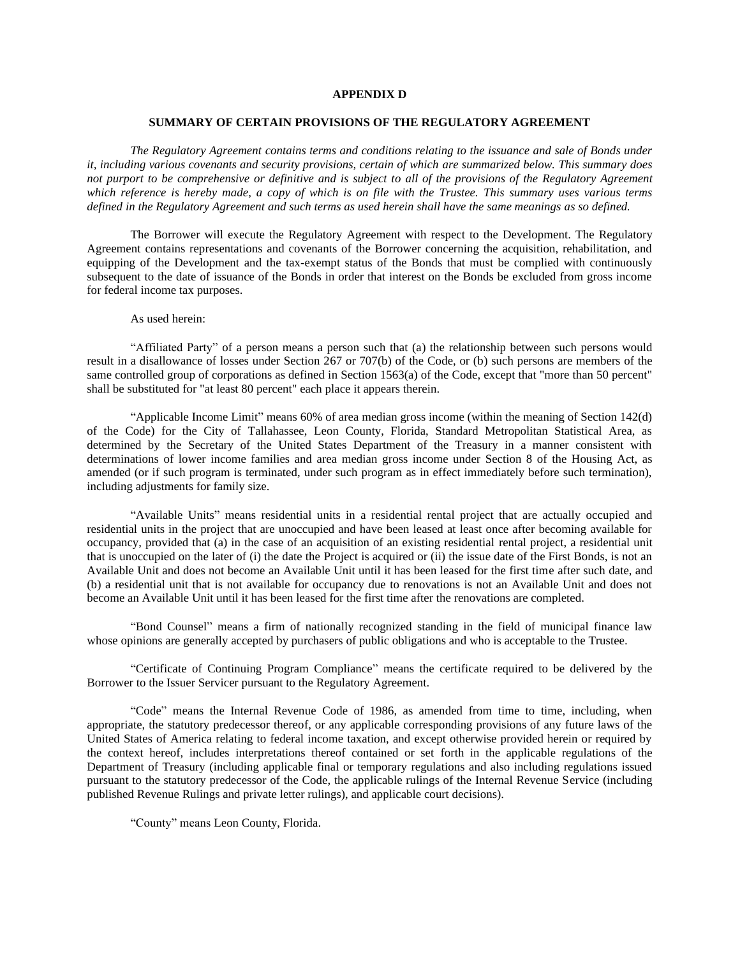## **APPENDIX D**

### **SUMMARY OF CERTAIN PROVISIONS OF THE REGULATORY AGREEMENT**

*The Regulatory Agreement contains terms and conditions relating to the issuance and sale of Bonds under it, including various covenants and security provisions, certain of which are summarized below. This summary does not purport to be comprehensive or definitive and is subject to all of the provisions of the Regulatory Agreement which reference is hereby made, a copy of which is on file with the Trustee. This summary uses various terms defined in the Regulatory Agreement and such terms as used herein shall have the same meanings as so defined.*

The Borrower will execute the Regulatory Agreement with respect to the Development. The Regulatory Agreement contains representations and covenants of the Borrower concerning the acquisition, rehabilitation, and equipping of the Development and the tax-exempt status of the Bonds that must be complied with continuously subsequent to the date of issuance of the Bonds in order that interest on the Bonds be excluded from gross income for federal income tax purposes.

As used herein:

"Affiliated Party" of a person means a person such that (a) the relationship between such persons would result in a disallowance of losses under Section 267 or 707(b) of the Code, or (b) such persons are members of the same controlled group of corporations as defined in Section 1563(a) of the Code, except that "more than 50 percent" shall be substituted for "at least 80 percent" each place it appears therein.

"Applicable Income Limit" means 60% of area median gross income (within the meaning of Section 142(d) of the Code) for the City of Tallahassee, Leon County, Florida, Standard Metropolitan Statistical Area, as determined by the Secretary of the United States Department of the Treasury in a manner consistent with determinations of lower income families and area median gross income under Section 8 of the Housing Act, as amended (or if such program is terminated, under such program as in effect immediately before such termination), including adjustments for family size.

"Available Units" means residential units in a residential rental project that are actually occupied and residential units in the project that are unoccupied and have been leased at least once after becoming available for occupancy, provided that (a) in the case of an acquisition of an existing residential rental project, a residential unit that is unoccupied on the later of (i) the date the Project is acquired or (ii) the issue date of the First Bonds, is not an Available Unit and does not become an Available Unit until it has been leased for the first time after such date, and (b) a residential unit that is not available for occupancy due to renovations is not an Available Unit and does not become an Available Unit until it has been leased for the first time after the renovations are completed.

"Bond Counsel" means a firm of nationally recognized standing in the field of municipal finance law whose opinions are generally accepted by purchasers of public obligations and who is acceptable to the Trustee.

"Certificate of Continuing Program Compliance" means the certificate required to be delivered by the Borrower to the Issuer Servicer pursuant to the Regulatory Agreement.

"Code" means the Internal Revenue Code of 1986, as amended from time to time, including, when appropriate, the statutory predecessor thereof, or any applicable corresponding provisions of any future laws of the United States of America relating to federal income taxation, and except otherwise provided herein or required by the context hereof, includes interpretations thereof contained or set forth in the applicable regulations of the Department of Treasury (including applicable final or temporary regulations and also including regulations issued pursuant to the statutory predecessor of the Code, the applicable rulings of the Internal Revenue Service (including published Revenue Rulings and private letter rulings), and applicable court decisions).

"County" means Leon County, Florida.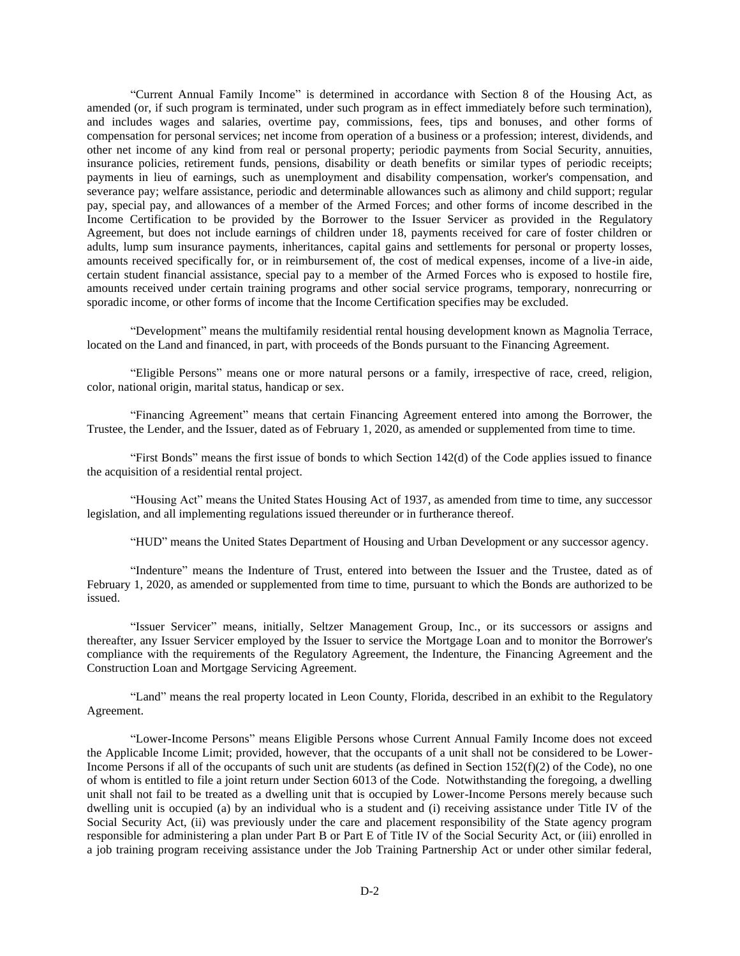"Current Annual Family Income" is determined in accordance with Section 8 of the Housing Act, as amended (or, if such program is terminated, under such program as in effect immediately before such termination), and includes wages and salaries, overtime pay, commissions, fees, tips and bonuses, and other forms of compensation for personal services; net income from operation of a business or a profession; interest, dividends, and other net income of any kind from real or personal property; periodic payments from Social Security, annuities, insurance policies, retirement funds, pensions, disability or death benefits or similar types of periodic receipts; payments in lieu of earnings, such as unemployment and disability compensation, worker's compensation, and severance pay; welfare assistance, periodic and determinable allowances such as alimony and child support; regular pay, special pay, and allowances of a member of the Armed Forces; and other forms of income described in the Income Certification to be provided by the Borrower to the Issuer Servicer as provided in the Regulatory Agreement, but does not include earnings of children under 18, payments received for care of foster children or adults, lump sum insurance payments, inheritances, capital gains and settlements for personal or property losses, amounts received specifically for, or in reimbursement of, the cost of medical expenses, income of a live-in aide, certain student financial assistance, special pay to a member of the Armed Forces who is exposed to hostile fire, amounts received under certain training programs and other social service programs, temporary, nonrecurring or sporadic income, or other forms of income that the Income Certification specifies may be excluded.

"Development" means the multifamily residential rental housing development known as Magnolia Terrace, located on the Land and financed, in part, with proceeds of the Bonds pursuant to the Financing Agreement.

"Eligible Persons" means one or more natural persons or a family, irrespective of race, creed, religion, color, national origin, marital status, handicap or sex.

"Financing Agreement" means that certain Financing Agreement entered into among the Borrower, the Trustee, the Lender, and the Issuer, dated as of February 1, 2020, as amended or supplemented from time to time.

"First Bonds" means the first issue of bonds to which Section 142(d) of the Code applies issued to finance the acquisition of a residential rental project.

"Housing Act" means the United States Housing Act of 1937, as amended from time to time, any successor legislation, and all implementing regulations issued thereunder or in furtherance thereof.

"HUD" means the United States Department of Housing and Urban Development or any successor agency.

"Indenture" means the Indenture of Trust, entered into between the Issuer and the Trustee, dated as of February 1, 2020, as amended or supplemented from time to time, pursuant to which the Bonds are authorized to be issued.

"Issuer Servicer" means, initially, Seltzer Management Group, Inc., or its successors or assigns and thereafter, any Issuer Servicer employed by the Issuer to service the Mortgage Loan and to monitor the Borrower's compliance with the requirements of the Regulatory Agreement, the Indenture, the Financing Agreement and the Construction Loan and Mortgage Servicing Agreement.

"Land" means the real property located in Leon County, Florida, described in an exhibit to the Regulatory Agreement.

"Lower-Income Persons" means Eligible Persons whose Current Annual Family Income does not exceed the Applicable Income Limit; provided, however, that the occupants of a unit shall not be considered to be Lower-Income Persons if all of the occupants of such unit are students (as defined in Section 152(f)(2) of the Code), no one of whom is entitled to file a joint return under Section 6013 of the Code. Notwithstanding the foregoing, a dwelling unit shall not fail to be treated as a dwelling unit that is occupied by Lower-Income Persons merely because such dwelling unit is occupied (a) by an individual who is a student and (i) receiving assistance under Title IV of the Social Security Act, (ii) was previously under the care and placement responsibility of the State agency program responsible for administering a plan under Part B or Part E of Title IV of the Social Security Act, or (iii) enrolled in a job training program receiving assistance under the Job Training Partnership Act or under other similar federal,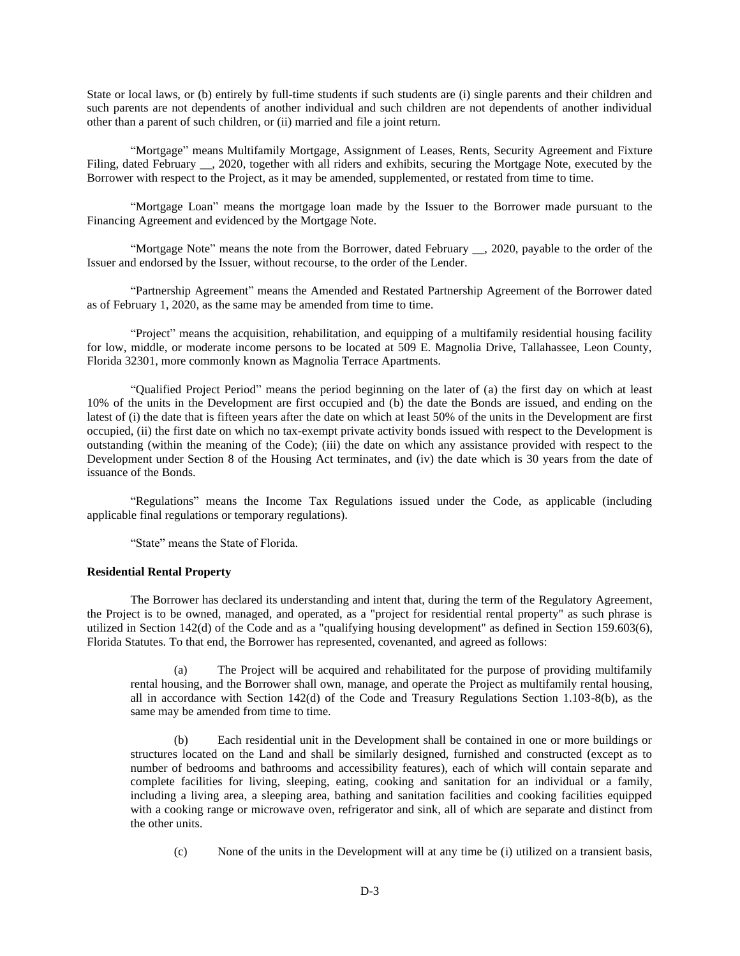State or local laws, or (b) entirely by full-time students if such students are (i) single parents and their children and such parents are not dependents of another individual and such children are not dependents of another individual other than a parent of such children, or (ii) married and file a joint return.

"Mortgage" means Multifamily Mortgage, Assignment of Leases, Rents, Security Agreement and Fixture Filing, dated February , 2020, together with all riders and exhibits, securing the Mortgage Note, executed by the Borrower with respect to the Project, as it may be amended, supplemented, or restated from time to time.

"Mortgage Loan" means the mortgage loan made by the Issuer to the Borrower made pursuant to the Financing Agreement and evidenced by the Mortgage Note.

"Mortgage Note" means the note from the Borrower, dated February \_\_, 2020, payable to the order of the Issuer and endorsed by the Issuer, without recourse, to the order of the Lender.

"Partnership Agreement" means the Amended and Restated Partnership Agreement of the Borrower dated as of February 1, 2020, as the same may be amended from time to time.

"Project" means the acquisition, rehabilitation, and equipping of a multifamily residential housing facility for low, middle, or moderate income persons to be located at 509 E. Magnolia Drive, Tallahassee, Leon County, Florida 32301, more commonly known as Magnolia Terrace Apartments.

"Qualified Project Period" means the period beginning on the later of (a) the first day on which at least 10% of the units in the Development are first occupied and (b) the date the Bonds are issued, and ending on the latest of (i) the date that is fifteen years after the date on which at least 50% of the units in the Development are first occupied, (ii) the first date on which no tax-exempt private activity bonds issued with respect to the Development is outstanding (within the meaning of the Code); (iii) the date on which any assistance provided with respect to the Development under Section 8 of the Housing Act terminates, and (iv) the date which is 30 years from the date of issuance of the Bonds.

"Regulations" means the Income Tax Regulations issued under the Code, as applicable (including applicable final regulations or temporary regulations).

"State" means the State of Florida.

## **Residential Rental Property**

The Borrower has declared its understanding and intent that, during the term of the Regulatory Agreement, the Project is to be owned, managed, and operated, as a "project for residential rental property" as such phrase is utilized in Section 142(d) of the Code and as a "qualifying housing development" as defined in Section 159.603(6), Florida Statutes. To that end, the Borrower has represented, covenanted, and agreed as follows:

(a) The Project will be acquired and rehabilitated for the purpose of providing multifamily rental housing, and the Borrower shall own, manage, and operate the Project as multifamily rental housing, all in accordance with Section 142(d) of the Code and Treasury Regulations Section 1.103-8(b), as the same may be amended from time to time.

(b) Each residential unit in the Development shall be contained in one or more buildings or structures located on the Land and shall be similarly designed, furnished and constructed (except as to number of bedrooms and bathrooms and accessibility features), each of which will contain separate and complete facilities for living, sleeping, eating, cooking and sanitation for an individual or a family, including a living area, a sleeping area, bathing and sanitation facilities and cooking facilities equipped with a cooking range or microwave oven, refrigerator and sink, all of which are separate and distinct from the other units.

(c) None of the units in the Development will at any time be (i) utilized on a transient basis,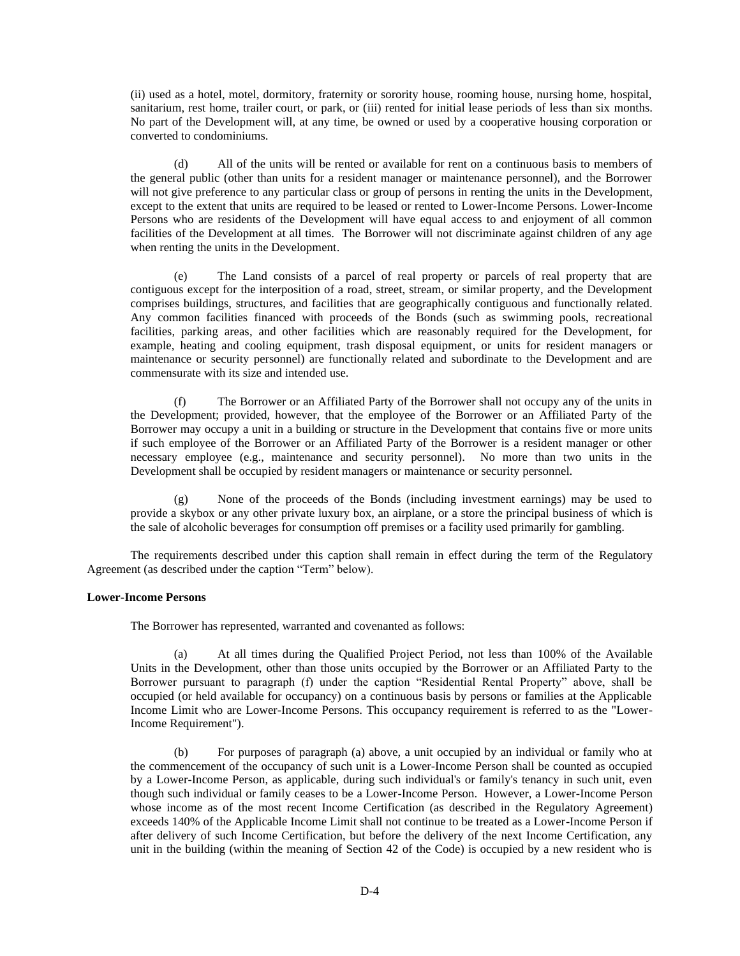(ii) used as a hotel, motel, dormitory, fraternity or sorority house, rooming house, nursing home, hospital, sanitarium, rest home, trailer court, or park, or (iii) rented for initial lease periods of less than six months. No part of the Development will, at any time, be owned or used by a cooperative housing corporation or converted to condominiums.

(d) All of the units will be rented or available for rent on a continuous basis to members of the general public (other than units for a resident manager or maintenance personnel), and the Borrower will not give preference to any particular class or group of persons in renting the units in the Development, except to the extent that units are required to be leased or rented to Lower-Income Persons. Lower-Income Persons who are residents of the Development will have equal access to and enjoyment of all common facilities of the Development at all times. The Borrower will not discriminate against children of any age when renting the units in the Development.

(e) The Land consists of a parcel of real property or parcels of real property that are contiguous except for the interposition of a road, street, stream, or similar property, and the Development comprises buildings, structures, and facilities that are geographically contiguous and functionally related. Any common facilities financed with proceeds of the Bonds (such as swimming pools, recreational facilities, parking areas, and other facilities which are reasonably required for the Development, for example, heating and cooling equipment, trash disposal equipment, or units for resident managers or maintenance or security personnel) are functionally related and subordinate to the Development and are commensurate with its size and intended use.

The Borrower or an Affiliated Party of the Borrower shall not occupy any of the units in the Development; provided, however, that the employee of the Borrower or an Affiliated Party of the Borrower may occupy a unit in a building or structure in the Development that contains five or more units if such employee of the Borrower or an Affiliated Party of the Borrower is a resident manager or other necessary employee (e.g., maintenance and security personnel). No more than two units in the Development shall be occupied by resident managers or maintenance or security personnel.

(g) None of the proceeds of the Bonds (including investment earnings) may be used to provide a skybox or any other private luxury box, an airplane, or a store the principal business of which is the sale of alcoholic beverages for consumption off premises or a facility used primarily for gambling.

The requirements described under this caption shall remain in effect during the term of the Regulatory Agreement (as described under the caption "Term" below).

#### **Lower-Income Persons**

The Borrower has represented, warranted and covenanted as follows:

(a) At all times during the Qualified Project Period, not less than 100% of the Available Units in the Development, other than those units occupied by the Borrower or an Affiliated Party to the Borrower pursuant to paragraph (f) under the caption "Residential Rental Property" above, shall be occupied (or held available for occupancy) on a continuous basis by persons or families at the Applicable Income Limit who are Lower-Income Persons. This occupancy requirement is referred to as the "Lower-Income Requirement").

(b) For purposes of paragraph (a) above, a unit occupied by an individual or family who at the commencement of the occupancy of such unit is a Lower-Income Person shall be counted as occupied by a Lower-Income Person, as applicable, during such individual's or family's tenancy in such unit, even though such individual or family ceases to be a Lower-Income Person. However, a Lower-Income Person whose income as of the most recent Income Certification (as described in the Regulatory Agreement) exceeds 140% of the Applicable Income Limit shall not continue to be treated as a Lower-Income Person if after delivery of such Income Certification, but before the delivery of the next Income Certification, any unit in the building (within the meaning of Section 42 of the Code) is occupied by a new resident who is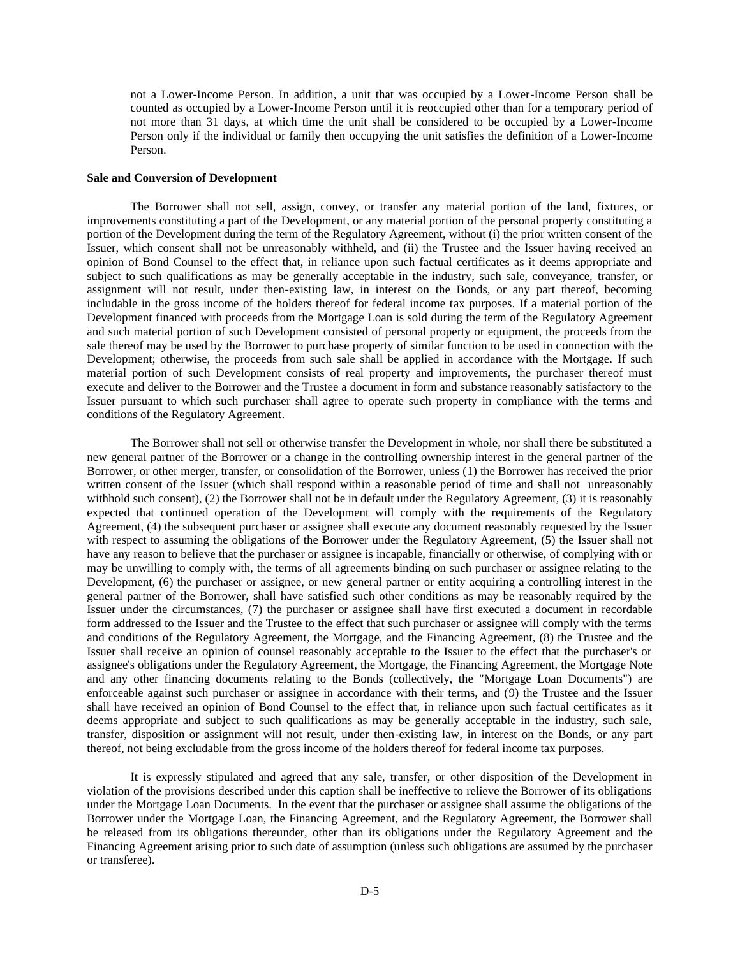not a Lower-Income Person. In addition, a unit that was occupied by a Lower-Income Person shall be counted as occupied by a Lower-Income Person until it is reoccupied other than for a temporary period of not more than 31 days, at which time the unit shall be considered to be occupied by a Lower-Income Person only if the individual or family then occupying the unit satisfies the definition of a Lower-Income Person.

## **Sale and Conversion of Development**

The Borrower shall not sell, assign, convey, or transfer any material portion of the land, fixtures, or improvements constituting a part of the Development, or any material portion of the personal property constituting a portion of the Development during the term of the Regulatory Agreement, without (i) the prior written consent of the Issuer, which consent shall not be unreasonably withheld, and (ii) the Trustee and the Issuer having received an opinion of Bond Counsel to the effect that, in reliance upon such factual certificates as it deems appropriate and subject to such qualifications as may be generally acceptable in the industry, such sale, conveyance, transfer, or assignment will not result, under then-existing law, in interest on the Bonds, or any part thereof, becoming includable in the gross income of the holders thereof for federal income tax purposes. If a material portion of the Development financed with proceeds from the Mortgage Loan is sold during the term of the Regulatory Agreement and such material portion of such Development consisted of personal property or equipment, the proceeds from the sale thereof may be used by the Borrower to purchase property of similar function to be used in connection with the Development; otherwise, the proceeds from such sale shall be applied in accordance with the Mortgage. If such material portion of such Development consists of real property and improvements, the purchaser thereof must execute and deliver to the Borrower and the Trustee a document in form and substance reasonably satisfactory to the Issuer pursuant to which such purchaser shall agree to operate such property in compliance with the terms and conditions of the Regulatory Agreement.

The Borrower shall not sell or otherwise transfer the Development in whole, nor shall there be substituted a new general partner of the Borrower or a change in the controlling ownership interest in the general partner of the Borrower, or other merger, transfer, or consolidation of the Borrower, unless (1) the Borrower has received the prior written consent of the Issuer (which shall respond within a reasonable period of time and shall not unreasonably withhold such consent), (2) the Borrower shall not be in default under the Regulatory Agreement, (3) it is reasonably expected that continued operation of the Development will comply with the requirements of the Regulatory Agreement, (4) the subsequent purchaser or assignee shall execute any document reasonably requested by the Issuer with respect to assuming the obligations of the Borrower under the Regulatory Agreement, (5) the Issuer shall not have any reason to believe that the purchaser or assignee is incapable, financially or otherwise, of complying with or may be unwilling to comply with, the terms of all agreements binding on such purchaser or assignee relating to the Development, (6) the purchaser or assignee, or new general partner or entity acquiring a controlling interest in the general partner of the Borrower, shall have satisfied such other conditions as may be reasonably required by the Issuer under the circumstances, (7) the purchaser or assignee shall have first executed a document in recordable form addressed to the Issuer and the Trustee to the effect that such purchaser or assignee will comply with the terms and conditions of the Regulatory Agreement, the Mortgage, and the Financing Agreement, (8) the Trustee and the Issuer shall receive an opinion of counsel reasonably acceptable to the Issuer to the effect that the purchaser's or assignee's obligations under the Regulatory Agreement, the Mortgage, the Financing Agreement, the Mortgage Note and any other financing documents relating to the Bonds (collectively, the "Mortgage Loan Documents") are enforceable against such purchaser or assignee in accordance with their terms, and (9) the Trustee and the Issuer shall have received an opinion of Bond Counsel to the effect that, in reliance upon such factual certificates as it deems appropriate and subject to such qualifications as may be generally acceptable in the industry, such sale, transfer, disposition or assignment will not result, under then-existing law, in interest on the Bonds, or any part thereof, not being excludable from the gross income of the holders thereof for federal income tax purposes.

It is expressly stipulated and agreed that any sale, transfer, or other disposition of the Development in violation of the provisions described under this caption shall be ineffective to relieve the Borrower of its obligations under the Mortgage Loan Documents. In the event that the purchaser or assignee shall assume the obligations of the Borrower under the Mortgage Loan, the Financing Agreement, and the Regulatory Agreement, the Borrower shall be released from its obligations thereunder, other than its obligations under the Regulatory Agreement and the Financing Agreement arising prior to such date of assumption (unless such obligations are assumed by the purchaser or transferee).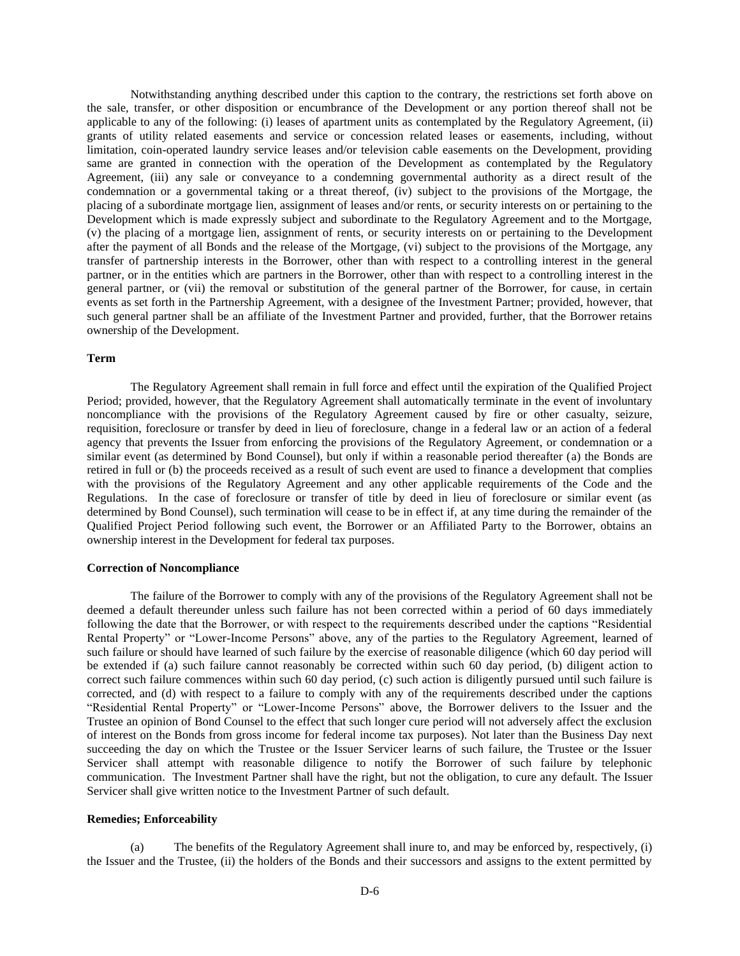Notwithstanding anything described under this caption to the contrary, the restrictions set forth above on the sale, transfer, or other disposition or encumbrance of the Development or any portion thereof shall not be applicable to any of the following: (i) leases of apartment units as contemplated by the Regulatory Agreement, (ii) grants of utility related easements and service or concession related leases or easements, including, without limitation, coin-operated laundry service leases and/or television cable easements on the Development, providing same are granted in connection with the operation of the Development as contemplated by the Regulatory Agreement, (iii) any sale or conveyance to a condemning governmental authority as a direct result of the condemnation or a governmental taking or a threat thereof, (iv) subject to the provisions of the Mortgage, the placing of a subordinate mortgage lien, assignment of leases and/or rents, or security interests on or pertaining to the Development which is made expressly subject and subordinate to the Regulatory Agreement and to the Mortgage, (v) the placing of a mortgage lien, assignment of rents, or security interests on or pertaining to the Development after the payment of all Bonds and the release of the Mortgage, (vi) subject to the provisions of the Mortgage, any transfer of partnership interests in the Borrower, other than with respect to a controlling interest in the general partner, or in the entities which are partners in the Borrower, other than with respect to a controlling interest in the general partner, or (vii) the removal or substitution of the general partner of the Borrower, for cause, in certain events as set forth in the Partnership Agreement, with a designee of the Investment Partner; provided, however, that such general partner shall be an affiliate of the Investment Partner and provided, further, that the Borrower retains ownership of the Development.

### **Term**

The Regulatory Agreement shall remain in full force and effect until the expiration of the Qualified Project Period; provided, however, that the Regulatory Agreement shall automatically terminate in the event of involuntary noncompliance with the provisions of the Regulatory Agreement caused by fire or other casualty, seizure, requisition, foreclosure or transfer by deed in lieu of foreclosure, change in a federal law or an action of a federal agency that prevents the Issuer from enforcing the provisions of the Regulatory Agreement, or condemnation or a similar event (as determined by Bond Counsel), but only if within a reasonable period thereafter (a) the Bonds are retired in full or (b) the proceeds received as a result of such event are used to finance a development that complies with the provisions of the Regulatory Agreement and any other applicable requirements of the Code and the Regulations. In the case of foreclosure or transfer of title by deed in lieu of foreclosure or similar event (as determined by Bond Counsel), such termination will cease to be in effect if, at any time during the remainder of the Qualified Project Period following such event, the Borrower or an Affiliated Party to the Borrower, obtains an ownership interest in the Development for federal tax purposes.

#### **Correction of Noncompliance**

The failure of the Borrower to comply with any of the provisions of the Regulatory Agreement shall not be deemed a default thereunder unless such failure has not been corrected within a period of 60 days immediately following the date that the Borrower, or with respect to the requirements described under the captions "Residential Rental Property" or "Lower-Income Persons" above, any of the parties to the Regulatory Agreement, learned of such failure or should have learned of such failure by the exercise of reasonable diligence (which 60 day period will be extended if (a) such failure cannot reasonably be corrected within such 60 day period, (b) diligent action to correct such failure commences within such 60 day period, (c) such action is diligently pursued until such failure is corrected, and (d) with respect to a failure to comply with any of the requirements described under the captions "Residential Rental Property" or "Lower-Income Persons" above, the Borrower delivers to the Issuer and the Trustee an opinion of Bond Counsel to the effect that such longer cure period will not adversely affect the exclusion of interest on the Bonds from gross income for federal income tax purposes). Not later than the Business Day next succeeding the day on which the Trustee or the Issuer Servicer learns of such failure, the Trustee or the Issuer Servicer shall attempt with reasonable diligence to notify the Borrower of such failure by telephonic communication. The Investment Partner shall have the right, but not the obligation, to cure any default. The Issuer Servicer shall give written notice to the Investment Partner of such default.

#### **Remedies; Enforceability**

(a) The benefits of the Regulatory Agreement shall inure to, and may be enforced by, respectively, (i) the Issuer and the Trustee, (ii) the holders of the Bonds and their successors and assigns to the extent permitted by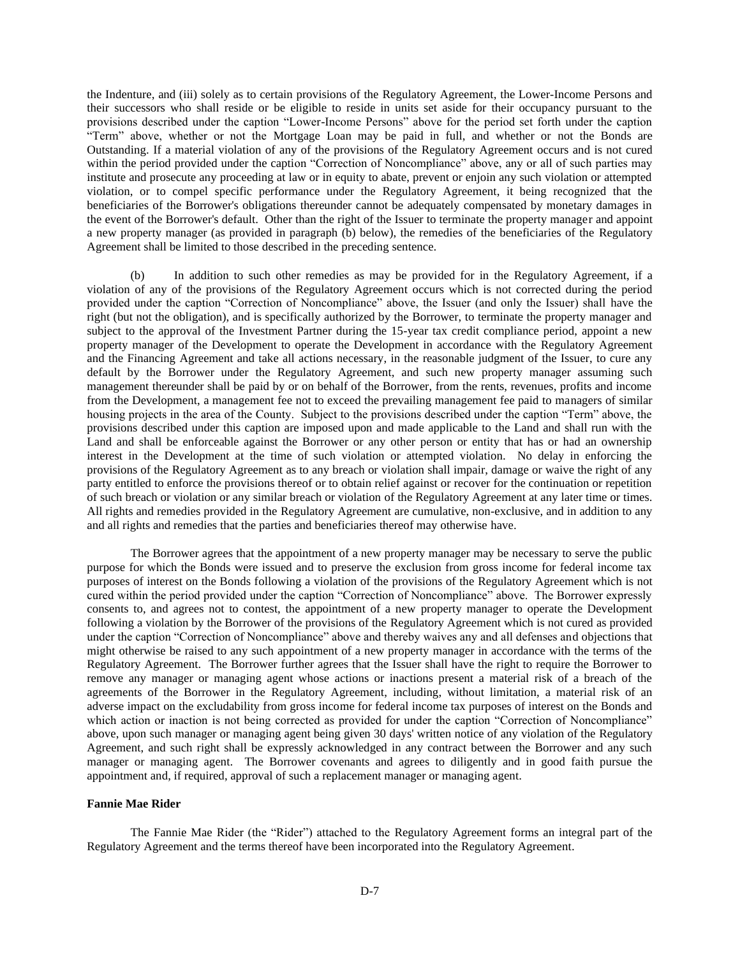the Indenture, and (iii) solely as to certain provisions of the Regulatory Agreement, the Lower-Income Persons and their successors who shall reside or be eligible to reside in units set aside for their occupancy pursuant to the provisions described under the caption "Lower-Income Persons" above for the period set forth under the caption "Term" above, whether or not the Mortgage Loan may be paid in full, and whether or not the Bonds are Outstanding. If a material violation of any of the provisions of the Regulatory Agreement occurs and is not cured within the period provided under the caption "Correction of Noncompliance" above, any or all of such parties may institute and prosecute any proceeding at law or in equity to abate, prevent or enjoin any such violation or attempted violation, or to compel specific performance under the Regulatory Agreement, it being recognized that the beneficiaries of the Borrower's obligations thereunder cannot be adequately compensated by monetary damages in the event of the Borrower's default. Other than the right of the Issuer to terminate the property manager and appoint a new property manager (as provided in paragraph (b) below), the remedies of the beneficiaries of the Regulatory Agreement shall be limited to those described in the preceding sentence.

(b) In addition to such other remedies as may be provided for in the Regulatory Agreement, if a violation of any of the provisions of the Regulatory Agreement occurs which is not corrected during the period provided under the caption "Correction of Noncompliance" above, the Issuer (and only the Issuer) shall have the right (but not the obligation), and is specifically authorized by the Borrower, to terminate the property manager and subject to the approval of the Investment Partner during the 15-year tax credit compliance period, appoint a new property manager of the Development to operate the Development in accordance with the Regulatory Agreement and the Financing Agreement and take all actions necessary, in the reasonable judgment of the Issuer, to cure any default by the Borrower under the Regulatory Agreement, and such new property manager assuming such management thereunder shall be paid by or on behalf of the Borrower, from the rents, revenues, profits and income from the Development, a management fee not to exceed the prevailing management fee paid to managers of similar housing projects in the area of the County. Subject to the provisions described under the caption "Term" above, the provisions described under this caption are imposed upon and made applicable to the Land and shall run with the Land and shall be enforceable against the Borrower or any other person or entity that has or had an ownership interest in the Development at the time of such violation or attempted violation. No delay in enforcing the provisions of the Regulatory Agreement as to any breach or violation shall impair, damage or waive the right of any party entitled to enforce the provisions thereof or to obtain relief against or recover for the continuation or repetition of such breach or violation or any similar breach or violation of the Regulatory Agreement at any later time or times. All rights and remedies provided in the Regulatory Agreement are cumulative, non-exclusive, and in addition to any and all rights and remedies that the parties and beneficiaries thereof may otherwise have.

The Borrower agrees that the appointment of a new property manager may be necessary to serve the public purpose for which the Bonds were issued and to preserve the exclusion from gross income for federal income tax purposes of interest on the Bonds following a violation of the provisions of the Regulatory Agreement which is not cured within the period provided under the caption "Correction of Noncompliance" above. The Borrower expressly consents to, and agrees not to contest, the appointment of a new property manager to operate the Development following a violation by the Borrower of the provisions of the Regulatory Agreement which is not cured as provided under the caption "Correction of Noncompliance" above and thereby waives any and all defenses and objections that might otherwise be raised to any such appointment of a new property manager in accordance with the terms of the Regulatory Agreement. The Borrower further agrees that the Issuer shall have the right to require the Borrower to remove any manager or managing agent whose actions or inactions present a material risk of a breach of the agreements of the Borrower in the Regulatory Agreement, including, without limitation, a material risk of an adverse impact on the excludability from gross income for federal income tax purposes of interest on the Bonds and which action or inaction is not being corrected as provided for under the caption "Correction of Noncompliance" above, upon such manager or managing agent being given 30 days' written notice of any violation of the Regulatory Agreement, and such right shall be expressly acknowledged in any contract between the Borrower and any such manager or managing agent. The Borrower covenants and agrees to diligently and in good faith pursue the appointment and, if required, approval of such a replacement manager or managing agent.

### **Fannie Mae Rider**

The Fannie Mae Rider (the "Rider") attached to the Regulatory Agreement forms an integral part of the Regulatory Agreement and the terms thereof have been incorporated into the Regulatory Agreement.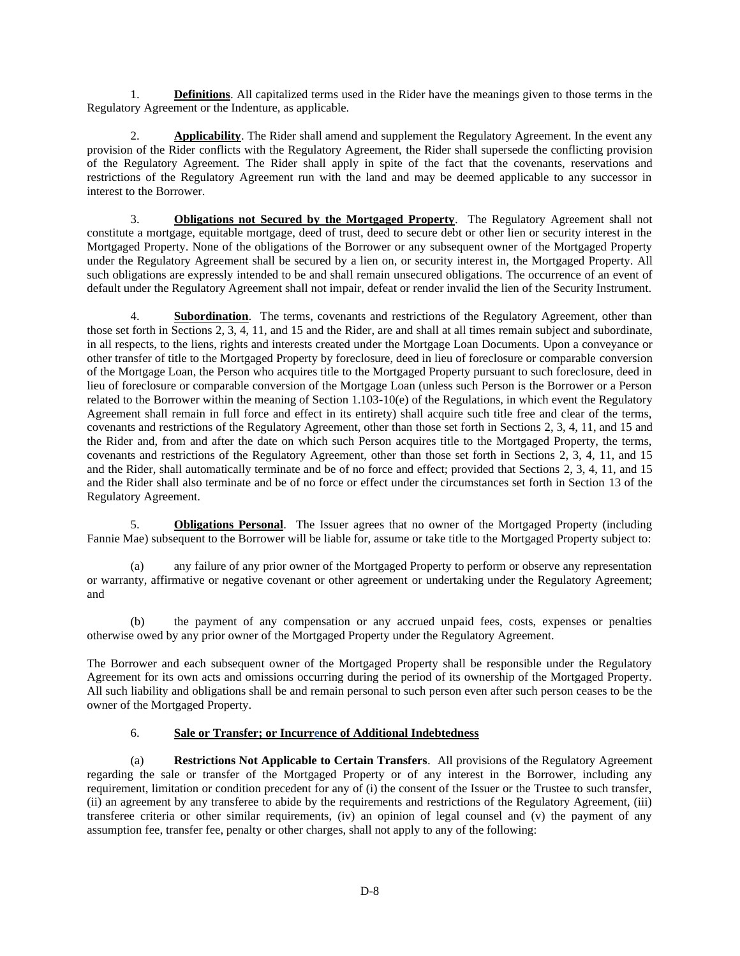1. **Definitions**. All capitalized terms used in the Rider have the meanings given to those terms in the Regulatory Agreement or the Indenture, as applicable.

2. **Applicability**. The Rider shall amend and supplement the Regulatory Agreement. In the event any provision of the Rider conflicts with the Regulatory Agreement, the Rider shall supersede the conflicting provision of the Regulatory Agreement. The Rider shall apply in spite of the fact that the covenants, reservations and restrictions of the Regulatory Agreement run with the land and may be deemed applicable to any successor in interest to the Borrower.

3. **Obligations not Secured by the Mortgaged Property**. The Regulatory Agreement shall not constitute a mortgage, equitable mortgage, deed of trust, deed to secure debt or other lien or security interest in the Mortgaged Property. None of the obligations of the Borrower or any subsequent owner of the Mortgaged Property under the Regulatory Agreement shall be secured by a lien on, or security interest in, the Mortgaged Property. All such obligations are expressly intended to be and shall remain unsecured obligations. The occurrence of an event of default under the Regulatory Agreement shall not impair, defeat or render invalid the lien of the Security Instrument.

4. **Subordination**. The terms, covenants and restrictions of the Regulatory Agreement, other than those set forth in Sections 2, 3, 4, 11, and 15 and the Rider, are and shall at all times remain subject and subordinate, in all respects, to the liens, rights and interests created under the Mortgage Loan Documents. Upon a conveyance or other transfer of title to the Mortgaged Property by foreclosure, deed in lieu of foreclosure or comparable conversion of the Mortgage Loan, the Person who acquires title to the Mortgaged Property pursuant to such foreclosure, deed in lieu of foreclosure or comparable conversion of the Mortgage Loan (unless such Person is the Borrower or a Person related to the Borrower within the meaning of Section 1.103-10(e) of the Regulations, in which event the Regulatory Agreement shall remain in full force and effect in its entirety) shall acquire such title free and clear of the terms, covenants and restrictions of the Regulatory Agreement, other than those set forth in Sections 2, 3, 4, 11, and 15 and the Rider and, from and after the date on which such Person acquires title to the Mortgaged Property, the terms, covenants and restrictions of the Regulatory Agreement, other than those set forth in Sections 2, 3, 4, 11, and 15 and the Rider, shall automatically terminate and be of no force and effect; provided that Sections 2, 3, 4, 11, and 15 and the Rider shall also terminate and be of no force or effect under the circumstances set forth in Section 13 of the Regulatory Agreement.

5. **Obligations Personal**. The Issuer agrees that no owner of the Mortgaged Property (including Fannie Mae) subsequent to the Borrower will be liable for, assume or take title to the Mortgaged Property subject to:

(a) any failure of any prior owner of the Mortgaged Property to perform or observe any representation or warranty, affirmative or negative covenant or other agreement or undertaking under the Regulatory Agreement; and

(b) the payment of any compensation or any accrued unpaid fees, costs, expenses or penalties otherwise owed by any prior owner of the Mortgaged Property under the Regulatory Agreement.

The Borrower and each subsequent owner of the Mortgaged Property shall be responsible under the Regulatory Agreement for its own acts and omissions occurring during the period of its ownership of the Mortgaged Property. All such liability and obligations shall be and remain personal to such person even after such person ceases to be the owner of the Mortgaged Property.

# 6. **Sale or Transfer; or Incurrence of Additional Indebtedness**

(a) **Restrictions Not Applicable to Certain Transfers**. All provisions of the Regulatory Agreement regarding the sale or transfer of the Mortgaged Property or of any interest in the Borrower, including any requirement, limitation or condition precedent for any of (i) the consent of the Issuer or the Trustee to such transfer, (ii) an agreement by any transferee to abide by the requirements and restrictions of the Regulatory Agreement, (iii) transferee criteria or other similar requirements, (iv) an opinion of legal counsel and (v) the payment of any assumption fee, transfer fee, penalty or other charges, shall not apply to any of the following: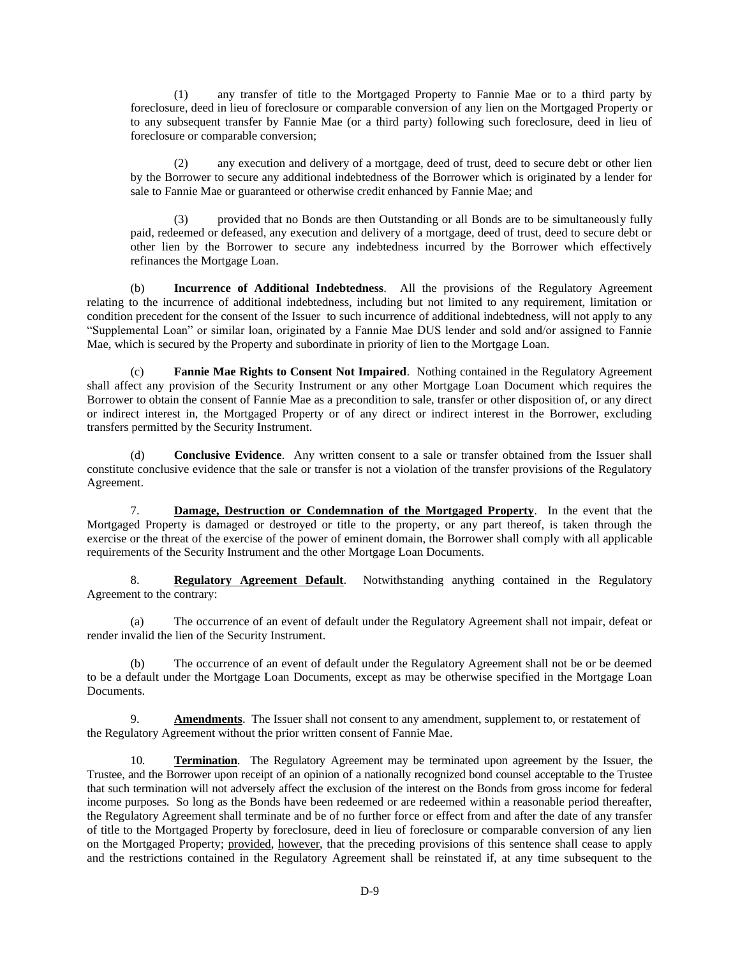(1) any transfer of title to the Mortgaged Property to Fannie Mae or to a third party by foreclosure, deed in lieu of foreclosure or comparable conversion of any lien on the Mortgaged Property or to any subsequent transfer by Fannie Mae (or a third party) following such foreclosure, deed in lieu of foreclosure or comparable conversion;

(2) any execution and delivery of a mortgage, deed of trust, deed to secure debt or other lien by the Borrower to secure any additional indebtedness of the Borrower which is originated by a lender for sale to Fannie Mae or guaranteed or otherwise credit enhanced by Fannie Mae; and

(3) provided that no Bonds are then Outstanding or all Bonds are to be simultaneously fully paid, redeemed or defeased, any execution and delivery of a mortgage, deed of trust, deed to secure debt or other lien by the Borrower to secure any indebtedness incurred by the Borrower which effectively refinances the Mortgage Loan.

(b) **Incurrence of Additional Indebtedness**. All the provisions of the Regulatory Agreement relating to the incurrence of additional indebtedness, including but not limited to any requirement, limitation or condition precedent for the consent of the Issuer to such incurrence of additional indebtedness, will not apply to any "Supplemental Loan" or similar loan, originated by a Fannie Mae DUS lender and sold and/or assigned to Fannie Mae, which is secured by the Property and subordinate in priority of lien to the Mortgage Loan.

(c) **Fannie Mae Rights to Consent Not Impaired**. Nothing contained in the Regulatory Agreement shall affect any provision of the Security Instrument or any other Mortgage Loan Document which requires the Borrower to obtain the consent of Fannie Mae as a precondition to sale, transfer or other disposition of, or any direct or indirect interest in, the Mortgaged Property or of any direct or indirect interest in the Borrower, excluding transfers permitted by the Security Instrument.

(d) **Conclusive Evidence**. Any written consent to a sale or transfer obtained from the Issuer shall constitute conclusive evidence that the sale or transfer is not a violation of the transfer provisions of the Regulatory Agreement.

7. **Damage, Destruction or Condemnation of the Mortgaged Property**. In the event that the Mortgaged Property is damaged or destroyed or title to the property, or any part thereof, is taken through the exercise or the threat of the exercise of the power of eminent domain, the Borrower shall comply with all applicable requirements of the Security Instrument and the other Mortgage Loan Documents.

8. **Regulatory Agreement Default**. Notwithstanding anything contained in the Regulatory Agreement to the contrary:

(a) The occurrence of an event of default under the Regulatory Agreement shall not impair, defeat or render invalid the lien of the Security Instrument.

(b) The occurrence of an event of default under the Regulatory Agreement shall not be or be deemed to be a default under the Mortgage Loan Documents, except as may be otherwise specified in the Mortgage Loan Documents.

9. **Amendments**. The Issuer shall not consent to any amendment, supplement to, or restatement of the Regulatory Agreement without the prior written consent of Fannie Mae.

10. **Termination**. The Regulatory Agreement may be terminated upon agreement by the Issuer, the Trustee, and the Borrower upon receipt of an opinion of a nationally recognized bond counsel acceptable to the Trustee that such termination will not adversely affect the exclusion of the interest on the Bonds from gross income for federal income purposes. So long as the Bonds have been redeemed or are redeemed within a reasonable period thereafter, the Regulatory Agreement shall terminate and be of no further force or effect from and after the date of any transfer of title to the Mortgaged Property by foreclosure, deed in lieu of foreclosure or comparable conversion of any lien on the Mortgaged Property; provided, however, that the preceding provisions of this sentence shall cease to apply and the restrictions contained in the Regulatory Agreement shall be reinstated if, at any time subsequent to the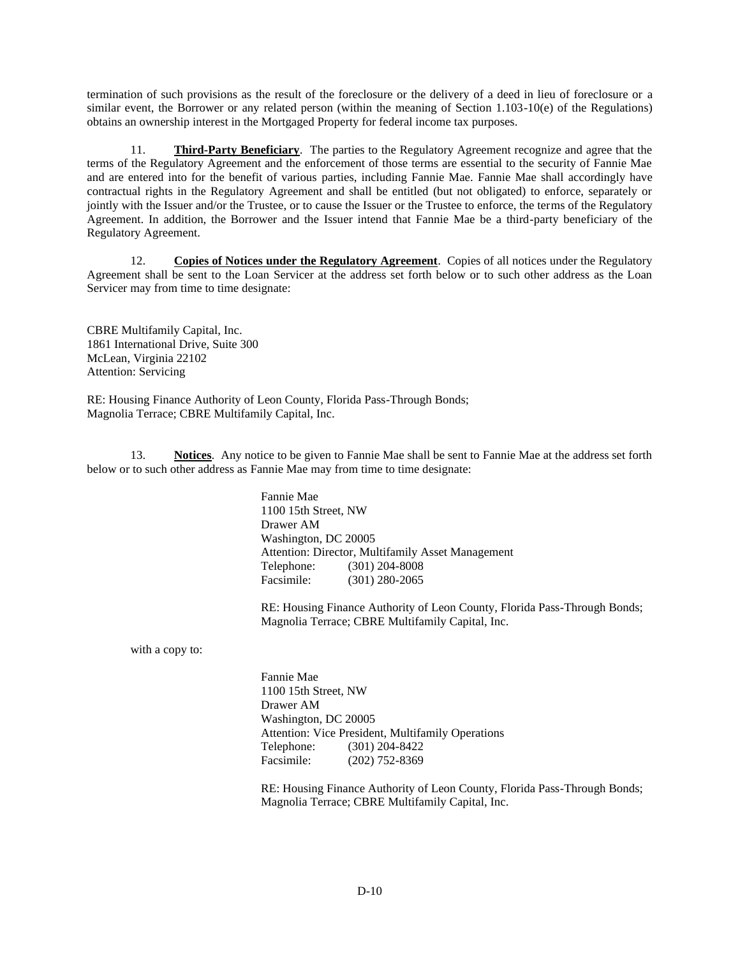termination of such provisions as the result of the foreclosure or the delivery of a deed in lieu of foreclosure or a similar event, the Borrower or any related person (within the meaning of Section 1.103-10(e) of the Regulations) obtains an ownership interest in the Mortgaged Property for federal income tax purposes.

11. **Third-Party Beneficiary**. The parties to the Regulatory Agreement recognize and agree that the terms of the Regulatory Agreement and the enforcement of those terms are essential to the security of Fannie Mae and are entered into for the benefit of various parties, including Fannie Mae. Fannie Mae shall accordingly have contractual rights in the Regulatory Agreement and shall be entitled (but not obligated) to enforce, separately or jointly with the Issuer and/or the Trustee, or to cause the Issuer or the Trustee to enforce, the terms of the Regulatory Agreement. In addition, the Borrower and the Issuer intend that Fannie Mae be a third-party beneficiary of the Regulatory Agreement.

12. **Copies of Notices under the Regulatory Agreement**. Copies of all notices under the Regulatory Agreement shall be sent to the Loan Servicer at the address set forth below or to such other address as the Loan Servicer may from time to time designate:

CBRE Multifamily Capital, Inc. 1861 International Drive, Suite 300 McLean, Virginia 22102 Attention: Servicing

RE: Housing Finance Authority of Leon County, Florida Pass-Through Bonds; Magnolia Terrace; CBRE Multifamily Capital, Inc.

13. **Notices**. Any notice to be given to Fannie Mae shall be sent to Fannie Mae at the address set forth below or to such other address as Fannie Mae may from time to time designate:

> Fannie Mae 1100 15th Street, NW Drawer AM Washington, DC 20005 Attention: Director, Multifamily Asset Management Telephone: (301) 204-8008 Facsimile: (301) 280-2065

RE: Housing Finance Authority of Leon County, Florida Pass-Through Bonds; Magnolia Terrace; CBRE Multifamily Capital, Inc.

with a copy to:

Fannie Mae 1100 15th Street, NW Drawer AM Washington, DC 20005 Attention: Vice President, Multifamily Operations Telephone: (301) 204-8422 Facsimile: (202) 752-8369

RE: Housing Finance Authority of Leon County, Florida Pass-Through Bonds; Magnolia Terrace; CBRE Multifamily Capital, Inc.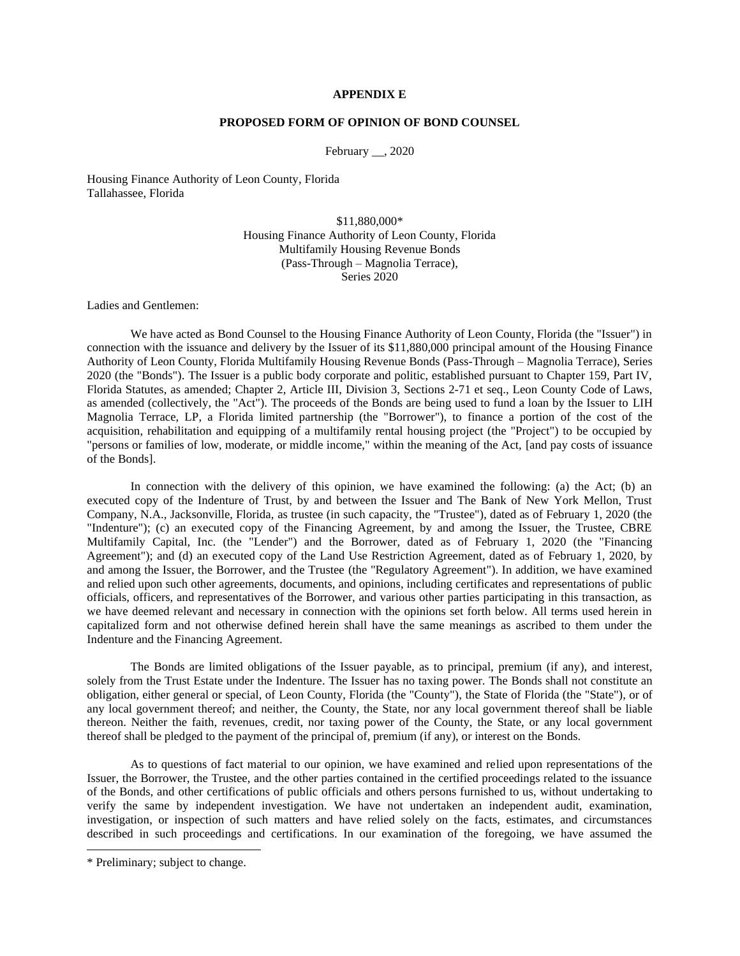## **APPENDIX E**

## **PROPOSED FORM OF OPINION OF BOND COUNSEL**

February  $\_\_$ , 2020

Housing Finance Authority of Leon County, Florida Tallahassee, Florida

> \$11,880,000\* Housing Finance Authority of Leon County, Florida Multifamily Housing Revenue Bonds (Pass-Through – Magnolia Terrace), Series 2020

Ladies and Gentlemen:

We have acted as Bond Counsel to the Housing Finance Authority of Leon County, Florida (the "Issuer") in connection with the issuance and delivery by the Issuer of its \$11,880,000 principal amount of the Housing Finance Authority of Leon County, Florida Multifamily Housing Revenue Bonds (Pass-Through – Magnolia Terrace), Series 2020 (the "Bonds"). The Issuer is a public body corporate and politic, established pursuant to Chapter 159, Part IV, Florida Statutes, as amended; Chapter 2, Article III, Division 3, Sections 2-71 et seq., Leon County Code of Laws, as amended (collectively, the "Act"). The proceeds of the Bonds are being used to fund a loan by the Issuer to LIH Magnolia Terrace, LP, a Florida limited partnership (the "Borrower"), to finance a portion of the cost of the acquisition, rehabilitation and equipping of a multifamily rental housing project (the "Project") to be occupied by "persons or families of low, moderate, or middle income," within the meaning of the Act, [and pay costs of issuance of the Bonds].

In connection with the delivery of this opinion, we have examined the following: (a) the Act; (b) an executed copy of the Indenture of Trust, by and between the Issuer and The Bank of New York Mellon, Trust Company, N.A., Jacksonville, Florida, as trustee (in such capacity, the "Trustee"), dated as of February 1, 2020 (the "Indenture"); (c) an executed copy of the Financing Agreement, by and among the Issuer, the Trustee, CBRE Multifamily Capital, Inc. (the "Lender") and the Borrower, dated as of February 1, 2020 (the "Financing Agreement"); and (d) an executed copy of the Land Use Restriction Agreement, dated as of February 1, 2020, by and among the Issuer, the Borrower, and the Trustee (the "Regulatory Agreement"). In addition, we have examined and relied upon such other agreements, documents, and opinions, including certificates and representations of public officials, officers, and representatives of the Borrower, and various other parties participating in this transaction, as we have deemed relevant and necessary in connection with the opinions set forth below. All terms used herein in capitalized form and not otherwise defined herein shall have the same meanings as ascribed to them under the Indenture and the Financing Agreement.

The Bonds are limited obligations of the Issuer payable, as to principal, premium (if any), and interest, solely from the Trust Estate under the Indenture. The Issuer has no taxing power. The Bonds shall not constitute an obligation, either general or special, of Leon County, Florida (the "County"), the State of Florida (the "State"), or of any local government thereof; and neither, the County, the State, nor any local government thereof shall be liable thereon. Neither the faith, revenues, credit, nor taxing power of the County, the State, or any local government thereof shall be pledged to the payment of the principal of, premium (if any), or interest on the Bonds.

As to questions of fact material to our opinion, we have examined and relied upon representations of the Issuer, the Borrower, the Trustee, and the other parties contained in the certified proceedings related to the issuance of the Bonds, and other certifications of public officials and others persons furnished to us, without undertaking to verify the same by independent investigation. We have not undertaken an independent audit, examination, investigation, or inspection of such matters and have relied solely on the facts, estimates, and circumstances described in such proceedings and certifications. In our examination of the foregoing, we have assumed the

<sup>\*</sup> Preliminary; subject to change.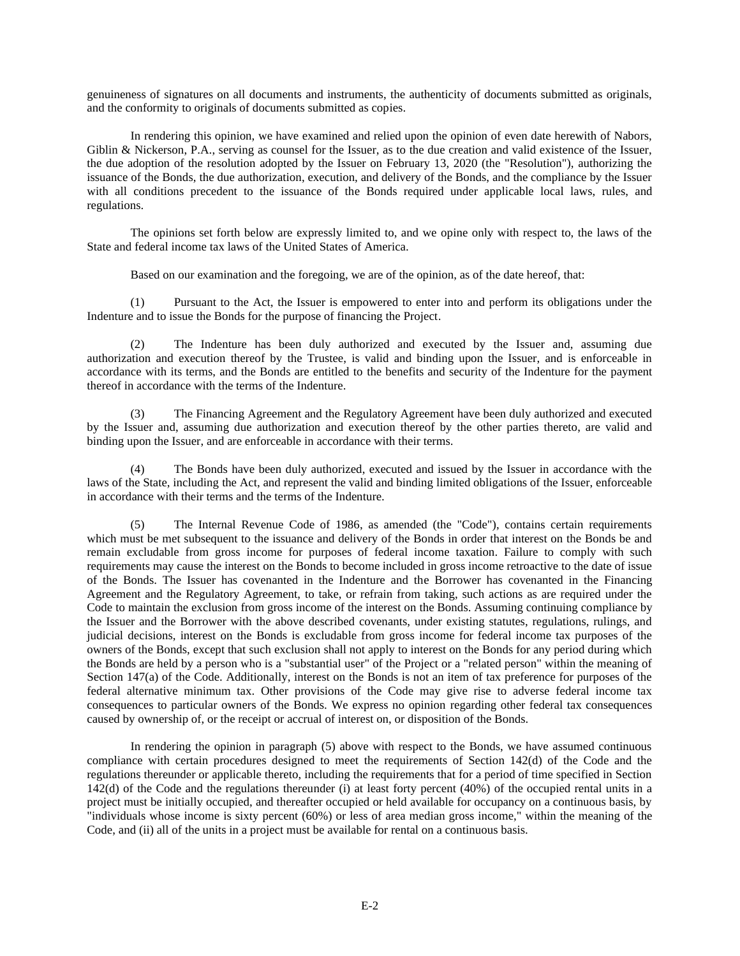genuineness of signatures on all documents and instruments, the authenticity of documents submitted as originals, and the conformity to originals of documents submitted as copies.

In rendering this opinion, we have examined and relied upon the opinion of even date herewith of Nabors, Giblin & Nickerson, P.A., serving as counsel for the Issuer, as to the due creation and valid existence of the Issuer, the due adoption of the resolution adopted by the Issuer on February 13, 2020 (the "Resolution"), authorizing the issuance of the Bonds, the due authorization, execution, and delivery of the Bonds, and the compliance by the Issuer with all conditions precedent to the issuance of the Bonds required under applicable local laws, rules, and regulations.

The opinions set forth below are expressly limited to, and we opine only with respect to, the laws of the State and federal income tax laws of the United States of America.

Based on our examination and the foregoing, we are of the opinion, as of the date hereof, that:

(1) Pursuant to the Act, the Issuer is empowered to enter into and perform its obligations under the Indenture and to issue the Bonds for the purpose of financing the Project.

(2) The Indenture has been duly authorized and executed by the Issuer and, assuming due authorization and execution thereof by the Trustee, is valid and binding upon the Issuer, and is enforceable in accordance with its terms, and the Bonds are entitled to the benefits and security of the Indenture for the payment thereof in accordance with the terms of the Indenture.

(3) The Financing Agreement and the Regulatory Agreement have been duly authorized and executed by the Issuer and, assuming due authorization and execution thereof by the other parties thereto, are valid and binding upon the Issuer, and are enforceable in accordance with their terms.

(4) The Bonds have been duly authorized, executed and issued by the Issuer in accordance with the laws of the State, including the Act, and represent the valid and binding limited obligations of the Issuer, enforceable in accordance with their terms and the terms of the Indenture.

(5) The Internal Revenue Code of 1986, as amended (the "Code"), contains certain requirements which must be met subsequent to the issuance and delivery of the Bonds in order that interest on the Bonds be and remain excludable from gross income for purposes of federal income taxation. Failure to comply with such requirements may cause the interest on the Bonds to become included in gross income retroactive to the date of issue of the Bonds. The Issuer has covenanted in the Indenture and the Borrower has covenanted in the Financing Agreement and the Regulatory Agreement, to take, or refrain from taking, such actions as are required under the Code to maintain the exclusion from gross income of the interest on the Bonds. Assuming continuing compliance by the Issuer and the Borrower with the above described covenants, under existing statutes, regulations, rulings, and judicial decisions, interest on the Bonds is excludable from gross income for federal income tax purposes of the owners of the Bonds, except that such exclusion shall not apply to interest on the Bonds for any period during which the Bonds are held by a person who is a "substantial user" of the Project or a "related person" within the meaning of Section 147(a) of the Code. Additionally, interest on the Bonds is not an item of tax preference for purposes of the federal alternative minimum tax. Other provisions of the Code may give rise to adverse federal income tax consequences to particular owners of the Bonds. We express no opinion regarding other federal tax consequences caused by ownership of, or the receipt or accrual of interest on, or disposition of the Bonds.

In rendering the opinion in paragraph (5) above with respect to the Bonds, we have assumed continuous compliance with certain procedures designed to meet the requirements of Section 142(d) of the Code and the regulations thereunder or applicable thereto, including the requirements that for a period of time specified in Section 142(d) of the Code and the regulations thereunder (i) at least forty percent (40%) of the occupied rental units in a project must be initially occupied, and thereafter occupied or held available for occupancy on a continuous basis, by "individuals whose income is sixty percent (60%) or less of area median gross income," within the meaning of the Code, and (ii) all of the units in a project must be available for rental on a continuous basis.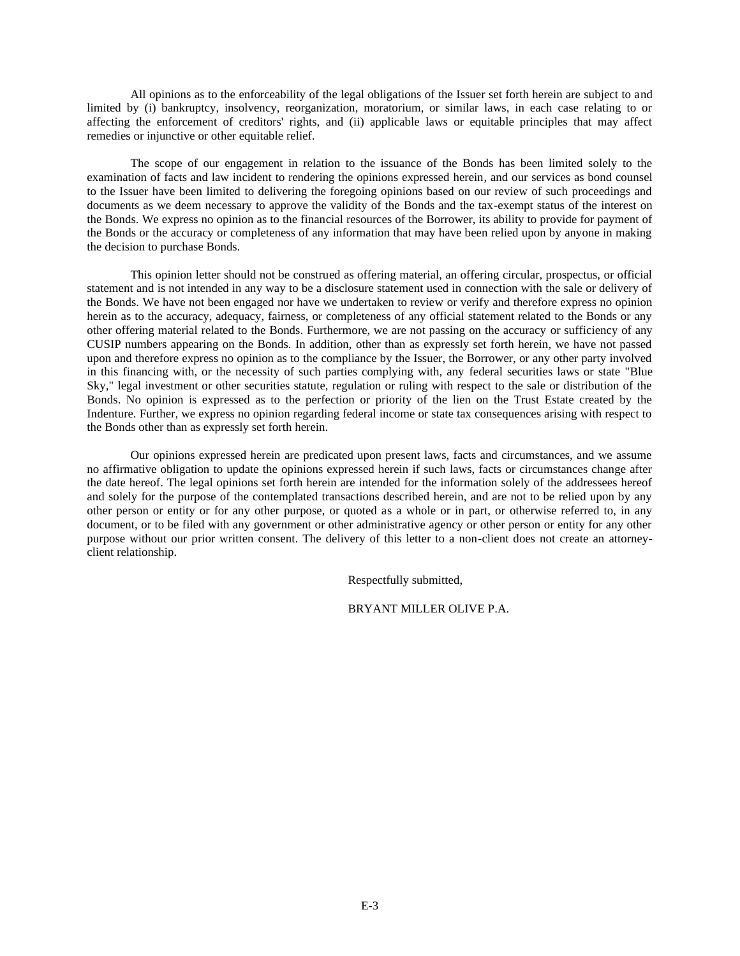All opinions as to the enforceability of the legal obligations of the Issuer set forth herein are subject to and limited by (i) bankruptcy, insolvency, reorganization, moratorium, or similar laws, in each case relating to or affecting the enforcement of creditors' rights, and (ii) applicable laws or equitable principles that may affect remedies or injunctive or other equitable relief.

The scope of our engagement in relation to the issuance of the Bonds has been limited solely to the examination of facts and law incident to rendering the opinions expressed herein, and our services as bond counsel to the Issuer have been limited to delivering the foregoing opinions based on our review of such proceedings and documents as we deem necessary to approve the validity of the Bonds and the tax-exempt status of the interest on the Bonds. We express no opinion as to the financial resources of the Borrower, its ability to provide for payment of the Bonds or the accuracy or completeness of any information that may have been relied upon by anyone in making the decision to purchase Bonds.

This opinion letter should not be construed as offering material, an offering circular, prospectus, or official statement and is not intended in any way to be a disclosure statement used in connection with the sale or delivery of the Bonds. We have not been engaged nor have we undertaken to review or verify and therefore express no opinion herein as to the accuracy, adequacy, fairness, or completeness of any official statement related to the Bonds or any other offering material related to the Bonds. Furthermore, we are not passing on the accuracy or sufficiency of any CUSIP numbers appearing on the Bonds. In addition, other than as expressly set forth herein, we have not passed upon and therefore express no opinion as to the compliance by the Issuer, the Borrower, or any other party involved in this financing with, or the necessity of such parties complying with, any federal securities laws or state "Blue Sky," legal investment or other securities statute, regulation or ruling with respect to the sale or distribution of the Bonds. No opinion is expressed as to the perfection or priority of the lien on the Trust Estate created by the Indenture. Further, we express no opinion regarding federal income or state tax consequences arising with respect to the Bonds other than as expressly set forth herein.

Our opinions expressed herein are predicated upon present laws, facts and circumstances, and we assume no affirmative obligation to update the opinions expressed herein if such laws, facts or circumstances change after the date hereof. The legal opinions set forth herein are intended for the information solely of the addressees hereof and solely for the purpose of the contemplated transactions described herein, and are not to be relied upon by any other person or entity or for any other purpose, or quoted as a whole or in part, or otherwise referred to, in any document, or to be filed with any government or other administrative agency or other person or entity for any other purpose without our prior written consent. The delivery of this letter to a non-client does not create an attorneyclient relationship.

Respectfully submitted,

BRYANT MILLER OLIVE P.A.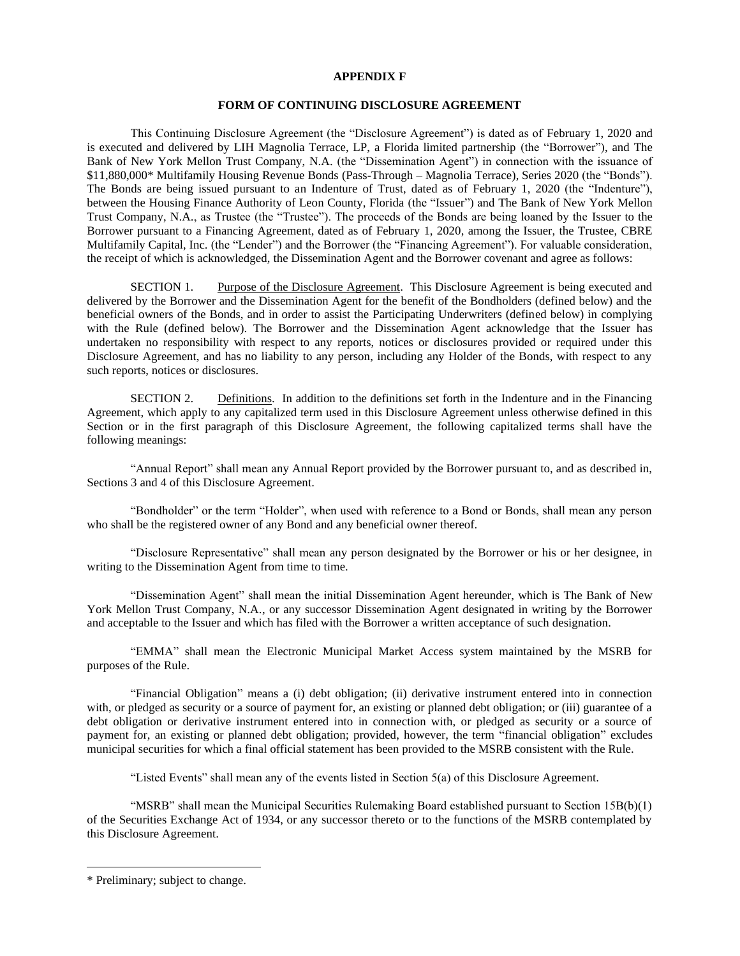### **APPENDIX F**

## **FORM OF CONTINUING DISCLOSURE AGREEMENT**

This Continuing Disclosure Agreement (the "Disclosure Agreement") is dated as of February 1, 2020 and is executed and delivered by LIH Magnolia Terrace, LP, a Florida limited partnership (the "Borrower"), and The Bank of New York Mellon Trust Company, N.A. (the "Dissemination Agent") in connection with the issuance of \$11,880,000\* Multifamily Housing Revenue Bonds (Pass-Through – Magnolia Terrace), Series 2020 (the "Bonds"). The Bonds are being issued pursuant to an Indenture of Trust, dated as of February 1, 2020 (the "Indenture"), between the Housing Finance Authority of Leon County, Florida (the "Issuer") and The Bank of New York Mellon Trust Company, N.A., as Trustee (the "Trustee"). The proceeds of the Bonds are being loaned by the Issuer to the Borrower pursuant to a Financing Agreement, dated as of February 1, 2020, among the Issuer, the Trustee, CBRE Multifamily Capital, Inc. (the "Lender") and the Borrower (the "Financing Agreement"). For valuable consideration, the receipt of which is acknowledged, the Dissemination Agent and the Borrower covenant and agree as follows:

SECTION 1. Purpose of the Disclosure Agreement. This Disclosure Agreement is being executed and delivered by the Borrower and the Dissemination Agent for the benefit of the Bondholders (defined below) and the beneficial owners of the Bonds, and in order to assist the Participating Underwriters (defined below) in complying with the Rule (defined below). The Borrower and the Dissemination Agent acknowledge that the Issuer has undertaken no responsibility with respect to any reports, notices or disclosures provided or required under this Disclosure Agreement, and has no liability to any person, including any Holder of the Bonds, with respect to any such reports, notices or disclosures.

SECTION 2. Definitions. In addition to the definitions set forth in the Indenture and in the Financing Agreement, which apply to any capitalized term used in this Disclosure Agreement unless otherwise defined in this Section or in the first paragraph of this Disclosure Agreement, the following capitalized terms shall have the following meanings:

"Annual Report" shall mean any Annual Report provided by the Borrower pursuant to, and as described in, Sections 3 and 4 of this Disclosure Agreement.

"Bondholder" or the term "Holder", when used with reference to a Bond or Bonds, shall mean any person who shall be the registered owner of any Bond and any beneficial owner thereof.

"Disclosure Representative" shall mean any person designated by the Borrower or his or her designee, in writing to the Dissemination Agent from time to time.

"Dissemination Agent" shall mean the initial Dissemination Agent hereunder, which is The Bank of New York Mellon Trust Company, N.A., or any successor Dissemination Agent designated in writing by the Borrower and acceptable to the Issuer and which has filed with the Borrower a written acceptance of such designation.

"EMMA" shall mean the Electronic Municipal Market Access system maintained by the MSRB for purposes of the Rule.

"Financial Obligation" means a (i) debt obligation; (ii) derivative instrument entered into in connection with, or pledged as security or a source of payment for, an existing or planned debt obligation; or (iii) guarantee of a debt obligation or derivative instrument entered into in connection with, or pledged as security or a source of payment for, an existing or planned debt obligation; provided, however, the term "financial obligation" excludes municipal securities for which a final official statement has been provided to the MSRB consistent with the Rule.

"Listed Events" shall mean any of the events listed in Section 5(a) of this Disclosure Agreement.

"MSRB" shall mean the Municipal Securities Rulemaking Board established pursuant to Section 15B(b)(1) of the Securities Exchange Act of 1934, or any successor thereto or to the functions of the MSRB contemplated by this Disclosure Agreement.

<sup>\*</sup> Preliminary; subject to change.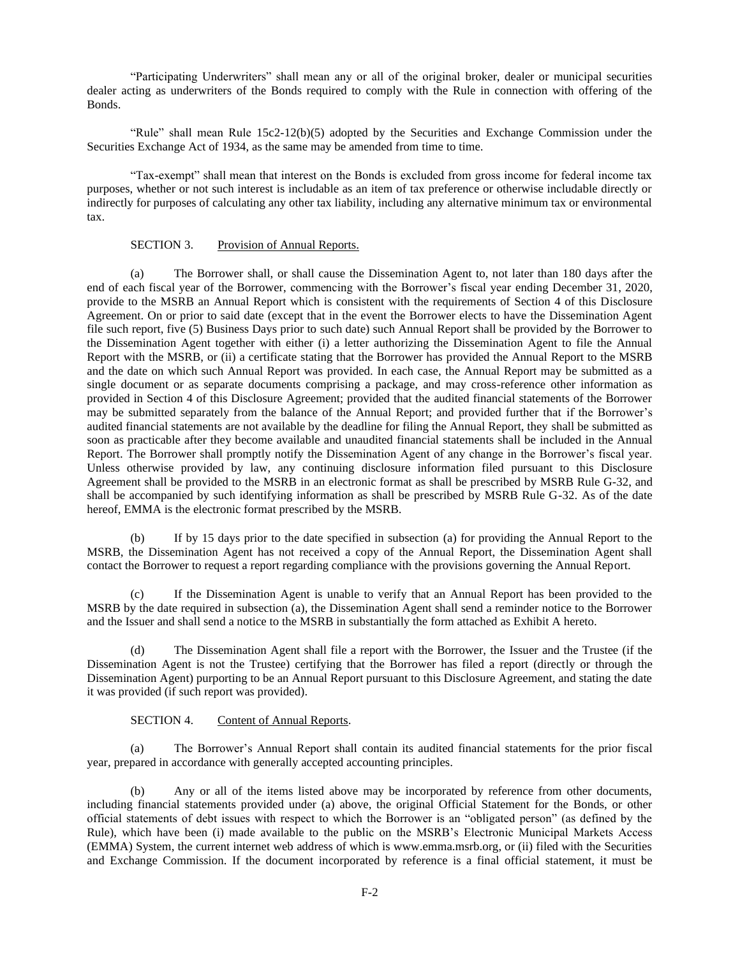"Participating Underwriters" shall mean any or all of the original broker, dealer or municipal securities dealer acting as underwriters of the Bonds required to comply with the Rule in connection with offering of the Bonds.

"Rule" shall mean Rule 15c2-12(b)(5) adopted by the Securities and Exchange Commission under the Securities Exchange Act of 1934, as the same may be amended from time to time.

"Tax-exempt" shall mean that interest on the Bonds is excluded from gross income for federal income tax purposes, whether or not such interest is includable as an item of tax preference or otherwise includable directly or indirectly for purposes of calculating any other tax liability, including any alternative minimum tax or environmental tax.

## SECTION 3. Provision of Annual Reports.

(a) The Borrower shall, or shall cause the Dissemination Agent to, not later than 180 days after the end of each fiscal year of the Borrower, commencing with the Borrower's fiscal year ending December 31, 2020, provide to the MSRB an Annual Report which is consistent with the requirements of Section 4 of this Disclosure Agreement. On or prior to said date (except that in the event the Borrower elects to have the Dissemination Agent file such report, five (5) Business Days prior to such date) such Annual Report shall be provided by the Borrower to the Dissemination Agent together with either (i) a letter authorizing the Dissemination Agent to file the Annual Report with the MSRB, or (ii) a certificate stating that the Borrower has provided the Annual Report to the MSRB and the date on which such Annual Report was provided. In each case, the Annual Report may be submitted as a single document or as separate documents comprising a package, and may cross-reference other information as provided in Section 4 of this Disclosure Agreement; provided that the audited financial statements of the Borrower may be submitted separately from the balance of the Annual Report; and provided further that if the Borrower's audited financial statements are not available by the deadline for filing the Annual Report, they shall be submitted as soon as practicable after they become available and unaudited financial statements shall be included in the Annual Report. The Borrower shall promptly notify the Dissemination Agent of any change in the Borrower's fiscal year. Unless otherwise provided by law, any continuing disclosure information filed pursuant to this Disclosure Agreement shall be provided to the MSRB in an electronic format as shall be prescribed by MSRB Rule G-32, and shall be accompanied by such identifying information as shall be prescribed by MSRB Rule G-32. As of the date hereof, EMMA is the electronic format prescribed by the MSRB.

(b) If by 15 days prior to the date specified in subsection (a) for providing the Annual Report to the MSRB, the Dissemination Agent has not received a copy of the Annual Report, the Dissemination Agent shall contact the Borrower to request a report regarding compliance with the provisions governing the Annual Report.

(c) If the Dissemination Agent is unable to verify that an Annual Report has been provided to the MSRB by the date required in subsection (a), the Dissemination Agent shall send a reminder notice to the Borrower and the Issuer and shall send a notice to the MSRB in substantially the form attached as Exhibit A hereto.

(d) The Dissemination Agent shall file a report with the Borrower, the Issuer and the Trustee (if the Dissemination Agent is not the Trustee) certifying that the Borrower has filed a report (directly or through the Dissemination Agent) purporting to be an Annual Report pursuant to this Disclosure Agreement, and stating the date it was provided (if such report was provided).

## SECTION 4. Content of Annual Reports.

(a) The Borrower's Annual Report shall contain its audited financial statements for the prior fiscal year, prepared in accordance with generally accepted accounting principles.

(b) Any or all of the items listed above may be incorporated by reference from other documents, including financial statements provided under (a) above, the original Official Statement for the Bonds, or other official statements of debt issues with respect to which the Borrower is an "obligated person" (as defined by the Rule), which have been (i) made available to the public on the MSRB's Electronic Municipal Markets Access (EMMA) System, the current internet web address of which is www.emma.msrb.org, or (ii) filed with the Securities and Exchange Commission. If the document incorporated by reference is a final official statement, it must be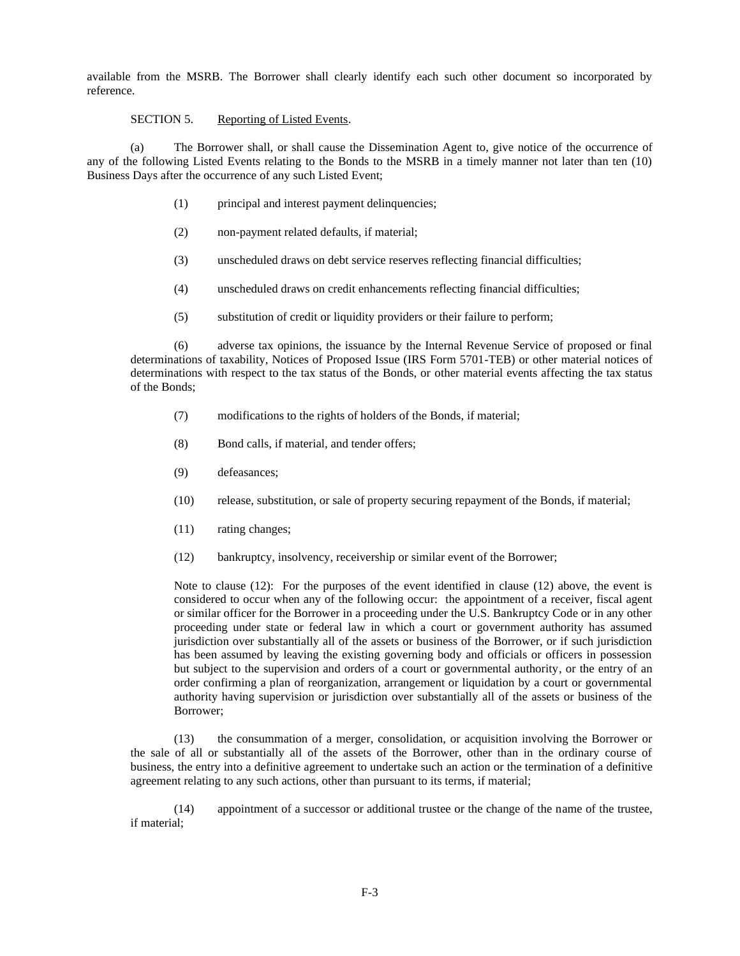available from the MSRB. The Borrower shall clearly identify each such other document so incorporated by reference.

# SECTION 5. Reporting of Listed Events.

(a) The Borrower shall, or shall cause the Dissemination Agent to, give notice of the occurrence of any of the following Listed Events relating to the Bonds to the MSRB in a timely manner not later than ten (10) Business Days after the occurrence of any such Listed Event;

- (1) principal and interest payment delinquencies;
- (2) non-payment related defaults, if material;
- (3) unscheduled draws on debt service reserves reflecting financial difficulties;
- (4) unscheduled draws on credit enhancements reflecting financial difficulties;
- (5) substitution of credit or liquidity providers or their failure to perform;

(6) adverse tax opinions, the issuance by the Internal Revenue Service of proposed or final determinations of taxability, Notices of Proposed Issue (IRS Form 5701-TEB) or other material notices of determinations with respect to the tax status of the Bonds, or other material events affecting the tax status of the Bonds;

- (7) modifications to the rights of holders of the Bonds, if material;
- (8) Bond calls, if material, and tender offers;
- (9) defeasances;
- (10) release, substitution, or sale of property securing repayment of the Bonds, if material;
- (11) rating changes;
- (12) bankruptcy, insolvency, receivership or similar event of the Borrower;

Note to clause (12): For the purposes of the event identified in clause (12) above, the event is considered to occur when any of the following occur: the appointment of a receiver, fiscal agent or similar officer for the Borrower in a proceeding under the U.S. Bankruptcy Code or in any other proceeding under state or federal law in which a court or government authority has assumed jurisdiction over substantially all of the assets or business of the Borrower, or if such jurisdiction has been assumed by leaving the existing governing body and officials or officers in possession but subject to the supervision and orders of a court or governmental authority, or the entry of an order confirming a plan of reorganization, arrangement or liquidation by a court or governmental authority having supervision or jurisdiction over substantially all of the assets or business of the Borrower;

(13) the consummation of a merger, consolidation, or acquisition involving the Borrower or the sale of all or substantially all of the assets of the Borrower, other than in the ordinary course of business, the entry into a definitive agreement to undertake such an action or the termination of a definitive agreement relating to any such actions, other than pursuant to its terms, if material;

(14) appointment of a successor or additional trustee or the change of the name of the trustee, if material;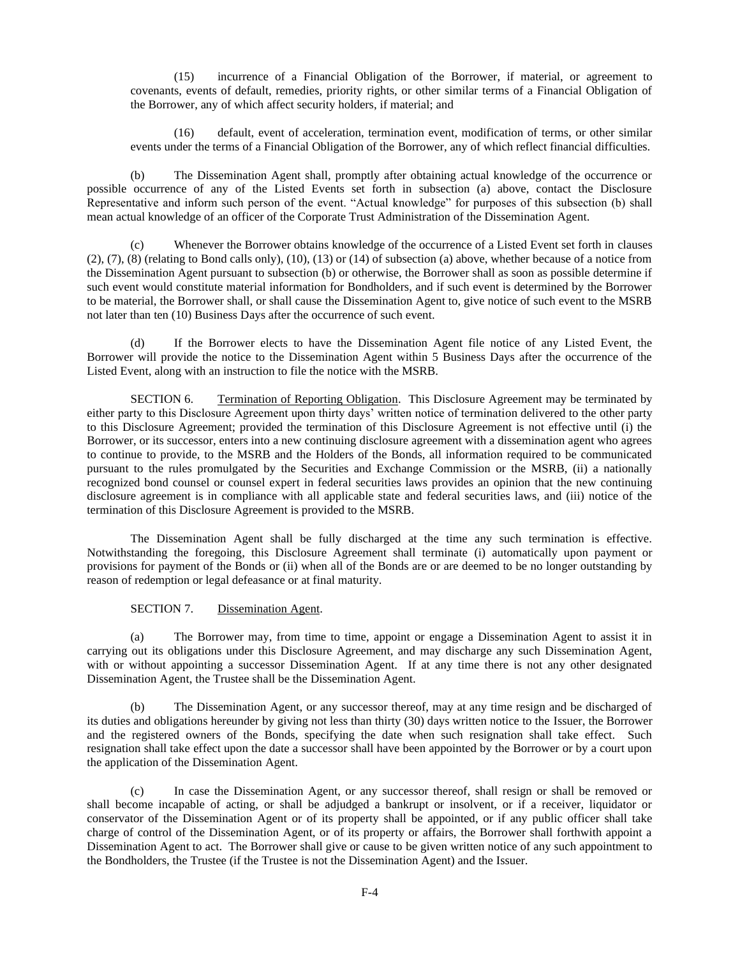(15) incurrence of a Financial Obligation of the Borrower, if material, or agreement to covenants, events of default, remedies, priority rights, or other similar terms of a Financial Obligation of the Borrower, any of which affect security holders, if material; and

(16) default, event of acceleration, termination event, modification of terms, or other similar events under the terms of a Financial Obligation of the Borrower, any of which reflect financial difficulties.

(b) The Dissemination Agent shall, promptly after obtaining actual knowledge of the occurrence or possible occurrence of any of the Listed Events set forth in subsection (a) above, contact the Disclosure Representative and inform such person of the event. "Actual knowledge" for purposes of this subsection (b) shall mean actual knowledge of an officer of the Corporate Trust Administration of the Dissemination Agent.

(c) Whenever the Borrower obtains knowledge of the occurrence of a Listed Event set forth in clauses  $(2)$ ,  $(7)$ ,  $(8)$  (relating to Bond calls only),  $(10)$ ,  $(13)$  or  $(14)$  of subsection (a) above, whether because of a notice from the Dissemination Agent pursuant to subsection (b) or otherwise, the Borrower shall as soon as possible determine if such event would constitute material information for Bondholders, and if such event is determined by the Borrower to be material, the Borrower shall, or shall cause the Dissemination Agent to, give notice of such event to the MSRB not later than ten (10) Business Days after the occurrence of such event.

(d) If the Borrower elects to have the Dissemination Agent file notice of any Listed Event, the Borrower will provide the notice to the Dissemination Agent within 5 Business Days after the occurrence of the Listed Event, along with an instruction to file the notice with the MSRB.

SECTION 6. Termination of Reporting Obligation. This Disclosure Agreement may be terminated by either party to this Disclosure Agreement upon thirty days' written notice of termination delivered to the other party to this Disclosure Agreement; provided the termination of this Disclosure Agreement is not effective until (i) the Borrower, or its successor, enters into a new continuing disclosure agreement with a dissemination agent who agrees to continue to provide, to the MSRB and the Holders of the Bonds, all information required to be communicated pursuant to the rules promulgated by the Securities and Exchange Commission or the MSRB, (ii) a nationally recognized bond counsel or counsel expert in federal securities laws provides an opinion that the new continuing disclosure agreement is in compliance with all applicable state and federal securities laws, and (iii) notice of the termination of this Disclosure Agreement is provided to the MSRB.

The Dissemination Agent shall be fully discharged at the time any such termination is effective. Notwithstanding the foregoing, this Disclosure Agreement shall terminate (i) automatically upon payment or provisions for payment of the Bonds or (ii) when all of the Bonds are or are deemed to be no longer outstanding by reason of redemption or legal defeasance or at final maturity.

### SECTION 7. Dissemination Agent.

(a) The Borrower may, from time to time, appoint or engage a Dissemination Agent to assist it in carrying out its obligations under this Disclosure Agreement, and may discharge any such Dissemination Agent, with or without appointing a successor Dissemination Agent. If at any time there is not any other designated Dissemination Agent, the Trustee shall be the Dissemination Agent.

(b) The Dissemination Agent, or any successor thereof, may at any time resign and be discharged of its duties and obligations hereunder by giving not less than thirty (30) days written notice to the Issuer, the Borrower and the registered owners of the Bonds, specifying the date when such resignation shall take effect. Such resignation shall take effect upon the date a successor shall have been appointed by the Borrower or by a court upon the application of the Dissemination Agent.

(c) In case the Dissemination Agent, or any successor thereof, shall resign or shall be removed or shall become incapable of acting, or shall be adjudged a bankrupt or insolvent, or if a receiver, liquidator or conservator of the Dissemination Agent or of its property shall be appointed, or if any public officer shall take charge of control of the Dissemination Agent, or of its property or affairs, the Borrower shall forthwith appoint a Dissemination Agent to act. The Borrower shall give or cause to be given written notice of any such appointment to the Bondholders, the Trustee (if the Trustee is not the Dissemination Agent) and the Issuer.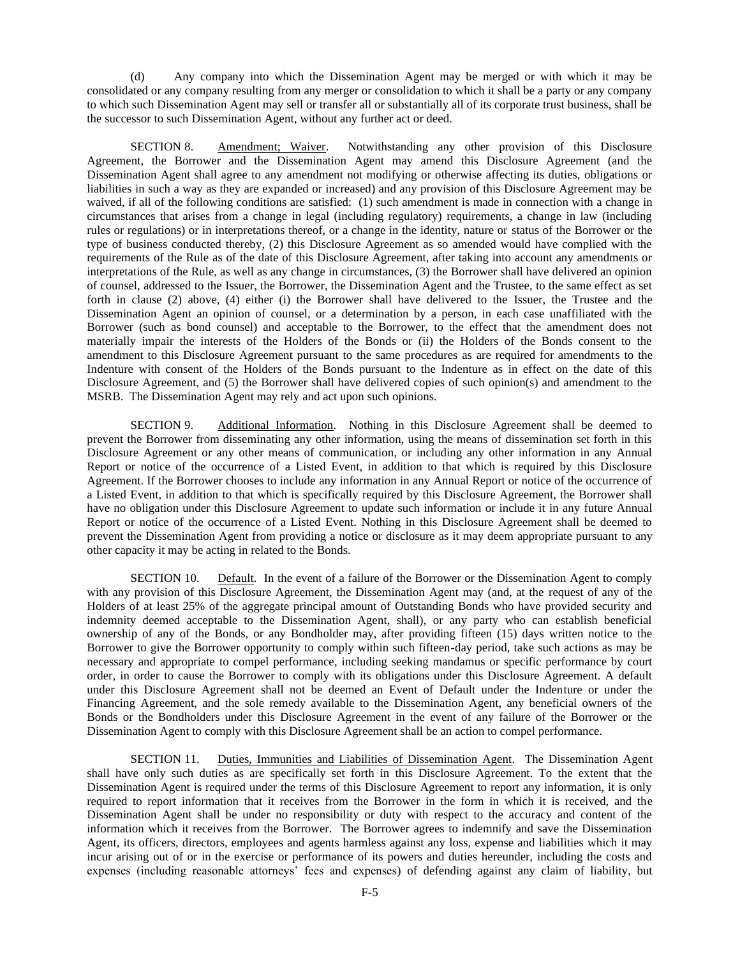(d) Any company into which the Dissemination Agent may be merged or with which it may be consolidated or any company resulting from any merger or consolidation to which it shall be a party or any company to which such Dissemination Agent may sell or transfer all or substantially all of its corporate trust business, shall be the successor to such Dissemination Agent, without any further act or deed.

SECTION 8. Amendment; Waiver. Notwithstanding any other provision of this Disclosure Agreement, the Borrower and the Dissemination Agent may amend this Disclosure Agreement (and the Dissemination Agent shall agree to any amendment not modifying or otherwise affecting its duties, obligations or liabilities in such a way as they are expanded or increased) and any provision of this Disclosure Agreement may be waived, if all of the following conditions are satisfied: (1) such amendment is made in connection with a change in circumstances that arises from a change in legal (including regulatory) requirements, a change in law (including rules or regulations) or in interpretations thereof, or a change in the identity, nature or status of the Borrower or the type of business conducted thereby, (2) this Disclosure Agreement as so amended would have complied with the requirements of the Rule as of the date of this Disclosure Agreement, after taking into account any amendments or interpretations of the Rule, as well as any change in circumstances, (3) the Borrower shall have delivered an opinion of counsel, addressed to the Issuer, the Borrower, the Dissemination Agent and the Trustee, to the same effect as set forth in clause (2) above, (4) either (i) the Borrower shall have delivered to the Issuer, the Trustee and the Dissemination Agent an opinion of counsel, or a determination by a person, in each case unaffiliated with the Borrower (such as bond counsel) and acceptable to the Borrower, to the effect that the amendment does not materially impair the interests of the Holders of the Bonds or (ii) the Holders of the Bonds consent to the amendment to this Disclosure Agreement pursuant to the same procedures as are required for amendments to the Indenture with consent of the Holders of the Bonds pursuant to the Indenture as in effect on the date of this Disclosure Agreement, and (5) the Borrower shall have delivered copies of such opinion(s) and amendment to the MSRB. The Dissemination Agent may rely and act upon such opinions.

SECTION 9. Additional Information. Nothing in this Disclosure Agreement shall be deemed to prevent the Borrower from disseminating any other information, using the means of dissemination set forth in this Disclosure Agreement or any other means of communication, or including any other information in any Annual Report or notice of the occurrence of a Listed Event, in addition to that which is required by this Disclosure Agreement. If the Borrower chooses to include any information in any Annual Report or notice of the occurrence of a Listed Event, in addition to that which is specifically required by this Disclosure Agreement, the Borrower shall have no obligation under this Disclosure Agreement to update such information or include it in any future Annual Report or notice of the occurrence of a Listed Event. Nothing in this Disclosure Agreement shall be deemed to prevent the Dissemination Agent from providing a notice or disclosure as it may deem appropriate pursuant to any other capacity it may be acting in related to the Bonds.

SECTION 10. Default. In the event of a failure of the Borrower or the Dissemination Agent to comply with any provision of this Disclosure Agreement, the Dissemination Agent may (and, at the request of any of the Holders of at least 25% of the aggregate principal amount of Outstanding Bonds who have provided security and indemnity deemed acceptable to the Dissemination Agent, shall), or any party who can establish beneficial ownership of any of the Bonds, or any Bondholder may, after providing fifteen (15) days written notice to the Borrower to give the Borrower opportunity to comply within such fifteen-day period, take such actions as may be necessary and appropriate to compel performance, including seeking mandamus or specific performance by court order, in order to cause the Borrower to comply with its obligations under this Disclosure Agreement. A default under this Disclosure Agreement shall not be deemed an Event of Default under the Indenture or under the Financing Agreement, and the sole remedy available to the Dissemination Agent, any beneficial owners of the Bonds or the Bondholders under this Disclosure Agreement in the event of any failure of the Borrower or the Dissemination Agent to comply with this Disclosure Agreement shall be an action to compel performance.

SECTION 11. Duties, Immunities and Liabilities of Dissemination Agent. The Dissemination Agent shall have only such duties as are specifically set forth in this Disclosure Agreement. To the extent that the Dissemination Agent is required under the terms of this Disclosure Agreement to report any information, it is only required to report information that it receives from the Borrower in the form in which it is received, and the Dissemination Agent shall be under no responsibility or duty with respect to the accuracy and content of the information which it receives from the Borrower. The Borrower agrees to indemnify and save the Dissemination Agent, its officers, directors, employees and agents harmless against any loss, expense and liabilities which it may incur arising out of or in the exercise or performance of its powers and duties hereunder, including the costs and expenses (including reasonable attorneys' fees and expenses) of defending against any claim of liability, but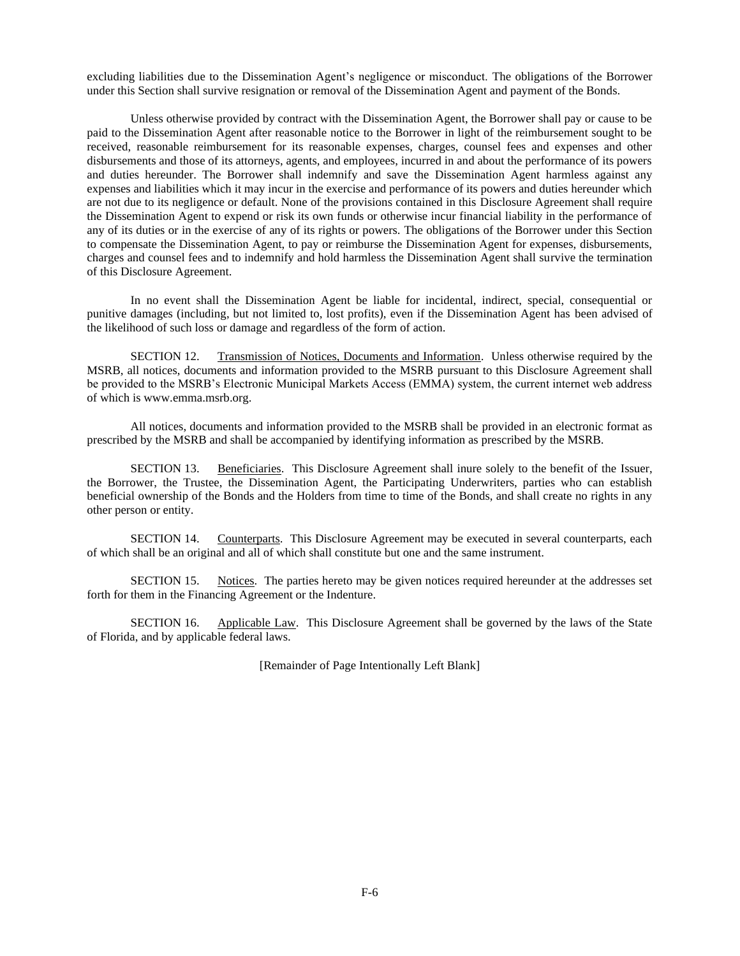excluding liabilities due to the Dissemination Agent's negligence or misconduct. The obligations of the Borrower under this Section shall survive resignation or removal of the Dissemination Agent and payment of the Bonds.

Unless otherwise provided by contract with the Dissemination Agent, the Borrower shall pay or cause to be paid to the Dissemination Agent after reasonable notice to the Borrower in light of the reimbursement sought to be received, reasonable reimbursement for its reasonable expenses, charges, counsel fees and expenses and other disbursements and those of its attorneys, agents, and employees, incurred in and about the performance of its powers and duties hereunder. The Borrower shall indemnify and save the Dissemination Agent harmless against any expenses and liabilities which it may incur in the exercise and performance of its powers and duties hereunder which are not due to its negligence or default. None of the provisions contained in this Disclosure Agreement shall require the Dissemination Agent to expend or risk its own funds or otherwise incur financial liability in the performance of any of its duties or in the exercise of any of its rights or powers. The obligations of the Borrower under this Section to compensate the Dissemination Agent, to pay or reimburse the Dissemination Agent for expenses, disbursements, charges and counsel fees and to indemnify and hold harmless the Dissemination Agent shall survive the termination of this Disclosure Agreement.

In no event shall the Dissemination Agent be liable for incidental, indirect, special, consequential or punitive damages (including, but not limited to, lost profits), even if the Dissemination Agent has been advised of the likelihood of such loss or damage and regardless of the form of action.

SECTION 12. Transmission of Notices, Documents and Information. Unless otherwise required by the MSRB, all notices, documents and information provided to the MSRB pursuant to this Disclosure Agreement shall be provided to the MSRB's Electronic Municipal Markets Access (EMMA) system, the current internet web address of which is www.emma.msrb.org.

All notices, documents and information provided to the MSRB shall be provided in an electronic format as prescribed by the MSRB and shall be accompanied by identifying information as prescribed by the MSRB.

SECTION 13. Beneficiaries. This Disclosure Agreement shall inure solely to the benefit of the Issuer, the Borrower, the Trustee, the Dissemination Agent, the Participating Underwriters, parties who can establish beneficial ownership of the Bonds and the Holders from time to time of the Bonds, and shall create no rights in any other person or entity.

SECTION 14. Counterparts. This Disclosure Agreement may be executed in several counterparts, each of which shall be an original and all of which shall constitute but one and the same instrument.

SECTION 15. Notices. The parties hereto may be given notices required hereunder at the addresses set forth for them in the Financing Agreement or the Indenture.

SECTION 16. Applicable Law. This Disclosure Agreement shall be governed by the laws of the State of Florida, and by applicable federal laws.

[Remainder of Page Intentionally Left Blank]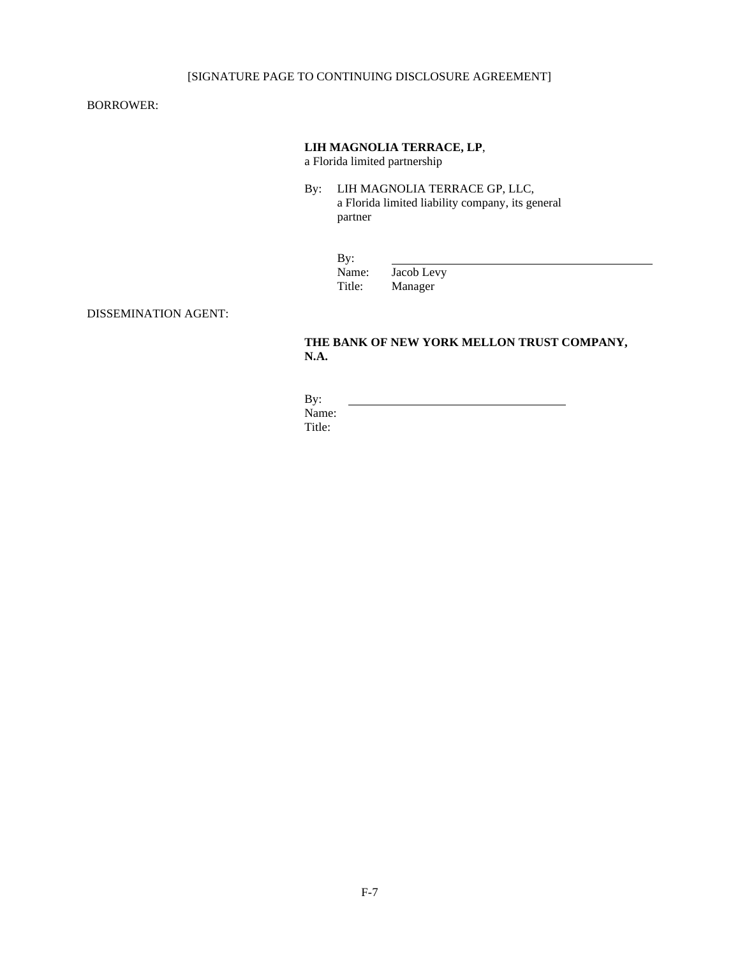# [SIGNATURE PAGE TO CONTINUING DISCLOSURE AGREEMENT]

BORROWER:

## **LIH MAGNOLIA TERRACE, LP**,

a Florida limited partnership

By: LIH MAGNOLIA TERRACE GP, LLC, a Florida limited liability company, its general partner

| By:    |            |
|--------|------------|
| Name:  | Jacob Levy |
| Title: | Manager    |

DISSEMINATION AGENT:

# **THE BANK OF NEW YORK MELLON TRUST COMPANY, N.A.**

By: Name: Title: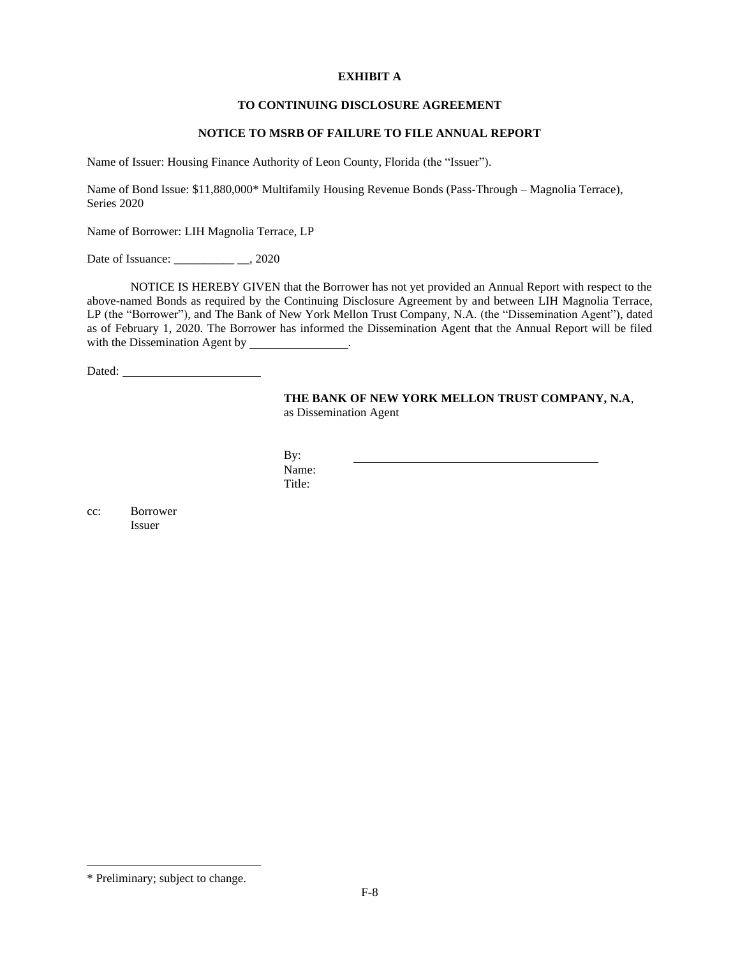## **EXHIBIT A**

## **TO CONTINUING DISCLOSURE AGREEMENT**

## **NOTICE TO MSRB OF FAILURE TO FILE ANNUAL REPORT**

Name of Issuer: Housing Finance Authority of Leon County, Florida (the "Issuer").

Name of Bond Issue: \$11,880,000\* Multifamily Housing Revenue Bonds (Pass-Through – Magnolia Terrace), Series 2020

Name of Borrower: LIH Magnolia Terrace, LP

Date of Issuance: \_\_\_\_\_\_\_\_\_\_\_\_ \_\_, 2020

NOTICE IS HEREBY GIVEN that the Borrower has not yet provided an Annual Report with respect to the above-named Bonds as required by the Continuing Disclosure Agreement by and between LIH Magnolia Terrace, LP (the "Borrower"), and The Bank of New York Mellon Trust Company, N.A. (the "Dissemination Agent"), dated as of February 1, 2020. The Borrower has informed the Dissemination Agent that the Annual Report will be filed with the Dissemination Agent by \_\_\_\_\_\_

Dated:

### **THE BANK OF NEW YORK MELLON TRUST COMPANY, N.A**, as Dissemination Agent

By: Name: Title:

cc: Borrower Issuer

<sup>\*</sup> Preliminary; subject to change.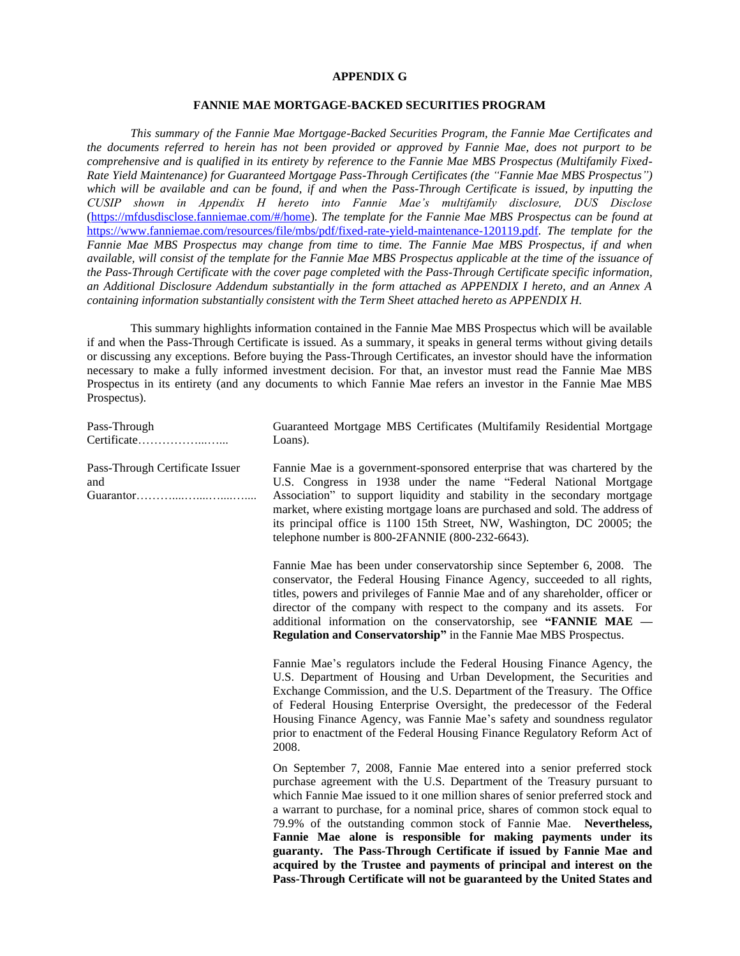#### **APPENDIX G**

### **FANNIE MAE MORTGAGE-BACKED SECURITIES PROGRAM**

*This summary of the Fannie Mae Mortgage-Backed Securities Program, the Fannie Mae Certificates and the documents referred to herein has not been provided or approved by Fannie Mae, does not purport to be comprehensive and is qualified in its entirety by reference to the Fannie Mae MBS Prospectus (Multifamily Fixed-Rate Yield Maintenance) for Guaranteed Mortgage Pass-Through Certificates (the "Fannie Mae MBS Prospectus")*  which will be available and can be found, if and when the Pass-Through Certificate is issued, by inputting the *CUSIP shown in Appendix H hereto into Fannie Mae's multifamily disclosure, DUS Disclose*  [\(https://mfdusdisclose.fanniemae.com/#/home\)](https://mfdusdisclose.fanniemae.com/#/home)*. The template for the Fannie Mae MBS Prospectus can be found at*  <https://www.fanniemae.com/resources/file/mbs/pdf/fixed-rate-yield-maintenance-120119.pdf>*. The template for the Fannie Mae MBS Prospectus may change from time to time. The Fannie Mae MBS Prospectus, if and when available, will consist of the template for the Fannie Mae MBS Prospectus applicable at the time of the issuance of the Pass-Through Certificate with the cover page completed with the Pass-Through Certificate specific information, an Additional Disclosure Addendum substantially in the form attached as APPENDIX I hereto, and an Annex A containing information substantially consistent with the Term Sheet attached hereto as APPENDIX H.*

This summary highlights information contained in the Fannie Mae MBS Prospectus which will be available if and when the Pass-Through Certificate is issued. As a summary, it speaks in general terms without giving details or discussing any exceptions. Before buying the Pass-Through Certificates, an investor should have the information necessary to make a fully informed investment decision. For that, an investor must read the Fannie Mae MBS Prospectus in its entirety (and any documents to which Fannie Mae refers an investor in the Fannie Mae MBS Prospectus).

| Pass-Through                           | Guaranteed Mortgage MBS Certificates (Multifamily Residential Mortgage<br>Loans).                                                                                                                                                                                                                                                                                                                                                                                                                                                                                                                                                                                                    |
|----------------------------------------|--------------------------------------------------------------------------------------------------------------------------------------------------------------------------------------------------------------------------------------------------------------------------------------------------------------------------------------------------------------------------------------------------------------------------------------------------------------------------------------------------------------------------------------------------------------------------------------------------------------------------------------------------------------------------------------|
| Pass-Through Certificate Issuer<br>and | Fannie Mae is a government-sponsored enterprise that was chartered by the<br>U.S. Congress in 1938 under the name "Federal National Mortgage<br>Association" to support liquidity and stability in the secondary mortgage<br>market, where existing mortgage loans are purchased and sold. The address of<br>its principal office is 1100 15th Street, NW, Washington, DC 20005; the<br>telephone number is $800-2FANNIE$ (800-232-6643).                                                                                                                                                                                                                                            |
|                                        | Fannie Mae has been under conservatorship since September 6, 2008. The<br>conservator, the Federal Housing Finance Agency, succeeded to all rights,<br>titles, powers and privileges of Fannie Mae and of any shareholder, officer or<br>director of the company with respect to the company and its assets. For<br>additional information on the conservatorship, see "FANNIE MAE -<br>Regulation and Conservatorship" in the Fannie Mae MBS Prospectus.                                                                                                                                                                                                                            |
|                                        | Fannie Mae's regulators include the Federal Housing Finance Agency, the<br>U.S. Department of Housing and Urban Development, the Securities and<br>Exchange Commission, and the U.S. Department of the Treasury. The Office<br>of Federal Housing Enterprise Oversight, the predecessor of the Federal<br>Housing Finance Agency, was Fannie Mae's safety and soundness regulator<br>prior to enactment of the Federal Housing Finance Regulatory Reform Act of<br>2008.                                                                                                                                                                                                             |
|                                        | On September 7, 2008, Fannie Mae entered into a senior preferred stock<br>purchase agreement with the U.S. Department of the Treasury pursuant to<br>which Fannie Mae issued to it one million shares of senior preferred stock and<br>a warrant to purchase, for a nominal price, shares of common stock equal to<br>79.9% of the outstanding common stock of Fannie Mae. Nevertheless,<br>Fannie Mae alone is responsible for making payments under its<br>guaranty. The Pass-Through Certificate if issued by Fannie Mae and<br>acquired by the Trustee and payments of principal and interest on the<br>Pass-Through Certificate will not be guaranteed by the United States and |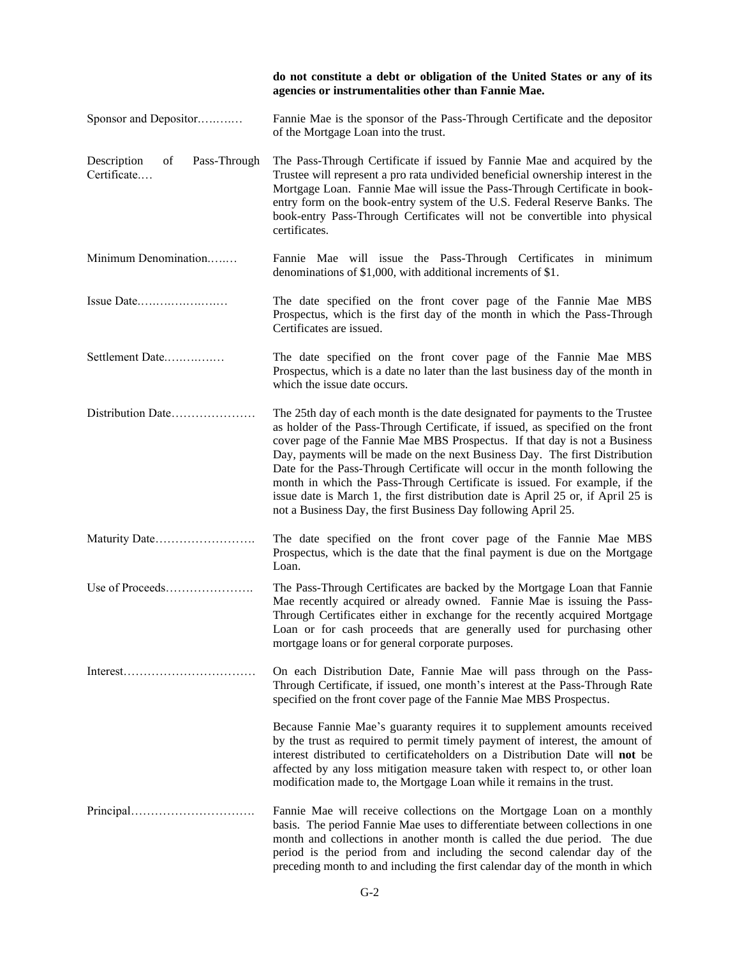|                                                  | do not constitute a debt or obligation of the United States or any of its<br>agencies or instrumentalities other than Fannie Mae.                                                                                                                                                                                                                                                                                                                                                                                                                                                                                                                 |
|--------------------------------------------------|---------------------------------------------------------------------------------------------------------------------------------------------------------------------------------------------------------------------------------------------------------------------------------------------------------------------------------------------------------------------------------------------------------------------------------------------------------------------------------------------------------------------------------------------------------------------------------------------------------------------------------------------------|
| Sponsor and Depositor                            | Fannie Mae is the sponsor of the Pass-Through Certificate and the depositor<br>of the Mortgage Loan into the trust.                                                                                                                                                                                                                                                                                                                                                                                                                                                                                                                               |
| Pass-Through<br>Description<br>of<br>Certificate | The Pass-Through Certificate if issued by Fannie Mae and acquired by the<br>Trustee will represent a pro rata undivided beneficial ownership interest in the<br>Mortgage Loan. Fannie Mae will issue the Pass-Through Certificate in book-<br>entry form on the book-entry system of the U.S. Federal Reserve Banks. The<br>book-entry Pass-Through Certificates will not be convertible into physical<br>certificates.                                                                                                                                                                                                                           |
| Minimum Denomination                             | Fannie Mae will issue the Pass-Through Certificates in minimum<br>denominations of \$1,000, with additional increments of \$1.                                                                                                                                                                                                                                                                                                                                                                                                                                                                                                                    |
| Issue Date                                       | The date specified on the front cover page of the Fannie Mae MBS<br>Prospectus, which is the first day of the month in which the Pass-Through<br>Certificates are issued.                                                                                                                                                                                                                                                                                                                                                                                                                                                                         |
| Settlement Date                                  | The date specified on the front cover page of the Fannie Mae MBS<br>Prospectus, which is a date no later than the last business day of the month in<br>which the issue date occurs.                                                                                                                                                                                                                                                                                                                                                                                                                                                               |
| Distribution Date                                | The 25th day of each month is the date designated for payments to the Trustee<br>as holder of the Pass-Through Certificate, if issued, as specified on the front<br>cover page of the Fannie Mae MBS Prospectus. If that day is not a Business<br>Day, payments will be made on the next Business Day. The first Distribution<br>Date for the Pass-Through Certificate will occur in the month following the<br>month in which the Pass-Through Certificate is issued. For example, if the<br>issue date is March 1, the first distribution date is April 25 or, if April 25 is<br>not a Business Day, the first Business Day following April 25. |
| Maturity Date                                    | The date specified on the front cover page of the Fannie Mae MBS<br>Prospectus, which is the date that the final payment is due on the Mortgage<br>Loan.                                                                                                                                                                                                                                                                                                                                                                                                                                                                                          |
| Use of Proceeds                                  | The Pass-Through Certificates are backed by the Mortgage Loan that Fannie<br>Mae recently acquired or already owned. Fannie Mae is issuing the Pass-<br>Through Certificates either in exchange for the recently acquired Mortgage<br>Loan or for cash proceeds that are generally used for purchasing other<br>mortgage loans or for general corporate purposes.                                                                                                                                                                                                                                                                                 |
| Interest                                         | On each Distribution Date, Fannie Mae will pass through on the Pass-<br>Through Certificate, if issued, one month's interest at the Pass-Through Rate<br>specified on the front cover page of the Fannie Mae MBS Prospectus.                                                                                                                                                                                                                                                                                                                                                                                                                      |
|                                                  | Because Fannie Mae's guaranty requires it to supplement amounts received<br>by the trust as required to permit timely payment of interest, the amount of<br>interest distributed to certificateholders on a Distribution Date will not be<br>affected by any loss mitigation measure taken with respect to, or other loan<br>modification made to, the Mortgage Loan while it remains in the trust.                                                                                                                                                                                                                                               |
|                                                  | Fannie Mae will receive collections on the Mortgage Loan on a monthly<br>basis. The period Fannie Mae uses to differentiate between collections in one<br>month and collections in another month is called the due period. The due<br>period is the period from and including the second calendar day of the<br>preceding month to and including the first calendar day of the month in which                                                                                                                                                                                                                                                     |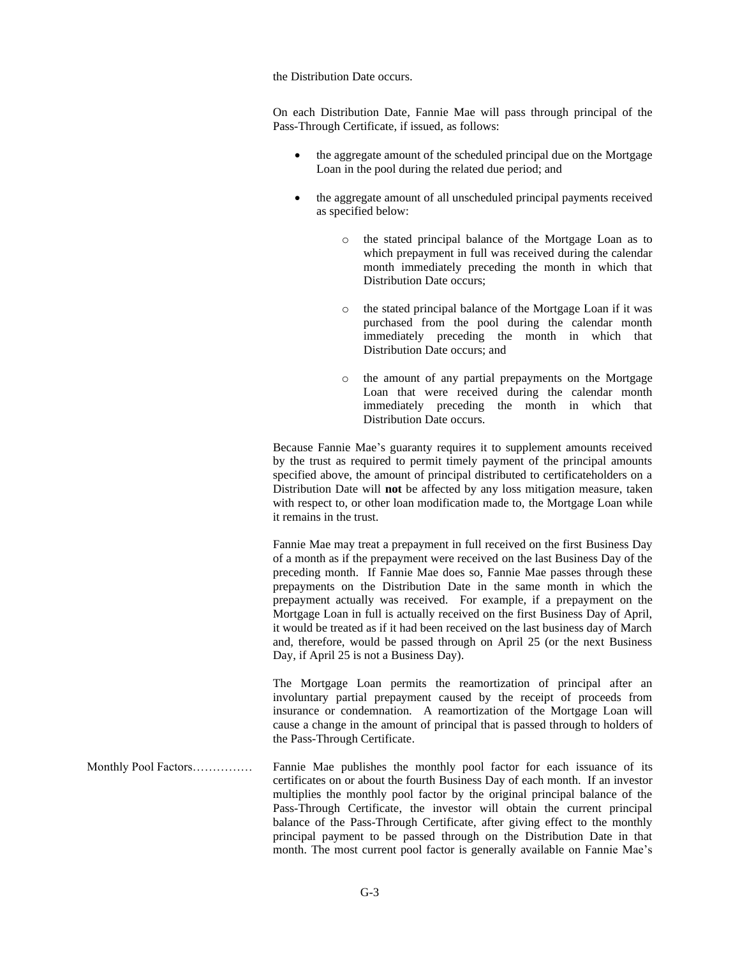the Distribution Date occurs.

On each Distribution Date, Fannie Mae will pass through principal of the Pass-Through Certificate, if issued, as follows:

- the aggregate amount of the scheduled principal due on the Mortgage Loan in the pool during the related due period; and
- the aggregate amount of all unscheduled principal payments received as specified below:
	- o the stated principal balance of the Mortgage Loan as to which prepayment in full was received during the calendar month immediately preceding the month in which that Distribution Date occurs;
	- o the stated principal balance of the Mortgage Loan if it was purchased from the pool during the calendar month immediately preceding the month in which that Distribution Date occurs; and
	- o the amount of any partial prepayments on the Mortgage Loan that were received during the calendar month immediately preceding the month in which that Distribution Date occurs.

Because Fannie Mae's guaranty requires it to supplement amounts received by the trust as required to permit timely payment of the principal amounts specified above, the amount of principal distributed to certificateholders on a Distribution Date will **not** be affected by any loss mitigation measure, taken with respect to, or other loan modification made to, the Mortgage Loan while it remains in the trust.

Fannie Mae may treat a prepayment in full received on the first Business Day of a month as if the prepayment were received on the last Business Day of the preceding month. If Fannie Mae does so, Fannie Mae passes through these prepayments on the Distribution Date in the same month in which the prepayment actually was received. For example, if a prepayment on the Mortgage Loan in full is actually received on the first Business Day of April, it would be treated as if it had been received on the last business day of March and, therefore, would be passed through on April 25 (or the next Business Day, if April 25 is not a Business Day).

The Mortgage Loan permits the reamortization of principal after an involuntary partial prepayment caused by the receipt of proceeds from insurance or condemnation. A reamortization of the Mortgage Loan will cause a change in the amount of principal that is passed through to holders of the Pass-Through Certificate.

Monthly Pool Factors…………… Fannie Mae publishes the monthly pool factor for each issuance of its certificates on or about the fourth Business Day of each month. If an investor multiplies the monthly pool factor by the original principal balance of the Pass-Through Certificate, the investor will obtain the current principal balance of the Pass-Through Certificate, after giving effect to the monthly principal payment to be passed through on the Distribution Date in that month. The most current pool factor is generally available on Fannie Mae's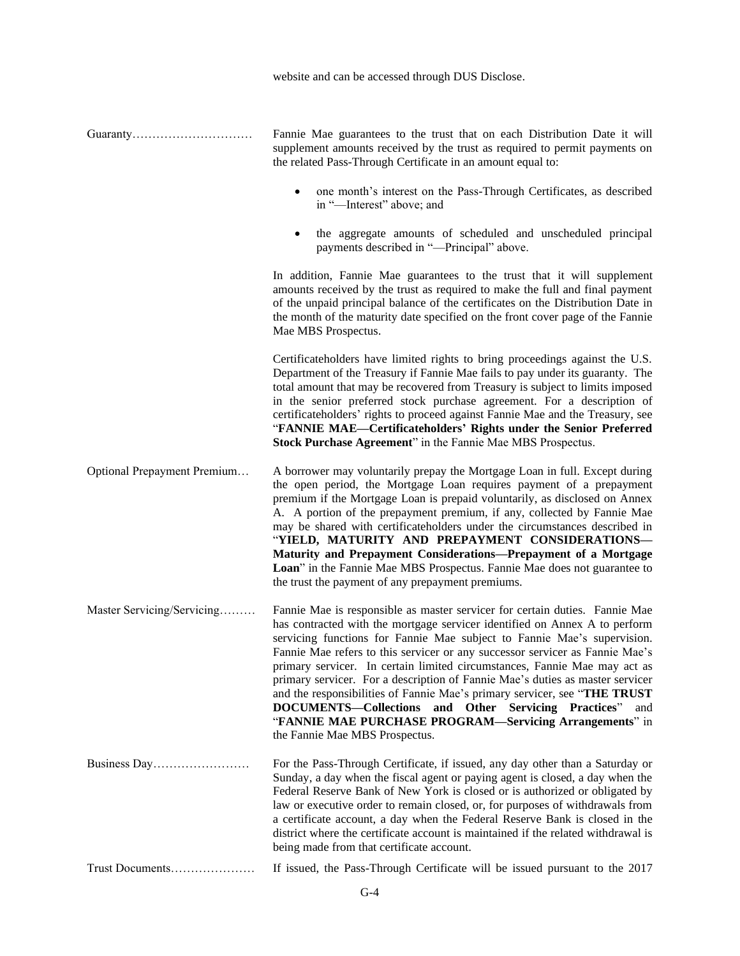|                             | website and can be accessed through DUS Disclose.                                                                                                                                                                                                                                                                                                                                                                                                                                                                                                                                                                                                                                                                           |
|-----------------------------|-----------------------------------------------------------------------------------------------------------------------------------------------------------------------------------------------------------------------------------------------------------------------------------------------------------------------------------------------------------------------------------------------------------------------------------------------------------------------------------------------------------------------------------------------------------------------------------------------------------------------------------------------------------------------------------------------------------------------------|
|                             | Fannie Mae guarantees to the trust that on each Distribution Date it will<br>supplement amounts received by the trust as required to permit payments on<br>the related Pass-Through Certificate in an amount equal to:                                                                                                                                                                                                                                                                                                                                                                                                                                                                                                      |
|                             | one month's interest on the Pass-Through Certificates, as described<br>$\bullet$<br>in "-Interest" above; and                                                                                                                                                                                                                                                                                                                                                                                                                                                                                                                                                                                                               |
|                             | the aggregate amounts of scheduled and unscheduled principal<br>$\bullet$<br>payments described in "-Principal" above.                                                                                                                                                                                                                                                                                                                                                                                                                                                                                                                                                                                                      |
|                             | In addition, Fannie Mae guarantees to the trust that it will supplement<br>amounts received by the trust as required to make the full and final payment<br>of the unpaid principal balance of the certificates on the Distribution Date in<br>the month of the maturity date specified on the front cover page of the Fannie<br>Mae MBS Prospectus.                                                                                                                                                                                                                                                                                                                                                                         |
|                             | Certificateholders have limited rights to bring proceedings against the U.S.<br>Department of the Treasury if Fannie Mae fails to pay under its guaranty. The<br>total amount that may be recovered from Treasury is subject to limits imposed<br>in the senior preferred stock purchase agreement. For a description of<br>certificateholders' rights to proceed against Fannie Mae and the Treasury, see<br>"FANNIE MAE—Certificateholders' Rights under the Senior Preferred<br>Stock Purchase Agreement" in the Fannie Mae MBS Prospectus.                                                                                                                                                                              |
| Optional Prepayment Premium | A borrower may voluntarily prepay the Mortgage Loan in full. Except during<br>the open period, the Mortgage Loan requires payment of a prepayment<br>premium if the Mortgage Loan is prepaid voluntarily, as disclosed on Annex<br>A. A portion of the prepayment premium, if any, collected by Fannie Mae<br>may be shared with certificateholders under the circumstances described in<br>"YIELD, MATURITY AND PREPAYMENT CONSIDERATIONS-<br>Maturity and Prepayment Considerations-Prepayment of a Mortgage<br>Loan" in the Fannie Mae MBS Prospectus. Fannie Mae does not guarantee to<br>the trust the payment of any prepayment premiums.                                                                             |
| Master Servicing/Servicing  | Fannie Mae is responsible as master servicer for certain duties. Fannie Mae<br>has contracted with the mortgage servicer identified on Annex A to perform<br>servicing functions for Fannie Mae subject to Fannie Mae's supervision.<br>Fannie Mae refers to this servicer or any successor servicer as Fannie Mae's<br>primary servicer. In certain limited circumstances, Fannie Mae may act as<br>primary servicer. For a description of Fannie Mae's duties as master servicer<br>and the responsibilities of Fannie Mae's primary servicer, see "THE TRUST<br>DOCUMENTS-Collections and Other Servicing Practices"<br>and<br>"FANNIE MAE PURCHASE PROGRAM—Servicing Arrangements" in<br>the Fannie Mae MBS Prospectus. |
|                             | For the Pass-Through Certificate, if issued, any day other than a Saturday or<br>Sunday, a day when the fiscal agent or paying agent is closed, a day when the<br>Federal Reserve Bank of New York is closed or is authorized or obligated by<br>law or executive order to remain closed, or, for purposes of withdrawals from<br>a certificate account, a day when the Federal Reserve Bank is closed in the<br>district where the certificate account is maintained if the related withdrawal is<br>being made from that certificate account.                                                                                                                                                                             |
| Trust Documents             | If issued, the Pass-Through Certificate will be issued pursuant to the 2017                                                                                                                                                                                                                                                                                                                                                                                                                                                                                                                                                                                                                                                 |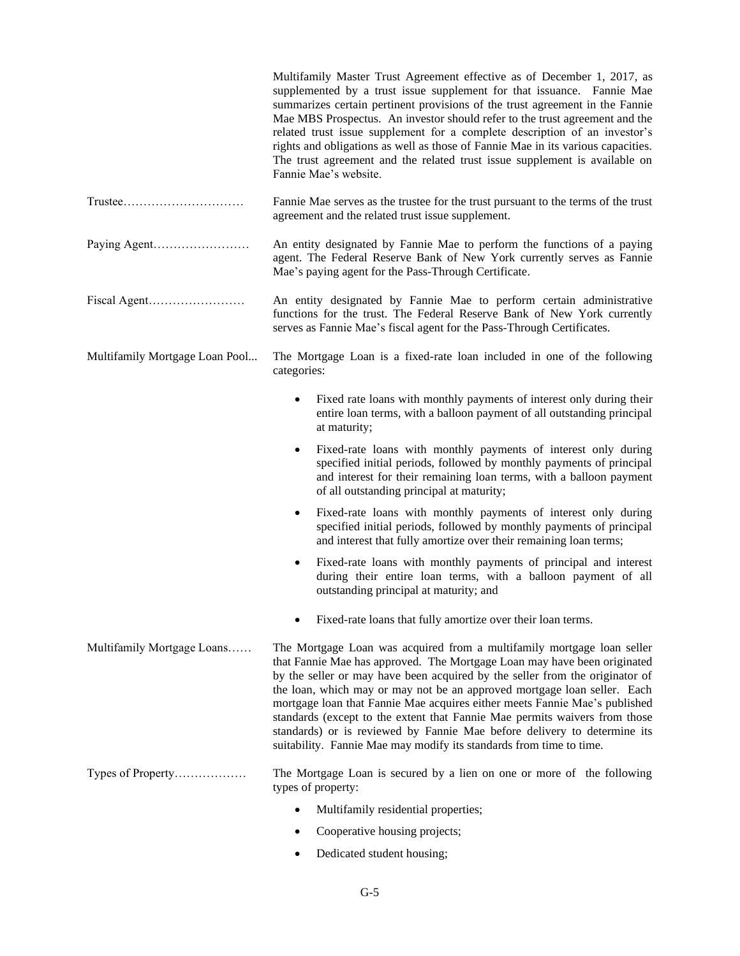|                                                                           | Multifamily Master Trust Agreement effective as of December 1, 2017, as<br>supplemented by a trust issue supplement for that issuance. Fannie Mae<br>summarizes certain pertinent provisions of the trust agreement in the Fannie<br>Mae MBS Prospectus. An investor should refer to the trust agreement and the<br>related trust issue supplement for a complete description of an investor's<br>rights and obligations as well as those of Fannie Mae in its various capacities.<br>The trust agreement and the related trust issue supplement is available on<br>Fannie Mae's website.                                     |
|---------------------------------------------------------------------------|-------------------------------------------------------------------------------------------------------------------------------------------------------------------------------------------------------------------------------------------------------------------------------------------------------------------------------------------------------------------------------------------------------------------------------------------------------------------------------------------------------------------------------------------------------------------------------------------------------------------------------|
| $Trustee. \ldots \ldots \ldots \ldots \ldots \ldots \ldots \ldots \ldots$ | Fannie Mae serves as the trustee for the trust pursuant to the terms of the trust<br>agreement and the related trust issue supplement.                                                                                                                                                                                                                                                                                                                                                                                                                                                                                        |
|                                                                           | An entity designated by Fannie Mae to perform the functions of a paying<br>agent. The Federal Reserve Bank of New York currently serves as Fannie<br>Mae's paying agent for the Pass-Through Certificate.                                                                                                                                                                                                                                                                                                                                                                                                                     |
|                                                                           | An entity designated by Fannie Mae to perform certain administrative<br>functions for the trust. The Federal Reserve Bank of New York currently<br>serves as Fannie Mae's fiscal agent for the Pass-Through Certificates.                                                                                                                                                                                                                                                                                                                                                                                                     |
| Multifamily Mortgage Loan Pool                                            | The Mortgage Loan is a fixed-rate loan included in one of the following<br>categories:                                                                                                                                                                                                                                                                                                                                                                                                                                                                                                                                        |
|                                                                           | Fixed rate loans with monthly payments of interest only during their<br>$\bullet$<br>entire loan terms, with a balloon payment of all outstanding principal<br>at maturity;                                                                                                                                                                                                                                                                                                                                                                                                                                                   |
|                                                                           | Fixed-rate loans with monthly payments of interest only during<br>$\bullet$<br>specified initial periods, followed by monthly payments of principal<br>and interest for their remaining loan terms, with a balloon payment<br>of all outstanding principal at maturity;                                                                                                                                                                                                                                                                                                                                                       |
|                                                                           | Fixed-rate loans with monthly payments of interest only during<br>$\bullet$<br>specified initial periods, followed by monthly payments of principal<br>and interest that fully amortize over their remaining loan terms;                                                                                                                                                                                                                                                                                                                                                                                                      |
|                                                                           | Fixed-rate loans with monthly payments of principal and interest<br>٠<br>during their entire loan terms, with a balloon payment of all<br>outstanding principal at maturity; and                                                                                                                                                                                                                                                                                                                                                                                                                                              |
|                                                                           | Fixed-rate loans that fully amortize over their loan terms.                                                                                                                                                                                                                                                                                                                                                                                                                                                                                                                                                                   |
| Multifamily Mortgage Loans                                                | The Mortgage Loan was acquired from a multifamily mortgage loan seller<br>that Fannie Mae has approved. The Mortgage Loan may have been originated<br>by the seller or may have been acquired by the seller from the originator of<br>the loan, which may or may not be an approved mortgage loan seller. Each<br>mortgage loan that Fannie Mae acquires either meets Fannie Mae's published<br>standards (except to the extent that Fannie Mae permits waivers from those<br>standards) or is reviewed by Fannie Mae before delivery to determine its<br>suitability. Fannie Mae may modify its standards from time to time. |
| Types of Property                                                         | The Mortgage Loan is secured by a lien on one or more of the following<br>types of property:                                                                                                                                                                                                                                                                                                                                                                                                                                                                                                                                  |
|                                                                           | Multifamily residential properties;                                                                                                                                                                                                                                                                                                                                                                                                                                                                                                                                                                                           |
|                                                                           | Cooperative housing projects;                                                                                                                                                                                                                                                                                                                                                                                                                                                                                                                                                                                                 |

• Dedicated student housing;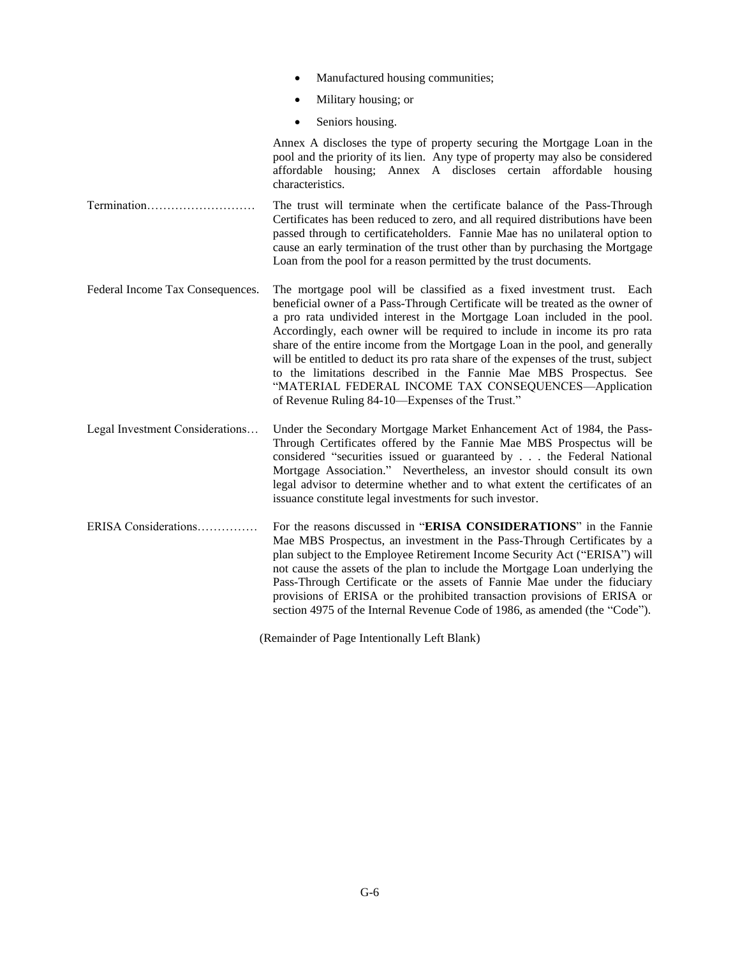|                                  | Manufactured housing communities;                                                                                                                                                                                                                                                                                                                                                                                                                                                                                                                                                                                                                                           |
|----------------------------------|-----------------------------------------------------------------------------------------------------------------------------------------------------------------------------------------------------------------------------------------------------------------------------------------------------------------------------------------------------------------------------------------------------------------------------------------------------------------------------------------------------------------------------------------------------------------------------------------------------------------------------------------------------------------------------|
|                                  | Military housing; or                                                                                                                                                                                                                                                                                                                                                                                                                                                                                                                                                                                                                                                        |
|                                  | Seniors housing.                                                                                                                                                                                                                                                                                                                                                                                                                                                                                                                                                                                                                                                            |
|                                  | Annex A discloses the type of property securing the Mortgage Loan in the<br>pool and the priority of its lien. Any type of property may also be considered<br>affordable housing; Annex A discloses certain affordable housing<br>characteristics.                                                                                                                                                                                                                                                                                                                                                                                                                          |
| Termination                      | The trust will terminate when the certificate balance of the Pass-Through<br>Certificates has been reduced to zero, and all required distributions have been<br>passed through to certificateholders. Fannie Mae has no unilateral option to<br>cause an early termination of the trust other than by purchasing the Mortgage<br>Loan from the pool for a reason permitted by the trust documents.                                                                                                                                                                                                                                                                          |
| Federal Income Tax Consequences. | The mortgage pool will be classified as a fixed investment trust. Each<br>beneficial owner of a Pass-Through Certificate will be treated as the owner of<br>a pro rata undivided interest in the Mortgage Loan included in the pool.<br>Accordingly, each owner will be required to include in income its pro rata<br>share of the entire income from the Mortgage Loan in the pool, and generally<br>will be entitled to deduct its pro rata share of the expenses of the trust, subject<br>to the limitations described in the Fannie Mae MBS Prospectus. See<br>"MATERIAL FEDERAL INCOME TAX CONSEQUENCES-Application<br>of Revenue Ruling 84-10-Expenses of the Trust." |
| Legal Investment Considerations  | Under the Secondary Mortgage Market Enhancement Act of 1984, the Pass-<br>Through Certificates offered by the Fannie Mae MBS Prospectus will be<br>considered "securities issued or guaranteed by the Federal National<br>Mortgage Association." Nevertheless, an investor should consult its own<br>legal advisor to determine whether and to what extent the certificates of an<br>issuance constitute legal investments for such investor.                                                                                                                                                                                                                               |
| ERISA Considerations             | For the reasons discussed in "ERISA CONSIDERATIONS" in the Fannie<br>Mae MBS Prospectus, an investment in the Pass-Through Certificates by a<br>plan subject to the Employee Retirement Income Security Act ("ERISA") will<br>not cause the assets of the plan to include the Mortgage Loan underlying the<br>Pass-Through Certificate or the assets of Fannie Mae under the fiduciary<br>provisions of ERISA or the prohibited transaction provisions of ERISA or<br>section 4975 of the Internal Revenue Code of 1986, as amended (the "Code").                                                                                                                           |

(Remainder of Page Intentionally Left Blank)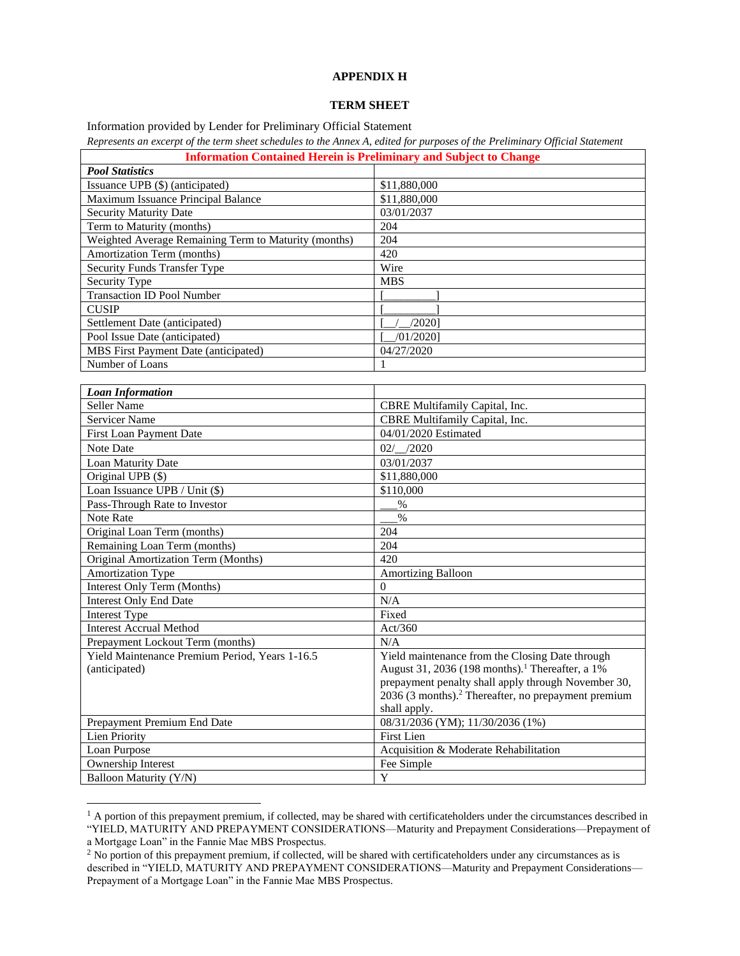## **APPENDIX H**

### **TERM SHEET**

Information provided by Lender for Preliminary Official Statement

*Represents an excerpt of the term sheet schedules to the Annex A, edited for purposes of the Preliminary Official Statement*

| <b>Information Contained Herein is Preliminary and Subject to Change</b> |              |
|--------------------------------------------------------------------------|--------------|
| <b>Pool Statistics</b>                                                   |              |
| Issuance UPB (\$) (anticipated)                                          | \$11,880,000 |
| Maximum Issuance Principal Balance                                       | \$11,880,000 |
| <b>Security Maturity Date</b>                                            | 03/01/2037   |
| Term to Maturity (months)                                                | 204          |
| Weighted Average Remaining Term to Maturity (months)                     | 204          |
| Amortization Term (months)                                               | 420          |
| <b>Security Funds Transfer Type</b>                                      | Wire         |
| Security Type                                                            | <b>MBS</b>   |
| <b>Transaction ID Pool Number</b>                                        |              |
| <b>CUSIP</b>                                                             |              |
| Settlement Date (anticipated)                                            | $/2020$ ]    |
| Pool Issue Date (anticipated)                                            | /01/20201    |
| MBS First Payment Date (anticipated)                                     | 04/27/2020   |
| Number of Loans                                                          |              |

| <b>Loan Information</b>                        |                                                                 |
|------------------------------------------------|-----------------------------------------------------------------|
| Seller Name                                    | CBRE Multifamily Capital, Inc.                                  |
| <b>Servicer Name</b>                           | CBRE Multifamily Capital, Inc.                                  |
| <b>First Loan Payment Date</b>                 | 04/01/2020 Estimated                                            |
| Note Date                                      | $02/$ /2020                                                     |
| Loan Maturity Date                             | 03/01/2037                                                      |
| Original UPB (\$)                              | \$11,880,000                                                    |
| Loan Issuance UPB / Unit $(\$)$                | \$110,000                                                       |
| Pass-Through Rate to Investor                  | $\%$                                                            |
| Note Rate                                      | $\frac{0}{0}$                                                   |
| Original Loan Term (months)                    | 204                                                             |
| Remaining Loan Term (months)                   | 204                                                             |
| Original Amortization Term (Months)            | 420                                                             |
| Amortization Type                              | <b>Amortizing Balloon</b>                                       |
| Interest Only Term (Months)                    | $\Omega$                                                        |
| <b>Interest Only End Date</b>                  | N/A                                                             |
| Interest Type                                  | Fixed                                                           |
| <b>Interest Accrual Method</b>                 | Act/360                                                         |
| Prepayment Lockout Term (months)               | N/A                                                             |
| Yield Maintenance Premium Period, Years 1-16.5 | Yield maintenance from the Closing Date through                 |
| (anticipated)                                  | August 31, 2036 (198 months). <sup>1</sup> Thereafter, a 1%     |
|                                                | prepayment penalty shall apply through November 30,             |
|                                                | 2036 (3 months). <sup>2</sup> Thereafter, no prepayment premium |
|                                                | shall apply.                                                    |
| Prepayment Premium End Date                    | 08/31/2036 (YM); 11/30/2036 (1%)                                |
| <b>Lien Priority</b>                           | <b>First Lien</b>                                               |
| Loan Purpose                                   | Acquisition & Moderate Rehabilitation                           |
| Ownership Interest                             | Fee Simple                                                      |
| Balloon Maturity (Y/N)                         | Y                                                               |

 $<sup>1</sup>$  A portion of this prepayment premium, if collected, may be shared with certificateholders under the circumstances described in</sup> "YIELD, MATURITY AND PREPAYMENT CONSIDERATIONS—Maturity and Prepayment Considerations—Prepayment of a Mortgage Loan" in the Fannie Mae MBS Prospectus.

<sup>&</sup>lt;sup>2</sup> No portion of this prepayment premium, if collected, will be shared with certificateholders under any circumstances as is described in "YIELD, MATURITY AND PREPAYMENT CONSIDERATIONS—Maturity and Prepayment Considerations— Prepayment of a Mortgage Loan" in the Fannie Mae MBS Prospectus.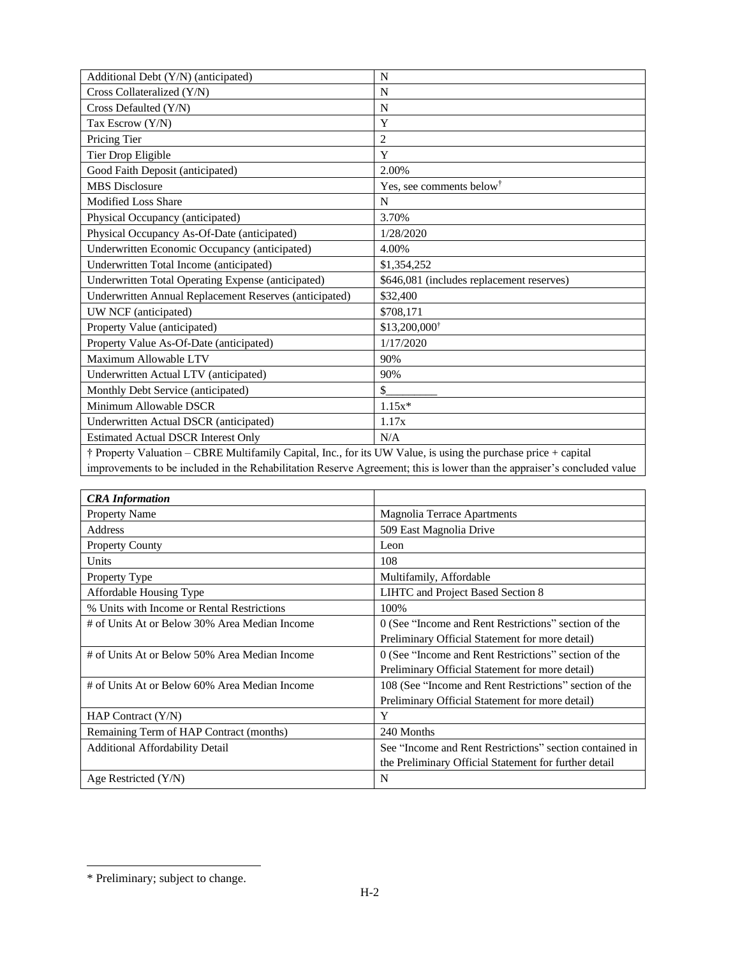| Additional Debt (Y/N) (anticipated)                                                                                       | N                                         |
|---------------------------------------------------------------------------------------------------------------------------|-------------------------------------------|
| Cross Collateralized (Y/N)                                                                                                | N                                         |
| Cross Defaulted (Y/N)                                                                                                     | N                                         |
| Tax Escrow (Y/N)                                                                                                          | Y                                         |
| Pricing Tier                                                                                                              | $\overline{2}$                            |
| Tier Drop Eligible                                                                                                        | Y                                         |
| Good Faith Deposit (anticipated)                                                                                          | 2.00%                                     |
| <b>MBS</b> Disclosure                                                                                                     | Yes, see comments below <sup>†</sup>      |
| <b>Modified Loss Share</b>                                                                                                | N                                         |
| Physical Occupancy (anticipated)                                                                                          | 3.70%                                     |
| Physical Occupancy As-Of-Date (anticipated)                                                                               | 1/28/2020                                 |
| Underwritten Economic Occupancy (anticipated)                                                                             | 4.00%                                     |
| Underwritten Total Income (anticipated)                                                                                   | \$1,354,252                               |
| Underwritten Total Operating Expense (anticipated)                                                                        | \$646,081 (includes replacement reserves) |
| Underwritten Annual Replacement Reserves (anticipated)                                                                    | \$32,400                                  |
| UW NCF (anticipated)                                                                                                      | \$708,171                                 |
| Property Value (anticipated)                                                                                              | \$13,200,000 <sup>†</sup>                 |
| Property Value As-Of-Date (anticipated)                                                                                   | 1/17/2020                                 |
| Maximum Allowable LTV                                                                                                     | 90%                                       |
| Underwritten Actual LTV (anticipated)                                                                                     | 90%                                       |
| Monthly Debt Service (anticipated)                                                                                        | $\frac{1}{2}$                             |
| Minimum Allowable DSCR                                                                                                    | $1.15x*$                                  |
| Underwritten Actual DSCR (anticipated)                                                                                    | 1.17x                                     |
| <b>Estimated Actual DSCR Interest Only</b>                                                                                | N/A                                       |
| <sup>†</sup> Property Valuation – CBRE Multifamily Capital, Inc., for its UW Value, is using the purchase price + capital |                                           |

† Property Valuation – CBRE Multifamily Capital, Inc., for its UW Value, is using the purchase price + capital improvements to be included in the Rehabilitation Reserve Agreement; this is lower than the appraiser's concluded value

| <b>CRA</b> Information                        |                                                         |
|-----------------------------------------------|---------------------------------------------------------|
| <b>Property Name</b>                          | <b>Magnolia Terrace Apartments</b>                      |
| Address                                       | 509 East Magnolia Drive                                 |
| <b>Property County</b>                        | Leon                                                    |
| Units                                         | 108                                                     |
| Property Type                                 | Multifamily, Affordable                                 |
| Affordable Housing Type                       | LIHTC and Project Based Section 8                       |
| % Units with Income or Rental Restrictions    | 100%                                                    |
| # of Units At or Below 30% Area Median Income | 0 (See "Income and Rent Restrictions" section of the    |
|                                               | Preliminary Official Statement for more detail)         |
| # of Units At or Below 50% Area Median Income | 0 (See "Income and Rent Restrictions" section of the    |
|                                               | Preliminary Official Statement for more detail)         |
| # of Units At or Below 60% Area Median Income | 108 (See "Income and Rent Restrictions" section of the  |
|                                               | Preliminary Official Statement for more detail)         |
| HAP Contract $(Y/N)$                          | Y                                                       |
| Remaining Term of HAP Contract (months)       | 240 Months                                              |
| <b>Additional Affordability Detail</b>        | See "Income and Rent Restrictions" section contained in |
|                                               | the Preliminary Official Statement for further detail   |
| Age Restricted $(Y/N)$                        | N                                                       |

<sup>\*</sup> Preliminary; subject to change.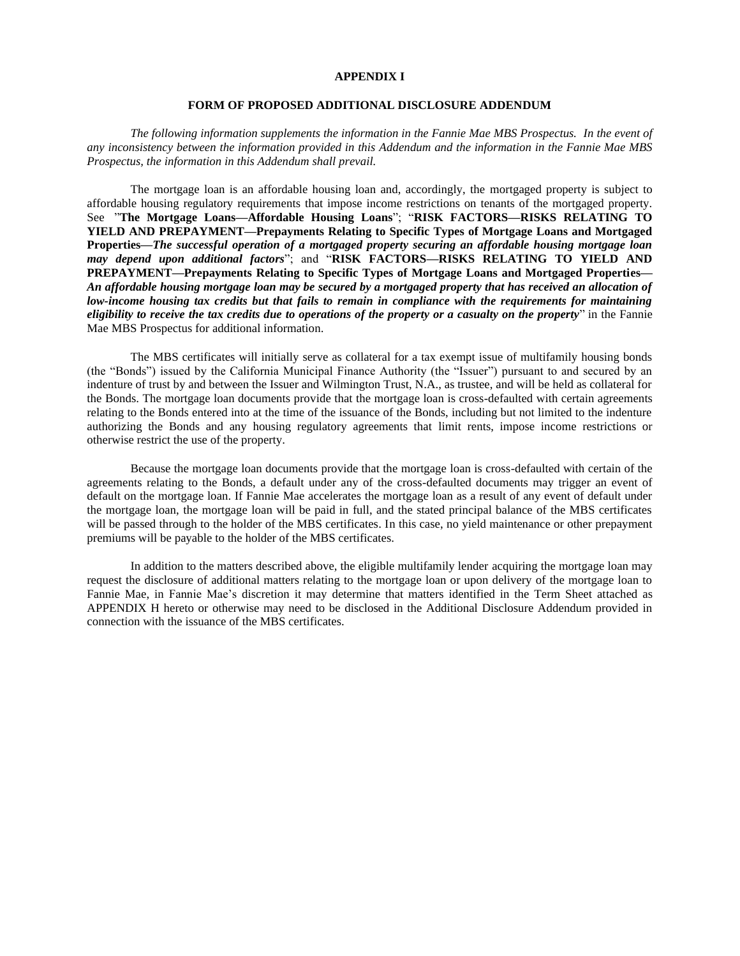#### **APPENDIX I**

#### **FORM OF PROPOSED ADDITIONAL DISCLOSURE ADDENDUM**

*The following information supplements the information in the Fannie Mae MBS Prospectus. In the event of any inconsistency between the information provided in this Addendum and the information in the Fannie Mae MBS Prospectus, the information in this Addendum shall prevail.*

The mortgage loan is an affordable housing loan and, accordingly, the mortgaged property is subject to affordable housing regulatory requirements that impose income restrictions on tenants of the mortgaged property. See "**The Mortgage Loans—Affordable Housing Loans**"; "**RISK FACTORS—RISKS RELATING TO YIELD AND PREPAYMENT—Prepayments Relating to Specific Types of Mortgage Loans and Mortgaged Properties—***The successful operation of a mortgaged property securing an affordable housing mortgage loan may depend upon additional factors*"; and "**RISK FACTORS—RISKS RELATING TO YIELD AND PREPAYMENT—Prepayments Relating to Specific Types of Mortgage Loans and Mortgaged Properties—** *An affordable housing mortgage loan may be secured by a mortgaged property that has received an allocation of low-income housing tax credits but that fails to remain in compliance with the requirements for maintaining eligibility to receive the tax credits due to operations of the property or a casualty on the property*" in the Fannie Mae MBS Prospectus for additional information.

The MBS certificates will initially serve as collateral for a tax exempt issue of multifamily housing bonds (the "Bonds") issued by the California Municipal Finance Authority (the "Issuer") pursuant to and secured by an indenture of trust by and between the Issuer and Wilmington Trust, N.A., as trustee, and will be held as collateral for the Bonds. The mortgage loan documents provide that the mortgage loan is cross-defaulted with certain agreements relating to the Bonds entered into at the time of the issuance of the Bonds, including but not limited to the indenture authorizing the Bonds and any housing regulatory agreements that limit rents, impose income restrictions or otherwise restrict the use of the property.

Because the mortgage loan documents provide that the mortgage loan is cross-defaulted with certain of the agreements relating to the Bonds, a default under any of the cross-defaulted documents may trigger an event of default on the mortgage loan. If Fannie Mae accelerates the mortgage loan as a result of any event of default under the mortgage loan, the mortgage loan will be paid in full, and the stated principal balance of the MBS certificates will be passed through to the holder of the MBS certificates. In this case, no yield maintenance or other prepayment premiums will be payable to the holder of the MBS certificates.

In addition to the matters described above, the eligible multifamily lender acquiring the mortgage loan may request the disclosure of additional matters relating to the mortgage loan or upon delivery of the mortgage loan to Fannie Mae, in Fannie Mae's discretion it may determine that matters identified in the Term Sheet attached as APPENDIX H hereto or otherwise may need to be disclosed in the Additional Disclosure Addendum provided in connection with the issuance of the MBS certificates.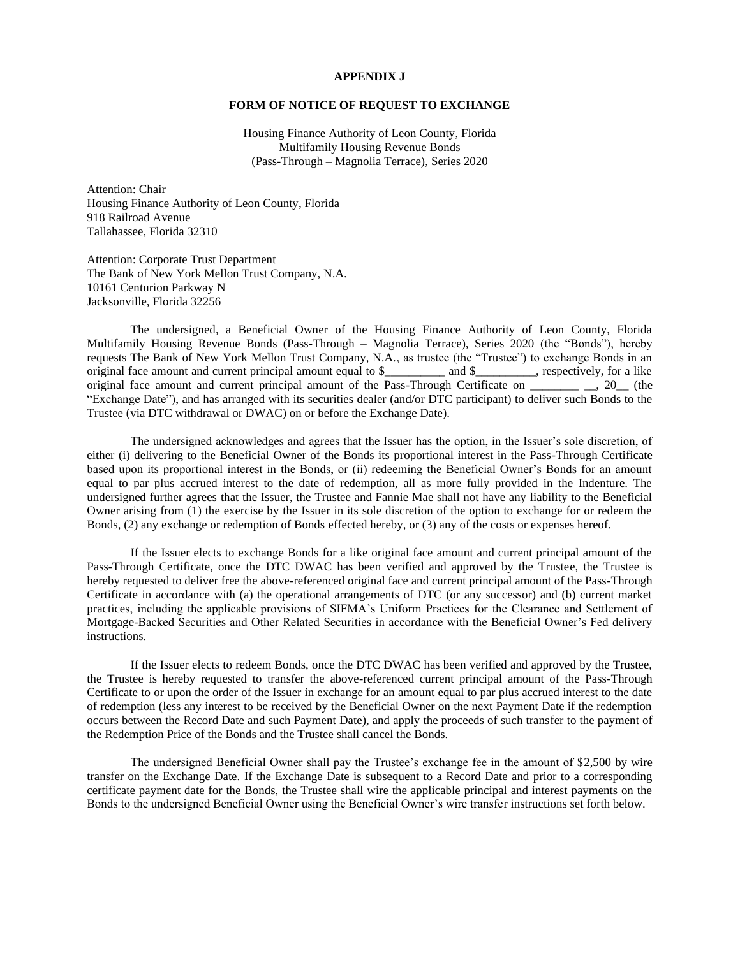#### **APPENDIX J**

#### **FORM OF NOTICE OF REQUEST TO EXCHANGE**

Housing Finance Authority of Leon County, Florida Multifamily Housing Revenue Bonds (Pass-Through – Magnolia Terrace), Series 2020

Attention: Chair Housing Finance Authority of Leon County, Florida 918 Railroad Avenue Tallahassee, Florida 32310

Attention: Corporate Trust Department The Bank of New York Mellon Trust Company, N.A. 10161 Centurion Parkway N Jacksonville, Florida 32256

The undersigned, a Beneficial Owner of the Housing Finance Authority of Leon County, Florida Multifamily Housing Revenue Bonds (Pass-Through – Magnolia Terrace), Series 2020 (the "Bonds"), hereby requests The Bank of New York Mellon Trust Company, N.A., as trustee (the "Trustee") to exchange Bonds in an original face amount and current principal amount equal to \$\_\_\_\_\_\_\_\_\_\_ and \$\_\_\_\_\_\_\_\_\_\_, respectively, for a like original face amount and current principal amount of the Pass-Through Certificate on \_\_\_\_\_\_\_\_ \_\_, 20\_\_ (the "Exchange Date"), and has arranged with its securities dealer (and/or DTC participant) to deliver such Bonds to the Trustee (via DTC withdrawal or DWAC) on or before the Exchange Date).

The undersigned acknowledges and agrees that the Issuer has the option, in the Issuer's sole discretion, of either (i) delivering to the Beneficial Owner of the Bonds its proportional interest in the Pass-Through Certificate based upon its proportional interest in the Bonds, or (ii) redeeming the Beneficial Owner's Bonds for an amount equal to par plus accrued interest to the date of redemption, all as more fully provided in the Indenture. The undersigned further agrees that the Issuer, the Trustee and Fannie Mae shall not have any liability to the Beneficial Owner arising from (1) the exercise by the Issuer in its sole discretion of the option to exchange for or redeem the Bonds, (2) any exchange or redemption of Bonds effected hereby, or (3) any of the costs or expenses hereof.

If the Issuer elects to exchange Bonds for a like original face amount and current principal amount of the Pass-Through Certificate, once the DTC DWAC has been verified and approved by the Trustee, the Trustee is hereby requested to deliver free the above-referenced original face and current principal amount of the Pass-Through Certificate in accordance with (a) the operational arrangements of DTC (or any successor) and (b) current market practices, including the applicable provisions of SIFMA's Uniform Practices for the Clearance and Settlement of Mortgage-Backed Securities and Other Related Securities in accordance with the Beneficial Owner's Fed delivery instructions.

If the Issuer elects to redeem Bonds, once the DTC DWAC has been verified and approved by the Trustee, the Trustee is hereby requested to transfer the above-referenced current principal amount of the Pass-Through Certificate to or upon the order of the Issuer in exchange for an amount equal to par plus accrued interest to the date of redemption (less any interest to be received by the Beneficial Owner on the next Payment Date if the redemption occurs between the Record Date and such Payment Date), and apply the proceeds of such transfer to the payment of the Redemption Price of the Bonds and the Trustee shall cancel the Bonds.

The undersigned Beneficial Owner shall pay the Trustee's exchange fee in the amount of \$2,500 by wire transfer on the Exchange Date. If the Exchange Date is subsequent to a Record Date and prior to a corresponding certificate payment date for the Bonds, the Trustee shall wire the applicable principal and interest payments on the Bonds to the undersigned Beneficial Owner using the Beneficial Owner's wire transfer instructions set forth below.